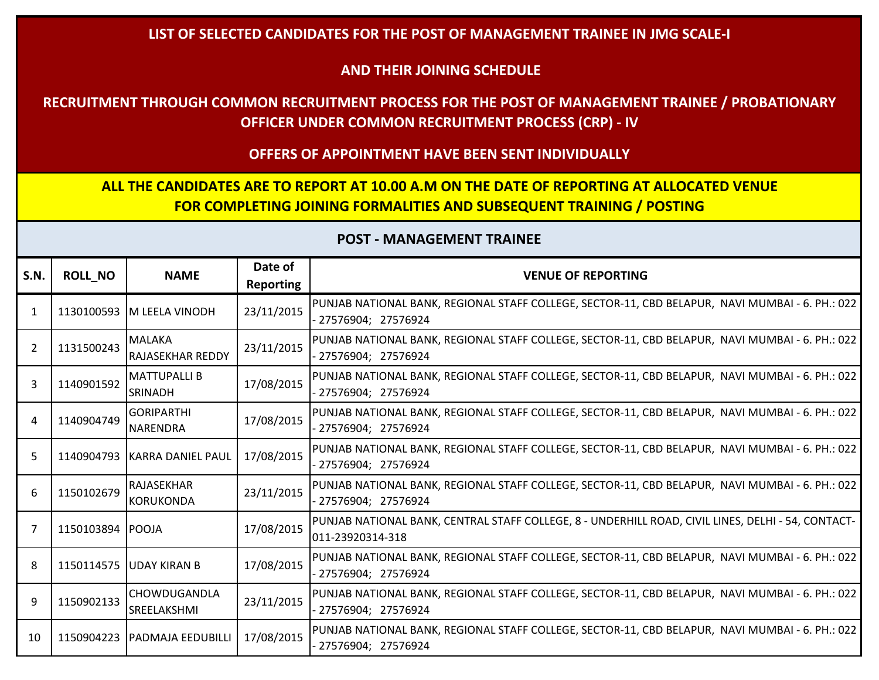#### **LIST OF SELECTED CANDIDATES FOR THE POST OF MANAGEMENT TRAINEE IN JMG SCALE-I**

#### **AND THEIR JOINING SCHEDULE**

## **RECRUITMENT THROUGH COMMON RECRUITMENT PROCESS FOR THE POST OF MANAGEMENT TRAINEE / PROBATIONARY OFFICER UNDER COMMON RECRUITMENT PROCESS (CRP) - IV**

#### **OFFERS OF APPOINTMENT HAVE BEEN SENT INDIVIDUALLY**

# **ALL THE CANDIDATES ARE TO REPORT AT 10.00 A.M ON THE DATE OF REPORTING AT ALLOCATED VENUE FOR COMPLETING JOINING FORMALITIES AND SUBSEQUENT TRAINING / POSTING**

| S.N.           | <b>ROLL_NO</b>   | <b>NAME</b>                              | Date of<br><b>Reporting</b> | <b>VENUE OF REPORTING</b>                                                                                               |
|----------------|------------------|------------------------------------------|-----------------------------|-------------------------------------------------------------------------------------------------------------------------|
| 1              |                  | 1130100593 M LEELA VINODH                | 23/11/2015                  | PUNJAB NATIONAL BANK, REGIONAL STAFF COLLEGE, SECTOR-11, CBD BELAPUR, NAVI MUMBAI - 6. PH.: 022<br>- 27576904; 27576924 |
| $\overline{2}$ | 1131500243       | <b>MALAKA</b><br><b>RAJASEKHAR REDDY</b> | 23/11/2015                  | PUNJAB NATIONAL BANK, REGIONAL STAFF COLLEGE, SECTOR-11, CBD BELAPUR, NAVI MUMBAI - 6. PH.: 022<br>- 27576904; 27576924 |
| 3              | 1140901592       | <b>MATTUPALLI B</b><br><b>SRINADH</b>    | 17/08/2015                  | PUNJAB NATIONAL BANK, REGIONAL STAFF COLLEGE, SECTOR-11, CBD BELAPUR, NAVI MUMBAI - 6. PH.: 022<br>27576904; 27576924   |
| 4              | 1140904749       | <b>GORIPARTHI</b><br><b>NARENDRA</b>     | 17/08/2015                  | PUNJAB NATIONAL BANK, REGIONAL STAFF COLLEGE, SECTOR-11, CBD BELAPUR, NAVI MUMBAI - 6. PH.: 022<br>27576904; 27576924   |
| 5              |                  | 1140904793 KARRA DANIEL PAUL             | 17/08/2015                  | PUNJAB NATIONAL BANK, REGIONAL STAFF COLLEGE, SECTOR-11, CBD BELAPUR, NAVI MUMBAI - 6. PH.: 022<br>- 27576904; 27576924 |
| 6              | 1150102679       | RAJASEKHAR<br><b>KORUKONDA</b>           | 23/11/2015                  | PUNJAB NATIONAL BANK, REGIONAL STAFF COLLEGE, SECTOR-11, CBD BELAPUR, NAVI MUMBAI - 6. PH.: 022<br>- 27576904; 27576924 |
| 7              | 1150103894 POOJA |                                          | 17/08/2015                  | PUNJAB NATIONAL BANK, CENTRAL STAFF COLLEGE, 8 - UNDERHILL ROAD, CIVIL LINES, DELHI - 54, CONTACT-<br>011-23920314-318  |
| 8              | 1150114575       | <b>JUDAY KIRAN B</b>                     | 17/08/2015                  | PUNJAB NATIONAL BANK, REGIONAL STAFF COLLEGE, SECTOR-11, CBD BELAPUR, NAVI MUMBAI - 6. PH.: 022<br>- 27576904; 27576924 |
| 9              | 1150902133       | CHOWDUGANDLA<br><b>SREELAKSHMI</b>       | 23/11/2015                  | PUNJAB NATIONAL BANK, REGIONAL STAFF COLLEGE, SECTOR-11, CBD BELAPUR, NAVI MUMBAI - 6. PH.: 022<br>- 27576904; 27576924 |
| 10             |                  | 1150904223   PADMAJA EEDUBILLI           | 17/08/2015                  | PUNJAB NATIONAL BANK, REGIONAL STAFF COLLEGE, SECTOR-11, CBD BELAPUR, NAVI MUMBAI - 6. PH.: 022<br>- 27576904; 27576924 |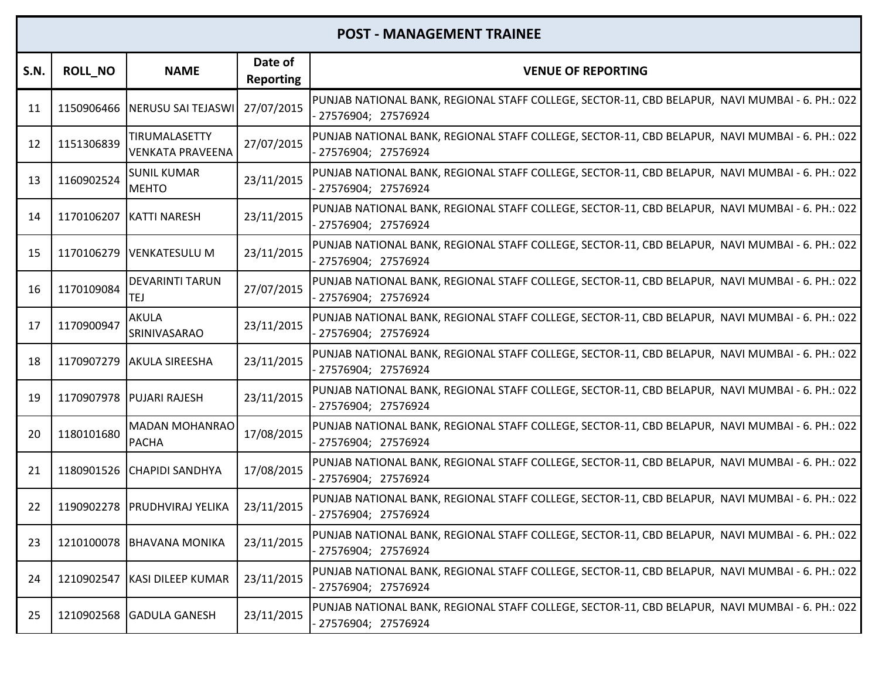| S.N. | <b>ROLL_NO</b> | <b>NAME</b>                              | Date of<br><b>Reporting</b> | <b>VENUE OF REPORTING</b>                                                                                               |
|------|----------------|------------------------------------------|-----------------------------|-------------------------------------------------------------------------------------------------------------------------|
| 11   | 1150906466     | NERUSU SAI TEJASWI                       | 27/07/2015                  | PUNJAB NATIONAL BANK, REGIONAL STAFF COLLEGE, SECTOR-11, CBD BELAPUR, NAVI MUMBAI - 6. PH.: 022<br>27576904; 27576924   |
| 12   | 1151306839     | TIRUMALASETTY<br><b>VENKATA PRAVEENA</b> | 27/07/2015                  | PUNJAB NATIONAL BANK, REGIONAL STAFF COLLEGE, SECTOR-11, CBD BELAPUR, NAVI MUMBAI - 6. PH.: 022<br>27576904; 27576924   |
| 13   | 1160902524     | <b>SUNIL KUMAR</b><br><b>MEHTO</b>       | 23/11/2015                  | PUNJAB NATIONAL BANK, REGIONAL STAFF COLLEGE, SECTOR-11, CBD BELAPUR, NAVI MUMBAI - 6. PH.: 022<br>27576904; 27576924   |
| 14   |                | 1170106207 KATTI NARESH                  | 23/11/2015                  | PUNJAB NATIONAL BANK, REGIONAL STAFF COLLEGE, SECTOR-11, CBD BELAPUR, NAVI MUMBAI - 6. PH.: 022<br>27576904; 27576924   |
| 15   | 1170106279     | <b>VENKATESULU M</b>                     | 23/11/2015                  | PUNJAB NATIONAL BANK, REGIONAL STAFF COLLEGE, SECTOR-11, CBD BELAPUR, NAVI MUMBAI - 6. PH.: 022<br>- 27576904; 27576924 |
| 16   | 1170109084     | <b>DEVARINTI TARUN</b><br>TEJ            | 27/07/2015                  | PUNJAB NATIONAL BANK, REGIONAL STAFF COLLEGE, SECTOR-11, CBD BELAPUR, NAVI MUMBAI - 6. PH.: 022<br>27576904; 27576924   |
| 17   | 1170900947     | <b>AKULA</b><br>SRINIVASARAO             | 23/11/2015                  | PUNJAB NATIONAL BANK, REGIONAL STAFF COLLEGE, SECTOR-11, CBD BELAPUR, NAVI MUMBAI - 6. PH.: 022<br>- 27576904; 27576924 |
| 18   |                | 1170907279 AKULA SIREESHA                | 23/11/2015                  | PUNJAB NATIONAL BANK, REGIONAL STAFF COLLEGE, SECTOR-11, CBD BELAPUR, NAVI MUMBAI - 6. PH.: 022<br>- 27576904; 27576924 |
| 19   |                | 1170907978 PUJARI RAJESH                 | 23/11/2015                  | PUNJAB NATIONAL BANK, REGIONAL STAFF COLLEGE, SECTOR-11, CBD BELAPUR, NAVI MUMBAI - 6. PH.: 022<br>27576904; 27576924   |
| 20   | 1180101680     | <b>MADAN MOHANRAO</b><br><b>PACHA</b>    | 17/08/2015                  | PUNJAB NATIONAL BANK, REGIONAL STAFF COLLEGE, SECTOR-11, CBD BELAPUR, NAVI MUMBAI - 6. PH.: 022<br>27576904; 27576924   |
| 21   |                | 1180901526 CHAPIDI SANDHYA               | 17/08/2015                  | PUNJAB NATIONAL BANK, REGIONAL STAFF COLLEGE, SECTOR-11, CBD BELAPUR, NAVI MUMBAI - 6. PH.: 022<br>- 27576904; 27576924 |
| 22   |                | 1190902278   PRUDHVIRAJ YELIKA           | 23/11/2015                  | PUNJAB NATIONAL BANK, REGIONAL STAFF COLLEGE, SECTOR-11, CBD BELAPUR, NAVI MUMBAI - 6. PH.: 022<br>27576904; 27576924   |
| 23   |                | 1210100078 BHAVANA MONIKA                | 23/11/2015                  | PUNJAB NATIONAL BANK, REGIONAL STAFF COLLEGE, SECTOR-11, CBD BELAPUR, NAVI MUMBAI - 6. PH.: 022<br>27576904; 27576924   |
| 24   | 1210902547     | KASI DILEEP KUMAR                        | 23/11/2015                  | PUNJAB NATIONAL BANK, REGIONAL STAFF COLLEGE, SECTOR-11, CBD BELAPUR, NAVI MUMBAI - 6. PH.: 022<br>- 27576904; 27576924 |
| 25   |                | 1210902568 GADULA GANESH                 | 23/11/2015                  | PUNJAB NATIONAL BANK, REGIONAL STAFF COLLEGE, SECTOR-11, CBD BELAPUR, NAVI MUMBAI - 6. PH.: 022<br>27576904; 27576924   |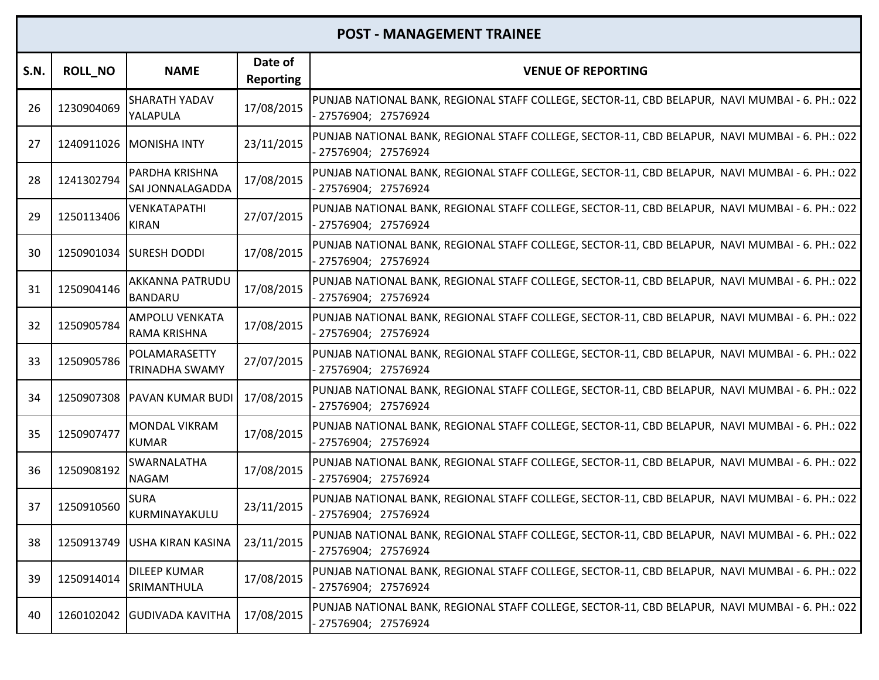| <b>S.N.</b> | <b>ROLL_NO</b> | <b>NAME</b>                                  | Date of<br><b>Reporting</b> | <b>VENUE OF REPORTING</b>                                                                                                |
|-------------|----------------|----------------------------------------------|-----------------------------|--------------------------------------------------------------------------------------------------------------------------|
| 26          | 1230904069     | SHARATH YADAV<br>YALAPULA                    | 17/08/2015                  | PUNJAB NATIONAL BANK, REGIONAL STAFF COLLEGE, SECTOR-11, CBD BELAPUR, NAVI MUMBAI - 6. PH.: 022<br>27576904; 27576924    |
| 27          |                | 1240911026 MONISHA INTY                      | 23/11/2015                  | PUNJAB NATIONAL BANK, REGIONAL STAFF COLLEGE, SECTOR-11, CBD BELAPUR, NAVI MUMBAI - 6. PH.: 022<br>27576904; 27576924    |
| 28          | 1241302794     | PARDHA KRISHNA<br>SAI JONNALAGADDA           | 17/08/2015                  | PUNJAB NATIONAL BANK, REGIONAL STAFF COLLEGE, SECTOR-11, CBD BELAPUR, NAVI MUMBAI - 6. PH.: 022<br>- 27576904; 27576924  |
| 29          | 1250113406     | VENKATAPATHI<br><b>KIRAN</b>                 | 27/07/2015                  | PUNJAB NATIONAL BANK, REGIONAL STAFF COLLEGE, SECTOR-11, CBD BELAPUR, NAVI MUMBAI - 6. PH.: 022<br>- 27576904; 27576924  |
| 30          | 1250901034     | <b>SURESH DODDI</b>                          | 17/08/2015                  | PUNJAB NATIONAL BANK, REGIONAL STAFF COLLEGE, SECTOR-11, CBD BELAPUR, NAVI MUMBAI - 6. PH.: 022<br>- 27576904; 27576924  |
| 31          | 1250904146     | AKKANNA PATRUDU<br><b>BANDARU</b>            | 17/08/2015                  | PUNJAB NATIONAL BANK, REGIONAL STAFF COLLEGE, SECTOR-11, CBD BELAPUR, NAVI MUMBAI - 6. PH.: 022<br>27576904; 27576924    |
| 32          | 1250905784     | <b>AMPOLU VENKATA</b><br><b>RAMA KRISHNA</b> | 17/08/2015                  | PUNJAB NATIONAL BANK, REGIONAL STAFF COLLEGE, SECTOR-11, CBD BELAPUR, NAVI MUMBAI - 6. PH.: 022<br>- 27576904; 27576924  |
| 33          | 1250905786     | POLAMARASETTY<br><b>TRINADHA SWAMY</b>       | 27/07/2015                  | PUNJAB NATIONAL BANK, REGIONAL STAFF COLLEGE, SECTOR-11, CBD BELAPUR, NAVI MUMBAI - 6. PH.: 022<br>- 27576904; 27576924  |
| 34          |                | 1250907308 PAVAN KUMAR BUDI                  | 17/08/2015                  | PUNJAB NATIONAL BANK, REGIONAL STAFF COLLEGE, SECTOR-11, CBD BELAPUR, NAVI MUMBAI - 6. PH.: 022<br>27576904; 27576924    |
| 35          | 1250907477     | <b>MONDAL VIKRAM</b><br><b>KUMAR</b>         | 17/08/2015                  | PUNJAB NATIONAL BANK, REGIONAL STAFF COLLEGE, SECTOR-11, CBD BELAPUR, NAVI MUMBAI - 6. PH.: 022<br>27576904; 27576924    |
| 36          | 1250908192     | <b>SWARNALATHA</b><br><b>NAGAM</b>           | 17/08/2015                  | PUNJAB NATIONAL BANK, REGIONAL STAFF COLLEGE, SECTOR-11, CBD BELAPUR, NAVI MUMBAI - 6. PH.: 022<br>- 27576904; 27576924  |
| 37          | 1250910560     | <b>SURA</b><br>KURMINAYAKULU                 | 23/11/2015                  | PUNJAB NATIONAL BANK, REGIONAL STAFF COLLEGE, SECTOR-11, CBD BELAPUR, NAVI MUMBAI - 6. PH.: 022<br>- 27576904; 27576924  |
| 38          |                | 1250913749 USHA KIRAN KASINA                 | 23/11/2015                  | PUNJAB NATIONAL BANK, REGIONAL STAFF COLLEGE, SECTOR-11, CBD BELAPUR,  NAVI MUMBAI - 6. PH.: 022  <br>27576904; 27576924 |
| 39          | 1250914014     | <b>DILEEP KUMAR</b><br><b>SRIMANTHULA</b>    | 17/08/2015                  | PUNJAB NATIONAL BANK, REGIONAL STAFF COLLEGE, SECTOR-11, CBD BELAPUR, NAVI MUMBAI - 6. PH.: 022<br>27576904; 27576924    |
| 40          |                | 1260102042 GUDIVADA KAVITHA                  | 17/08/2015                  | PUNJAB NATIONAL BANK, REGIONAL STAFF COLLEGE, SECTOR-11, CBD BELAPUR, NAVI MUMBAI - 6. PH.: 022<br>27576904; 27576924    |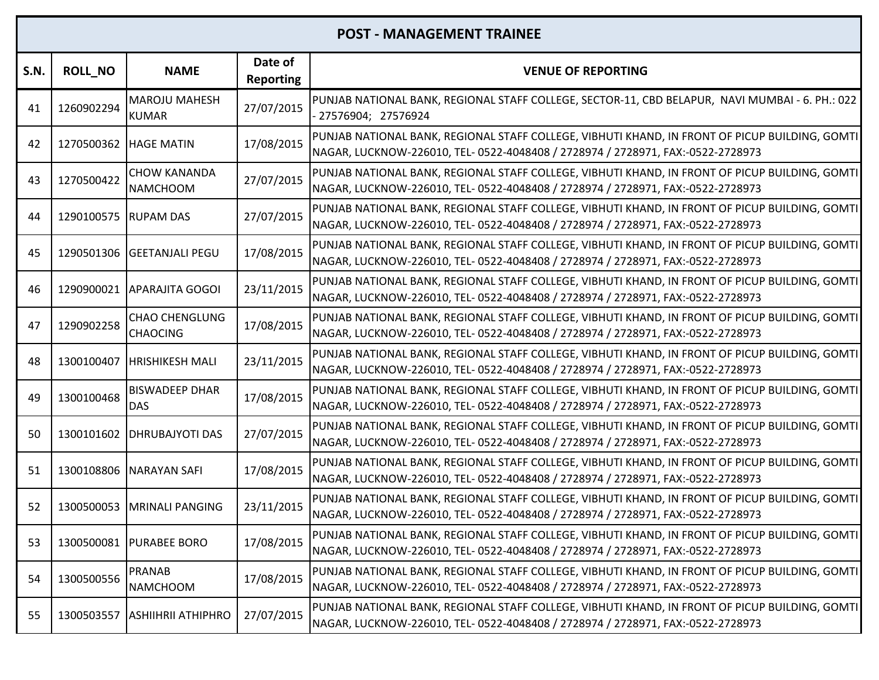| <b>S.N.</b> | <b>ROLL_NO</b>        | <b>NAME</b>                              | Date of<br><b>Reporting</b> | <b>VENUE OF REPORTING</b>                                                                                                                                                         |
|-------------|-----------------------|------------------------------------------|-----------------------------|-----------------------------------------------------------------------------------------------------------------------------------------------------------------------------------|
| 41          | 1260902294            | <b>MAROJU MAHESH</b><br><b>KUMAR</b>     | 27/07/2015                  | PUNJAB NATIONAL BANK, REGIONAL STAFF COLLEGE, SECTOR-11, CBD BELAPUR, NAVI MUMBAI - 6. PH.: 022<br>27576904; 27576924                                                             |
| 42          | 1270500362 HAGE MATIN |                                          | 17/08/2015                  | PUNJAB NATIONAL BANK, REGIONAL STAFF COLLEGE, VIBHUTI KHAND, IN FRONT OF PICUP BUILDING, GOMTI<br>NAGAR, LUCKNOW-226010, TEL- 0522-4048408 / 2728974 / 2728971, FAX:-0522-2728973 |
| 43          | 1270500422            | <b>CHOW KANANDA</b><br><b>NAMCHOOM</b>   | 27/07/2015                  | PUNJAB NATIONAL BANK, REGIONAL STAFF COLLEGE, VIBHUTI KHAND, IN FRONT OF PICUP BUILDING, GOMTI<br>NAGAR, LUCKNOW-226010, TEL- 0522-4048408 / 2728974 / 2728971, FAX:-0522-2728973 |
| 44          | 1290100575 RUPAM DAS  |                                          | 27/07/2015                  | PUNJAB NATIONAL BANK, REGIONAL STAFF COLLEGE, VIBHUTI KHAND, IN FRONT OF PICUP BUILDING, GOMTI<br>NAGAR, LUCKNOW-226010, TEL- 0522-4048408 / 2728974 / 2728971, FAX:-0522-2728973 |
| 45          | 1290501306            | <b>GEETANJALI PEGU</b>                   | 17/08/2015                  | PUNJAB NATIONAL BANK, REGIONAL STAFF COLLEGE, VIBHUTI KHAND, IN FRONT OF PICUP BUILDING, GOMTI<br>NAGAR, LUCKNOW-226010, TEL- 0522-4048408 / 2728974 / 2728971, FAX:-0522-2728973 |
| 46          |                       | 1290900021 APARAJITA GOGOI               | 23/11/2015                  | PUNJAB NATIONAL BANK, REGIONAL STAFF COLLEGE, VIBHUTI KHAND, IN FRONT OF PICUP BUILDING, GOMTI<br>NAGAR, LUCKNOW-226010, TEL- 0522-4048408 / 2728974 / 2728971, FAX:-0522-2728973 |
| 47          | 1290902258            | <b>CHAO CHENGLUNG</b><br><b>CHAOCING</b> | 17/08/2015                  | PUNJAB NATIONAL BANK, REGIONAL STAFF COLLEGE, VIBHUTI KHAND, IN FRONT OF PICUP BUILDING, GOMTI<br>NAGAR, LUCKNOW-226010, TEL- 0522-4048408 / 2728974 / 2728971, FAX:-0522-2728973 |
| 48          | 1300100407            | <b>HRISHIKESH MALI</b>                   | 23/11/2015                  | PUNJAB NATIONAL BANK, REGIONAL STAFF COLLEGE, VIBHUTI KHAND, IN FRONT OF PICUP BUILDING, GOMTI<br>NAGAR, LUCKNOW-226010, TEL- 0522-4048408 / 2728974 / 2728971, FAX:-0522-2728973 |
| 49          | 1300100468            | <b>BISWADEEP DHAR</b><br><b>DAS</b>      | 17/08/2015                  | PUNJAB NATIONAL BANK, REGIONAL STAFF COLLEGE, VIBHUTI KHAND, IN FRONT OF PICUP BUILDING, GOMTI<br>NAGAR, LUCKNOW-226010, TEL- 0522-4048408 / 2728974 / 2728971, FAX:-0522-2728973 |
| 50          |                       | 1300101602   DHRUBAJYOTI DAS             | 27/07/2015                  | PUNJAB NATIONAL BANK, REGIONAL STAFF COLLEGE, VIBHUTI KHAND, IN FRONT OF PICUP BUILDING, GOMTI<br>NAGAR, LUCKNOW-226010, TEL- 0522-4048408 / 2728974 / 2728971, FAX:-0522-2728973 |
| 51          |                       | 1300108806 NARAYAN SAFI                  | 17/08/2015                  | PUNJAB NATIONAL BANK, REGIONAL STAFF COLLEGE, VIBHUTI KHAND, IN FRONT OF PICUP BUILDING, GOMTI<br>NAGAR, LUCKNOW-226010, TEL- 0522-4048408 / 2728974 / 2728971, FAX:-0522-2728973 |
| 52          | 1300500053            | MRINALI PANGING                          | 23/11/2015                  | PUNJAB NATIONAL BANK, REGIONAL STAFF COLLEGE, VIBHUTI KHAND, IN FRONT OF PICUP BUILDING, GOMTI<br>NAGAR, LUCKNOW-226010, TEL- 0522-4048408 / 2728974 / 2728971, FAX:-0522-2728973 |
| 53          |                       | 1300500081 PURABEE BORO                  | 17/08/2015                  | PUNJAB NATIONAL BANK, REGIONAL STAFF COLLEGE, VIBHUTI KHAND, IN FRONT OF PICUP BUILDING, GOMTI<br>NAGAR, LUCKNOW-226010, TEL- 0522-4048408 / 2728974 / 2728971, FAX:-0522-2728973 |
| 54          | 1300500556            | <b>PRANAB</b><br><b>NAMCHOOM</b>         | 17/08/2015                  | PUNJAB NATIONAL BANK, REGIONAL STAFF COLLEGE, VIBHUTI KHAND, IN FRONT OF PICUP BUILDING, GOMTI<br>NAGAR, LUCKNOW-226010, TEL- 0522-4048408 / 2728974 / 2728971, FAX:-0522-2728973 |
| 55          | 1300503557            | <b>ASHIIHRII ATHIPHRO</b>                | 27/07/2015                  | PUNJAB NATIONAL BANK, REGIONAL STAFF COLLEGE, VIBHUTI KHAND, IN FRONT OF PICUP BUILDING, GOMTI<br>NAGAR, LUCKNOW-226010, TEL- 0522-4048408 / 2728974 / 2728971, FAX:-0522-2728973 |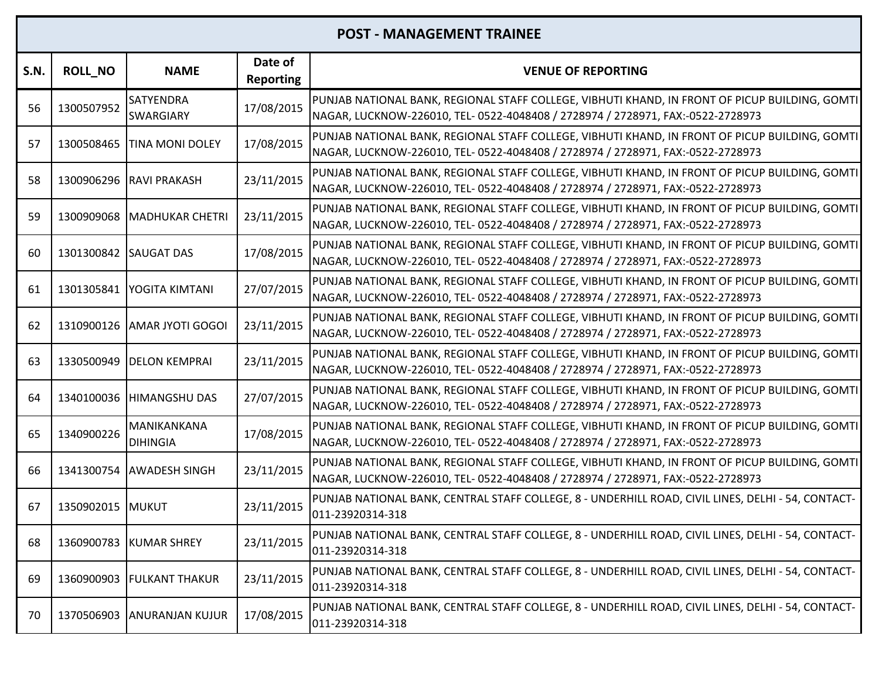| S.N. | <b>ROLL_NO</b> | <b>NAME</b>                    | Date of<br><b>Reporting</b> | <b>VENUE OF REPORTING</b>                                                                                                                                                         |
|------|----------------|--------------------------------|-----------------------------|-----------------------------------------------------------------------------------------------------------------------------------------------------------------------------------|
| 56   | 1300507952     | SATYENDRA<br><b>SWARGIARY</b>  | 17/08/2015                  | PUNJAB NATIONAL BANK, REGIONAL STAFF COLLEGE, VIBHUTI KHAND, IN FRONT OF PICUP BUILDING, GOMTI<br>NAGAR, LUCKNOW-226010, TEL- 0522-4048408 / 2728974 / 2728971, FAX:-0522-2728973 |
| 57   | 1300508465     | <b>TINA MONI DOLEY</b>         | 17/08/2015                  | PUNJAB NATIONAL BANK, REGIONAL STAFF COLLEGE, VIBHUTI KHAND, IN FRONT OF PICUP BUILDING, GOMTI<br>NAGAR, LUCKNOW-226010, TEL- 0522-4048408 / 2728974 / 2728971, FAX:-0522-2728973 |
| 58   | 1300906296     | <b>RAVI PRAKASH</b>            | 23/11/2015                  | PUNJAB NATIONAL BANK, REGIONAL STAFF COLLEGE, VIBHUTI KHAND, IN FRONT OF PICUP BUILDING, GOMTI<br>NAGAR, LUCKNOW-226010, TEL- 0522-4048408 / 2728974 / 2728971, FAX:-0522-2728973 |
| 59   | 1300909068     | <b>MADHUKAR CHETRI</b>         | 23/11/2015                  | PUNJAB NATIONAL BANK, REGIONAL STAFF COLLEGE, VIBHUTI KHAND, IN FRONT OF PICUP BUILDING, GOMTI<br>NAGAR, LUCKNOW-226010, TEL- 0522-4048408 / 2728974 / 2728971, FAX:-0522-2728973 |
| 60   | 1301300842     | <b>SAUGAT DAS</b>              | 17/08/2015                  | PUNJAB NATIONAL BANK, REGIONAL STAFF COLLEGE, VIBHUTI KHAND, IN FRONT OF PICUP BUILDING, GOMTI<br>NAGAR, LUCKNOW-226010, TEL- 0522-4048408 / 2728974 / 2728971, FAX:-0522-2728973 |
| 61   | 1301305841     | IYOGITA KIMTANI                | 27/07/2015                  | PUNJAB NATIONAL BANK, REGIONAL STAFF COLLEGE, VIBHUTI KHAND, IN FRONT OF PICUP BUILDING, GOMTI<br>NAGAR, LUCKNOW-226010, TEL- 0522-4048408 / 2728974 / 2728971, FAX:-0522-2728973 |
| 62   | 1310900126     | <b>AMAR JYOTI GOGOI</b>        | 23/11/2015                  | PUNJAB NATIONAL BANK, REGIONAL STAFF COLLEGE, VIBHUTI KHAND, IN FRONT OF PICUP BUILDING, GOMTI<br>NAGAR, LUCKNOW-226010, TEL- 0522-4048408 / 2728974 / 2728971, FAX:-0522-2728973 |
| 63   | 1330500949     | <b>DELON KEMPRAI</b>           | 23/11/2015                  | PUNJAB NATIONAL BANK, REGIONAL STAFF COLLEGE, VIBHUTI KHAND, IN FRONT OF PICUP BUILDING, GOMTI<br>NAGAR, LUCKNOW-226010, TEL- 0522-4048408 / 2728974 / 2728971, FAX:-0522-2728973 |
| 64   | 1340100036     | <b>HIMANGSHU DAS</b>           | 27/07/2015                  | PUNJAB NATIONAL BANK, REGIONAL STAFF COLLEGE, VIBHUTI KHAND, IN FRONT OF PICUP BUILDING, GOMTI<br>NAGAR, LUCKNOW-226010, TEL- 0522-4048408 / 2728974 / 2728971, FAX:-0522-2728973 |
| 65   | 1340900226     | MANIKANKANA<br><b>DIHINGIA</b> | 17/08/2015                  | PUNJAB NATIONAL BANK, REGIONAL STAFF COLLEGE, VIBHUTI KHAND, IN FRONT OF PICUP BUILDING, GOMTI<br>NAGAR, LUCKNOW-226010, TEL- 0522-4048408 / 2728974 / 2728971, FAX:-0522-2728973 |
| 66   | 1341300754     | <b>AWADESH SINGH</b>           | 23/11/2015                  | PUNJAB NATIONAL BANK, REGIONAL STAFF COLLEGE, VIBHUTI KHAND, IN FRONT OF PICUP BUILDING, GOMTI<br>NAGAR, LUCKNOW-226010, TEL- 0522-4048408 / 2728974 / 2728971, FAX:-0522-2728973 |
| 67   | 1350902015     | <b>MUKUT</b>                   | 23/11/2015                  | PUNJAB NATIONAL BANK, CENTRAL STAFF COLLEGE, 8 - UNDERHILL ROAD, CIVIL LINES, DELHI - 54, CONTACT-<br>011-23920314-318                                                            |
| 68   |                | 1360900783 KUMAR SHREY         | 23/11/2015                  | PUNJAB NATIONAL BANK, CENTRAL STAFF COLLEGE, 8 - UNDERHILL ROAD, CIVIL LINES, DELHI - 54, CONTACT-<br>011-23920314-318                                                            |
| 69   | 1360900903     | <b>FULKANT THAKUR</b>          | 23/11/2015                  | PUNJAB NATIONAL BANK, CENTRAL STAFF COLLEGE, 8 - UNDERHILL ROAD, CIVIL LINES, DELHI - 54, CONTACT-<br>011-23920314-318                                                            |
| 70   | 1370506903     | <b>ANURANJAN KUJUR</b>         | 17/08/2015                  | PUNJAB NATIONAL BANK, CENTRAL STAFF COLLEGE, 8 - UNDERHILL ROAD, CIVIL LINES, DELHI - 54, CONTACT-<br>011-23920314-318                                                            |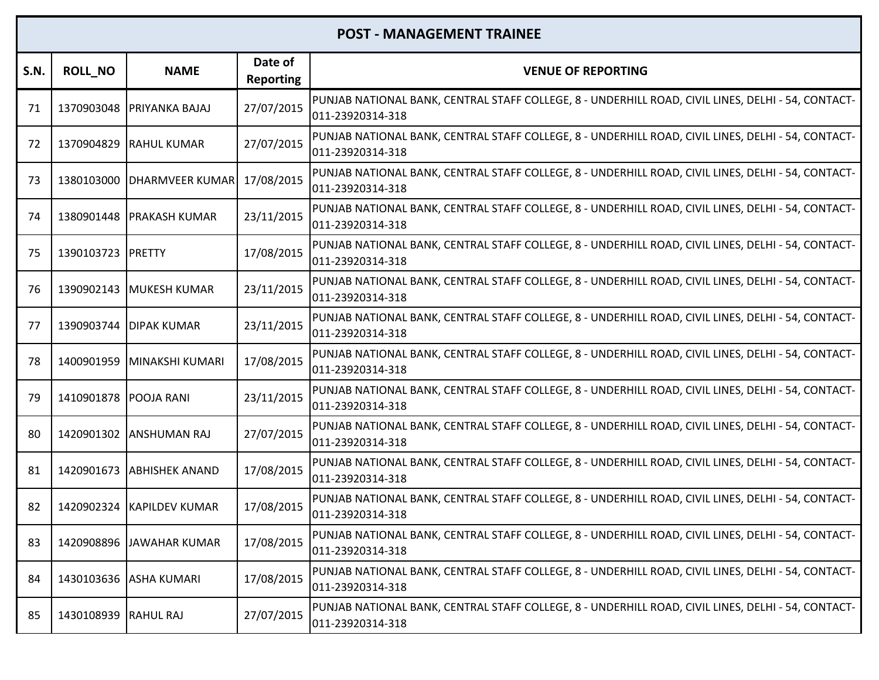| S.N. | <b>ROLL_NO</b>        | <b>NAME</b>                | Date of<br><b>Reporting</b> | <b>VENUE OF REPORTING</b>                                                                                              |
|------|-----------------------|----------------------------|-----------------------------|------------------------------------------------------------------------------------------------------------------------|
| 71   | 1370903048            | <b>PRIYANKA BAJAJ</b>      | 27/07/2015                  | PUNJAB NATIONAL BANK, CENTRAL STAFF COLLEGE, 8 - UNDERHILL ROAD, CIVIL LINES, DELHI - 54, CONTACT-<br>011-23920314-318 |
| 72   | 1370904829            | <b>RAHUL KUMAR</b>         | 27/07/2015                  | PUNJAB NATIONAL BANK, CENTRAL STAFF COLLEGE, 8 - UNDERHILL ROAD, CIVIL LINES, DELHI - 54, CONTACT-<br>011-23920314-318 |
| 73   | 1380103000            | <b>DHARMVEER KUMAR</b>     | 17/08/2015                  | PUNJAB NATIONAL BANK, CENTRAL STAFF COLLEGE, 8 - UNDERHILL ROAD, CIVIL LINES, DELHI - 54, CONTACT-<br>011-23920314-318 |
| 74   |                       | 1380901448   PRAKASH KUMAR | 23/11/2015                  | PUNJAB NATIONAL BANK, CENTRAL STAFF COLLEGE, 8 - UNDERHILL ROAD, CIVIL LINES, DELHI - 54, CONTACT-<br>011-23920314-318 |
| 75   | 1390103723            | PRETTY                     | 17/08/2015                  | PUNJAB NATIONAL BANK, CENTRAL STAFF COLLEGE, 8 - UNDERHILL ROAD, CIVIL LINES, DELHI - 54, CONTACT-<br>011-23920314-318 |
| -76  |                       | 1390902143 MUKESH KUMAR    | 23/11/2015                  | PUNJAB NATIONAL BANK, CENTRAL STAFF COLLEGE, 8 - UNDERHILL ROAD, CIVIL LINES, DELHI - 54, CONTACT-<br>011-23920314-318 |
| 77   | 1390903744            | <b>DIPAK KUMAR</b>         | 23/11/2015                  | PUNJAB NATIONAL BANK, CENTRAL STAFF COLLEGE, 8 - UNDERHILL ROAD, CIVIL LINES, DELHI - 54, CONTACT-<br>011-23920314-318 |
| 78   | 1400901959            | MINAKSHI KUMARI            | 17/08/2015                  | PUNJAB NATIONAL BANK, CENTRAL STAFF COLLEGE, 8 - UNDERHILL ROAD, CIVIL LINES, DELHI - 54, CONTACT-<br>011-23920314-318 |
| 79   | 1410901878 POOJA RANI |                            | 23/11/2015                  | PUNJAB NATIONAL BANK, CENTRAL STAFF COLLEGE, 8 - UNDERHILL ROAD, CIVIL LINES, DELHI - 54, CONTACT-<br>011-23920314-318 |
| 80   |                       | 1420901302 ANSHUMAN RAJ    | 27/07/2015                  | PUNJAB NATIONAL BANK, CENTRAL STAFF COLLEGE, 8 - UNDERHILL ROAD, CIVIL LINES, DELHI - 54, CONTACT-<br>011-23920314-318 |
| 81   |                       | 1420901673 ABHISHEK ANAND  | 17/08/2015                  | PUNJAB NATIONAL BANK, CENTRAL STAFF COLLEGE, 8 - UNDERHILL ROAD, CIVIL LINES, DELHI - 54, CONTACT-<br>011-23920314-318 |
| 82   | 1420902324            | <b>KAPILDEV KUMAR</b>      | 17/08/2015                  | PUNJAB NATIONAL BANK, CENTRAL STAFF COLLEGE, 8 - UNDERHILL ROAD, CIVIL LINES, DELHI - 54, CONTACT-<br>011-23920314-318 |
| 83   |                       | 1420908896 JAWAHAR KUMAR   | 17/08/2015                  | PUNJAB NATIONAL BANK, CENTRAL STAFF COLLEGE, 8 - UNDERHILL ROAD, CIVIL LINES, DELHI - 54, CONTACT-<br>011-23920314-318 |
| 84   | 1430103636            | <b>ASHA KUMARI</b>         | 17/08/2015                  | PUNJAB NATIONAL BANK, CENTRAL STAFF COLLEGE, 8 - UNDERHILL ROAD, CIVIL LINES, DELHI - 54, CONTACT-<br>011-23920314-318 |
| 85   | 1430108939            | <b>RAHUL RAJ</b>           | 27/07/2015                  | PUNJAB NATIONAL BANK, CENTRAL STAFF COLLEGE, 8 - UNDERHILL ROAD, CIVIL LINES, DELHI - 54, CONTACT-<br>011-23920314-318 |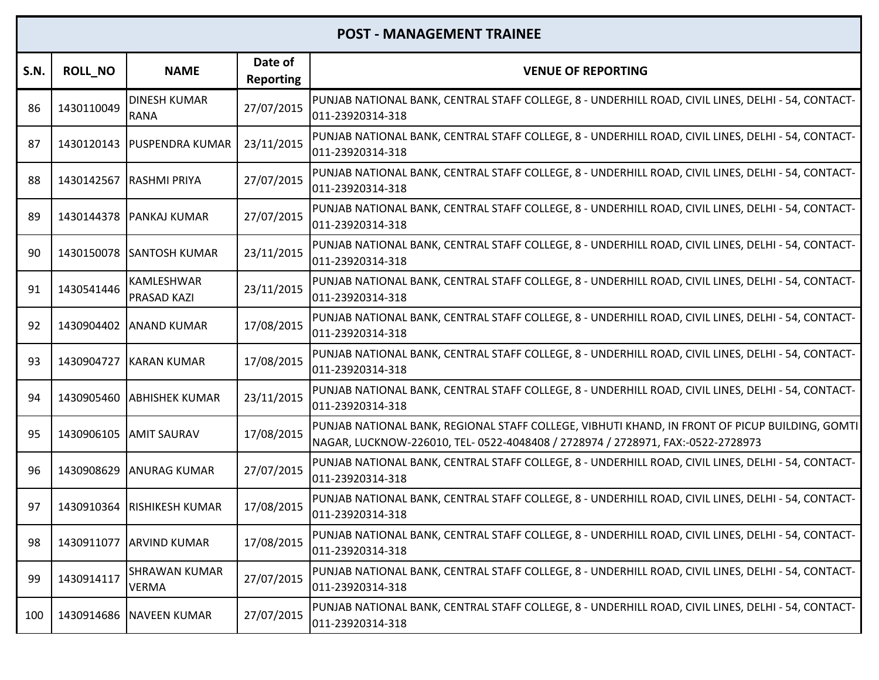| S.N. | <b>ROLL_NO</b> | <b>NAME</b>                        | Date of<br><b>Reporting</b> | <b>VENUE OF REPORTING</b>                                                                                                                                                         |
|------|----------------|------------------------------------|-----------------------------|-----------------------------------------------------------------------------------------------------------------------------------------------------------------------------------|
| 86   | 1430110049     | <b>DINESH KUMAR</b><br><b>RANA</b> | 27/07/2015                  | PUNJAB NATIONAL BANK, CENTRAL STAFF COLLEGE, 8 - UNDERHILL ROAD, CIVIL LINES, DELHI - 54, CONTACT-<br>011-23920314-318                                                            |
| 87   |                | 1430120143   PUSPENDRA KUMAR       | 23/11/2015                  | PUNJAB NATIONAL BANK, CENTRAL STAFF COLLEGE, 8 - UNDERHILL ROAD, CIVIL LINES, DELHI - 54, CONTACT-<br>011-23920314-318                                                            |
| 88   | 1430142567     | <b>RASHMI PRIYA</b>                | 27/07/2015                  | PUNJAB NATIONAL BANK, CENTRAL STAFF COLLEGE, 8 - UNDERHILL ROAD, CIVIL LINES, DELHI - 54, CONTACT-<br>011-23920314-318                                                            |
| 89   | 1430144378     | <b>PANKAJ KUMAR</b>                | 27/07/2015                  | PUNJAB NATIONAL BANK, CENTRAL STAFF COLLEGE, 8 - UNDERHILL ROAD, CIVIL LINES, DELHI - 54, CONTACT-<br>011-23920314-318                                                            |
| 90   | 1430150078     | <b>SANTOSH KUMAR</b>               | 23/11/2015                  | PUNJAB NATIONAL BANK, CENTRAL STAFF COLLEGE, 8 - UNDERHILL ROAD, CIVIL LINES, DELHI - 54, CONTACT-<br>011-23920314-318                                                            |
| 91   | 1430541446     | KAMLESHWAR<br><b>PRASAD KAZI</b>   | 23/11/2015                  | PUNJAB NATIONAL BANK, CENTRAL STAFF COLLEGE, 8 - UNDERHILL ROAD, CIVIL LINES, DELHI - 54, CONTACT-<br>011-23920314-318                                                            |
| 92   | 1430904402     | <b>ANAND KUMAR</b>                 | 17/08/2015                  | PUNJAB NATIONAL BANK, CENTRAL STAFF COLLEGE, 8 - UNDERHILL ROAD, CIVIL LINES, DELHI - 54, CONTACT-<br>011-23920314-318                                                            |
| 93   | 1430904727     | <b>KARAN KUMAR</b>                 | 17/08/2015                  | PUNJAB NATIONAL BANK, CENTRAL STAFF COLLEGE, 8 - UNDERHILL ROAD, CIVIL LINES, DELHI - 54, CONTACT-<br>011-23920314-318                                                            |
| 94   | 1430905460     | <b>ABHISHEK KUMAR</b>              | 23/11/2015                  | PUNJAB NATIONAL BANK, CENTRAL STAFF COLLEGE, 8 - UNDERHILL ROAD, CIVIL LINES, DELHI - 54, CONTACT-<br>011-23920314-318                                                            |
| 95   | 1430906105     | <b>AMIT SAURAV</b>                 | 17/08/2015                  | PUNJAB NATIONAL BANK, REGIONAL STAFF COLLEGE, VIBHUTI KHAND, IN FRONT OF PICUP BUILDING, GOMTI<br>NAGAR, LUCKNOW-226010, TEL- 0522-4048408 / 2728974 / 2728971, FAX:-0522-2728973 |
| 96   | 1430908629     | <b>ANURAG KUMAR</b>                | 27/07/2015                  | PUNJAB NATIONAL BANK, CENTRAL STAFF COLLEGE, 8 - UNDERHILL ROAD, CIVIL LINES, DELHI - 54, CONTACT-<br>011-23920314-318                                                            |
| 97   | 1430910364     | <b>RISHIKESH KUMAR</b>             | 17/08/2015                  | PUNJAB NATIONAL BANK, CENTRAL STAFF COLLEGE, 8 - UNDERHILL ROAD, CIVIL LINES, DELHI - 54, CONTACT-<br>011-23920314-318                                                            |
| 98   |                | 1430911077 ARVIND KUMAR            | 17/08/2015                  | PUNJAB NATIONAL BANK, CENTRAL STAFF COLLEGE, 8 - UNDERHILL ROAD, CIVIL LINES, DELHI - 54, CONTACT-<br>011-23920314-318                                                            |
| 99   | 1430914117     | SHRAWAN KUMAR<br><b>VERMA</b>      | 27/07/2015                  | PUNJAB NATIONAL BANK, CENTRAL STAFF COLLEGE, 8 - UNDERHILL ROAD, CIVIL LINES, DELHI - 54, CONTACT-<br>011-23920314-318                                                            |
| 100  | 1430914686     | <b>NAVEEN KUMAR</b>                | 27/07/2015                  | PUNJAB NATIONAL BANK, CENTRAL STAFF COLLEGE, 8 - UNDERHILL ROAD, CIVIL LINES, DELHI - 54, CONTACT-<br>011-23920314-318                                                            |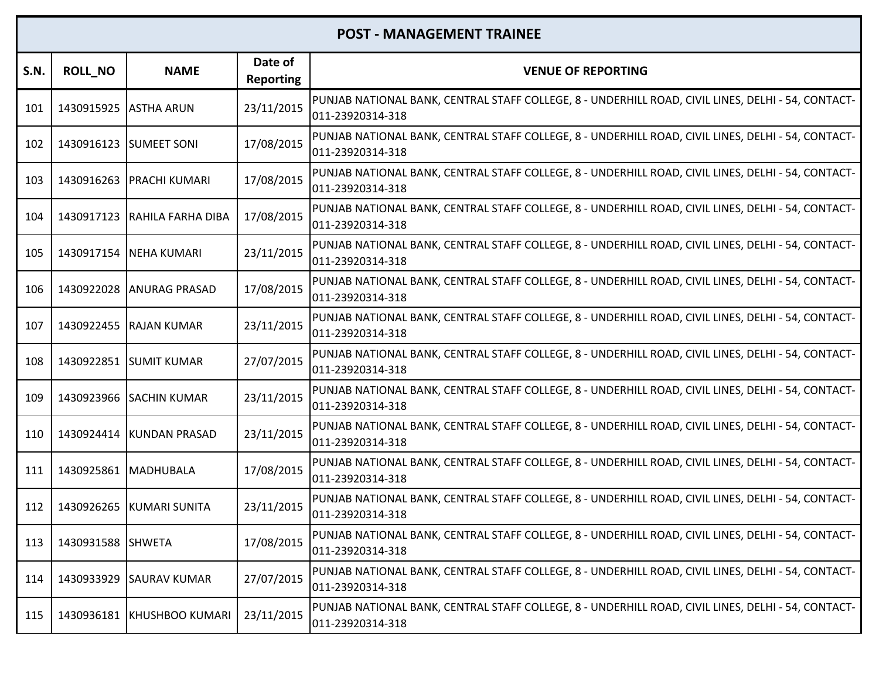| <b>S.N.</b> | <b>ROLL_NO</b>        | <b>NAME</b>                  | Date of<br><b>Reporting</b> | <b>VENUE OF REPORTING</b>                                                                                              |
|-------------|-----------------------|------------------------------|-----------------------------|------------------------------------------------------------------------------------------------------------------------|
| 101         | 1430915925 ASTHA ARUN |                              | 23/11/2015                  | PUNJAB NATIONAL BANK, CENTRAL STAFF COLLEGE, 8 - UNDERHILL ROAD, CIVIL LINES, DELHI - 54, CONTACT-<br>011-23920314-318 |
| 102         |                       | 1430916123 SUMEET SONI       | 17/08/2015                  | PUNJAB NATIONAL BANK, CENTRAL STAFF COLLEGE, 8 - UNDERHILL ROAD, CIVIL LINES, DELHI - 54, CONTACT-<br>011-23920314-318 |
| 103         |                       | 1430916263 PRACHI KUMARI     | 17/08/2015                  | PUNJAB NATIONAL BANK, CENTRAL STAFF COLLEGE, 8 - UNDERHILL ROAD, CIVIL LINES, DELHI - 54, CONTACT-<br>011-23920314-318 |
| 104         |                       | 1430917123 RAHILA FARHA DIBA | 17/08/2015                  | PUNJAB NATIONAL BANK, CENTRAL STAFF COLLEGE, 8 - UNDERHILL ROAD, CIVIL LINES, DELHI - 54, CONTACT-<br>011-23920314-318 |
| 105         | 1430917154            | <b>NEHA KUMARI</b>           | 23/11/2015                  | PUNJAB NATIONAL BANK, CENTRAL STAFF COLLEGE, 8 - UNDERHILL ROAD, CIVIL LINES, DELHI - 54, CONTACT-<br>011-23920314-318 |
| 106         |                       | 1430922028 ANURAG PRASAD     | 17/08/2015                  | PUNJAB NATIONAL BANK, CENTRAL STAFF COLLEGE, 8 - UNDERHILL ROAD, CIVIL LINES, DELHI - 54, CONTACT-<br>011-23920314-318 |
| 107         |                       | 1430922455 RAJAN KUMAR       | 23/11/2015                  | PUNJAB NATIONAL BANK, CENTRAL STAFF COLLEGE, 8 - UNDERHILL ROAD, CIVIL LINES, DELHI - 54, CONTACT-<br>011-23920314-318 |
| 108         |                       | 1430922851 SUMIT KUMAR       | 27/07/2015                  | PUNJAB NATIONAL BANK, CENTRAL STAFF COLLEGE, 8 - UNDERHILL ROAD, CIVIL LINES, DELHI - 54, CONTACT-<br>011-23920314-318 |
| 109         |                       | 1430923966 SACHIN KUMAR      | 23/11/2015                  | PUNJAB NATIONAL BANK, CENTRAL STAFF COLLEGE, 8 - UNDERHILL ROAD, CIVIL LINES, DELHI - 54, CONTACT-<br>011-23920314-318 |
| 110         | 1430924414            | KUNDAN PRASAD                | 23/11/2015                  | PUNJAB NATIONAL BANK, CENTRAL STAFF COLLEGE, 8 - UNDERHILL ROAD, CIVIL LINES, DELHI - 54, CONTACT-<br>011-23920314-318 |
| 111         | 1430925861 MADHUBALA  |                              | 17/08/2015                  | PUNJAB NATIONAL BANK, CENTRAL STAFF COLLEGE, 8 - UNDERHILL ROAD, CIVIL LINES, DELHI - 54, CONTACT-<br>011-23920314-318 |
| 112         | 1430926265            | <b>KUMARI SUNITA</b>         | 23/11/2015                  | PUNJAB NATIONAL BANK, CENTRAL STAFF COLLEGE, 8 - UNDERHILL ROAD, CIVIL LINES, DELHI - 54, CONTACT-<br>011-23920314-318 |
| 113         | 1430931588 SHWETA     |                              | 17/08/2015                  | PUNJAB NATIONAL BANK, CENTRAL STAFF COLLEGE, 8 - UNDERHILL ROAD, CIVIL LINES, DELHI - 54, CONTACT-<br>011-23920314-318 |
| 114         | 1430933929            | <b>SAURAV KUMAR</b>          | 27/07/2015                  | PUNJAB NATIONAL BANK, CENTRAL STAFF COLLEGE, 8 - UNDERHILL ROAD, CIVIL LINES, DELHI - 54, CONTACT-<br>011-23920314-318 |
| 115         | 1430936181            | <b>KHUSHBOO KUMARI</b>       | 23/11/2015                  | PUNJAB NATIONAL BANK, CENTRAL STAFF COLLEGE, 8 - UNDERHILL ROAD, CIVIL LINES, DELHI - 54, CONTACT-<br>011-23920314-318 |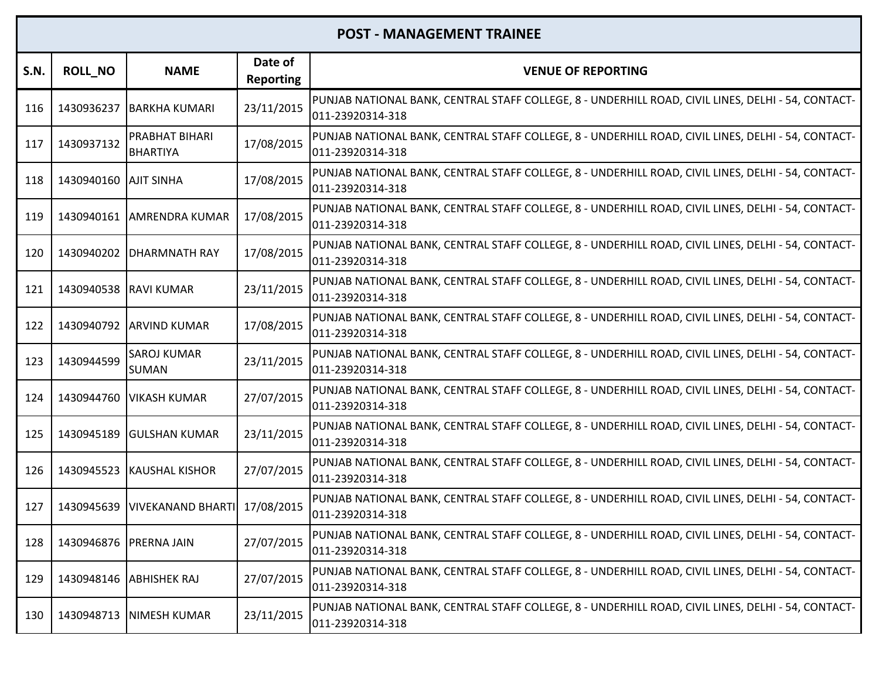| <b>S.N.</b> | <b>ROLL_NO</b>         | <b>NAME</b>                        | Date of<br><b>Reporting</b> | <b>VENUE OF REPORTING</b>                                                                                              |
|-------------|------------------------|------------------------------------|-----------------------------|------------------------------------------------------------------------------------------------------------------------|
| 116         | 1430936237             | <b>BARKHA KUMARI</b>               | 23/11/2015                  | PUNJAB NATIONAL BANK, CENTRAL STAFF COLLEGE, 8 - UNDERHILL ROAD, CIVIL LINES, DELHI - 54, CONTACT-<br>011-23920314-318 |
| 117         | 1430937132             | PRABHAT BIHARI<br><b>BHARTIYA</b>  | 17/08/2015                  | PUNJAB NATIONAL BANK, CENTRAL STAFF COLLEGE, 8 - UNDERHILL ROAD, CIVIL LINES, DELHI - 54, CONTACT-<br>011-23920314-318 |
| 118         | 1430940160 AJIT SINHA  |                                    | 17/08/2015                  | PUNJAB NATIONAL BANK, CENTRAL STAFF COLLEGE, 8 - UNDERHILL ROAD, CIVIL LINES, DELHI - 54, CONTACT-<br>011-23920314-318 |
| 119         |                        | 1430940161 AMRENDRA KUMAR          | 17/08/2015                  | PUNJAB NATIONAL BANK, CENTRAL STAFF COLLEGE, 8 - UNDERHILL ROAD, CIVIL LINES, DELHI - 54, CONTACT-<br>011-23920314-318 |
| 120         | 1430940202             | <b>DHARMNATH RAY</b>               | 17/08/2015                  | PUNJAB NATIONAL BANK, CENTRAL STAFF COLLEGE, 8 - UNDERHILL ROAD, CIVIL LINES, DELHI - 54, CONTACT-<br>011-23920314-318 |
| 121         | 1430940538 RAVI KUMAR  |                                    | 23/11/2015                  | PUNJAB NATIONAL BANK, CENTRAL STAFF COLLEGE, 8 - UNDERHILL ROAD, CIVIL LINES, DELHI - 54, CONTACT-<br>011-23920314-318 |
| 122         |                        | 1430940792 ARVIND KUMAR            | 17/08/2015                  | PUNJAB NATIONAL BANK, CENTRAL STAFF COLLEGE, 8 - UNDERHILL ROAD, CIVIL LINES, DELHI - 54, CONTACT-<br>011-23920314-318 |
| 123         | 1430944599             | <b>SAROJ KUMAR</b><br><b>SUMAN</b> | 23/11/2015                  | PUNJAB NATIONAL BANK, CENTRAL STAFF COLLEGE, 8 - UNDERHILL ROAD, CIVIL LINES, DELHI - 54, CONTACT-<br>011-23920314-318 |
| 124         | 1430944760             | <b>VIKASH KUMAR</b>                | 27/07/2015                  | PUNJAB NATIONAL BANK, CENTRAL STAFF COLLEGE, 8 - UNDERHILL ROAD, CIVIL LINES, DELHI - 54, CONTACT-<br>011-23920314-318 |
| 125         | 1430945189             | <b>GULSHAN KUMAR</b>               | 23/11/2015                  | PUNJAB NATIONAL BANK, CENTRAL STAFF COLLEGE, 8 - UNDERHILL ROAD, CIVIL LINES, DELHI - 54, CONTACT-<br>011-23920314-318 |
| 126         |                        | 1430945523 KAUSHAL KISHOR          | 27/07/2015                  | PUNJAB NATIONAL BANK, CENTRAL STAFF COLLEGE, 8 - UNDERHILL ROAD, CIVIL LINES, DELHI - 54, CONTACT-<br>011-23920314-318 |
| 127         | 1430945639             | <b>VIVEKANAND BHARTI</b>           | 17/08/2015                  | PUNJAB NATIONAL BANK, CENTRAL STAFF COLLEGE, 8 - UNDERHILL ROAD, CIVIL LINES, DELHI - 54, CONTACT-<br>011-23920314-318 |
| 128         | 1430946876 PRERNA JAIN |                                    | 27/07/2015                  | PUNJAB NATIONAL BANK, CENTRAL STAFF COLLEGE, 8 - UNDERHILL ROAD, CIVIL LINES, DELHI - 54, CONTACT-<br>011-23920314-318 |
| 129         | 1430948146             | <b>ABHISHEK RAJ</b>                | 27/07/2015                  | PUNJAB NATIONAL BANK, CENTRAL STAFF COLLEGE, 8 - UNDERHILL ROAD, CIVIL LINES, DELHI - 54, CONTACT-<br>011-23920314-318 |
| 130         |                        | 1430948713 NIMESH KUMAR            | 23/11/2015                  | PUNJAB NATIONAL BANK, CENTRAL STAFF COLLEGE, 8 - UNDERHILL ROAD, CIVIL LINES, DELHI - 54, CONTACT-<br>011-23920314-318 |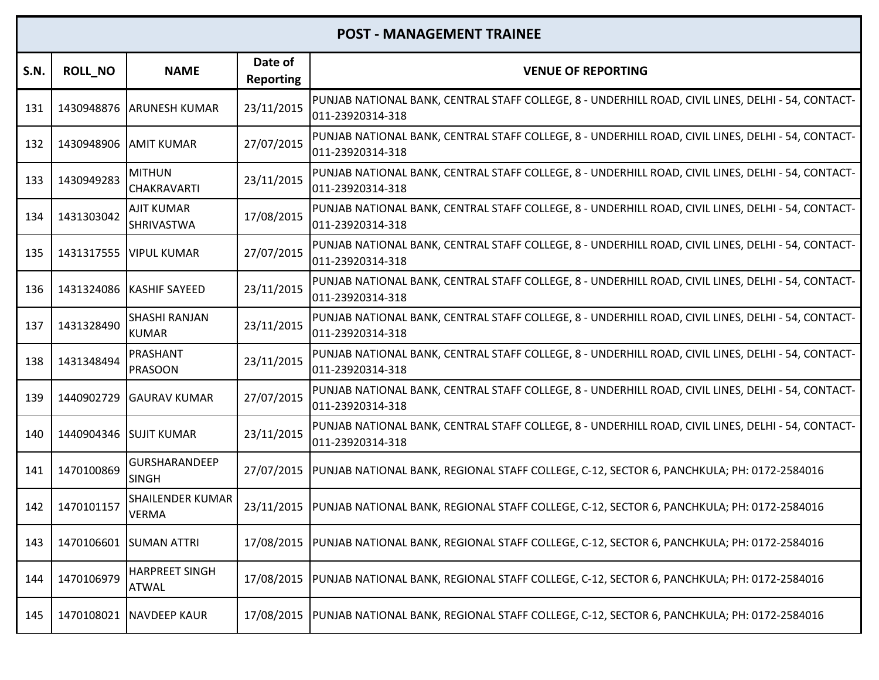| <b>S.N.</b> | <b>ROLL NO</b>         | <b>NAME</b>                             | Date of<br><b>Reporting</b> | <b>VENUE OF REPORTING</b>                                                                                              |
|-------------|------------------------|-----------------------------------------|-----------------------------|------------------------------------------------------------------------------------------------------------------------|
| 131         | 1430948876             | <b>ARUNESH KUMAR</b>                    | 23/11/2015                  | PUNJAB NATIONAL BANK, CENTRAL STAFF COLLEGE, 8 - UNDERHILL ROAD, CIVIL LINES, DELHI - 54, CONTACT-<br>011-23920314-318 |
| 132         | 1430948906 AMIT KUMAR  |                                         | 27/07/2015                  | PUNJAB NATIONAL BANK, CENTRAL STAFF COLLEGE, 8 - UNDERHILL ROAD, CIVIL LINES, DELHI - 54, CONTACT-<br>011-23920314-318 |
| 133         | 1430949283             | <b>MITHUN</b><br><b>CHAKRAVARTI</b>     | 23/11/2015                  | PUNJAB NATIONAL BANK, CENTRAL STAFF COLLEGE, 8 - UNDERHILL ROAD, CIVIL LINES, DELHI - 54, CONTACT-<br>011-23920314-318 |
| 134         | 1431303042             | <b>AJIT KUMAR</b><br><b>SHRIVASTWA</b>  | 17/08/2015                  | PUNJAB NATIONAL BANK, CENTRAL STAFF COLLEGE, 8 - UNDERHILL ROAD, CIVIL LINES, DELHI - 54, CONTACT-<br>011-23920314-318 |
| 135         |                        | 1431317555 VIPUL KUMAR                  | 27/07/2015                  | PUNJAB NATIONAL BANK, CENTRAL STAFF COLLEGE, 8 - UNDERHILL ROAD, CIVIL LINES, DELHI - 54, CONTACT-<br>011-23920314-318 |
| 136         |                        | 1431324086 KASHIF SAYEED                | 23/11/2015                  | PUNJAB NATIONAL BANK, CENTRAL STAFF COLLEGE, 8 - UNDERHILL ROAD, CIVIL LINES, DELHI - 54, CONTACT-<br>011-23920314-318 |
| 137         | 1431328490             | <b>SHASHI RANJAN</b><br><b>IKUMAR</b>   | 23/11/2015                  | PUNJAB NATIONAL BANK, CENTRAL STAFF COLLEGE, 8 - UNDERHILL ROAD, CIVIL LINES, DELHI - 54, CONTACT-<br>011-23920314-318 |
| 138         | 1431348494             | PRASHANT<br><b>PRASOON</b>              | 23/11/2015                  | PUNJAB NATIONAL BANK, CENTRAL STAFF COLLEGE, 8 - UNDERHILL ROAD, CIVIL LINES, DELHI - 54, CONTACT-<br>011-23920314-318 |
| 139         | 1440902729             | <b>GAURAV KUMAR</b>                     | 27/07/2015                  | PUNJAB NATIONAL BANK, CENTRAL STAFF COLLEGE, 8 - UNDERHILL ROAD, CIVIL LINES, DELHI - 54, CONTACT-<br>011-23920314-318 |
| 140         | 1440904346 SUJIT KUMAR |                                         | 23/11/2015                  | PUNJAB NATIONAL BANK, CENTRAL STAFF COLLEGE, 8 - UNDERHILL ROAD, CIVIL LINES, DELHI - 54, CONTACT-<br>011-23920314-318 |
| 141         | 1470100869             | <b>GURSHARANDEEP</b><br><b>SINGH</b>    | 27/07/2015                  | PUNJAB NATIONAL BANK, REGIONAL STAFF COLLEGE, C-12, SECTOR 6, PANCHKULA; PH: 0172-2584016                              |
| 142         | 1470101157             | <b>SHAILENDER KUMAR</b><br><b>VERMA</b> | 23/11/2015                  | PUNJAB NATIONAL BANK, REGIONAL STAFF COLLEGE, C-12, SECTOR 6, PANCHKULA; PH: 0172-2584016                              |
| 143         |                        | 1470106601 SUMAN ATTRI                  | 17/08/2015                  | PUNJAB NATIONAL BANK, REGIONAL STAFF COLLEGE, C-12, SECTOR 6, PANCHKULA; PH: 0172-2584016                              |
| 144         | 1470106979             | <b>HARPREET SINGH</b><br>ATWAL          |                             | 17/08/2015  PUNJAB NATIONAL BANK, REGIONAL STAFF COLLEGE, C-12, SECTOR 6, PANCHKULA; PH: 0172-2584016                  |
| 145         |                        | 1470108021 NAVDEEP KAUR                 |                             | 17/08/2015  PUNJAB NATIONAL BANK, REGIONAL STAFF COLLEGE, C-12, SECTOR 6, PANCHKULA; PH: 0172-2584016                  |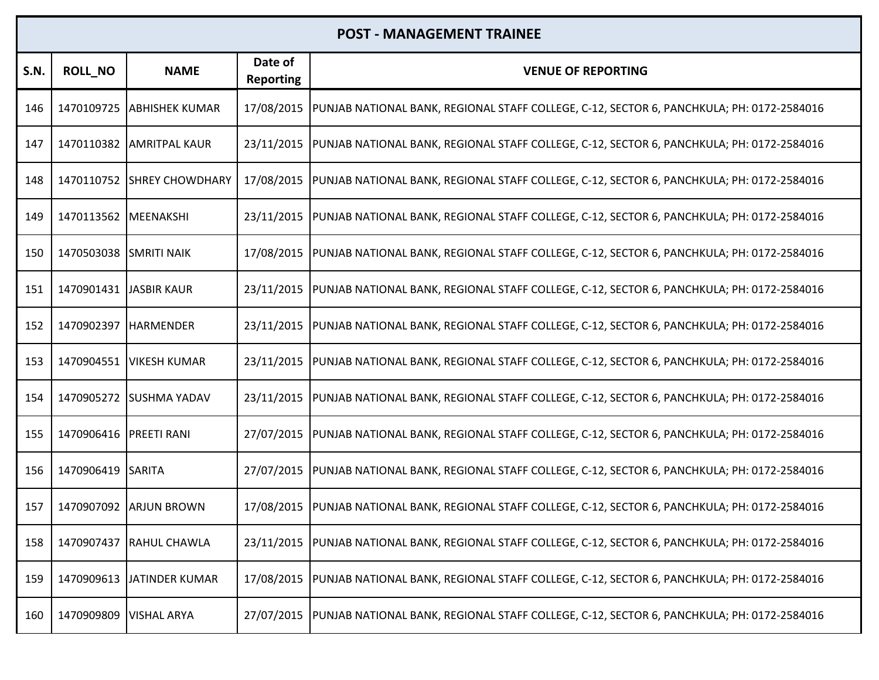| <b>S.N.</b> | <b>ROLL_NO</b>         | <b>NAME</b>                | Date of<br><b>Reporting</b> | <b>VENUE OF REPORTING</b>                                                                 |
|-------------|------------------------|----------------------------|-----------------------------|-------------------------------------------------------------------------------------------|
| 146         | 1470109725             | <b>JABHISHEK KUMAR</b>     | 17/08/2015                  | PUNJAB NATIONAL BANK, REGIONAL STAFF COLLEGE, C-12, SECTOR 6, PANCHKULA; PH: 0172-2584016 |
| 147         |                        | 1470110382 AMRITPAL KAUR   | 23/11/2015                  | PUNJAB NATIONAL BANK, REGIONAL STAFF COLLEGE, C-12, SECTOR 6, PANCHKULA; PH: 0172-2584016 |
| 148         |                        | 1470110752 SHREY CHOWDHARY | 17/08/2015                  | PUNJAB NATIONAL BANK, REGIONAL STAFF COLLEGE, C-12, SECTOR 6, PANCHKULA; PH: 0172-2584016 |
| 149         | 1470113562 MEENAKSHI   |                            | 23/11/2015                  | PUNJAB NATIONAL BANK, REGIONAL STAFF COLLEGE, C-12, SECTOR 6, PANCHKULA; PH: 0172-2584016 |
| 150         | 1470503038 SMRITI NAIK |                            | 17/08/2015                  | PUNJAB NATIONAL BANK, REGIONAL STAFF COLLEGE, C-12, SECTOR 6, PANCHKULA; PH: 0172-2584016 |
| 151         | 1470901431 JASBIR KAUR |                            | 23/11/2015                  | PUNJAB NATIONAL BANK, REGIONAL STAFF COLLEGE, C-12, SECTOR 6, PANCHKULA; PH: 0172-2584016 |
| 152         | 1470902397 HARMENDER   |                            | 23/11/2015                  | PUNJAB NATIONAL BANK, REGIONAL STAFF COLLEGE, C-12, SECTOR 6, PANCHKULA; PH: 0172-2584016 |
| 153         |                        | 1470904551   VIKESH KUMAR  | 23/11/2015                  | PUNJAB NATIONAL BANK, REGIONAL STAFF COLLEGE, C-12, SECTOR 6, PANCHKULA; PH: 0172-2584016 |
| 154         |                        | 1470905272 SUSHMA YADAV    | 23/11/2015                  | PUNJAB NATIONAL BANK, REGIONAL STAFF COLLEGE, C-12, SECTOR 6, PANCHKULA; PH: 0172-2584016 |
| 155         | 1470906416 PREETI RANI |                            | 27/07/2015                  | PUNJAB NATIONAL BANK, REGIONAL STAFF COLLEGE, C-12, SECTOR 6, PANCHKULA; PH: 0172-2584016 |
| 156         | 1470906419 SARITA      |                            | 27/07/2015                  | PUNJAB NATIONAL BANK, REGIONAL STAFF COLLEGE, C-12, SECTOR 6, PANCHKULA; PH: 0172-2584016 |
| 157         |                        | 1470907092 ARJUN BROWN     | 17/08/2015                  | PUNJAB NATIONAL BANK, REGIONAL STAFF COLLEGE, C-12, SECTOR 6, PANCHKULA; PH: 0172-2584016 |
| 158         |                        | 1470907437 RAHUL CHAWLA    | 23/11/2015                  | PUNJAB NATIONAL BANK, REGIONAL STAFF COLLEGE, C-12, SECTOR 6, PANCHKULA; PH: 0172-2584016 |
| 159         |                        | 1470909613 JATINDER KUMAR  | 17/08/2015                  | PUNJAB NATIONAL BANK, REGIONAL STAFF COLLEGE, C-12, SECTOR 6, PANCHKULA; PH: 0172-2584016 |
| 160         | 1470909809             | <b>VISHAL ARYA</b>         | 27/07/2015                  | PUNJAB NATIONAL BANK, REGIONAL STAFF COLLEGE, C-12, SECTOR 6, PANCHKULA; PH: 0172-2584016 |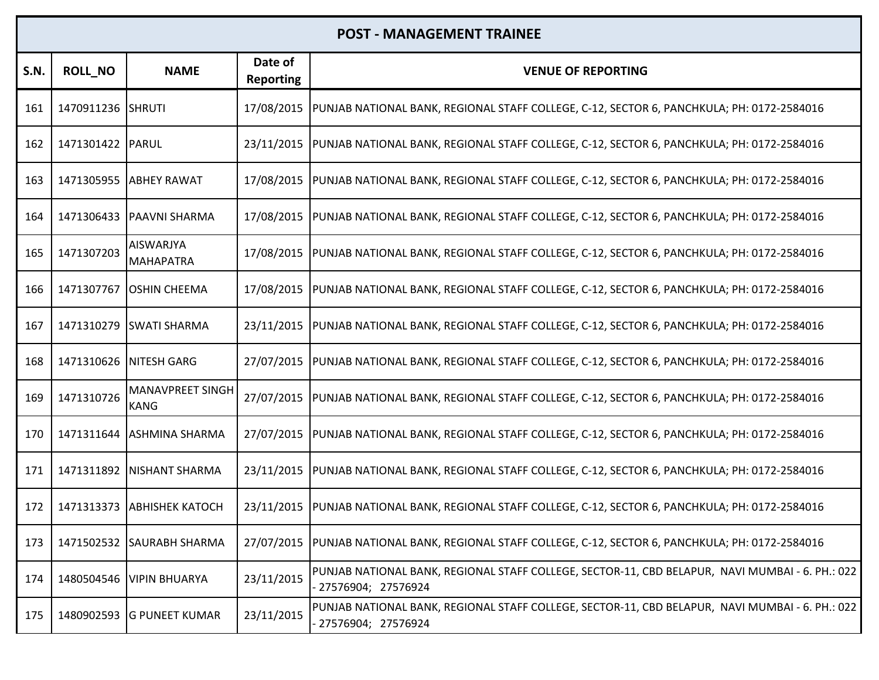| <b>S.N.</b> | <b>ROLL_NO</b>    | <b>NAME</b>                            | Date of<br><b>Reporting</b> | <b>VENUE OF REPORTING</b>                                                                                               |
|-------------|-------------------|----------------------------------------|-----------------------------|-------------------------------------------------------------------------------------------------------------------------|
| 161         | 1470911236 SHRUTI |                                        | 17/08/2015                  | PUNJAB NATIONAL BANK, REGIONAL STAFF COLLEGE, C-12, SECTOR 6, PANCHKULA; PH: 0172-2584016                               |
| 162         | 1471301422 PARUL  |                                        | 23/11/2015                  | PUNJAB NATIONAL BANK, REGIONAL STAFF COLLEGE, C-12, SECTOR 6, PANCHKULA; PH: 0172-2584016                               |
| 163         | 1471305955        | <b>ABHEY RAWAT</b>                     | 17/08/2015                  | PUNJAB NATIONAL BANK, REGIONAL STAFF COLLEGE, C-12, SECTOR 6, PANCHKULA; PH: 0172-2584016                               |
| 164         | 1471306433        | <b>PAAVNI SHARMA</b>                   | 17/08/2015                  | PUNJAB NATIONAL BANK, REGIONAL STAFF COLLEGE, C-12, SECTOR 6, PANCHKULA; PH: 0172-2584016                               |
| 165         | 1471307203        | <b>AISWARJYA</b><br><b>MAHAPATRA</b>   | 17/08/2015                  | PUNJAB NATIONAL BANK, REGIONAL STAFF COLLEGE, C-12, SECTOR 6, PANCHKULA; PH: 0172-2584016                               |
| 166         | 1471307767        | <b>OSHIN CHEEMA</b>                    | 17/08/2015                  | PUNJAB NATIONAL BANK, REGIONAL STAFF COLLEGE, C-12, SECTOR 6, PANCHKULA; PH: 0172-2584016                               |
| 167         | 1471310279        | <b>SWATI SHARMA</b>                    | 23/11/2015                  | PUNJAB NATIONAL BANK, REGIONAL STAFF COLLEGE, C-12, SECTOR 6, PANCHKULA; PH: 0172-2584016                               |
| 168         | 1471310626        | <b>NITESH GARG</b>                     | 27/07/2015                  | PUNJAB NATIONAL BANK, REGIONAL STAFF COLLEGE, C-12, SECTOR 6, PANCHKULA; PH: 0172-2584016                               |
| 169         | 1471310726        | <b>MANAVPREET SINGH</b><br><b>KANG</b> | 27/07/2015                  | PUNJAB NATIONAL BANK, REGIONAL STAFF COLLEGE, C-12, SECTOR 6, PANCHKULA; PH: 0172-2584016                               |
| 170         | 1471311644        | <b>ASHMINA SHARMA</b>                  | 27/07/2015                  | PUNJAB NATIONAL BANK, REGIONAL STAFF COLLEGE, C-12, SECTOR 6, PANCHKULA; PH: 0172-2584016                               |
| 171         |                   | 1471311892   NISHANT SHARMA            | 23/11/2015                  | PUNJAB NATIONAL BANK, REGIONAL STAFF COLLEGE, C-12, SECTOR 6, PANCHKULA; PH: 0172-2584016                               |
| 172         | 1471313373        | <b>ABHISHEK KATOCH</b>                 | 23/11/2015                  | PUNJAB NATIONAL BANK, REGIONAL STAFF COLLEGE, C-12, SECTOR 6, PANCHKULA; PH: 0172-2584016                               |
| 173         |                   | 1471502532 SAURABH SHARMA              |                             | 27/07/2015  PUNJAB NATIONAL BANK, REGIONAL STAFF COLLEGE, C-12, SECTOR 6, PANCHKULA; PH: 0172-2584016                   |
| 174         | 1480504546        | <b>VIPIN BHUARYA</b>                   | 23/11/2015                  | PUNJAB NATIONAL BANK, REGIONAL STAFF COLLEGE, SECTOR-11, CBD BELAPUR, NAVI MUMBAI - 6. PH.: 022<br>- 27576904; 27576924 |
| 175         | 1480902593        | <b>G PUNEET KUMAR</b>                  | 23/11/2015                  | PUNJAB NATIONAL BANK, REGIONAL STAFF COLLEGE, SECTOR-11, CBD BELAPUR, NAVI MUMBAI - 6. PH.: 022<br>27576904; 27576924   |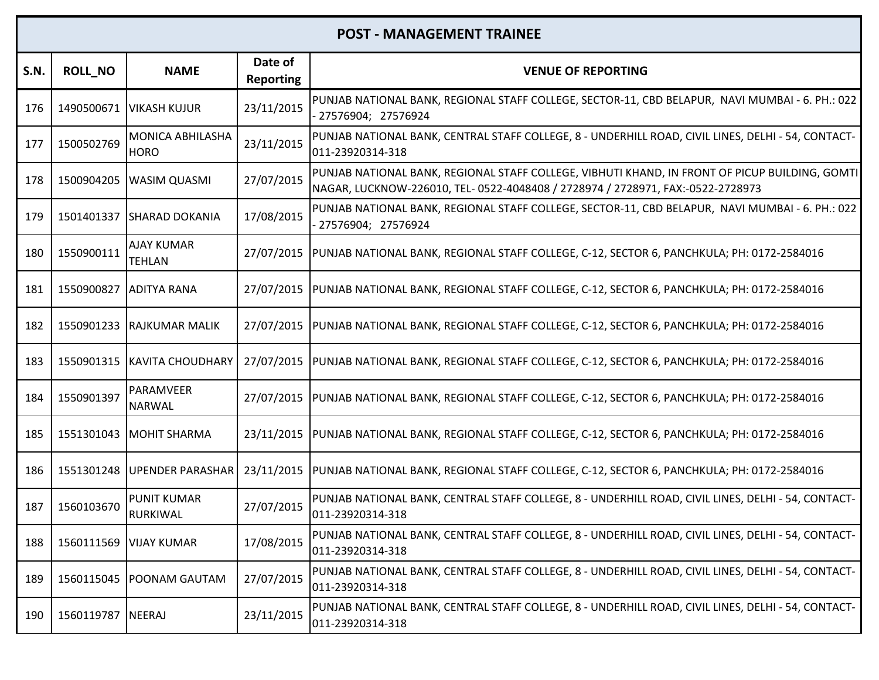| <b>S.N.</b> | <b>ROLL_NO</b>                 | <b>NAME</b>                        | Date of<br>Reporting | <b>VENUE OF REPORTING</b>                                                                                                                                                         |
|-------------|--------------------------------|------------------------------------|----------------------|-----------------------------------------------------------------------------------------------------------------------------------------------------------------------------------|
| 176         | 1490500671                     | <b>VIKASH KUJUR</b>                | 23/11/2015           | PUNJAB NATIONAL BANK, REGIONAL STAFF COLLEGE, SECTOR-11, CBD BELAPUR, NAVI MUMBAI - 6. PH.: 022<br>- 27576904; 27576924                                                           |
| 177         | 1500502769                     | MONICA ABHILASHA<br><b>HORO</b>    | 23/11/2015           | PUNJAB NATIONAL BANK, CENTRAL STAFF COLLEGE, 8 - UNDERHILL ROAD, CIVIL LINES, DELHI - 54, CONTACT-<br>011-23920314-318                                                            |
| 178         | 1500904205                     | <b>WASIM QUASMI</b>                | 27/07/2015           | PUNJAB NATIONAL BANK, REGIONAL STAFF COLLEGE, VIBHUTI KHAND, IN FRONT OF PICUP BUILDING, GOMTI<br>NAGAR, LUCKNOW-226010, TEL- 0522-4048408 / 2728974 / 2728971, FAX:-0522-2728973 |
| 179         |                                | 1501401337 SHARAD DOKANIA          | 17/08/2015           | PUNJAB NATIONAL BANK, REGIONAL STAFF COLLEGE, SECTOR-11, CBD BELAPUR, NAVI MUMBAI - 6. PH.: 022<br>27576904; 27576924                                                             |
| 180         | 1550900111                     | <b>AJAY KUMAR</b><br><b>TEHLAN</b> | 27/07/2015           | PUNJAB NATIONAL BANK, REGIONAL STAFF COLLEGE, C-12, SECTOR 6, PANCHKULA; PH: 0172-2584016                                                                                         |
| 181         | 1550900827                     | <b>ADITYA RANA</b>                 | 27/07/2015           | PUNJAB NATIONAL BANK, REGIONAL STAFF COLLEGE, C-12, SECTOR 6, PANCHKULA; PH: 0172-2584016                                                                                         |
| 182         | 1550901233                     | <b>RAJKUMAR MALIK</b>              | 27/07/2015           | PUNJAB NATIONAL BANK, REGIONAL STAFF COLLEGE, C-12, SECTOR 6, PANCHKULA; PH: 0172-2584016                                                                                         |
| 183         | 1550901315                     | KAVITA CHOUDHARY                   | 27/07/2015           | PUNJAB NATIONAL BANK, REGIONAL STAFF COLLEGE, C-12, SECTOR 6, PANCHKULA; PH: 0172-2584016                                                                                         |
| 184         | 1550901397                     | PARAMVEER<br><b>NARWAL</b>         | 27/07/2015           | PUNJAB NATIONAL BANK, REGIONAL STAFF COLLEGE, C-12, SECTOR 6, PANCHKULA; PH: 0172-2584016                                                                                         |
| 185         | 1551301043                     | MOHIT SHARMA                       | 23/11/2015           | PUNJAB NATIONAL BANK, REGIONAL STAFF COLLEGE, C-12, SECTOR 6, PANCHKULA; PH: 0172-2584016                                                                                         |
| 186         | 1551301248                     | <b>UPENDER PARASHAR</b>            | 23/11/2015           | PUNJAB NATIONAL BANK, REGIONAL STAFF COLLEGE, C-12, SECTOR 6, PANCHKULA; PH: 0172-2584016                                                                                         |
| 187         | 1560103670                     | <b>PUNIT KUMAR</b><br>RURKIWAL     | 27/07/2015           | PUNJAB NATIONAL BANK, CENTRAL STAFF COLLEGE, 8 - UNDERHILL ROAD, CIVIL LINES, DELHI - 54, CONTACT-<br>011-23920314-318                                                            |
|             | 188   1560111569   VIJAY KUMAR |                                    | 17/08/2015           | PUNJAB NATIONAL BANK, CENTRAL STAFF COLLEGE, 8 - UNDERHILL ROAD, CIVIL LINES, DELHI - 54, CONTACT-<br>011-23920314-318                                                            |
| 189         | 1560115045                     | <b>POONAM GAUTAM</b>               | 27/07/2015           | PUNJAB NATIONAL BANK, CENTRAL STAFF COLLEGE, 8 - UNDERHILL ROAD, CIVIL LINES, DELHI - 54, CONTACT-<br>011-23920314-318                                                            |
| 190         | 1560119787                     | <b>NEERAJ</b>                      | 23/11/2015           | PUNJAB NATIONAL BANK, CENTRAL STAFF COLLEGE, 8 - UNDERHILL ROAD, CIVIL LINES, DELHI - 54, CONTACT-<br>011-23920314-318                                                            |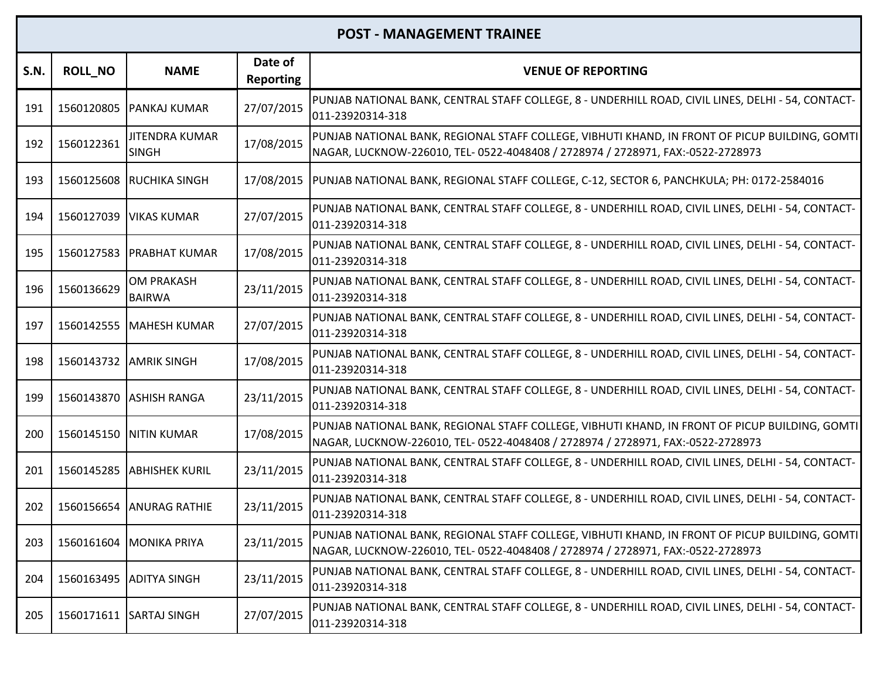| <b>S.N.</b> | <b>ROLL_NO</b>         | <b>NAME</b>                           | Date of<br><b>Reporting</b> | <b>VENUE OF REPORTING</b>                                                                                                                                                         |
|-------------|------------------------|---------------------------------------|-----------------------------|-----------------------------------------------------------------------------------------------------------------------------------------------------------------------------------|
| 191         | 1560120805             | <b>PANKAJ KUMAR</b>                   | 27/07/2015                  | PUNJAB NATIONAL BANK, CENTRAL STAFF COLLEGE, 8 - UNDERHILL ROAD, CIVIL LINES, DELHI - 54, CONTACT-<br>011-23920314-318                                                            |
| 192         | 1560122361             | <b>JITENDRA KUMAR</b><br><b>SINGH</b> | 17/08/2015                  | PUNJAB NATIONAL BANK, REGIONAL STAFF COLLEGE, VIBHUTI KHAND, IN FRONT OF PICUP BUILDING, GOMTI<br>NAGAR, LUCKNOW-226010, TEL- 0522-4048408 / 2728974 / 2728971, FAX:-0522-2728973 |
| 193         |                        | 1560125608 RUCHIKA SINGH              | 17/08/2015                  | PUNJAB NATIONAL BANK, REGIONAL STAFF COLLEGE, C-12, SECTOR 6, PANCHKULA; PH: 0172-2584016                                                                                         |
| 194         |                        | 1560127039   VIKAS KUMAR              | 27/07/2015                  | PUNJAB NATIONAL BANK, CENTRAL STAFF COLLEGE, 8 - UNDERHILL ROAD, CIVIL LINES, DELHI - 54, CONTACT-<br>011-23920314-318                                                            |
| 195         | 1560127583             | <b>PRABHAT KUMAR</b>                  | 17/08/2015                  | PUNJAB NATIONAL BANK, CENTRAL STAFF COLLEGE, 8 - UNDERHILL ROAD, CIVIL LINES, DELHI - 54, CONTACT-<br>011-23920314-318                                                            |
| 196         | 1560136629             | <b>OM PRAKASH</b><br><b>BAIRWA</b>    | 23/11/2015                  | PUNJAB NATIONAL BANK, CENTRAL STAFF COLLEGE, 8 - UNDERHILL ROAD, CIVIL LINES, DELHI - 54, CONTACT-<br>011-23920314-318                                                            |
| 197         |                        | 1560142555   MAHESH KUMAR             | 27/07/2015                  | PUNJAB NATIONAL BANK, CENTRAL STAFF COLLEGE, 8 - UNDERHILL ROAD, CIVIL LINES, DELHI - 54, CONTACT-<br>011-23920314-318                                                            |
| 198         | 1560143732 AMRIK SINGH |                                       | 17/08/2015                  | PUNJAB NATIONAL BANK, CENTRAL STAFF COLLEGE, 8 - UNDERHILL ROAD, CIVIL LINES, DELHI - 54, CONTACT-<br>011-23920314-318                                                            |
| 199         |                        | 1560143870 ASHISH RANGA               | 23/11/2015                  | PUNJAB NATIONAL BANK, CENTRAL STAFF COLLEGE, 8 - UNDERHILL ROAD, CIVIL LINES, DELHI - 54, CONTACT-<br>011-23920314-318                                                            |
| 200         | 1560145150             | <b>NITIN KUMAR</b>                    | 17/08/2015                  | PUNJAB NATIONAL BANK, REGIONAL STAFF COLLEGE, VIBHUTI KHAND, IN FRONT OF PICUP BUILDING, GOMTI<br>NAGAR, LUCKNOW-226010, TEL- 0522-4048408 / 2728974 / 2728971, FAX:-0522-2728973 |
| 201         |                        | 1560145285 ABHISHEK KURIL             | 23/11/2015                  | PUNJAB NATIONAL BANK, CENTRAL STAFF COLLEGE, 8 - UNDERHILL ROAD, CIVIL LINES, DELHI - 54, CONTACT-<br>011-23920314-318                                                            |
| 202         | 1560156654             | <b>ANURAG RATHIE</b>                  | 23/11/2015                  | PUNJAB NATIONAL BANK, CENTRAL STAFF COLLEGE, 8 - UNDERHILL ROAD, CIVIL LINES, DELHI - 54, CONTACT-<br>011-23920314-318                                                            |
| 203         |                        | 1560161604 MONIKA PRIYA               | 23/11/2015                  | PUNJAB NATIONAL BANK, REGIONAL STAFF COLLEGE, VIBHUTI KHAND, IN FRONT OF PICUP BUILDING, GOMTI<br>NAGAR, LUCKNOW-226010, TEL- 0522-4048408 / 2728974 / 2728971, FAX:-0522-2728973 |
| 204         |                        | 1560163495 ADITYA SINGH               | 23/11/2015                  | PUNJAB NATIONAL BANK, CENTRAL STAFF COLLEGE, 8 - UNDERHILL ROAD, CIVIL LINES, DELHI - 54, CONTACT-<br>011-23920314-318                                                            |
| 205         |                        | 1560171611 SARTAJ SINGH               | 27/07/2015                  | PUNJAB NATIONAL BANK, CENTRAL STAFF COLLEGE, 8 - UNDERHILL ROAD, CIVIL LINES, DELHI - 54, CONTACT-<br>011-23920314-318                                                            |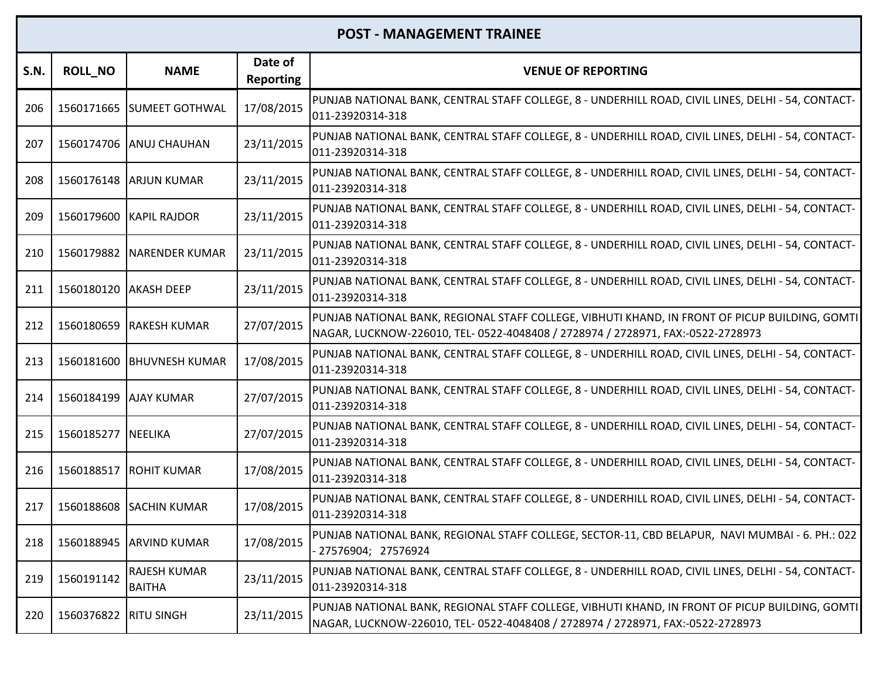| <b>S.N.</b> | <b>ROLL_NO</b>        | <b>NAME</b>                   | Date of<br><b>Reporting</b> | <b>VENUE OF REPORTING</b>                                                                                                                                                         |
|-------------|-----------------------|-------------------------------|-----------------------------|-----------------------------------------------------------------------------------------------------------------------------------------------------------------------------------|
| 206         |                       | 1560171665 SUMEET GOTHWAL     | 17/08/2015                  | PUNJAB NATIONAL BANK, CENTRAL STAFF COLLEGE, 8 - UNDERHILL ROAD, CIVIL LINES, DELHI - 54, CONTACT-<br>011-23920314-318                                                            |
| 207         |                       | 1560174706 ANUJ CHAUHAN       | 23/11/2015                  | PUNJAB NATIONAL BANK, CENTRAL STAFF COLLEGE, 8 - UNDERHILL ROAD, CIVIL LINES, DELHI - 54, CONTACT-<br>011-23920314-318                                                            |
| 208         |                       | 1560176148 ARJUN KUMAR        | 23/11/2015                  | PUNJAB NATIONAL BANK, CENTRAL STAFF COLLEGE, 8 - UNDERHILL ROAD, CIVIL LINES, DELHI - 54, CONTACT-<br>011-23920314-318                                                            |
| 209         |                       | 1560179600 KAPIL RAJDOR       | 23/11/2015                  | PUNJAB NATIONAL BANK, CENTRAL STAFF COLLEGE, 8 - UNDERHILL ROAD, CIVIL LINES, DELHI - 54, CONTACT-<br>011-23920314-318                                                            |
| 210         | 1560179882            | <b>NARENDER KUMAR</b>         | 23/11/2015                  | PUNJAB NATIONAL BANK, CENTRAL STAFF COLLEGE, 8 - UNDERHILL ROAD, CIVIL LINES, DELHI - 54, CONTACT-<br>011-23920314-318                                                            |
| 211         | 1560180120 AKASH DEEP |                               | 23/11/2015                  | PUNJAB NATIONAL BANK, CENTRAL STAFF COLLEGE, 8 - UNDERHILL ROAD, CIVIL LINES, DELHI - 54, CONTACT-<br>011-23920314-318                                                            |
| 212         |                       | 1560180659 RAKESH KUMAR       | 27/07/2015                  | PUNJAB NATIONAL BANK, REGIONAL STAFF COLLEGE, VIBHUTI KHAND, IN FRONT OF PICUP BUILDING, GOMTI<br>NAGAR, LUCKNOW-226010, TEL- 0522-4048408 / 2728974 / 2728971, FAX:-0522-2728973 |
| 213         |                       | 1560181600 BHUVNESH KUMAR     | 17/08/2015                  | PUNJAB NATIONAL BANK, CENTRAL STAFF COLLEGE, 8 - UNDERHILL ROAD, CIVIL LINES, DELHI - 54, CONTACT-<br>011-23920314-318                                                            |
| 214         | 1560184199 AJAY KUMAR |                               | 27/07/2015                  | PUNJAB NATIONAL BANK, CENTRAL STAFF COLLEGE, 8 - UNDERHILL ROAD, CIVIL LINES, DELHI - 54, CONTACT-<br>011-23920314-318                                                            |
| 215         | 1560185277 NEELIKA    |                               | 27/07/2015                  | PUNJAB NATIONAL BANK, CENTRAL STAFF COLLEGE, 8 - UNDERHILL ROAD, CIVIL LINES, DELHI - 54, CONTACT-<br>011-23920314-318                                                            |
| 216         |                       | 1560188517 ROHIT KUMAR        | 17/08/2015                  | PUNJAB NATIONAL BANK, CENTRAL STAFF COLLEGE, 8 - UNDERHILL ROAD, CIVIL LINES, DELHI - 54, CONTACT-<br>011-23920314-318                                                            |
| 217         | 1560188608            | <b>SACHIN KUMAR</b>           | 17/08/2015                  | PUNJAB NATIONAL BANK, CENTRAL STAFF COLLEGE, 8 - UNDERHILL ROAD, CIVIL LINES, DELHI - 54, CONTACT-<br>011-23920314-318                                                            |
| 218         |                       | 1560188945 ARVIND KUMAR       | 17/08/2015                  | PUNJAB NATIONAL BANK, REGIONAL STAFF COLLEGE, SECTOR-11, CBD BELAPUR, NAVI MUMBAI - 6. PH.: 022<br>27576904; 27576924                                                             |
| 219         | 1560191142            | RAJESH KUMAR<br><b>BAITHA</b> | 23/11/2015                  | PUNJAB NATIONAL BANK, CENTRAL STAFF COLLEGE, 8 - UNDERHILL ROAD, CIVIL LINES, DELHI - 54, CONTACT-<br>011-23920314-318                                                            |
| 220         | 1560376822            | <b>RITU SINGH</b>             | 23/11/2015                  | PUNJAB NATIONAL BANK, REGIONAL STAFF COLLEGE, VIBHUTI KHAND, IN FRONT OF PICUP BUILDING, GOMTI<br>NAGAR, LUCKNOW-226010, TEL- 0522-4048408 / 2728974 / 2728971, FAX:-0522-2728973 |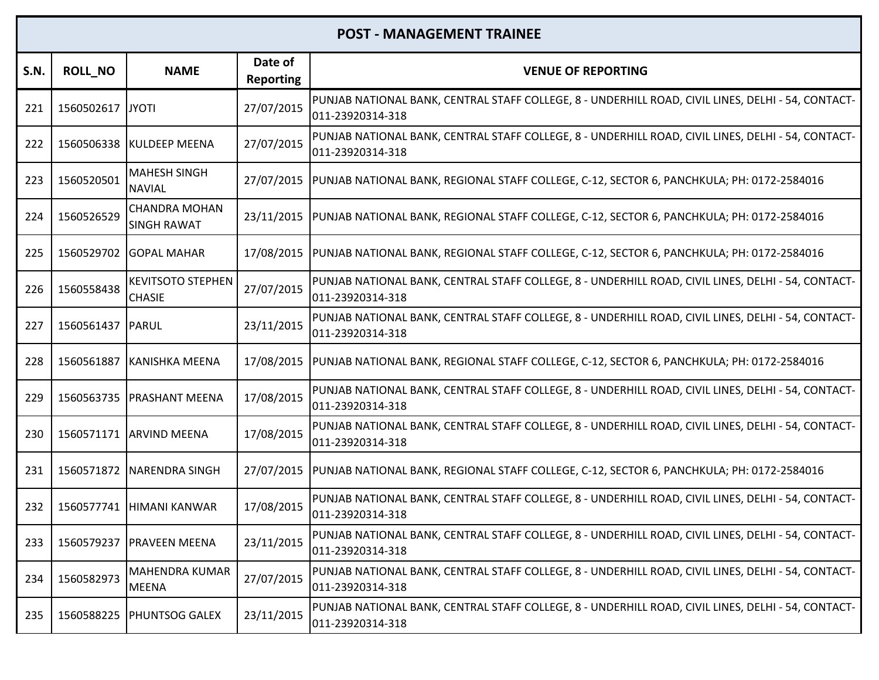| S.N. | <b>ROLL_NO</b>     | <b>NAME</b>                                | Date of<br><b>Reporting</b> | <b>VENUE OF REPORTING</b>                                                                                              |
|------|--------------------|--------------------------------------------|-----------------------------|------------------------------------------------------------------------------------------------------------------------|
| 221  | 1560502617 JYOTI   |                                            | 27/07/2015                  | PUNJAB NATIONAL BANK, CENTRAL STAFF COLLEGE, 8 - UNDERHILL ROAD, CIVIL LINES, DELHI - 54, CONTACT-<br>011-23920314-318 |
| 222  |                    | 1560506338 KULDEEP MEENA                   | 27/07/2015                  | PUNJAB NATIONAL BANK, CENTRAL STAFF COLLEGE, 8 - UNDERHILL ROAD, CIVIL LINES, DELHI - 54, CONTACT-<br>011-23920314-318 |
| 223  | 1560520501         | <b>MAHESH SINGH</b><br><b>NAVIAL</b>       |                             | 27/07/2015  PUNJAB NATIONAL BANK, REGIONAL STAFF COLLEGE, C-12, SECTOR 6, PANCHKULA; PH: 0172-2584016                  |
| 224  | 1560526529         | <b>CHANDRA MOHAN</b><br><b>SINGH RAWAT</b> | 23/11/2015                  | PUNJAB NATIONAL BANK, REGIONAL STAFF COLLEGE, C-12, SECTOR 6, PANCHKULA; PH: 0172-2584016                              |
| 225  | 1560529702         | <b>GOPAL MAHAR</b>                         | 17/08/2015                  | PUNJAB NATIONAL BANK, REGIONAL STAFF COLLEGE, C-12, SECTOR 6, PANCHKULA; PH: 0172-2584016                              |
| 226  | 1560558438         | <b>KEVITSOTO STEPHEN</b><br><b>CHASIE</b>  | 27/07/2015                  | PUNJAB NATIONAL BANK, CENTRAL STAFF COLLEGE, 8 - UNDERHILL ROAD, CIVIL LINES, DELHI - 54, CONTACT-<br>011-23920314-318 |
| 227  | 1560561437   PARUL |                                            | 23/11/2015                  | PUNJAB NATIONAL BANK, CENTRAL STAFF COLLEGE, 8 - UNDERHILL ROAD, CIVIL LINES, DELHI - 54, CONTACT-<br>011-23920314-318 |
| 228  | 1560561887         | KANISHKA MEENA                             |                             | 17/08/2015  PUNJAB NATIONAL BANK, REGIONAL STAFF COLLEGE, C-12, SECTOR 6, PANCHKULA; PH: 0172-2584016                  |
| 229  |                    | 1560563735   PRASHANT MEENA                | 17/08/2015                  | PUNJAB NATIONAL BANK, CENTRAL STAFF COLLEGE, 8 - UNDERHILL ROAD, CIVIL LINES, DELHI - 54, CONTACT-<br>011-23920314-318 |
| 230  |                    | 1560571171 ARVIND MEENA                    | 17/08/2015                  | PUNJAB NATIONAL BANK, CENTRAL STAFF COLLEGE, 8 - UNDERHILL ROAD, CIVIL LINES, DELHI - 54, CONTACT-<br>011-23920314-318 |
| 231  |                    | 1560571872   NARENDRA SINGH                |                             | 27/07/2015  PUNJAB NATIONAL BANK, REGIONAL STAFF COLLEGE, C-12, SECTOR 6, PANCHKULA; PH: 0172-2584016                  |
| 232  | 1560577741         | HIMANI KANWAR                              | 17/08/2015                  | PUNJAB NATIONAL BANK, CENTRAL STAFF COLLEGE, 8 - UNDERHILL ROAD, CIVIL LINES, DELHI - 54, CONTACT-<br>011-23920314-318 |
| 233  |                    | 1560579237 PRAVEEN MEENA                   | 23/11/2015                  | PUNJAB NATIONAL BANK, CENTRAL STAFF COLLEGE, 8 - UNDERHILL ROAD, CIVIL LINES, DELHI - 54, CONTACT-<br>011-23920314-318 |
| 234  | 1560582973         | MAHENDRA KUMAR<br><b>MEENA</b>             | 27/07/2015                  | PUNJAB NATIONAL BANK, CENTRAL STAFF COLLEGE, 8 - UNDERHILL ROAD, CIVIL LINES, DELHI - 54, CONTACT-<br>011-23920314-318 |
| 235  | 1560588225         | <b>PHUNTSOG GALEX</b>                      | 23/11/2015                  | PUNJAB NATIONAL BANK, CENTRAL STAFF COLLEGE, 8 - UNDERHILL ROAD, CIVIL LINES, DELHI - 54, CONTACT-<br>011-23920314-318 |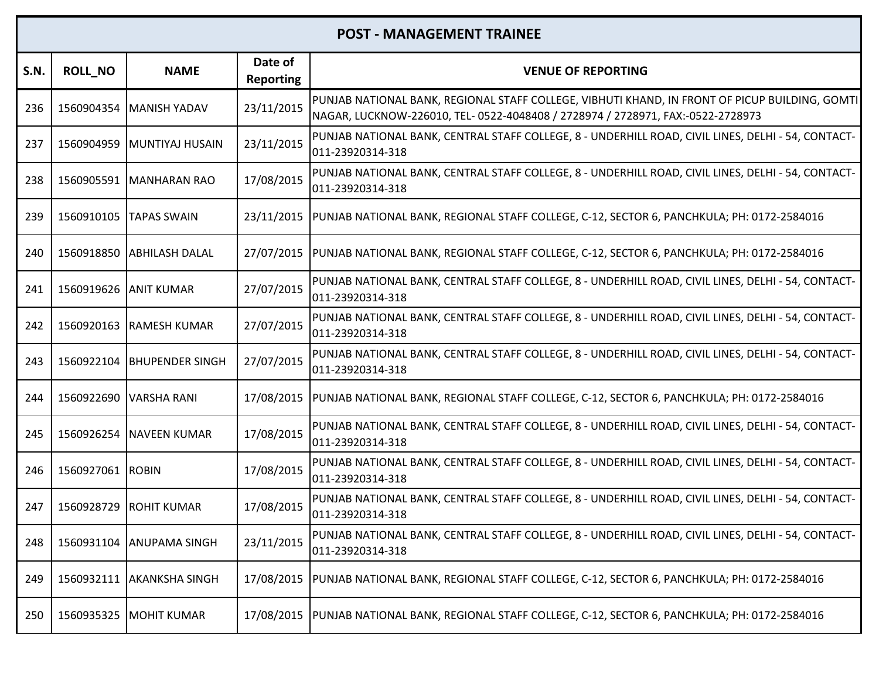| <b>S.N.</b> | <b>ROLL NO</b>   | <b>NAME</b>                | Date of<br><b>Reporting</b> | <b>VENUE OF REPORTING</b>                                                                                                                                                         |
|-------------|------------------|----------------------------|-----------------------------|-----------------------------------------------------------------------------------------------------------------------------------------------------------------------------------|
| 236         | 1560904354       | MANISH YADAV               | 23/11/2015                  | PUNJAB NATIONAL BANK, REGIONAL STAFF COLLEGE, VIBHUTI KHAND, IN FRONT OF PICUP BUILDING, GOMTI<br>NAGAR, LUCKNOW-226010, TEL- 0522-4048408 / 2728974 / 2728971, FAX:-0522-2728973 |
| 237         |                  | 1560904959 MUNTIYAJ HUSAIN | 23/11/2015                  | PUNJAB NATIONAL BANK, CENTRAL STAFF COLLEGE, 8 - UNDERHILL ROAD, CIVIL LINES, DELHI - 54, CONTACT-<br>011-23920314-318                                                            |
| 238         | 1560905591       | <b>MANHARAN RAO</b>        | 17/08/2015                  | PUNJAB NATIONAL BANK, CENTRAL STAFF COLLEGE, 8 - UNDERHILL ROAD, CIVIL LINES, DELHI - 54, CONTACT-<br>011-23920314-318                                                            |
| 239         | 1560910105       | <b>ITAPAS SWAIN</b>        | 23/11/2015                  | PUNJAB NATIONAL BANK, REGIONAL STAFF COLLEGE, C-12, SECTOR 6, PANCHKULA; PH: 0172-2584016                                                                                         |
| 240         |                  | 1560918850 ABHILASH DALAL  | 27/07/2015                  | PUNJAB NATIONAL BANK, REGIONAL STAFF COLLEGE, C-12, SECTOR 6, PANCHKULA; PH: 0172-2584016                                                                                         |
| 241         | 1560919626       | <b>ANIT KUMAR</b>          | 27/07/2015                  | PUNJAB NATIONAL BANK, CENTRAL STAFF COLLEGE, 8 - UNDERHILL ROAD, CIVIL LINES, DELHI - 54, CONTACT-<br>011-23920314-318                                                            |
| 242         | 1560920163       | <b>RAMESH KUMAR</b>        | 27/07/2015                  | PUNJAB NATIONAL BANK, CENTRAL STAFF COLLEGE, 8 - UNDERHILL ROAD, CIVIL LINES, DELHI - 54, CONTACT-<br>011-23920314-318                                                            |
| 243         | 1560922104       | <b>BHUPENDER SINGH</b>     | 27/07/2015                  | PUNJAB NATIONAL BANK, CENTRAL STAFF COLLEGE, 8 - UNDERHILL ROAD, CIVIL LINES, DELHI - 54, CONTACT-<br>011-23920314-318                                                            |
| 244         | 1560922690       | <b>VARSHA RANI</b>         | 17/08/2015                  | PUNJAB NATIONAL BANK, REGIONAL STAFF COLLEGE, C-12, SECTOR 6, PANCHKULA; PH: 0172-2584016                                                                                         |
| 245         | 1560926254       | <b>NAVEEN KUMAR</b>        | 17/08/2015                  | PUNJAB NATIONAL BANK, CENTRAL STAFF COLLEGE, 8 - UNDERHILL ROAD, CIVIL LINES, DELHI - 54, CONTACT-<br>011-23920314-318                                                            |
| 246         | 1560927061 ROBIN |                            | 17/08/2015                  | PUNJAB NATIONAL BANK, CENTRAL STAFF COLLEGE, 8 - UNDERHILL ROAD, CIVIL LINES, DELHI - 54, CONTACT-<br>011-23920314-318                                                            |
| 247         | 1560928729       | <b>ROHIT KUMAR</b>         | 17/08/2015                  | PUNJAB NATIONAL BANK, CENTRAL STAFF COLLEGE, 8 - UNDERHILL ROAD, CIVIL LINES, DELHI - 54, CONTACT-<br>011-23920314-318                                                            |
| 248         | 1560931104       | <b>ANUPAMA SINGH</b>       | 23/11/2015                  | PUNJAB NATIONAL BANK, CENTRAL STAFF COLLEGE, 8 - UNDERHILL ROAD, CIVIL LINES, DELHI - 54, CONTACT-<br>011-23920314-318                                                            |
| 249         | 1560932111       | <b>AKANKSHA SINGH</b>      |                             | 17/08/2015  PUNJAB NATIONAL BANK, REGIONAL STAFF COLLEGE, C-12, SECTOR 6, PANCHKULA; PH: 0172-2584016                                                                             |
| 250         |                  | 1560935325 IMOHIT KUMAR    |                             | 17/08/2015  PUNJAB NATIONAL BANK, REGIONAL STAFF COLLEGE, C-12, SECTOR 6, PANCHKULA; PH: 0172-2584016                                                                             |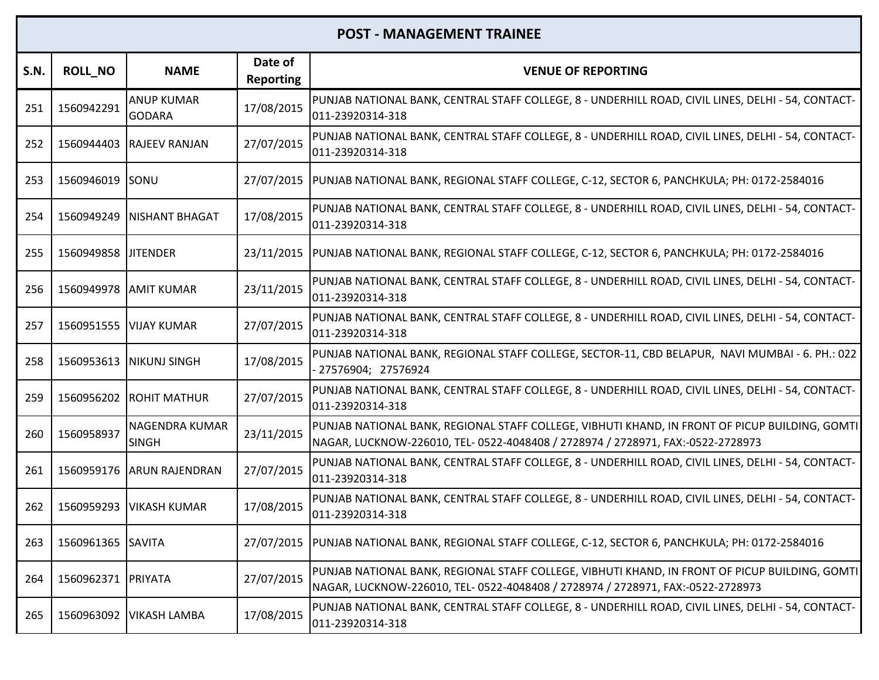| <b>S.N.</b> | <b>ROLL_NO</b>    | <b>NAME</b>                        | Date of<br><b>Reporting</b> | <b>VENUE OF REPORTING</b>                                                                                                                                                         |
|-------------|-------------------|------------------------------------|-----------------------------|-----------------------------------------------------------------------------------------------------------------------------------------------------------------------------------|
| 251         | 1560942291        | <b>ANUP KUMAR</b><br><b>GODARA</b> | 17/08/2015                  | PUNJAB NATIONAL BANK, CENTRAL STAFF COLLEGE, 8 - UNDERHILL ROAD, CIVIL LINES, DELHI - 54, CONTACT-<br>011-23920314-318                                                            |
| 252         |                   | 1560944403 RAJEEV RANJAN           | 27/07/2015                  | PUNJAB NATIONAL BANK, CENTRAL STAFF COLLEGE, 8 - UNDERHILL ROAD, CIVIL LINES, DELHI - 54, CONTACT-<br>011-23920314-318                                                            |
| 253         | 1560946019 SONU   |                                    | 27/07/2015                  | PUNJAB NATIONAL BANK, REGIONAL STAFF COLLEGE, C-12, SECTOR 6, PANCHKULA; PH: 0172-2584016                                                                                         |
| 254         | 1560949249        | <b>NISHANT BHAGAT</b>              | 17/08/2015                  | PUNJAB NATIONAL BANK, CENTRAL STAFF COLLEGE, 8 - UNDERHILL ROAD, CIVIL LINES, DELHI - 54, CONTACT-<br>011-23920314-318                                                            |
| 255         | 1560949858        | <b>JITENDER</b>                    | 23/11/2015                  | PUNJAB NATIONAL BANK, REGIONAL STAFF COLLEGE, C-12, SECTOR 6, PANCHKULA; PH: 0172-2584016                                                                                         |
| 256         |                   | 1560949978 AMIT KUMAR              | 23/11/2015                  | PUNJAB NATIONAL BANK, CENTRAL STAFF COLLEGE, 8 - UNDERHILL ROAD, CIVIL LINES, DELHI - 54, CONTACT-<br>011-23920314-318                                                            |
| 257         |                   | 1560951555 VIJAY KUMAR             | 27/07/2015                  | PUNJAB NATIONAL BANK, CENTRAL STAFF COLLEGE, 8 - UNDERHILL ROAD, CIVIL LINES, DELHI - 54, CONTACT-<br>011-23920314-318                                                            |
| 258         |                   | 1560953613   NIKUNJ SINGH          | 17/08/2015                  | PUNJAB NATIONAL BANK, REGIONAL STAFF COLLEGE, SECTOR-11, CBD BELAPUR, NAVI MUMBAI - 6. PH.: 022<br>- 27576904; 27576924                                                           |
| 259         | 1560956202        | <b>ROHIT MATHUR</b>                | 27/07/2015                  | PUNJAB NATIONAL BANK, CENTRAL STAFF COLLEGE, 8 - UNDERHILL ROAD, CIVIL LINES, DELHI - 54, CONTACT-<br>011-23920314-318                                                            |
| 260         | 1560958937        | NAGENDRA KUMAR<br><b>SINGH</b>     | 23/11/2015                  | PUNJAB NATIONAL BANK, REGIONAL STAFF COLLEGE, VIBHUTI KHAND, IN FRONT OF PICUP BUILDING, GOMTI<br>NAGAR, LUCKNOW-226010, TEL- 0522-4048408 / 2728974 / 2728971, FAX:-0522-2728973 |
| 261         |                   | 1560959176 ARUN RAJENDRAN          | 27/07/2015                  | PUNJAB NATIONAL BANK, CENTRAL STAFF COLLEGE, 8 - UNDERHILL ROAD, CIVIL LINES, DELHI - 54, CONTACT-<br>011-23920314-318                                                            |
| 262         | 1560959293        | <b>VIKASH KUMAR</b>                | 17/08/2015                  | PUNJAB NATIONAL BANK, CENTRAL STAFF COLLEGE, 8 - UNDERHILL ROAD, CIVIL LINES, DELHI - 54, CONTACT-<br>011-23920314-318                                                            |
| 263         | 1560961365 SAVITA |                                    |                             | 27/07/2015  PUNJAB NATIONAL BANK, REGIONAL STAFF COLLEGE, C-12, SECTOR 6, PANCHKULA; PH: 0172-2584016                                                                             |
| 264         | 1560962371        | PRIYATA                            | 27/07/2015                  | PUNJAB NATIONAL BANK, REGIONAL STAFF COLLEGE, VIBHUTI KHAND, IN FRONT OF PICUP BUILDING, GOMTI<br>NAGAR, LUCKNOW-226010, TEL- 0522-4048408 / 2728974 / 2728971, FAX:-0522-2728973 |
| 265         | 1560963092        | <b>VIKASH LAMBA</b>                | 17/08/2015                  | PUNJAB NATIONAL BANK, CENTRAL STAFF COLLEGE, 8 - UNDERHILL ROAD, CIVIL LINES, DELHI - 54, CONTACT-<br>011-23920314-318                                                            |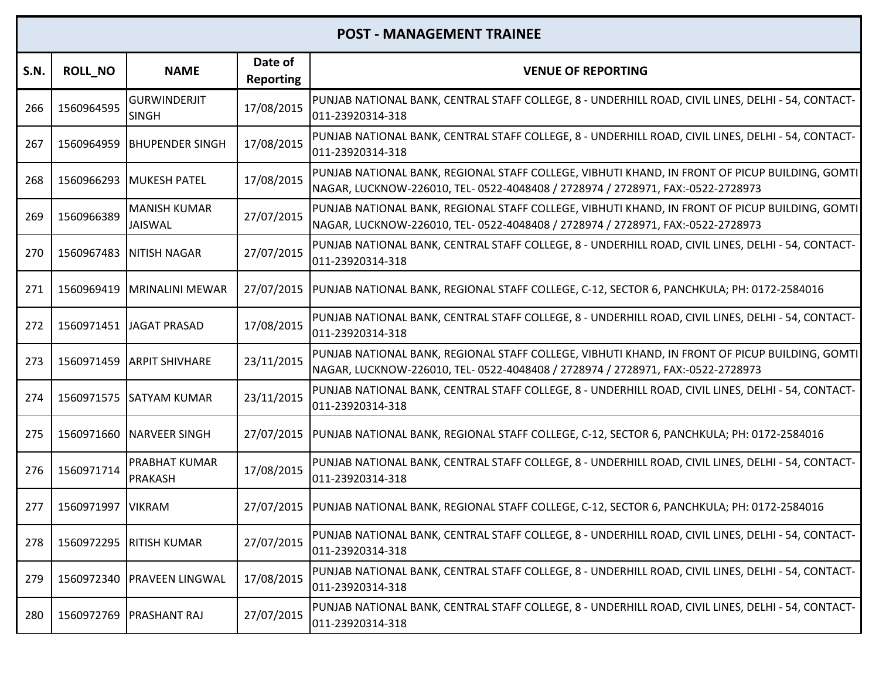| S.N. | <b>ROLL_NO</b> | <b>NAME</b>                            | Date of<br><b>Reporting</b> | <b>VENUE OF REPORTING</b>                                                                                                                                                         |
|------|----------------|----------------------------------------|-----------------------------|-----------------------------------------------------------------------------------------------------------------------------------------------------------------------------------|
| 266  | 1560964595     | <b>GURWINDERJIT</b><br><b>SINGH</b>    | 17/08/2015                  | PUNJAB NATIONAL BANK, CENTRAL STAFF COLLEGE, 8 - UNDERHILL ROAD, CIVIL LINES, DELHI - 54, CONTACT-<br>011-23920314-318                                                            |
| 267  | 1560964959     | <b>BHUPENDER SINGH</b>                 | 17/08/2015                  | PUNJAB NATIONAL BANK, CENTRAL STAFF COLLEGE, 8 - UNDERHILL ROAD, CIVIL LINES, DELHI - 54, CONTACT-<br>011-23920314-318                                                            |
| 268  | 1560966293     | <b>MUKESH PATEL</b>                    | 17/08/2015                  | PUNJAB NATIONAL BANK, REGIONAL STAFF COLLEGE, VIBHUTI KHAND, IN FRONT OF PICUP BUILDING, GOMTI<br>NAGAR, LUCKNOW-226010, TEL- 0522-4048408 / 2728974 / 2728971, FAX:-0522-2728973 |
| 269  | 1560966389     | <b>MANISH KUMAR</b><br>JAISWAL         | 27/07/2015                  | PUNJAB NATIONAL BANK, REGIONAL STAFF COLLEGE, VIBHUTI KHAND, IN FRONT OF PICUP BUILDING, GOMTI<br>NAGAR, LUCKNOW-226010, TEL- 0522-4048408 / 2728974 / 2728971, FAX:-0522-2728973 |
| 270  | 1560967483     | <b>NITISH NAGAR</b>                    | 27/07/2015                  | PUNJAB NATIONAL BANK, CENTRAL STAFF COLLEGE, 8 - UNDERHILL ROAD, CIVIL LINES, DELHI - 54, CONTACT-<br>011-23920314-318                                                            |
| 271  | 1560969419     | <b>MRINALINI MEWAR</b>                 | 27/07/2015                  | PUNJAB NATIONAL BANK, REGIONAL STAFF COLLEGE, C-12, SECTOR 6, PANCHKULA; PH: 0172-2584016                                                                                         |
| 272  |                | 1560971451 JAGAT PRASAD                | 17/08/2015                  | PUNJAB NATIONAL BANK, CENTRAL STAFF COLLEGE, 8 - UNDERHILL ROAD, CIVIL LINES, DELHI - 54, CONTACT-<br>011-23920314-318                                                            |
| 273  | 1560971459     | <b>ARPIT SHIVHARE</b>                  | 23/11/2015                  | PUNJAB NATIONAL BANK, REGIONAL STAFF COLLEGE, VIBHUTI KHAND, IN FRONT OF PICUP BUILDING, GOMTI<br>NAGAR, LUCKNOW-226010, TEL- 0522-4048408 / 2728974 / 2728971, FAX:-0522-2728973 |
| 274  | 1560971575     | <b>SATYAM KUMAR</b>                    | 23/11/2015                  | PUNJAB NATIONAL BANK, CENTRAL STAFF COLLEGE, 8 - UNDERHILL ROAD, CIVIL LINES, DELHI - 54, CONTACT-<br>011-23920314-318                                                            |
| 275  | 1560971660     | NARVEER SINGH                          | 27/07/2015                  | PUNJAB NATIONAL BANK, REGIONAL STAFF COLLEGE, C-12, SECTOR 6, PANCHKULA; PH: 0172-2584016                                                                                         |
| 276  | 1560971714     | <b>PRABHAT KUMAR</b><br><b>PRAKASH</b> | 17/08/2015                  | PUNJAB NATIONAL BANK, CENTRAL STAFF COLLEGE, 8 - UNDERHILL ROAD, CIVIL LINES, DELHI - 54, CONTACT-<br>011-23920314-318                                                            |
| 277  | 1560971997     | <b>VIKRAM</b>                          | 27/07/2015                  | PUNJAB NATIONAL BANK, REGIONAL STAFF COLLEGE, C-12, SECTOR 6, PANCHKULA; PH: 0172-2584016                                                                                         |
| 278  |                | 1560972295 RITISH KUMAR                | 27/07/2015                  | PUNJAB NATIONAL BANK, CENTRAL STAFF COLLEGE, 8 - UNDERHILL ROAD, CIVIL LINES, DELHI - 54, CONTACT-<br>011-23920314-318                                                            |
| 279  | 1560972340     | <b>PRAVEEN LINGWAL</b>                 | 17/08/2015                  | PUNJAB NATIONAL BANK, CENTRAL STAFF COLLEGE, 8 - UNDERHILL ROAD, CIVIL LINES, DELHI - 54, CONTACT-<br>011-23920314-318                                                            |
| 280  | 1560972769     | <b>PRASHANT RAJ</b>                    | 27/07/2015                  | PUNJAB NATIONAL BANK, CENTRAL STAFF COLLEGE, 8 - UNDERHILL ROAD, CIVIL LINES, DELHI - 54, CONTACT-<br>011-23920314-318                                                            |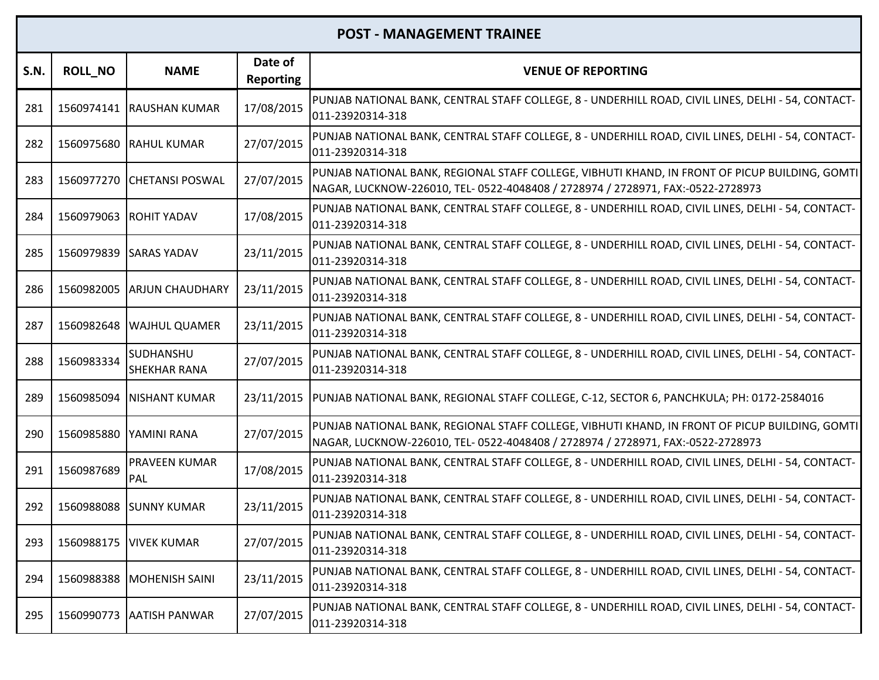| S.N. | <b>ROLL_NO</b> | <b>NAME</b>                             | Date of<br><b>Reporting</b> | <b>VENUE OF REPORTING</b>                                                                                                                                                         |
|------|----------------|-----------------------------------------|-----------------------------|-----------------------------------------------------------------------------------------------------------------------------------------------------------------------------------|
| 281  |                | 1560974141 RAUSHAN KUMAR                | 17/08/2015                  | PUNJAB NATIONAL BANK, CENTRAL STAFF COLLEGE, 8 - UNDERHILL ROAD, CIVIL LINES, DELHI - 54, CONTACT-<br>011-23920314-318                                                            |
| 282  |                | 1560975680 RAHUL KUMAR                  | 27/07/2015                  | PUNJAB NATIONAL BANK, CENTRAL STAFF COLLEGE, 8 - UNDERHILL ROAD, CIVIL LINES, DELHI - 54, CONTACT-<br>011-23920314-318                                                            |
| 283  |                | 1560977270 CHETANSI POSWAL              | 27/07/2015                  | PUNJAB NATIONAL BANK, REGIONAL STAFF COLLEGE, VIBHUTI KHAND, IN FRONT OF PICUP BUILDING, GOMTI<br>NAGAR, LUCKNOW-226010, TEL- 0522-4048408 / 2728974 / 2728971, FAX:-0522-2728973 |
| 284  |                | 1560979063 ROHIT YADAV                  | 17/08/2015                  | PUNJAB NATIONAL BANK, CENTRAL STAFF COLLEGE, 8 - UNDERHILL ROAD, CIVIL LINES, DELHI - 54, CONTACT-<br>011-23920314-318                                                            |
| 285  | 1560979839     | <b>SARAS YADAV</b>                      | 23/11/2015                  | PUNJAB NATIONAL BANK, CENTRAL STAFF COLLEGE, 8 - UNDERHILL ROAD, CIVIL LINES, DELHI - 54, CONTACT-<br>011-23920314-318                                                            |
| 286  |                | 1560982005 ARJUN CHAUDHARY              | 23/11/2015                  | PUNJAB NATIONAL BANK, CENTRAL STAFF COLLEGE, 8 - UNDERHILL ROAD, CIVIL LINES, DELHI - 54, CONTACT-<br>011-23920314-318                                                            |
| 287  | 1560982648     | <b>WAJHUL QUAMER</b>                    | 23/11/2015                  | PUNJAB NATIONAL BANK, CENTRAL STAFF COLLEGE, 8 - UNDERHILL ROAD, CIVIL LINES, DELHI - 54, CONTACT-<br>011-23920314-318                                                            |
| 288  | 1560983334     | <b>SUDHANSHU</b><br><b>SHEKHAR RANA</b> | 27/07/2015                  | PUNJAB NATIONAL BANK, CENTRAL STAFF COLLEGE, 8 - UNDERHILL ROAD, CIVIL LINES, DELHI - 54, CONTACT-<br>011-23920314-318                                                            |
| 289  | 1560985094     | <b>NISHANT KUMAR</b>                    | 23/11/2015                  | PUNJAB NATIONAL BANK, REGIONAL STAFF COLLEGE, C-12, SECTOR 6, PANCHKULA; PH: 0172-2584016                                                                                         |
| 290  | 1560985880     | YAMINI RANA                             | 27/07/2015                  | PUNJAB NATIONAL BANK, REGIONAL STAFF COLLEGE, VIBHUTI KHAND, IN FRONT OF PICUP BUILDING, GOMTI<br>NAGAR, LUCKNOW-226010, TEL- 0522-4048408 / 2728974 / 2728971, FAX:-0522-2728973 |
| 291  | 1560987689     | <b>PRAVEEN KUMAR</b><br>PAL             | 17/08/2015                  | PUNJAB NATIONAL BANK, CENTRAL STAFF COLLEGE, 8 - UNDERHILL ROAD, CIVIL LINES, DELHI - 54, CONTACT-<br>011-23920314-318                                                            |
| 292  |                | 1560988088 SUNNY KUMAR                  | 23/11/2015                  | PUNJAB NATIONAL BANK, CENTRAL STAFF COLLEGE, 8 - UNDERHILL ROAD, CIVIL LINES, DELHI - 54, CONTACT-<br>011-23920314-318                                                            |
| 293  |                | 1560988175   VIVEK KUMAR                | 27/07/2015                  | PUNJAB NATIONAL BANK, CENTRAL STAFF COLLEGE, 8 - UNDERHILL ROAD, CIVIL LINES, DELHI - 54, CONTACT-<br>011-23920314-318                                                            |
| 294  | 1560988388     | <b>MOHENISH SAINI</b>                   | 23/11/2015                  | PUNJAB NATIONAL BANK, CENTRAL STAFF COLLEGE, 8 - UNDERHILL ROAD, CIVIL LINES, DELHI - 54, CONTACT-<br>011-23920314-318                                                            |
| 295  |                | 1560990773 AATISH PANWAR                | 27/07/2015                  | PUNJAB NATIONAL BANK, CENTRAL STAFF COLLEGE, 8 - UNDERHILL ROAD, CIVIL LINES, DELHI - 54, CONTACT-<br>011-23920314-318                                                            |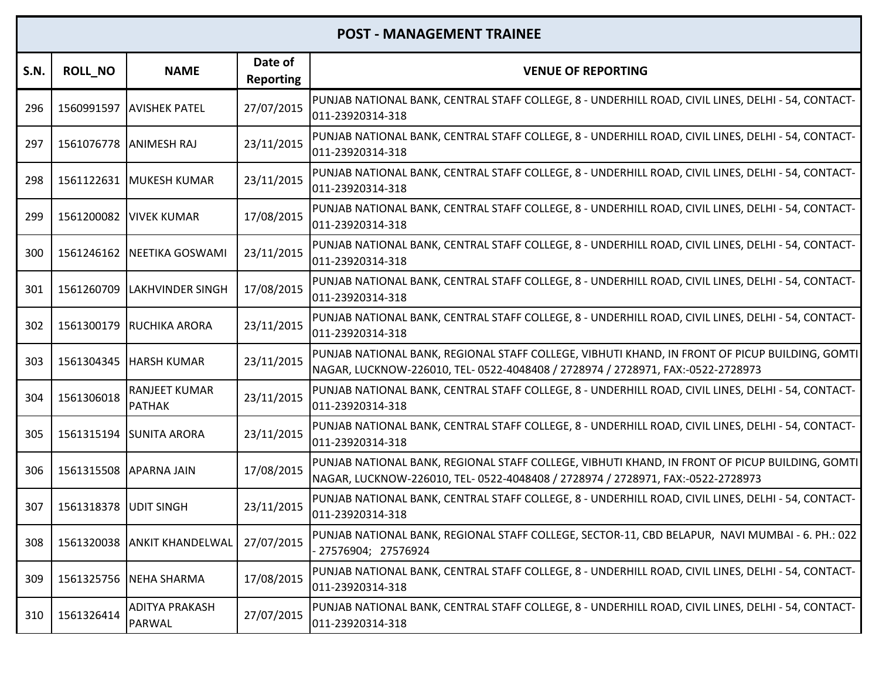| <b>S.N.</b> | <b>ROLL_NO</b>         | <b>NAME</b>                            | Date of<br><b>Reporting</b> | <b>VENUE OF REPORTING</b>                                                                                                                                                         |
|-------------|------------------------|----------------------------------------|-----------------------------|-----------------------------------------------------------------------------------------------------------------------------------------------------------------------------------|
| 296         |                        | 1560991597 AVISHEK PATEL               | 27/07/2015                  | PUNJAB NATIONAL BANK, CENTRAL STAFF COLLEGE, 8 - UNDERHILL ROAD, CIVIL LINES, DELHI - 54, CONTACT-<br>011-23920314-318                                                            |
| 297         | 1561076778 ANIMESH RAJ |                                        | 23/11/2015                  | PUNJAB NATIONAL BANK, CENTRAL STAFF COLLEGE, 8 - UNDERHILL ROAD, CIVIL LINES, DELHI - 54, CONTACT-<br>011-23920314-318                                                            |
| 298         |                        | 1561122631   MUKESH KUMAR              | 23/11/2015                  | PUNJAB NATIONAL BANK, CENTRAL STAFF COLLEGE, 8 - UNDERHILL ROAD, CIVIL LINES, DELHI - 54, CONTACT-<br>011-23920314-318                                                            |
| 299         |                        | 1561200082   VIVEK KUMAR               | 17/08/2015                  | PUNJAB NATIONAL BANK, CENTRAL STAFF COLLEGE, 8 - UNDERHILL ROAD, CIVIL LINES, DELHI - 54, CONTACT-<br>011-23920314-318                                                            |
| 300         | 1561246162             | NEETIKA GOSWAMI                        | 23/11/2015                  | PUNJAB NATIONAL BANK, CENTRAL STAFF COLLEGE, 8 - UNDERHILL ROAD, CIVIL LINES, DELHI - 54, CONTACT-<br>011-23920314-318                                                            |
| 301         | 1561260709             | <b>LAKHVINDER SINGH</b>                | 17/08/2015                  | PUNJAB NATIONAL BANK, CENTRAL STAFF COLLEGE, 8 - UNDERHILL ROAD, CIVIL LINES, DELHI - 54, CONTACT-<br>011-23920314-318                                                            |
| 302         |                        | 1561300179 RUCHIKA ARORA               | 23/11/2015                  | PUNJAB NATIONAL BANK, CENTRAL STAFF COLLEGE, 8 - UNDERHILL ROAD, CIVIL LINES, DELHI - 54, CONTACT-<br>011-23920314-318                                                            |
| 303         |                        | 1561304345   HARSH KUMAR               | 23/11/2015                  | PUNJAB NATIONAL BANK, REGIONAL STAFF COLLEGE, VIBHUTI KHAND, IN FRONT OF PICUP BUILDING, GOMTI<br>NAGAR, LUCKNOW-226010, TEL- 0522-4048408 / 2728974 / 2728971, FAX:-0522-2728973 |
| 304         | 1561306018             | <b>RANJEET KUMAR</b><br><b>PATHAK</b>  | 23/11/2015                  | PUNJAB NATIONAL BANK, CENTRAL STAFF COLLEGE, 8 - UNDERHILL ROAD, CIVIL LINES, DELHI - 54, CONTACT-<br>011-23920314-318                                                            |
| 305         |                        | 1561315194 SUNITA ARORA                | 23/11/2015                  | PUNJAB NATIONAL BANK, CENTRAL STAFF COLLEGE, 8 - UNDERHILL ROAD, CIVIL LINES, DELHI - 54, CONTACT-<br>011-23920314-318                                                            |
| 306         | 1561315508 APARNA JAIN |                                        | 17/08/2015                  | PUNJAB NATIONAL BANK, REGIONAL STAFF COLLEGE, VIBHUTI KHAND, IN FRONT OF PICUP BUILDING, GOMTI<br>NAGAR, LUCKNOW-226010, TEL- 0522-4048408 / 2728974 / 2728971, FAX:-0522-2728973 |
| 307         | 1561318378             | <b>JUDIT SINGH</b>                     | 23/11/2015                  | PUNJAB NATIONAL BANK, CENTRAL STAFF COLLEGE, 8 - UNDERHILL ROAD, CIVIL LINES, DELHI - 54, CONTACT-<br>011-23920314-318                                                            |
| 308         |                        | 1561320038 ANKIT KHANDELWAL            | 27/07/2015                  | PUNJAB NATIONAL BANK, REGIONAL STAFF COLLEGE, SECTOR-11, CBD BELAPUR, NAVI MUMBAI - 6. PH.: 022<br>27576904; 27576924                                                             |
| 309         | 1561325756             | <b>NEHA SHARMA</b>                     | 17/08/2015                  | PUNJAB NATIONAL BANK, CENTRAL STAFF COLLEGE, 8 - UNDERHILL ROAD, CIVIL LINES, DELHI - 54, CONTACT-<br>011-23920314-318                                                            |
| 310         | 1561326414             | <b>ADITYA PRAKASH</b><br><b>PARWAL</b> | 27/07/2015                  | PUNJAB NATIONAL BANK, CENTRAL STAFF COLLEGE, 8 - UNDERHILL ROAD, CIVIL LINES, DELHI - 54, CONTACT-<br>011-23920314-318                                                            |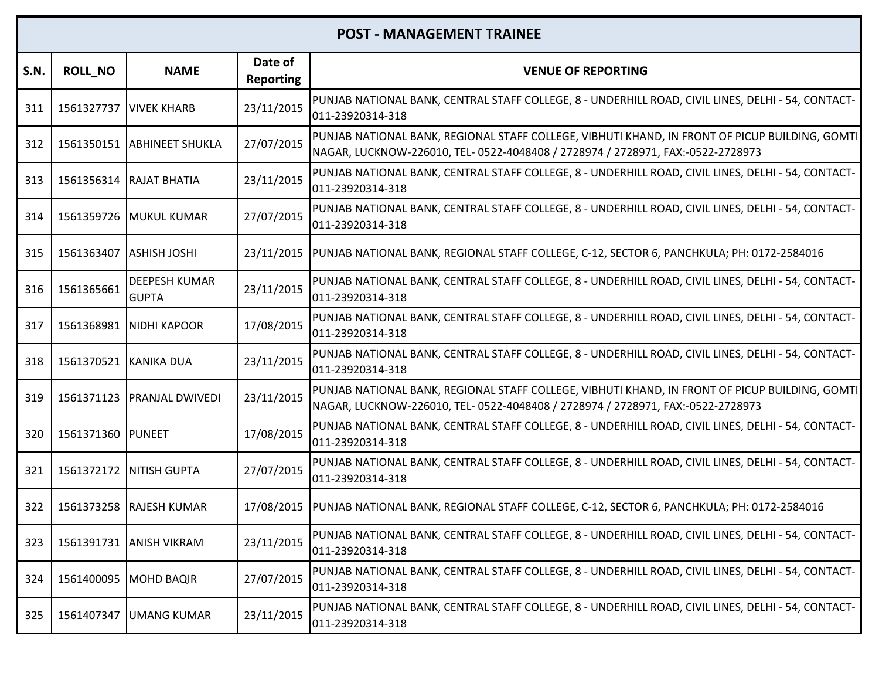| S.N. | <b>ROLL NO</b>    | <b>NAME</b>                          | Date of<br><b>Reporting</b> | <b>VENUE OF REPORTING</b>                                                                                                                                                         |
|------|-------------------|--------------------------------------|-----------------------------|-----------------------------------------------------------------------------------------------------------------------------------------------------------------------------------|
| 311  | 1561327737        | <b>VIVEK KHARB</b>                   | 23/11/2015                  | PUNJAB NATIONAL BANK, CENTRAL STAFF COLLEGE, 8 - UNDERHILL ROAD, CIVIL LINES, DELHI - 54, CONTACT-<br>011-23920314-318                                                            |
| 312  |                   | 1561350151 ABHINEET SHUKLA           | 27/07/2015                  | PUNJAB NATIONAL BANK, REGIONAL STAFF COLLEGE, VIBHUTI KHAND, IN FRONT OF PICUP BUILDING, GOMTI<br>NAGAR, LUCKNOW-226010, TEL- 0522-4048408 / 2728974 / 2728971, FAX:-0522-2728973 |
| 313  | 1561356314        | <b>RAJAT BHATIA</b>                  | 23/11/2015                  | PUNJAB NATIONAL BANK, CENTRAL STAFF COLLEGE, 8 - UNDERHILL ROAD, CIVIL LINES, DELHI - 54, CONTACT-<br>011-23920314-318                                                            |
| 314  |                   | 1561359726 MUKUL KUMAR               | 27/07/2015                  | PUNJAB NATIONAL BANK, CENTRAL STAFF COLLEGE, 8 - UNDERHILL ROAD, CIVIL LINES, DELHI - 54, CONTACT-<br>011-23920314-318                                                            |
| 315  | 1561363407        | <b>ASHISH JOSHI</b>                  | 23/11/2015                  | PUNJAB NATIONAL BANK, REGIONAL STAFF COLLEGE, C-12, SECTOR 6, PANCHKULA; PH: 0172-2584016                                                                                         |
| 316  | 1561365661        | <b>DEEPESH KUMAR</b><br><b>GUPTA</b> | 23/11/2015                  | PUNJAB NATIONAL BANK, CENTRAL STAFF COLLEGE, 8 - UNDERHILL ROAD, CIVIL LINES, DELHI - 54, CONTACT-<br>011-23920314-318                                                            |
| 317  | 1561368981        | <b>NIDHI KAPOOR</b>                  | 17/08/2015                  | PUNJAB NATIONAL BANK, CENTRAL STAFF COLLEGE, 8 - UNDERHILL ROAD, CIVIL LINES, DELHI - 54, CONTACT-<br>011-23920314-318                                                            |
| 318  | 1561370521        | KANIKA DUA                           | 23/11/2015                  | PUNJAB NATIONAL BANK, CENTRAL STAFF COLLEGE, 8 - UNDERHILL ROAD, CIVIL LINES, DELHI - 54, CONTACT-<br>011-23920314-318                                                            |
| 319  | 1561371123        | <b>PRANJAL DWIVEDI</b>               | 23/11/2015                  | PUNJAB NATIONAL BANK, REGIONAL STAFF COLLEGE, VIBHUTI KHAND, IN FRONT OF PICUP BUILDING, GOMTI<br>NAGAR, LUCKNOW-226010, TEL- 0522-4048408 / 2728974 / 2728971, FAX:-0522-2728973 |
| 320  | 1561371360 PUNEET |                                      | 17/08/2015                  | PUNJAB NATIONAL BANK, CENTRAL STAFF COLLEGE, 8 - UNDERHILL ROAD, CIVIL LINES, DELHI - 54, CONTACT-<br>011-23920314-318                                                            |
| 321  |                   | 1561372172   NITISH GUPTA            | 27/07/2015                  | PUNJAB NATIONAL BANK, CENTRAL STAFF COLLEGE, 8 - UNDERHILL ROAD, CIVIL LINES, DELHI - 54, CONTACT-<br>011-23920314-318                                                            |
| 322  | 1561373258        | <b>RAJESH KUMAR</b>                  |                             | 17/08/2015  PUNJAB NATIONAL BANK, REGIONAL STAFF COLLEGE, C-12, SECTOR 6, PANCHKULA; PH: 0172-2584016                                                                             |
| 323  |                   | 1561391731 ANISH VIKRAM              | 23/11/2015                  | PUNJAB NATIONAL BANK, CENTRAL STAFF COLLEGE, 8 - UNDERHILL ROAD, CIVIL LINES, DELHI - 54, CONTACT-<br>011-23920314-318                                                            |
| 324  | 1561400095        | <b>MOHD BAQIR</b>                    | 27/07/2015                  | PUNJAB NATIONAL BANK, CENTRAL STAFF COLLEGE, 8 - UNDERHILL ROAD, CIVIL LINES, DELHI - 54, CONTACT-<br>011-23920314-318                                                            |
| 325  | 1561407347        | <b>UMANG KUMAR</b>                   | 23/11/2015                  | PUNJAB NATIONAL BANK, CENTRAL STAFF COLLEGE, 8 - UNDERHILL ROAD, CIVIL LINES, DELHI - 54, CONTACT-<br>011-23920314-318                                                            |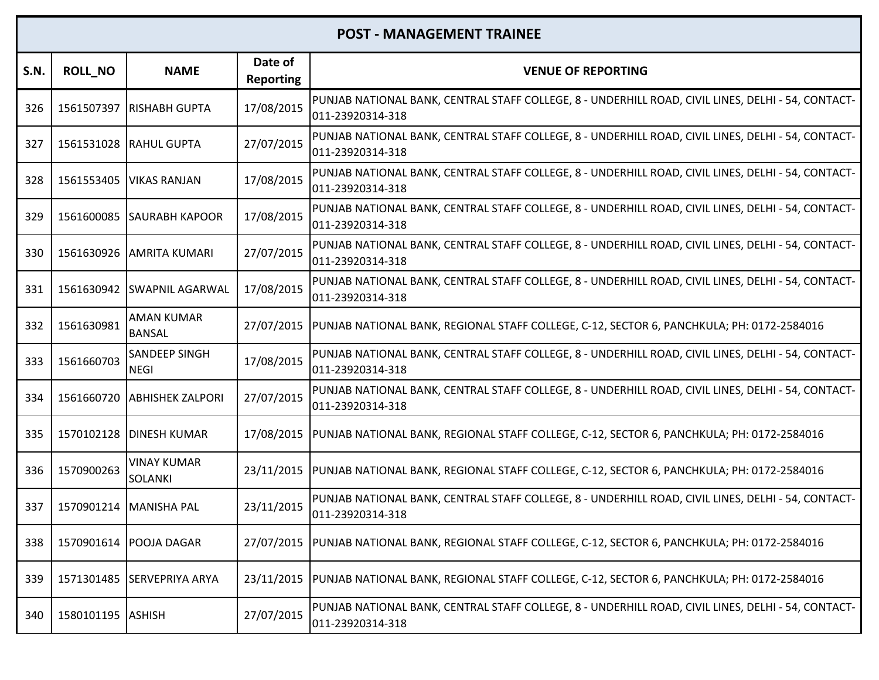| S.N. | <b>ROLL_NO</b>    | <b>NAME</b>                          | Date of<br><b>Reporting</b> | <b>VENUE OF REPORTING</b>                                                                                              |
|------|-------------------|--------------------------------------|-----------------------------|------------------------------------------------------------------------------------------------------------------------|
| 326  | 1561507397        | <b>RISHABH GUPTA</b>                 | 17/08/2015                  | PUNJAB NATIONAL BANK, CENTRAL STAFF COLLEGE, 8 - UNDERHILL ROAD, CIVIL LINES, DELHI - 54, CONTACT-<br>011-23920314-318 |
| 327  |                   | 1561531028 RAHUL GUPTA               | 27/07/2015                  | PUNJAB NATIONAL BANK, CENTRAL STAFF COLLEGE, 8 - UNDERHILL ROAD, CIVIL LINES, DELHI - 54, CONTACT-<br>011-23920314-318 |
| 328  | 1561553405        | <b>VIKAS RANJAN</b>                  | 17/08/2015                  | PUNJAB NATIONAL BANK, CENTRAL STAFF COLLEGE, 8 - UNDERHILL ROAD, CIVIL LINES, DELHI - 54, CONTACT-<br>011-23920314-318 |
| 329  |                   | 1561600085 SAURABH KAPOOR            | 17/08/2015                  | PUNJAB NATIONAL BANK, CENTRAL STAFF COLLEGE, 8 - UNDERHILL ROAD, CIVIL LINES, DELHI - 54, CONTACT-<br>011-23920314-318 |
| 330  | 1561630926        | <b>AMRITA KUMARI</b>                 | 27/07/2015                  | PUNJAB NATIONAL BANK, CENTRAL STAFF COLLEGE, 8 - UNDERHILL ROAD, CIVIL LINES, DELHI - 54, CONTACT-<br>011-23920314-318 |
| 331  |                   | 1561630942 SWAPNIL AGARWAL           | 17/08/2015                  | PUNJAB NATIONAL BANK, CENTRAL STAFF COLLEGE, 8 - UNDERHILL ROAD, CIVIL LINES, DELHI - 54, CONTACT-<br>011-23920314-318 |
| 332  | 1561630981        | <b>AMAN KUMAR</b><br><b>BANSAL</b>   |                             | 27/07/2015  PUNJAB NATIONAL BANK, REGIONAL STAFF COLLEGE, C-12, SECTOR 6, PANCHKULA; PH: 0172-2584016                  |
| 333  | 1561660703        | <b>SANDEEP SINGH</b><br><b>NEGI</b>  | 17/08/2015                  | PUNJAB NATIONAL BANK, CENTRAL STAFF COLLEGE, 8 - UNDERHILL ROAD, CIVIL LINES, DELHI - 54, CONTACT-<br>011-23920314-318 |
| 334  | 1561660720        | <b>ABHISHEK ZALPORI</b>              | 27/07/2015                  | PUNJAB NATIONAL BANK, CENTRAL STAFF COLLEGE, 8 - UNDERHILL ROAD, CIVIL LINES, DELHI - 54, CONTACT-<br>011-23920314-318 |
| 335  | 1570102128        | <b>DINESH KUMAR</b>                  | 17/08/2015                  | PUNJAB NATIONAL BANK, REGIONAL STAFF COLLEGE, C-12, SECTOR 6, PANCHKULA; PH: 0172-2584016                              |
| 336  | 1570900263        | <b>VINAY KUMAR</b><br><b>SOLANKI</b> |                             | 23/11/2015  PUNJAB NATIONAL BANK, REGIONAL STAFF COLLEGE, C-12, SECTOR 6, PANCHKULA; PH: 0172-2584016                  |
| 337  | 1570901214        | MANISHA PAL                          | 23/11/2015                  | PUNJAB NATIONAL BANK, CENTRAL STAFF COLLEGE, 8 - UNDERHILL ROAD, CIVIL LINES, DELHI - 54, CONTACT-<br>011-23920314-318 |
| 338  |                   | 1570901614   POOJA DAGAR             |                             | 27/07/2015  PUNJAB NATIONAL BANK, REGIONAL STAFF COLLEGE, C-12, SECTOR 6, PANCHKULA; PH: 0172-2584016                  |
| 339  | 1571301485        | <b>SERVEPRIYA ARYA</b>               | 23/11/2015                  | PUNJAB NATIONAL BANK, REGIONAL STAFF COLLEGE, C-12, SECTOR 6, PANCHKULA; PH: 0172-2584016                              |
| 340  | 1580101195 ASHISH |                                      | 27/07/2015                  | PUNJAB NATIONAL BANK, CENTRAL STAFF COLLEGE, 8 - UNDERHILL ROAD, CIVIL LINES, DELHI - 54, CONTACT-<br>011-23920314-318 |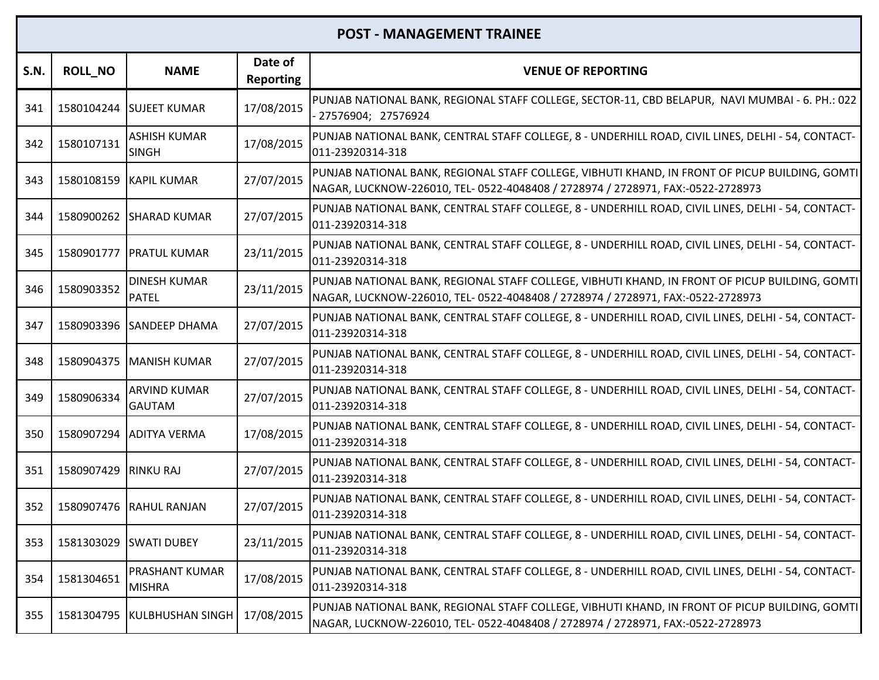| S.N. | <b>ROLL_NO</b>       | <b>NAME</b>                          | Date of<br><b>Reporting</b> | <b>VENUE OF REPORTING</b>                                                                                                                                                         |
|------|----------------------|--------------------------------------|-----------------------------|-----------------------------------------------------------------------------------------------------------------------------------------------------------------------------------|
| 341  |                      | 1580104244 SUJEET KUMAR              | 17/08/2015                  | PUNJAB NATIONAL BANK, REGIONAL STAFF COLLEGE, SECTOR-11, CBD BELAPUR, NAVI MUMBAI - 6. PH.: 022<br>- 27576904; 27576924                                                           |
| 342  | 1580107131           | <b>ASHISH KUMAR</b><br><b>SINGH</b>  | 17/08/2015                  | PUNJAB NATIONAL BANK, CENTRAL STAFF COLLEGE, 8 - UNDERHILL ROAD, CIVIL LINES, DELHI - 54, CONTACT-<br>011-23920314-318                                                            |
| 343  |                      | 1580108159 KAPIL KUMAR               | 27/07/2015                  | PUNJAB NATIONAL BANK, REGIONAL STAFF COLLEGE, VIBHUTI KHAND, IN FRONT OF PICUP BUILDING, GOMTI<br>NAGAR, LUCKNOW-226010, TEL- 0522-4048408 / 2728974 / 2728971, FAX:-0522-2728973 |
| 344  |                      | 1580900262 SHARAD KUMAR              | 27/07/2015                  | PUNJAB NATIONAL BANK, CENTRAL STAFF COLLEGE, 8 - UNDERHILL ROAD, CIVIL LINES, DELHI - 54, CONTACT-<br>011-23920314-318                                                            |
| 345  |                      | 1580901777   PRATUL KUMAR            | 23/11/2015                  | PUNJAB NATIONAL BANK, CENTRAL STAFF COLLEGE, 8 - UNDERHILL ROAD, CIVIL LINES, DELHI - 54, CONTACT-<br>011-23920314-318                                                            |
| 346  | 1580903352           | <b>DINESH KUMAR</b><br><b>PATEL</b>  | 23/11/2015                  | PUNJAB NATIONAL BANK, REGIONAL STAFF COLLEGE, VIBHUTI KHAND, IN FRONT OF PICUP BUILDING, GOMTI<br>NAGAR, LUCKNOW-226010, TEL- 0522-4048408 / 2728974 / 2728971, FAX:-0522-2728973 |
| 347  |                      | 1580903396 SANDEEP DHAMA             | 27/07/2015                  | PUNJAB NATIONAL BANK, CENTRAL STAFF COLLEGE, 8 - UNDERHILL ROAD, CIVIL LINES, DELHI - 54, CONTACT-<br>011-23920314-318                                                            |
| 348  |                      | 1580904375 MANISH KUMAR              | 27/07/2015                  | PUNJAB NATIONAL BANK, CENTRAL STAFF COLLEGE, 8 - UNDERHILL ROAD, CIVIL LINES, DELHI - 54, CONTACT-<br>011-23920314-318                                                            |
| 349  | 1580906334           | <b>ARVIND KUMAR</b><br><b>GAUTAM</b> | 27/07/2015                  | PUNJAB NATIONAL BANK, CENTRAL STAFF COLLEGE, 8 - UNDERHILL ROAD, CIVIL LINES, DELHI - 54, CONTACT-<br>011-23920314-318                                                            |
| 350  |                      | 1580907294 ADITYA VERMA              | 17/08/2015                  | PUNJAB NATIONAL BANK, CENTRAL STAFF COLLEGE, 8 - UNDERHILL ROAD, CIVIL LINES, DELHI - 54, CONTACT-<br>011-23920314-318                                                            |
| 351  | 1580907429 RINKU RAJ |                                      | 27/07/2015                  | PUNJAB NATIONAL BANK, CENTRAL STAFF COLLEGE, 8 - UNDERHILL ROAD, CIVIL LINES, DELHI - 54, CONTACT-<br>011-23920314-318                                                            |
| 352  | 1580907476           | <b>RAHUL RANJAN</b>                  | 27/07/2015                  | PUNJAB NATIONAL BANK, CENTRAL STAFF COLLEGE, 8 - UNDERHILL ROAD, CIVIL LINES, DELHI - 54, CONTACT-<br>011-23920314-318                                                            |
| 353  |                      | 1581303029 SWATI DUBEY               | 23/11/2015                  | PUNJAB NATIONAL BANK, CENTRAL STAFF COLLEGE, 8 - UNDERHILL ROAD, CIVIL LINES, DELHI - 54, CONTACT-<br>011-23920314-318                                                            |
| 354  | 1581304651           | PRASHANT KUMAR<br><b>MISHRA</b>      | 17/08/2015                  | PUNJAB NATIONAL BANK, CENTRAL STAFF COLLEGE, 8 - UNDERHILL ROAD, CIVIL LINES, DELHI - 54, CONTACT-<br>011-23920314-318                                                            |
| 355  |                      | 1581304795 KULBHUSHAN SINGH          | 17/08/2015                  | PUNJAB NATIONAL BANK, REGIONAL STAFF COLLEGE, VIBHUTI KHAND, IN FRONT OF PICUP BUILDING, GOMTI<br>NAGAR, LUCKNOW-226010, TEL- 0522-4048408 / 2728974 / 2728971, FAX:-0522-2728973 |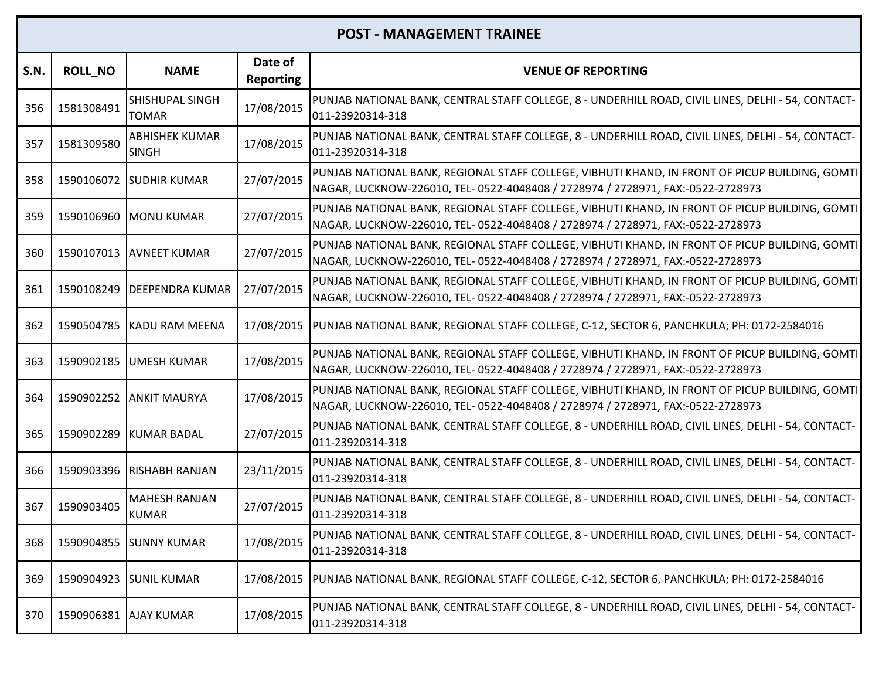| <b>S.N.</b> | <b>ROLL_NO</b>        | <b>NAME</b>                            | Date of<br><b>Reporting</b> | <b>VENUE OF REPORTING</b>                                                                                                                                                         |
|-------------|-----------------------|----------------------------------------|-----------------------------|-----------------------------------------------------------------------------------------------------------------------------------------------------------------------------------|
| 356         | 1581308491            | <b>SHISHUPAL SINGH</b><br><b>TOMAR</b> | 17/08/2015                  | PUNJAB NATIONAL BANK, CENTRAL STAFF COLLEGE, 8 - UNDERHILL ROAD, CIVIL LINES, DELHI - 54, CONTACT-<br>011-23920314-318                                                            |
| 357         | 1581309580            | <b>ABHISHEK KUMAR</b><br><b>SINGH</b>  | 17/08/2015                  | PUNJAB NATIONAL BANK, CENTRAL STAFF COLLEGE, 8 - UNDERHILL ROAD, CIVIL LINES, DELHI - 54, CONTACT-<br>011-23920314-318                                                            |
| 358         |                       | 1590106072 SUDHIR KUMAR                | 27/07/2015                  | PUNJAB NATIONAL BANK, REGIONAL STAFF COLLEGE, VIBHUTI KHAND, IN FRONT OF PICUP BUILDING, GOMTI<br>NAGAR, LUCKNOW-226010, TEL- 0522-4048408 / 2728974 / 2728971, FAX:-0522-2728973 |
| 359         |                       | 1590106960 MONU KUMAR                  | 27/07/2015                  | PUNJAB NATIONAL BANK, REGIONAL STAFF COLLEGE, VIBHUTI KHAND, IN FRONT OF PICUP BUILDING, GOMTI<br>NAGAR, LUCKNOW-226010, TEL- 0522-4048408 / 2728974 / 2728971, FAX:-0522-2728973 |
| 360         |                       | 1590107013 AVNEET KUMAR                | 27/07/2015                  | PUNJAB NATIONAL BANK, REGIONAL STAFF COLLEGE, VIBHUTI KHAND, IN FRONT OF PICUP BUILDING, GOMTI<br>NAGAR, LUCKNOW-226010, TEL- 0522-4048408 / 2728974 / 2728971, FAX:-0522-2728973 |
| 361         | 1590108249            | <b>DEEPENDRA KUMAR</b>                 | 27/07/2015                  | PUNJAB NATIONAL BANK, REGIONAL STAFF COLLEGE, VIBHUTI KHAND, IN FRONT OF PICUP BUILDING, GOMTI<br>NAGAR, LUCKNOW-226010, TEL- 0522-4048408 / 2728974 / 2728971, FAX:-0522-2728973 |
| 362         |                       | 1590504785 KADU RAM MEENA              | 17/08/2015                  | PUNJAB NATIONAL BANK, REGIONAL STAFF COLLEGE, C-12, SECTOR 6, PANCHKULA; PH: 0172-2584016                                                                                         |
| 363         | 1590902185            | <b>IUMESH KUMAR</b>                    | 17/08/2015                  | PUNJAB NATIONAL BANK, REGIONAL STAFF COLLEGE, VIBHUTI KHAND, IN FRONT OF PICUP BUILDING, GOMTI<br>NAGAR, LUCKNOW-226010, TEL- 0522-4048408 / 2728974 / 2728971, FAX:-0522-2728973 |
| 364         |                       | 1590902252 ANKIT MAURYA                | 17/08/2015                  | PUNJAB NATIONAL BANK, REGIONAL STAFF COLLEGE, VIBHUTI KHAND, IN FRONT OF PICUP BUILDING, GOMTI<br>NAGAR, LUCKNOW-226010, TEL- 0522-4048408 / 2728974 / 2728971, FAX:-0522-2728973 |
| 365         | 1590902289            | <b>KUMAR BADAL</b>                     | 27/07/2015                  | PUNJAB NATIONAL BANK, CENTRAL STAFF COLLEGE, 8 - UNDERHILL ROAD, CIVIL LINES, DELHI - 54, CONTACT-<br>011-23920314-318                                                            |
| 366         |                       | 1590903396 RISHABH RANJAN              | 23/11/2015                  | PUNJAB NATIONAL BANK, CENTRAL STAFF COLLEGE, 8 - UNDERHILL ROAD, CIVIL LINES, DELHI - 54, CONTACT-<br>011-23920314-318                                                            |
| 367         | 1590903405            | <b>MAHESH RANJAN</b><br><b>KUMAR</b>   | 27/07/2015                  | PUNJAB NATIONAL BANK, CENTRAL STAFF COLLEGE, 8 - UNDERHILL ROAD, CIVIL LINES, DELHI - 54, CONTACT-<br>011-23920314-318                                                            |
| 368         |                       | 1590904855 SUNNY KUMAR                 | 17/08/2015                  | PUNJAB NATIONAL BANK, CENTRAL STAFF COLLEGE, 8 - UNDERHILL ROAD, CIVIL LINES, DELHI - 54, CONTACT-<br>011-23920314-318                                                            |
| 369         | 1590904923            | <b>SUNIL KUMAR</b>                     | 17/08/2015                  | PUNJAB NATIONAL BANK, REGIONAL STAFF COLLEGE, C-12, SECTOR 6, PANCHKULA; PH: 0172-2584016                                                                                         |
| 370         | 1590906381 AJAY KUMAR |                                        | 17/08/2015                  | PUNJAB NATIONAL BANK, CENTRAL STAFF COLLEGE, 8 - UNDERHILL ROAD, CIVIL LINES, DELHI - 54, CONTACT-<br>011-23920314-318                                                            |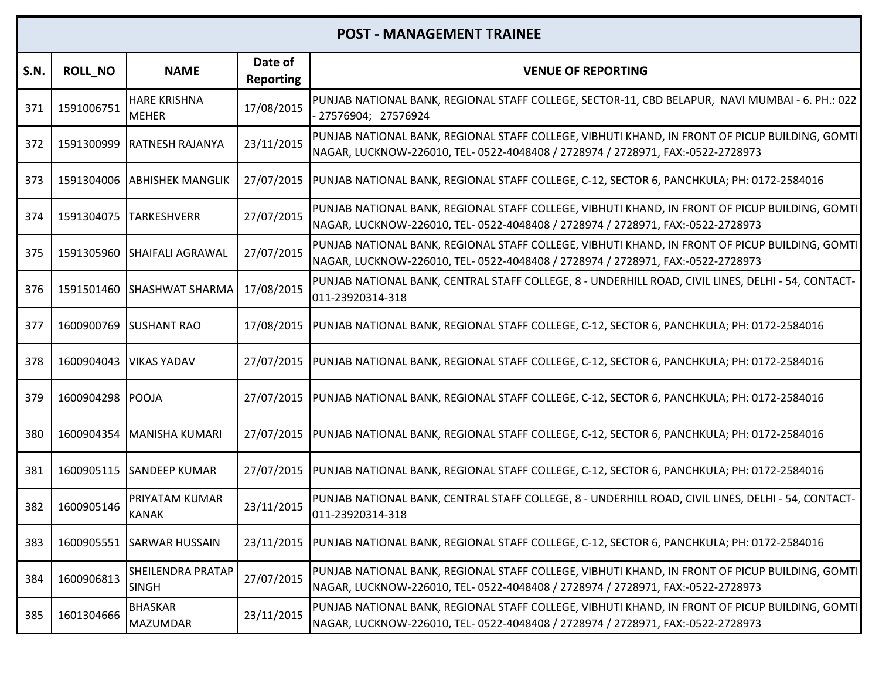| <b>S.N.</b> | <b>ROLL_NO</b>   | <b>NAME</b>                              | Date of<br><b>Reporting</b> | <b>VENUE OF REPORTING</b>                                                                                                                                                          |
|-------------|------------------|------------------------------------------|-----------------------------|------------------------------------------------------------------------------------------------------------------------------------------------------------------------------------|
| 371         | 1591006751       | <b>HARE KRISHNA</b><br><b>MEHER</b>      | 17/08/2015                  | PUNJAB NATIONAL BANK, REGIONAL STAFF COLLEGE, SECTOR-11, CBD BELAPUR, NAVI MUMBAI - 6. PH.: 022<br>27576904; 27576924                                                              |
| 372         | 1591300999       | <b>RATNESH RAJANYA</b>                   | 23/11/2015                  | PUNJAB NATIONAL BANK, REGIONAL STAFF COLLEGE, VIBHUTI KHAND, IN FRONT OF PICUP BUILDING, GOMTI<br>NAGAR, LUCKNOW-226010, TEL- 0522-4048408 / 2728974 / 2728971, FAX:-0522-2728973  |
| 373         | 1591304006       | <b>ABHISHEK MANGLIK</b>                  | 27/07/2015                  | PUNJAB NATIONAL BANK, REGIONAL STAFF COLLEGE, C-12, SECTOR 6, PANCHKULA; PH: 0172-2584016                                                                                          |
| 374         | 1591304075       | <b>TARKESHVERR</b>                       | 27/07/2015                  | PUNJAB NATIONAL BANK, REGIONAL STAFF COLLEGE, VIBHUTI KHAND, IN FRONT OF PICUP BUILDING, GOMTI<br>NAGAR, LUCKNOW-226010, TEL- 0522-4048408 / 2728974 / 2728971, FAX:-0522-2728973  |
| 375         | 1591305960       | <b>SHAIFALI AGRAWAL</b>                  | 27/07/2015                  | PUNJAB NATIONAL BANK, REGIONAL STAFF COLLEGE, VIBHUTI KHAND, IN FRONT OF PICUP BUILDING, GOMTI<br>NAGAR, LUCKNOW-226010, TEL- 0522-4048408 / 2728974 / 2728971, FAX:-0522-2728973  |
| 376         |                  | 1591501460 SHASHWAT SHARMA               | 17/08/2015                  | PUNJAB NATIONAL BANK, CENTRAL STAFF COLLEGE, 8 - UNDERHILL ROAD, CIVIL LINES, DELHI - 54, CONTACT-<br>011-23920314-318                                                             |
| 377         |                  | 1600900769 SUSHANT RAO                   |                             | 17/08/2015  PUNJAB NATIONAL BANK, REGIONAL STAFF COLLEGE, C-12, SECTOR 6, PANCHKULA; PH: 0172-2584016                                                                              |
| 378         | 1600904043       | <b>VIKAS YADAV</b>                       |                             | 27/07/2015  PUNJAB NATIONAL BANK, REGIONAL STAFF COLLEGE, C-12, SECTOR 6, PANCHKULA; PH: 0172-2584016                                                                              |
| 379         | 1600904298 POOJA |                                          |                             | 27/07/2015  PUNJAB NATIONAL BANK, REGIONAL STAFF COLLEGE, C-12, SECTOR 6, PANCHKULA; PH: 0172-2584016                                                                              |
| 380         |                  | 1600904354 MANISHA KUMARI                |                             | 27/07/2015  PUNJAB NATIONAL BANK, REGIONAL STAFF COLLEGE, C-12, SECTOR 6, PANCHKULA; PH: 0172-2584016                                                                              |
| 381         |                  | 1600905115 SANDEEP KUMAR                 |                             | 27/07/2015  PUNJAB NATIONAL BANK, REGIONAL STAFF COLLEGE, C-12, SECTOR 6, PANCHKULA; PH: 0172-2584016                                                                              |
| 382         | 1600905146       | PRIYATAM KUMAR<br><b>KANAK</b>           | 23/11/2015                  | PUNJAB NATIONAL BANK, CENTRAL STAFF COLLEGE, 8 - UNDERHILL ROAD, CIVIL LINES, DELHI - 54, CONTACT-<br>011-23920314-318                                                             |
| 383         |                  | 1600905551 SARWAR HUSSAIN                |                             | 23/11/2015  PUNJAB NATIONAL BANK, REGIONAL STAFF COLLEGE, C-12, SECTOR 6, PANCHKULA; PH: 0172-2584016                                                                              |
| 384         | 1600906813       | <b>SHEILENDRA PRATAP</b><br><b>SINGH</b> | 27/07/2015                  | PUNJAB NATIONAL BANK, REGIONAL STAFF COLLEGE, VIBHUTI KHAND, IN FRONT OF PICUP BUILDING, GOMTI<br> NAGAR, LUCKNOW-226010, TEL- 0522-4048408 / 2728974 / 2728971, FAX:-0522-2728973 |
| 385         | 1601304666       | <b>BHASKAR</b><br><b>MAZUMDAR</b>        | 23/11/2015                  | PUNJAB NATIONAL BANK, REGIONAL STAFF COLLEGE, VIBHUTI KHAND, IN FRONT OF PICUP BUILDING, GOMTI<br>NAGAR, LUCKNOW-226010, TEL- 0522-4048408 / 2728974 / 2728971, FAX:-0522-2728973  |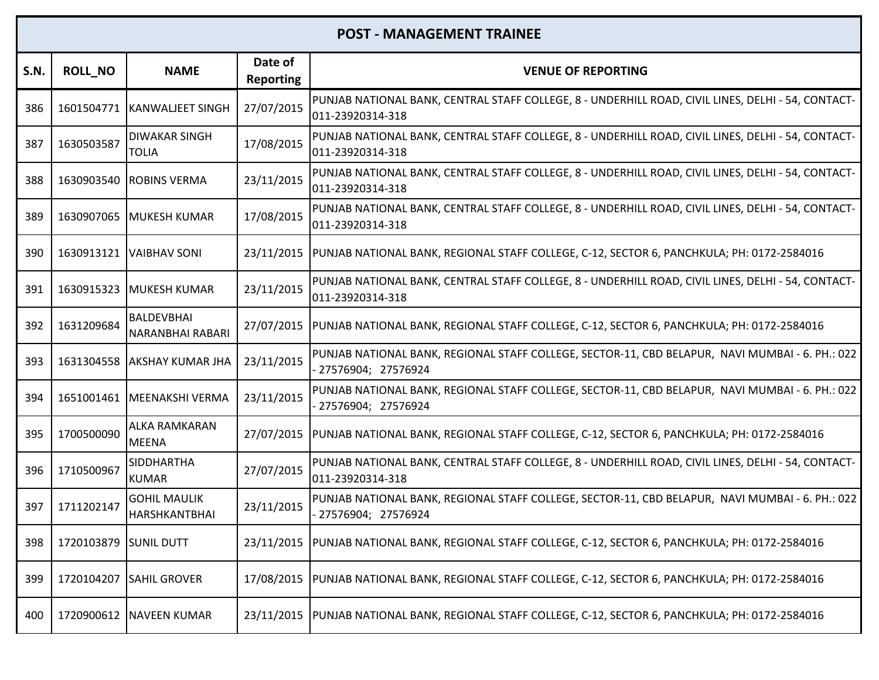| <b>S.N.</b> | <b>ROLL NO</b>        | <b>NAME</b>                                 | Date of<br>Reporting | <b>VENUE OF REPORTING</b>                                                                                               |
|-------------|-----------------------|---------------------------------------------|----------------------|-------------------------------------------------------------------------------------------------------------------------|
| 386         |                       | 1601504771 KANWALJEET SINGH                 | 27/07/2015           | PUNJAB NATIONAL BANK, CENTRAL STAFF COLLEGE, 8 - UNDERHILL ROAD, CIVIL LINES, DELHI - 54, CONTACT-<br>011-23920314-318  |
| 387         | 1630503587            | <b>DIWAKAR SINGH</b><br><b>TOLIA</b>        | 17/08/2015           | PUNJAB NATIONAL BANK, CENTRAL STAFF COLLEGE, 8 - UNDERHILL ROAD, CIVIL LINES, DELHI - 54, CONTACT-<br>011-23920314-318  |
| 388         | 1630903540            | <b>ROBINS VERMA</b>                         | 23/11/2015           | PUNJAB NATIONAL BANK, CENTRAL STAFF COLLEGE, 8 - UNDERHILL ROAD, CIVIL LINES, DELHI - 54, CONTACT-<br>011-23920314-318  |
| 389         |                       | 1630907065 MUKESH KUMAR                     | 17/08/2015           | PUNJAB NATIONAL BANK, CENTRAL STAFF COLLEGE, 8 - UNDERHILL ROAD, CIVIL LINES, DELHI - 54, CONTACT-<br>011-23920314-318  |
| 390         |                       | 1630913121 IVAIBHAV SONI                    |                      | 23/11/2015  PUNJAB NATIONAL BANK, REGIONAL STAFF COLLEGE, C-12, SECTOR 6, PANCHKULA; PH: 0172-2584016                   |
| 391         | 1630915323            | <b>MUKESH KUMAR</b>                         | 23/11/2015           | PUNJAB NATIONAL BANK, CENTRAL STAFF COLLEGE, 8 - UNDERHILL ROAD, CIVIL LINES, DELHI - 54, CONTACT-<br>011-23920314-318  |
| 392         | 1631209684            | BALDEVBHAI<br><b>NARANBHAI RABARI</b>       | 27/07/2015           | PUNJAB NATIONAL BANK, REGIONAL STAFF COLLEGE, C-12, SECTOR 6, PANCHKULA; PH: 0172-2584016                               |
| 393         |                       | 1631304558 AKSHAY KUMAR JHA                 | 23/11/2015           | PUNJAB NATIONAL BANK, REGIONAL STAFF COLLEGE, SECTOR-11, CBD BELAPUR, NAVI MUMBAI - 6. PH.: 022<br>- 27576904; 27576924 |
| 394         | 1651001461            | MEENAKSHI VERMA                             | 23/11/2015           | PUNJAB NATIONAL BANK, REGIONAL STAFF COLLEGE, SECTOR-11, CBD BELAPUR, NAVI MUMBAI - 6. PH.: 022<br>27576904; 27576924   |
| 395         | 1700500090            | ALKA RAMKARAN<br><b>MEENA</b>               | 27/07/2015           | PUNJAB NATIONAL BANK, REGIONAL STAFF COLLEGE, C-12, SECTOR 6, PANCHKULA; PH: 0172-2584016                               |
| 396         | 1710500967            | <b>SIDDHARTHA</b><br><b>KUMAR</b>           | 27/07/2015           | PUNJAB NATIONAL BANK, CENTRAL STAFF COLLEGE, 8 - UNDERHILL ROAD, CIVIL LINES, DELHI - 54, CONTACT-<br>011-23920314-318  |
| 397         | 1711202147            | <b>GOHIL MAULIK</b><br><b>HARSHKANTBHAI</b> | 23/11/2015           | PUNJAB NATIONAL BANK, REGIONAL STAFF COLLEGE, SECTOR-11, CBD BELAPUR, NAVI MUMBAI - 6. PH.: 022<br>27576904; 27576924   |
| 398         | 1720103879 SUNIL DUTT |                                             | 23/11/2015           | PUNJAB NATIONAL BANK, REGIONAL STAFF COLLEGE, C-12, SECTOR 6, PANCHKULA; PH: 0172-2584016                               |
| 399         | 1720104207            | <b>SAHIL GROVER</b>                         | 17/08/2015           | PUNJAB NATIONAL BANK, REGIONAL STAFF COLLEGE, C-12, SECTOR 6, PANCHKULA; PH: 0172-2584016                               |
| 400         |                       | 1720900612 NAVEEN KUMAR                     |                      | 23/11/2015  PUNJAB NATIONAL BANK, REGIONAL STAFF COLLEGE, C-12, SECTOR 6, PANCHKULA; PH: 0172-2584016                   |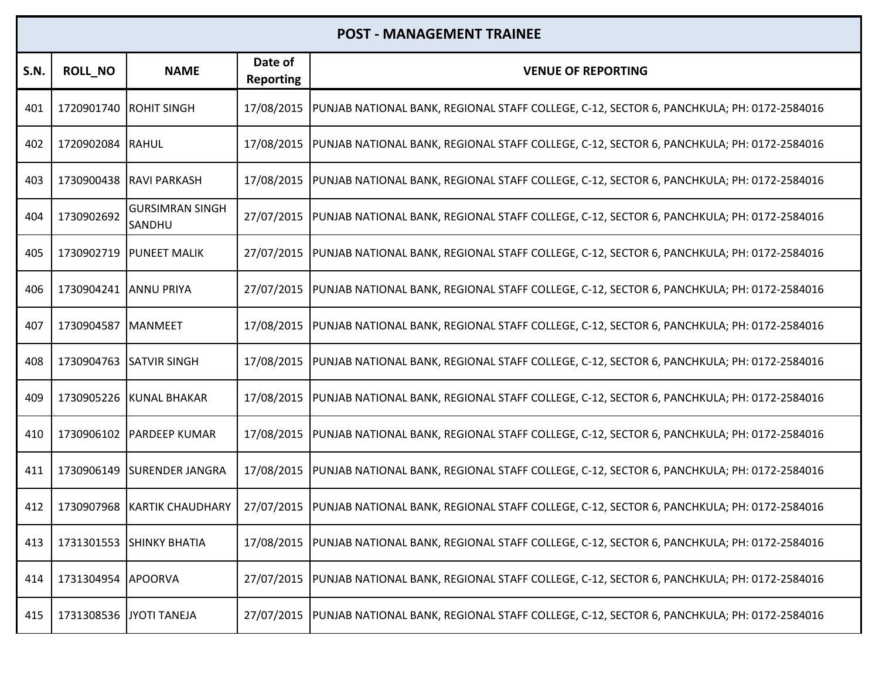| <b>S.N.</b> | <b>ROLL_NO</b>          | <b>NAME</b>                      | Date of<br><b>Reporting</b> | <b>VENUE OF REPORTING</b>                                                                             |
|-------------|-------------------------|----------------------------------|-----------------------------|-------------------------------------------------------------------------------------------------------|
| 401         | 1720901740 ROHIT SINGH  |                                  | 17/08/2015                  | PUNJAB NATIONAL BANK, REGIONAL STAFF COLLEGE, C-12, SECTOR 6, PANCHKULA; PH: 0172-2584016             |
| 402         | 1720902084 RAHUL        |                                  | 17/08/2015                  | PUNJAB NATIONAL BANK, REGIONAL STAFF COLLEGE, C-12, SECTOR 6, PANCHKULA; PH: 0172-2584016             |
| 403         |                         | 1730900438 RAVI PARKASH          | 17/08/2015                  | PUNJAB NATIONAL BANK, REGIONAL STAFF COLLEGE, C-12, SECTOR 6, PANCHKULA; PH: 0172-2584016             |
| 404         | 1730902692              | <b>GURSIMRAN SINGH</b><br>SANDHU | 27/07/2015                  | PUNJAB NATIONAL BANK, REGIONAL STAFF COLLEGE, C-12, SECTOR 6, PANCHKULA; PH: 0172-2584016             |
| 405         |                         | 1730902719   PUNEET MALIK        | 27/07/2015                  | PUNJAB NATIONAL BANK, REGIONAL STAFF COLLEGE, C-12, SECTOR 6, PANCHKULA; PH: 0172-2584016             |
| 406         | 1730904241 ANNU PRIYA   |                                  | 27/07/2015                  | PUNJAB NATIONAL BANK, REGIONAL STAFF COLLEGE, C-12, SECTOR 6, PANCHKULA; PH: 0172-2584016             |
| 407         | 1730904587 MANMEET      |                                  | 17/08/2015                  | PUNJAB NATIONAL BANK, REGIONAL STAFF COLLEGE, C-12, SECTOR 6, PANCHKULA; PH: 0172-2584016             |
| 408         |                         | 1730904763 SATVIR SINGH          | 17/08/2015                  | PUNJAB NATIONAL BANK, REGIONAL STAFF COLLEGE, C-12, SECTOR 6, PANCHKULA; PH: 0172-2584016             |
| 409         |                         | 1730905226 KUNAL BHAKAR          | 17/08/2015                  | PUNJAB NATIONAL BANK, REGIONAL STAFF COLLEGE, C-12, SECTOR 6, PANCHKULA; PH: 0172-2584016             |
| 410         |                         | 1730906102 PARDEEP KUMAR         | 17/08/2015                  | PUNJAB NATIONAL BANK, REGIONAL STAFF COLLEGE, C-12, SECTOR 6, PANCHKULA; PH: 0172-2584016             |
| 411         |                         | 1730906149 SURENDER JANGRA       | 17/08/2015                  | PUNJAB NATIONAL BANK, REGIONAL STAFF COLLEGE, C-12, SECTOR 6, PANCHKULA; PH: 0172-2584016             |
| 412         | 1730907968              | <b>KARTIK CHAUDHARY</b>          | 27/07/2015                  | PUNJAB NATIONAL BANK, REGIONAL STAFF COLLEGE, C-12, SECTOR 6, PANCHKULA; PH: 0172-2584016             |
| 413         |                         | 1731301553 SHINKY BHATIA         | 17/08/2015                  | PUNJAB NATIONAL BANK, REGIONAL STAFF COLLEGE, C-12, SECTOR 6, PANCHKULA; PH: 0172-2584016             |
| 414         | 1731304954              | <b>APOORVA</b>                   | 27/07/2015                  | PUNJAB NATIONAL BANK, REGIONAL STAFF COLLEGE, C-12, SECTOR 6, PANCHKULA; PH: 0172-2584016             |
| 415         | 1731308536 JYOTI TANEJA |                                  |                             | 27/07/2015  PUNJAB NATIONAL BANK, REGIONAL STAFF COLLEGE, C-12, SECTOR 6, PANCHKULA; PH: 0172-2584016 |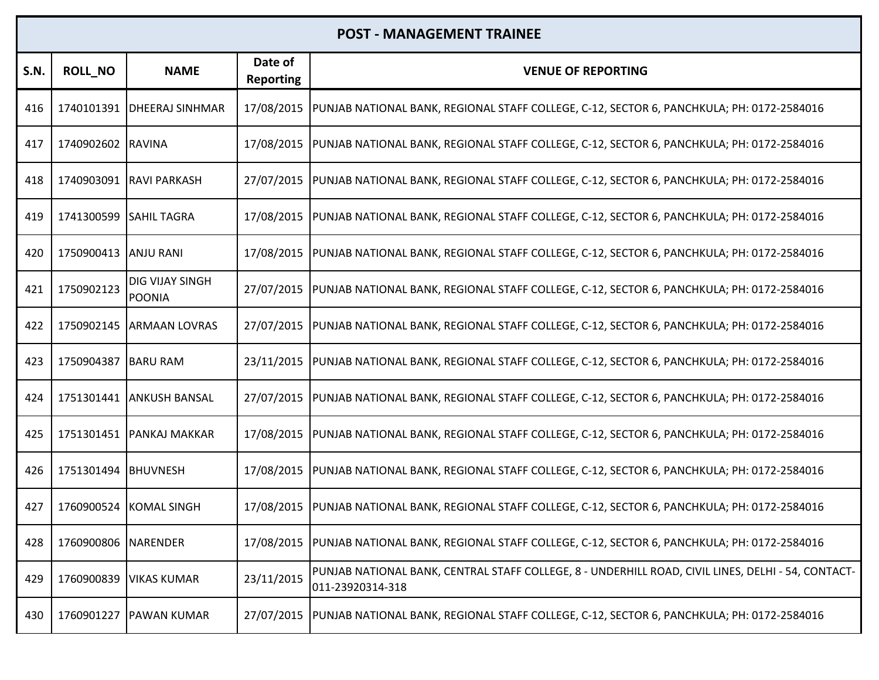| <b>S.N.</b> | <b>ROLL_NO</b>         | <b>NAME</b>                | Date of<br><b>Reporting</b> | <b>VENUE OF REPORTING</b>                                                                                              |
|-------------|------------------------|----------------------------|-----------------------------|------------------------------------------------------------------------------------------------------------------------|
| 416         |                        | 1740101391 DHEERAJ SINHMAR | 17/08/2015                  | PUNJAB NATIONAL BANK, REGIONAL STAFF COLLEGE, C-12, SECTOR 6, PANCHKULA; PH: 0172-2584016                              |
| 417         | 1740902602 RAVINA      |                            | 17/08/2015                  | PUNJAB NATIONAL BANK, REGIONAL STAFF COLLEGE, C-12, SECTOR 6, PANCHKULA; PH: 0172-2584016                              |
| 418         |                        | 1740903091 RAVI PARKASH    | 27/07/2015                  | PUNJAB NATIONAL BANK, REGIONAL STAFF COLLEGE, C-12, SECTOR 6, PANCHKULA; PH: 0172-2584016                              |
| 419         | 1741300599 SAHIL TAGRA |                            | 17/08/2015                  | PUNJAB NATIONAL BANK, REGIONAL STAFF COLLEGE, C-12, SECTOR 6, PANCHKULA; PH: 0172-2584016                              |
| 420         | 1750900413 IANJU RANI  |                            | 17/08/2015                  | PUNJAB NATIONAL BANK, REGIONAL STAFF COLLEGE, C-12, SECTOR 6, PANCHKULA; PH: 0172-2584016                              |
| 421         | 1750902123             | DIG VIJAY SINGH<br>POONIA  | 27/07/2015                  | PUNJAB NATIONAL BANK, REGIONAL STAFF COLLEGE, C-12, SECTOR 6, PANCHKULA; PH: 0172-2584016                              |
| 422         |                        | 1750902145 ARMAAN LOVRAS   | 27/07/2015                  | PUNJAB NATIONAL BANK, REGIONAL STAFF COLLEGE, C-12, SECTOR 6, PANCHKULA; PH: 0172-2584016                              |
| 423         | 1750904387 BARU RAM    |                            | 23/11/2015                  | PUNJAB NATIONAL BANK, REGIONAL STAFF COLLEGE, C-12, SECTOR 6, PANCHKULA; PH: 0172-2584016                              |
| 424         |                        | 1751301441 ANKUSH BANSAL   | 27/07/2015                  | PUNJAB NATIONAL BANK, REGIONAL STAFF COLLEGE, C-12, SECTOR 6, PANCHKULA; PH: 0172-2584016                              |
| 425         |                        | 1751301451 PANKAJ MAKKAR   | 17/08/2015                  | PUNJAB NATIONAL BANK, REGIONAL STAFF COLLEGE, C-12, SECTOR 6, PANCHKULA; PH: 0172-2584016                              |
| 426         | 1751301494 BHUVNESH    |                            | 17/08/2015                  | PUNJAB NATIONAL BANK, REGIONAL STAFF COLLEGE, C-12, SECTOR 6, PANCHKULA; PH: 0172-2584016                              |
| 427         | 1760900524             | <b>KOMAL SINGH</b>         | 17/08/2015                  | PUNJAB NATIONAL BANK, REGIONAL STAFF COLLEGE, C-12, SECTOR 6, PANCHKULA; PH: 0172-2584016                              |
| 428         | 1760900806 NARENDER    |                            | 17/08/2015                  | PUNJAB NATIONAL BANK, REGIONAL STAFF COLLEGE, C-12, SECTOR 6, PANCHKULA; PH: 0172-2584016                              |
| 429         | 1760900839             | <b>VIKAS KUMAR</b>         | 23/11/2015                  | PUNJAB NATIONAL BANK, CENTRAL STAFF COLLEGE, 8 - UNDERHILL ROAD, CIVIL LINES, DELHI - 54, CONTACT-<br>011-23920314-318 |
| 430         |                        | 1760901227 PAWAN KUMAR     | 27/07/2015                  | PUNJAB NATIONAL BANK, REGIONAL STAFF COLLEGE, C-12, SECTOR 6, PANCHKULA; PH: 0172-2584016                              |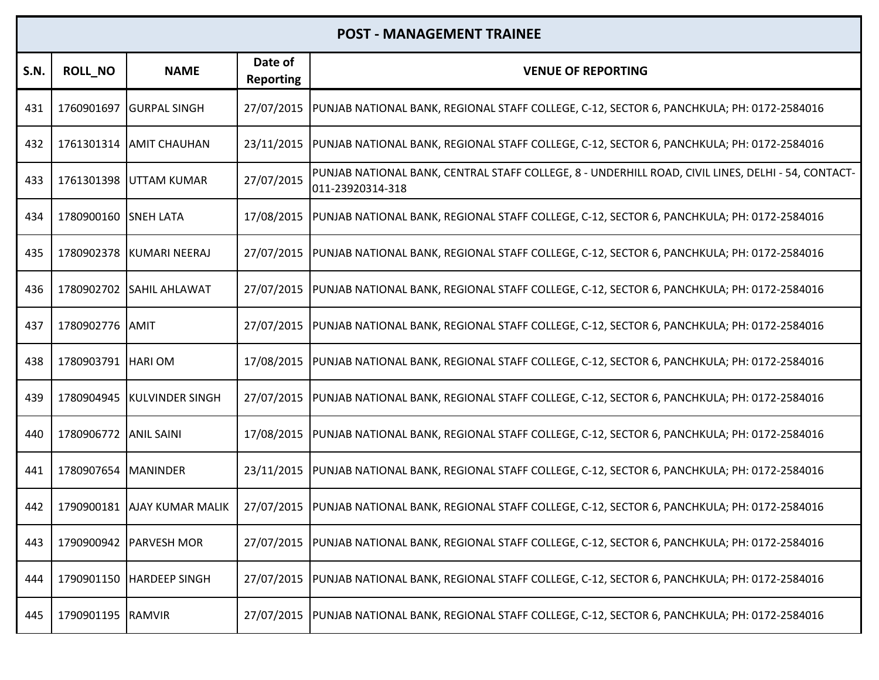| <b>S.N.</b> | <b>ROLL_NO</b>       | <b>NAME</b>                 | Date of<br><b>Reporting</b> | <b>VENUE OF REPORTING</b>                                                                                              |
|-------------|----------------------|-----------------------------|-----------------------------|------------------------------------------------------------------------------------------------------------------------|
| 431         | 1760901697           | <b>GURPAL SINGH</b>         | 27/07/2015                  | PUNJAB NATIONAL BANK, REGIONAL STAFF COLLEGE, C-12, SECTOR 6, PANCHKULA; PH: 0172-2584016                              |
| 432         |                      | 1761301314 AMIT CHAUHAN     | 23/11/2015                  | PUNJAB NATIONAL BANK, REGIONAL STAFF COLLEGE, C-12, SECTOR 6, PANCHKULA; PH: 0172-2584016                              |
| 433         | 1761301398           | UTTAM KUMAR                 | 27/07/2015                  | PUNJAB NATIONAL BANK, CENTRAL STAFF COLLEGE, 8 - UNDERHILL ROAD, CIVIL LINES, DELHI - 54, CONTACT-<br>011-23920314-318 |
| 434         | 1780900160 SNEH LATA |                             | 17/08/2015                  | PUNJAB NATIONAL BANK, REGIONAL STAFF COLLEGE, C-12, SECTOR 6, PANCHKULA; PH: 0172-2584016                              |
| 435         |                      | 1780902378 KUMARI NEERAJ    | 27/07/2015                  | PUNJAB NATIONAL BANK, REGIONAL STAFF COLLEGE, C-12, SECTOR 6, PANCHKULA; PH: 0172-2584016                              |
| 436         |                      | 1780902702 SAHIL AHLAWAT    | 27/07/2015                  | PUNJAB NATIONAL BANK, REGIONAL STAFF COLLEGE, C-12, SECTOR 6, PANCHKULA; PH: 0172-2584016                              |
| 437         | 1780902776 AMIT      |                             | 27/07/2015                  | PUNJAB NATIONAL BANK, REGIONAL STAFF COLLEGE, C-12, SECTOR 6, PANCHKULA; PH: 0172-2584016                              |
| 438         | 1780903791 HARIOM    |                             | 17/08/2015                  | PUNJAB NATIONAL BANK, REGIONAL STAFF COLLEGE, C-12, SECTOR 6, PANCHKULA; PH: 0172-2584016                              |
| 439         |                      | 1780904945 KULVINDER SINGH  | 27/07/2015                  | PUNJAB NATIONAL BANK, REGIONAL STAFF COLLEGE, C-12, SECTOR 6, PANCHKULA; PH: 0172-2584016                              |
| 440         | 1780906772           | <b>ANIL SAINI</b>           | 17/08/2015                  | PUNJAB NATIONAL BANK, REGIONAL STAFF COLLEGE, C-12, SECTOR 6, PANCHKULA; PH: 0172-2584016                              |
| 441         | 1780907654           | <b>IMANINDER</b>            | 23/11/2015                  | PUNJAB NATIONAL BANK, REGIONAL STAFF COLLEGE, C-12, SECTOR 6, PANCHKULA; PH: 0172-2584016                              |
| 442         |                      | 1790900181 AJAY KUMAR MALIK | 27/07/2015                  | PUNJAB NATIONAL BANK, REGIONAL STAFF COLLEGE, C-12, SECTOR 6, PANCHKULA; PH: 0172-2584016                              |
| 443         |                      | 1790900942 PARVESH MOR      | 27/07/2015                  | PUNJAB NATIONAL BANK, REGIONAL STAFF COLLEGE, C-12, SECTOR 6, PANCHKULA; PH: 0172-2584016                              |
| 444         |                      | 1790901150 HARDEEP SINGH    | 27/07/2015                  | PUNJAB NATIONAL BANK, REGIONAL STAFF COLLEGE, C-12, SECTOR 6, PANCHKULA; PH: 0172-2584016                              |
| 445         | 1790901195 RAMVIR    |                             |                             | 27/07/2015  PUNJAB NATIONAL BANK, REGIONAL STAFF COLLEGE, C-12, SECTOR 6, PANCHKULA; PH: 0172-2584016                  |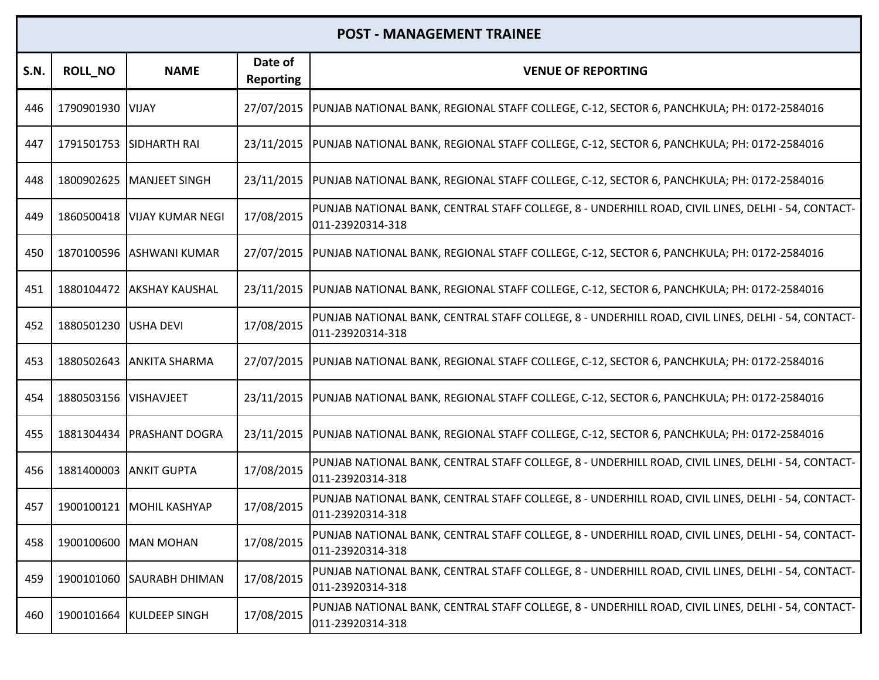| S.N. | <b>ROLL_NO</b> | <b>NAME</b>             | Date of<br><b>Reporting</b> | <b>VENUE OF REPORTING</b>                                                                                              |
|------|----------------|-------------------------|-----------------------------|------------------------------------------------------------------------------------------------------------------------|
| 446  | 1790901930     | <b>VIJAY</b>            | 27/07/2015                  | PUNJAB NATIONAL BANK, REGIONAL STAFF COLLEGE, C-12, SECTOR 6, PANCHKULA; PH: 0172-2584016                              |
| 447  |                | 1791501753 SIDHARTH RAI | 23/11/2015                  | PUNJAB NATIONAL BANK, REGIONAL STAFF COLLEGE, C-12, SECTOR 6, PANCHKULA; PH: 0172-2584016                              |
| 448  | 1800902625     | MANJEET SINGH           | 23/11/2015                  | PUNJAB NATIONAL BANK, REGIONAL STAFF COLLEGE, C-12, SECTOR 6, PANCHKULA; PH: 0172-2584016                              |
| 449  | 1860500418     | <b>VIJAY KUMAR NEGI</b> | 17/08/2015                  | PUNJAB NATIONAL BANK, CENTRAL STAFF COLLEGE, 8 - UNDERHILL ROAD, CIVIL LINES, DELHI - 54, CONTACT-<br>011-23920314-318 |
| 450  | 1870100596     | <b>ASHWANI KUMAR</b>    | 27/07/2015                  | PUNJAB NATIONAL BANK, REGIONAL STAFF COLLEGE, C-12, SECTOR 6, PANCHKULA; PH: 0172-2584016                              |
| 451  | 1880104472     | <b>AKSHAY KAUSHAL</b>   | 23/11/2015                  | PUNJAB NATIONAL BANK, REGIONAL STAFF COLLEGE, C-12, SECTOR 6, PANCHKULA; PH: 0172-2584016                              |
| 452  | 1880501230     | USHA DEVI               | 17/08/2015                  | PUNJAB NATIONAL BANK, CENTRAL STAFF COLLEGE, 8 - UNDERHILL ROAD, CIVIL LINES, DELHI - 54, CONTACT-<br>011-23920314-318 |
| 453  | 1880502643     | <b>ANKITA SHARMA</b>    | 27/07/2015                  | PUNJAB NATIONAL BANK, REGIONAL STAFF COLLEGE, C-12, SECTOR 6, PANCHKULA; PH: 0172-2584016                              |
| 454  | 1880503156     | <b>VISHAVJEET</b>       | 23/11/2015                  | PUNJAB NATIONAL BANK, REGIONAL STAFF COLLEGE, C-12, SECTOR 6, PANCHKULA; PH: 0172-2584016                              |
| 455  | 1881304434     | <b>PRASHANT DOGRA</b>   | 23/11/2015                  | PUNJAB NATIONAL BANK, REGIONAL STAFF COLLEGE, C-12, SECTOR 6, PANCHKULA; PH: 0172-2584016                              |
| 456  | 1881400003     | <b>ANKIT GUPTA</b>      | 17/08/2015                  | PUNJAB NATIONAL BANK, CENTRAL STAFF COLLEGE, 8 - UNDERHILL ROAD, CIVIL LINES, DELHI - 54, CONTACT-<br>011-23920314-318 |
| 457  | 1900100121     | <b>MOHIL KASHYAP</b>    | 17/08/2015                  | PUNJAB NATIONAL BANK, CENTRAL STAFF COLLEGE, 8 - UNDERHILL ROAD, CIVIL LINES, DELHI - 54, CONTACT-<br>011-23920314-318 |
| 458  |                | 1900100600 MAN MOHAN    | 17/08/2015                  | PUNJAB NATIONAL BANK, CENTRAL STAFF COLLEGE, 8 - UNDERHILL ROAD, CIVIL LINES, DELHI - 54, CONTACT-<br>011-23920314-318 |
| 459  | 1900101060     | <b>SAURABH DHIMAN</b>   | 17/08/2015                  | PUNJAB NATIONAL BANK, CENTRAL STAFF COLLEGE, 8 - UNDERHILL ROAD, CIVIL LINES, DELHI - 54, CONTACT-<br>011-23920314-318 |
| 460  | 1900101664     | KULDEEP SINGH           | 17/08/2015                  | PUNJAB NATIONAL BANK, CENTRAL STAFF COLLEGE, 8 - UNDERHILL ROAD, CIVIL LINES, DELHI - 54, CONTACT-<br>011-23920314-318 |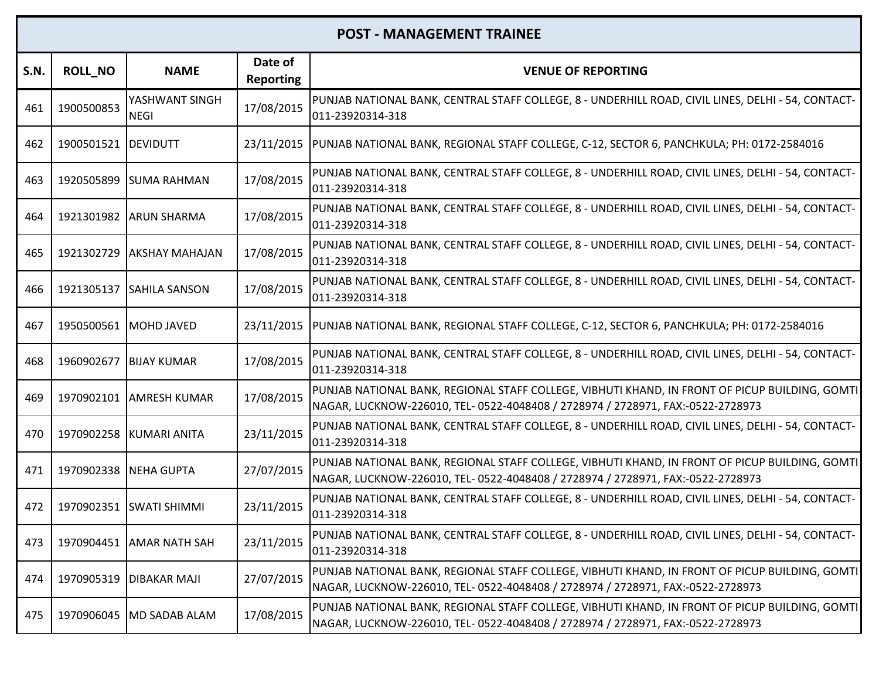| <b>S.N.</b> | <b>ROLL_NO</b>        | <b>NAME</b>                   | Date of<br><b>Reporting</b> | <b>VENUE OF REPORTING</b>                                                                                                                                                         |
|-------------|-----------------------|-------------------------------|-----------------------------|-----------------------------------------------------------------------------------------------------------------------------------------------------------------------------------|
| 461         | 1900500853            | YASHWANT SINGH<br><b>NEGI</b> | 17/08/2015                  | PUNJAB NATIONAL BANK, CENTRAL STAFF COLLEGE, 8 - UNDERHILL ROAD, CIVIL LINES, DELHI - 54, CONTACT-<br>011-23920314-318                                                            |
| 462         | 1900501521 DEVIDUTT   |                               | 23/11/2015                  | PUNJAB NATIONAL BANK, REGIONAL STAFF COLLEGE, C-12, SECTOR 6, PANCHKULA; PH: 0172-2584016                                                                                         |
| 463         |                       | 1920505899 SUMA RAHMAN        | 17/08/2015                  | PUNJAB NATIONAL BANK, CENTRAL STAFF COLLEGE, 8 - UNDERHILL ROAD, CIVIL LINES, DELHI - 54, CONTACT-<br>011-23920314-318                                                            |
| 464         |                       | 1921301982 ARUN SHARMA        | 17/08/2015                  | PUNJAB NATIONAL BANK, CENTRAL STAFF COLLEGE, 8 - UNDERHILL ROAD, CIVIL LINES, DELHI - 54, CONTACT-<br>011-23920314-318                                                            |
| 465         | 1921302729            | <b>AKSHAY MAHAJAN</b>         | 17/08/2015                  | PUNJAB NATIONAL BANK, CENTRAL STAFF COLLEGE, 8 - UNDERHILL ROAD, CIVIL LINES, DELHI - 54, CONTACT-<br>011-23920314-318                                                            |
| 466         |                       | 1921305137 SAHILA SANSON      | 17/08/2015                  | PUNJAB NATIONAL BANK, CENTRAL STAFF COLLEGE, 8 - UNDERHILL ROAD, CIVIL LINES, DELHI - 54, CONTACT-<br>011-23920314-318                                                            |
| 467         |                       | 1950500561 MOHD JAVED         |                             | 23/11/2015  PUNJAB NATIONAL BANK, REGIONAL STAFF COLLEGE, C-12, SECTOR 6, PANCHKULA; PH: 0172-2584016                                                                             |
| 468         | 1960902677            | <b>BIJAY KUMAR</b>            | 17/08/2015                  | PUNJAB NATIONAL BANK, CENTRAL STAFF COLLEGE, 8 - UNDERHILL ROAD, CIVIL LINES, DELHI - 54, CONTACT-<br>011-23920314-318                                                            |
| 469         |                       | 1970902101 AMRESH KUMAR       | 17/08/2015                  | PUNJAB NATIONAL BANK, REGIONAL STAFF COLLEGE, VIBHUTI KHAND, IN FRONT OF PICUP BUILDING, GOMTI<br>NAGAR, LUCKNOW-226010, TEL- 0522-4048408 / 2728974 / 2728971, FAX:-0522-2728973 |
| 470         |                       | 1970902258 KUMARI ANITA       | 23/11/2015                  | PUNJAB NATIONAL BANK, CENTRAL STAFF COLLEGE, 8 - UNDERHILL ROAD, CIVIL LINES, DELHI - 54, CONTACT-<br>011-23920314-318                                                            |
| 471         | 1970902338 NEHA GUPTA |                               | 27/07/2015                  | PUNJAB NATIONAL BANK, REGIONAL STAFF COLLEGE, VIBHUTI KHAND, IN FRONT OF PICUP BUILDING, GOMTI<br>NAGAR, LUCKNOW-226010, TEL- 0522-4048408 / 2728974 / 2728971, FAX:-0522-2728973 |
| 472         |                       | 1970902351 SWATI SHIMMI       | 23/11/2015                  | PUNJAB NATIONAL BANK, CENTRAL STAFF COLLEGE, 8 - UNDERHILL ROAD, CIVIL LINES, DELHI - 54, CONTACT-<br>011-23920314-318                                                            |
| 473         |                       | 1970904451 AMAR NATH SAH      | 23/11/2015                  | PUNJAB NATIONAL BANK, CENTRAL STAFF COLLEGE, 8 - UNDERHILL ROAD, CIVIL LINES, DELHI - 54, CONTACT-<br>011-23920314-318                                                            |
| 474         | 1970905319            | <b>DIBAKAR MAJI</b>           | 27/07/2015                  | PUNJAB NATIONAL BANK, REGIONAL STAFF COLLEGE, VIBHUTI KHAND, IN FRONT OF PICUP BUILDING, GOMTI<br>NAGAR, LUCKNOW-226010, TEL- 0522-4048408 / 2728974 / 2728971, FAX:-0522-2728973 |
| 475         |                       | 1970906045   MD SADAB ALAM    | 17/08/2015                  | PUNJAB NATIONAL BANK, REGIONAL STAFF COLLEGE, VIBHUTI KHAND, IN FRONT OF PICUP BUILDING, GOMTI<br>NAGAR, LUCKNOW-226010, TEL- 0522-4048408 / 2728974 / 2728971, FAX:-0522-2728973 |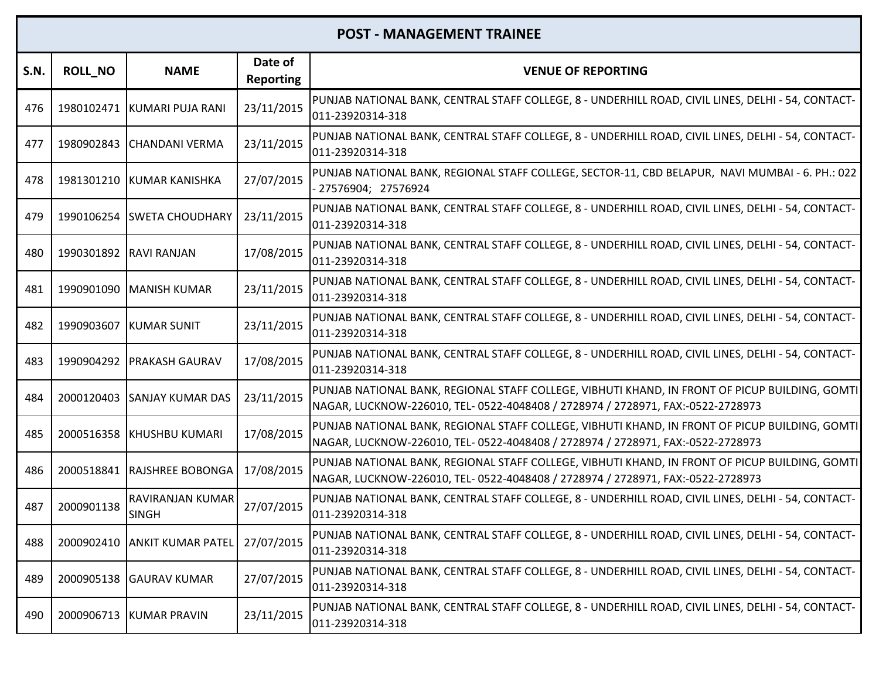| <b>S.N.</b> | <b>ROLL_NO</b>         | <b>NAME</b>                      | Date of<br><b>Reporting</b> | <b>VENUE OF REPORTING</b>                                                                                                                                                         |
|-------------|------------------------|----------------------------------|-----------------------------|-----------------------------------------------------------------------------------------------------------------------------------------------------------------------------------|
| 476         |                        | 1980102471 KUMARI PUJA RANI      | 23/11/2015                  | PUNJAB NATIONAL BANK, CENTRAL STAFF COLLEGE, 8 - UNDERHILL ROAD, CIVIL LINES, DELHI - 54, CONTACT-<br>011-23920314-318                                                            |
| 477         |                        | 1980902843 CHANDANI VERMA        | 23/11/2015                  | PUNJAB NATIONAL BANK, CENTRAL STAFF COLLEGE, 8 - UNDERHILL ROAD, CIVIL LINES, DELHI - 54, CONTACT-<br>011-23920314-318                                                            |
| 478         |                        | 1981301210 KUMAR KANISHKA        | 27/07/2015                  | PUNJAB NATIONAL BANK, REGIONAL STAFF COLLEGE, SECTOR-11, CBD BELAPUR, NAVI MUMBAI - 6. PH.: 022<br>- 27576904; 27576924                                                           |
| 479         |                        | 1990106254 SWETA CHOUDHARY       | 23/11/2015                  | PUNJAB NATIONAL BANK, CENTRAL STAFF COLLEGE, 8 - UNDERHILL ROAD, CIVIL LINES, DELHI - 54, CONTACT-<br>011-23920314-318                                                            |
| 480         | 1990301892 RAVI RANJAN |                                  | 17/08/2015                  | PUNJAB NATIONAL BANK, CENTRAL STAFF COLLEGE, 8 - UNDERHILL ROAD, CIVIL LINES, DELHI - 54, CONTACT-<br>011-23920314-318                                                            |
| 481         |                        | 1990901090   MANISH KUMAR        | 23/11/2015                  | PUNJAB NATIONAL BANK, CENTRAL STAFF COLLEGE, 8 - UNDERHILL ROAD, CIVIL LINES, DELHI - 54, CONTACT-<br>011-23920314-318                                                            |
| 482         |                        | 1990903607 KUMAR SUNIT           | 23/11/2015                  | PUNJAB NATIONAL BANK, CENTRAL STAFF COLLEGE, 8 - UNDERHILL ROAD, CIVIL LINES, DELHI - 54, CONTACT-<br>011-23920314-318                                                            |
| 483         | 1990904292             | <b>PRAKASH GAURAV</b>            | 17/08/2015                  | PUNJAB NATIONAL BANK, CENTRAL STAFF COLLEGE, 8 - UNDERHILL ROAD, CIVIL LINES, DELHI - 54, CONTACT-<br>011-23920314-318                                                            |
| 484         | 2000120403             | <b>SANJAY KUMAR DAS</b>          | 23/11/2015                  | PUNJAB NATIONAL BANK, REGIONAL STAFF COLLEGE, VIBHUTI KHAND, IN FRONT OF PICUP BUILDING, GOMTI<br>NAGAR, LUCKNOW-226010, TEL- 0522-4048408 / 2728974 / 2728971, FAX:-0522-2728973 |
| 485         |                        | 2000516358 KHUSHBU KUMARI        | 17/08/2015                  | PUNJAB NATIONAL BANK, REGIONAL STAFF COLLEGE, VIBHUTI KHAND, IN FRONT OF PICUP BUILDING, GOMTI<br>NAGAR, LUCKNOW-226010, TEL- 0522-4048408 / 2728974 / 2728971, FAX:-0522-2728973 |
| 486         |                        | 2000518841 RAJSHREE BOBONGA      | 17/08/2015                  | PUNJAB NATIONAL BANK, REGIONAL STAFF COLLEGE, VIBHUTI KHAND, IN FRONT OF PICUP BUILDING, GOMTI<br>NAGAR, LUCKNOW-226010, TEL- 0522-4048408 / 2728974 / 2728971, FAX:-0522-2728973 |
| 487         | 2000901138             | RAVIRANJAN KUMAR<br><b>SINGH</b> | 27/07/2015                  | PUNJAB NATIONAL BANK, CENTRAL STAFF COLLEGE, 8 - UNDERHILL ROAD, CIVIL LINES, DELHI - 54, CONTACT-<br>011-23920314-318                                                            |
| 488         |                        | 2000902410 ANKIT KUMAR PATEL     | 27/07/2015                  | PUNJAB NATIONAL BANK, CENTRAL STAFF COLLEGE, 8 - UNDERHILL ROAD, CIVIL LINES, DELHI - 54, CONTACT-<br>011-23920314-318                                                            |
| 489         | 2000905138             | <b>GAURAV KUMAR</b>              | 27/07/2015                  | PUNJAB NATIONAL BANK, CENTRAL STAFF COLLEGE, 8 - UNDERHILL ROAD, CIVIL LINES, DELHI - 54, CONTACT-<br>011-23920314-318                                                            |
| 490         |                        | 2000906713 KUMAR PRAVIN          | 23/11/2015                  | PUNJAB NATIONAL BANK, CENTRAL STAFF COLLEGE, 8 - UNDERHILL ROAD, CIVIL LINES, DELHI - 54, CONTACT-<br>011-23920314-318                                                            |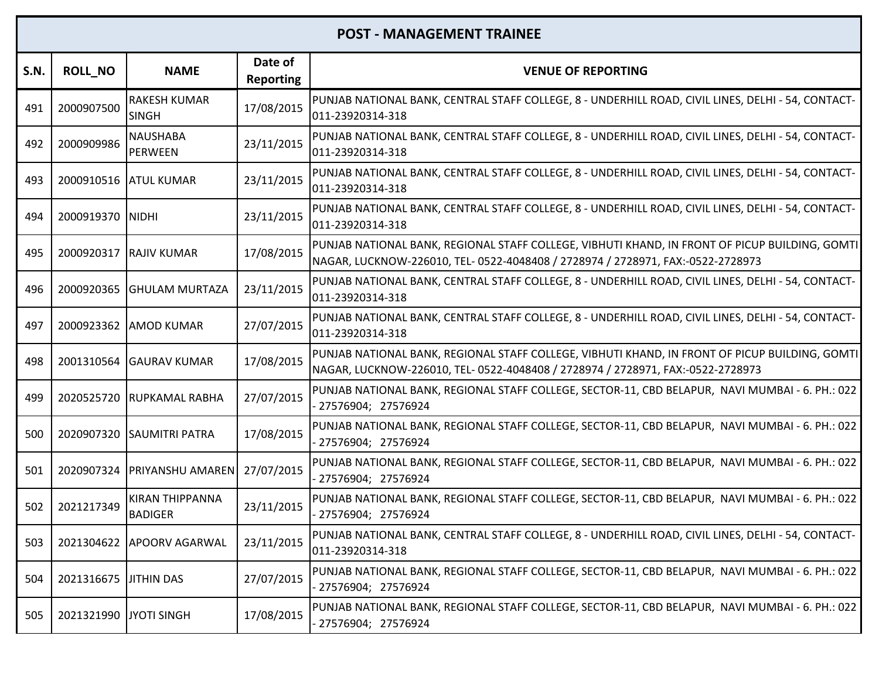| <b>S.N.</b> | <b>ROLL_NO</b>         | <b>NAME</b>                              | Date of<br><b>Reporting</b> | <b>VENUE OF REPORTING</b>                                                                                                                                                         |
|-------------|------------------------|------------------------------------------|-----------------------------|-----------------------------------------------------------------------------------------------------------------------------------------------------------------------------------|
| 491         | 2000907500             | <b>RAKESH KUMAR</b><br><b>SINGH</b>      | 17/08/2015                  | PUNJAB NATIONAL BANK, CENTRAL STAFF COLLEGE, 8 - UNDERHILL ROAD, CIVIL LINES, DELHI - 54, CONTACT-<br>011-23920314-318                                                            |
| 492         | 2000909986             | <b>NAUSHABA</b><br><b>PERWEEN</b>        | 23/11/2015                  | PUNJAB NATIONAL BANK, CENTRAL STAFF COLLEGE, 8 - UNDERHILL ROAD, CIVIL LINES, DELHI - 54, CONTACT-<br>011-23920314-318                                                            |
| 493         |                        | 2000910516 ATUL KUMAR                    | 23/11/2015                  | PUNJAB NATIONAL BANK, CENTRAL STAFF COLLEGE, 8 - UNDERHILL ROAD, CIVIL LINES, DELHI - 54, CONTACT-<br>011-23920314-318                                                            |
| 494         | 2000919370 NIDHI       |                                          | 23/11/2015                  | PUNJAB NATIONAL BANK, CENTRAL STAFF COLLEGE, 8 - UNDERHILL ROAD, CIVIL LINES, DELHI - 54, CONTACT-<br>011-23920314-318                                                            |
| 495         |                        | 2000920317 RAJIV KUMAR                   | 17/08/2015                  | PUNJAB NATIONAL BANK, REGIONAL STAFF COLLEGE, VIBHUTI KHAND, IN FRONT OF PICUP BUILDING, GOMTI<br>NAGAR, LUCKNOW-226010, TEL- 0522-4048408 / 2728974 / 2728971, FAX:-0522-2728973 |
| 496         | 2000920365             | <b>GHULAM MURTAZA</b>                    | 23/11/2015                  | PUNJAB NATIONAL BANK, CENTRAL STAFF COLLEGE, 8 - UNDERHILL ROAD, CIVIL LINES, DELHI - 54, CONTACT-<br>011-23920314-318                                                            |
| 497         |                        | 2000923362 AMOD KUMAR                    | 27/07/2015                  | PUNJAB NATIONAL BANK, CENTRAL STAFF COLLEGE, 8 - UNDERHILL ROAD, CIVIL LINES, DELHI - 54, CONTACT-<br>011-23920314-318                                                            |
| 498         |                        | 2001310564 GAURAV KUMAR                  | 17/08/2015                  | PUNJAB NATIONAL BANK, REGIONAL STAFF COLLEGE, VIBHUTI KHAND, IN FRONT OF PICUP BUILDING, GOMTI<br>NAGAR, LUCKNOW-226010, TEL- 0522-4048408 / 2728974 / 2728971, FAX:-0522-2728973 |
| 499         |                        | 2020525720 RUPKAMAL RABHA                | 27/07/2015                  | PUNJAB NATIONAL BANK, REGIONAL STAFF COLLEGE, SECTOR-11, CBD BELAPUR, NAVI MUMBAI - 6. PH.: 022<br>- 27576904; 27576924                                                           |
| 500         |                        | 2020907320 SAUMITRI PATRA                | 17/08/2015                  | PUNJAB NATIONAL BANK, REGIONAL STAFF COLLEGE, SECTOR-11, CBD BELAPUR, NAVI MUMBAI - 6. PH.: 022<br>- 27576904; 27576924                                                           |
| 501         |                        | 2020907324 PRIYANSHU AMAREN              | 27/07/2015                  | PUNJAB NATIONAL BANK, REGIONAL STAFF COLLEGE, SECTOR-11, CBD BELAPUR, NAVI MUMBAI - 6. PH.: 022<br>- 27576904; 27576924                                                           |
| 502         | 2021217349             | <b>KIRAN THIPPANNA</b><br><b>BADIGER</b> | 23/11/2015                  | PUNJAB NATIONAL BANK, REGIONAL STAFF COLLEGE, SECTOR-11, CBD BELAPUR, NAVI MUMBAI - 6. PH.: 022<br>- 27576904; 27576924                                                           |
| 503         |                        | 2021304622 APOORV AGARWAL                | 23/11/2015                  | PUNJAB NATIONAL BANK, CENTRAL STAFF COLLEGE, 8 - UNDERHILL ROAD, CIVIL LINES, DELHI - 54, CONTACT-<br>011-23920314-318                                                            |
| 504         | 2021316675             | <b>JITHIN DAS</b>                        | 27/07/2015                  | PUNJAB NATIONAL BANK, REGIONAL STAFF COLLEGE, SECTOR-11, CBD BELAPUR, NAVI MUMBAI - 6. PH.: 022<br>- 27576904; 27576924                                                           |
| 505         | 2021321990 JYOTI SINGH |                                          | 17/08/2015                  | PUNJAB NATIONAL BANK, REGIONAL STAFF COLLEGE, SECTOR-11, CBD BELAPUR, NAVI MUMBAI - 6. PH.: 022<br>27576904; 27576924                                                             |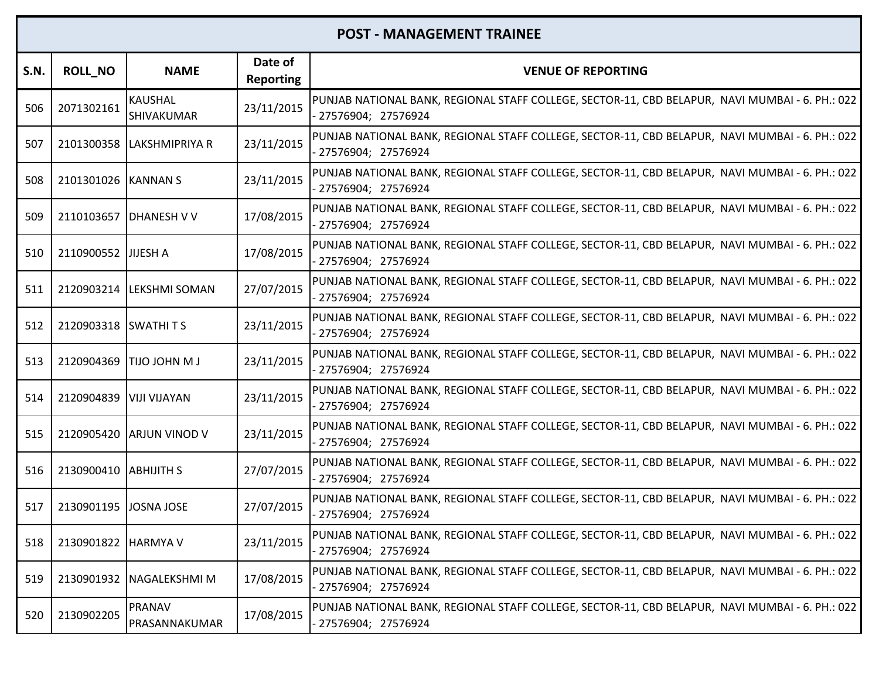| S.N. | <b>ROLL_NO</b>              | <b>NAME</b>                  | Date of<br><b>Reporting</b> | <b>VENUE OF REPORTING</b>                                                                                               |
|------|-----------------------------|------------------------------|-----------------------------|-------------------------------------------------------------------------------------------------------------------------|
| 506  | 2071302161                  | <b>KAUSHAL</b><br>SHIVAKUMAR | 23/11/2015                  | PUNJAB NATIONAL BANK, REGIONAL STAFF COLLEGE, SECTOR-11, CBD BELAPUR, NAVI MUMBAI - 6. PH.: 022<br>27576904; 27576924   |
| 507  |                             | 2101300358 LAKSHMIPRIYA R    | 23/11/2015                  | PUNJAB NATIONAL BANK, REGIONAL STAFF COLLEGE, SECTOR-11, CBD BELAPUR, NAVI MUMBAI - 6. PH.: 022<br>27576904; 27576924   |
| 508  | 2101301026 KANNAN S         |                              | 23/11/2015                  | PUNJAB NATIONAL BANK, REGIONAL STAFF COLLEGE, SECTOR-11, CBD BELAPUR, NAVI MUMBAI - 6. PH.: 022<br>27576904; 27576924   |
| 509  |                             | 2110103657 DHANESH V V       | 17/08/2015                  | PUNJAB NATIONAL BANK, REGIONAL STAFF COLLEGE, SECTOR-11, CBD BELAPUR, NAVI MUMBAI - 6. PH.: 022<br>- 27576904; 27576924 |
| 510  | 2110900552 JJJJESH A        |                              | 17/08/2015                  | PUNJAB NATIONAL BANK, REGIONAL STAFF COLLEGE, SECTOR-11, CBD BELAPUR, NAVI MUMBAI - 6. PH.: 022<br>- 27576904; 27576924 |
| 511  |                             | 2120903214  LEKSHMI SOMAN    | 27/07/2015                  | PUNJAB NATIONAL BANK, REGIONAL STAFF COLLEGE, SECTOR-11, CBD BELAPUR, NAVI MUMBAI - 6. PH.: 022<br>- 27576904; 27576924 |
| 512  | 2120903318 SWATHITS         |                              | 23/11/2015                  | PUNJAB NATIONAL BANK, REGIONAL STAFF COLLEGE, SECTOR-11, CBD BELAPUR, NAVI MUMBAI - 6. PH.: 022<br>- 27576904; 27576924 |
| 513  | 2120904369                  | <b>LM MHOL OLIT</b>          | 23/11/2015                  | PUNJAB NATIONAL BANK, REGIONAL STAFF COLLEGE, SECTOR-11, CBD BELAPUR, NAVI MUMBAI - 6. PH.: 022<br>- 27576904; 27576924 |
| 514  | 2120904839                  | VIJI VIJAYAN                 | 23/11/2015                  | PUNJAB NATIONAL BANK, REGIONAL STAFF COLLEGE, SECTOR-11, CBD BELAPUR, NAVI MUMBAI - 6. PH.: 022<br>27576904; 27576924   |
| 515  |                             | 2120905420 ARJUN VINOD V     | 23/11/2015                  | PUNJAB NATIONAL BANK, REGIONAL STAFF COLLEGE, SECTOR-11, CBD BELAPUR, NAVI MUMBAI - 6. PH.: 022<br>27576904; 27576924   |
| 516  | 2130900410 ABHIJITH S       |                              | 27/07/2015                  | PUNJAB NATIONAL BANK, REGIONAL STAFF COLLEGE, SECTOR-11, CBD BELAPUR, NAVI MUMBAI - 6. PH.: 022<br>- 27576904; 27576924 |
| 517  | 2130901195 JOSNA JOSE       |                              | 27/07/2015                  | PUNJAB NATIONAL BANK, REGIONAL STAFF COLLEGE, SECTOR-11, CBD BELAPUR, NAVI MUMBAI - 6. PH.: 022<br>- 27576904; 27576924 |
|      | 518   2130901822   HARMYA V |                              | 23/11/2015                  | PUNJAB NATIONAL BANK, REGIONAL STAFF COLLEGE, SECTOR-11, CBD BELAPUR, NAVI MUMBAI - 6. PH.: 022<br>27576904; 27576924   |
| 519  |                             | 2130901932   NAGALEKSHMI M   | 17/08/2015                  | PUNJAB NATIONAL BANK, REGIONAL STAFF COLLEGE, SECTOR-11, CBD BELAPUR, NAVI MUMBAI - 6. PH.: 022<br>- 27576904; 27576924 |
| 520  | 2130902205                  | PRANAV<br>PRASANNAKUMAR      | 17/08/2015                  | PUNJAB NATIONAL BANK, REGIONAL STAFF COLLEGE, SECTOR-11, CBD BELAPUR, NAVI MUMBAI - 6. PH.: 022  <br>27576904; 27576924 |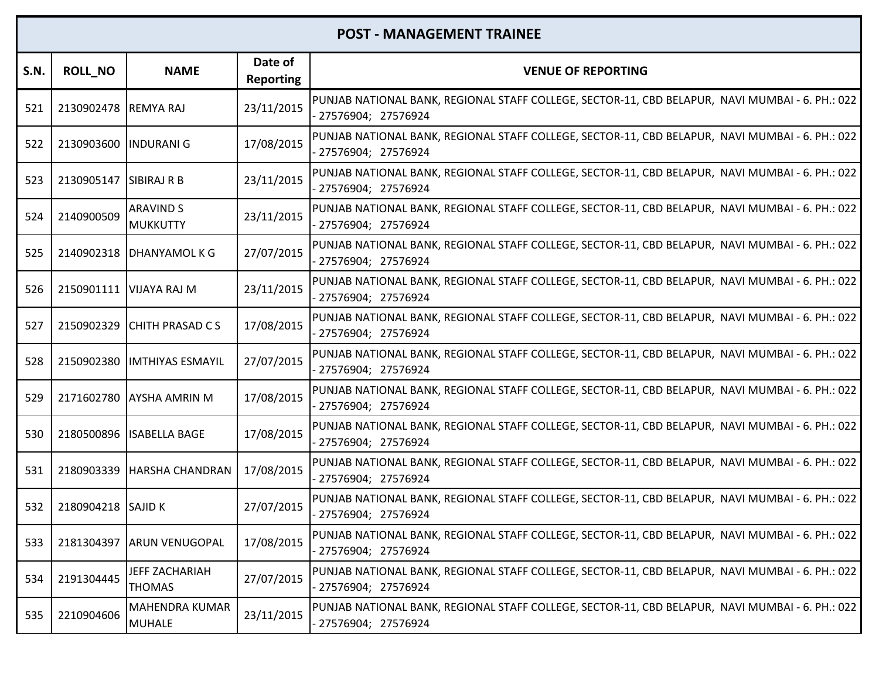| S.N. | <b>ROLL_NO</b>         | <b>NAME</b>                            | Date of<br><b>Reporting</b> | <b>VENUE OF REPORTING</b>                                                                                               |
|------|------------------------|----------------------------------------|-----------------------------|-------------------------------------------------------------------------------------------------------------------------|
| 521  | 2130902478 REMYA RAJ   |                                        | 23/11/2015                  | PUNJAB NATIONAL BANK, REGIONAL STAFF COLLEGE, SECTOR-11, CBD BELAPUR, NAVI MUMBAI - 6. PH.: 022<br>27576904; 27576924   |
| 522  | 2130903600  INDURANI G |                                        | 17/08/2015                  | PUNJAB NATIONAL BANK, REGIONAL STAFF COLLEGE, SECTOR-11, CBD BELAPUR, NAVI MUMBAI - 6. PH.: 022<br>27576904; 27576924   |
| 523  | 2130905147 SIBIRAJ R B |                                        | 23/11/2015                  | PUNJAB NATIONAL BANK, REGIONAL STAFF COLLEGE, SECTOR-11, CBD BELAPUR, NAVI MUMBAI - 6. PH.: 022<br>27576904; 27576924   |
| 524  | 2140900509             | <b>ARAVIND S</b><br><b>MUKKUTTY</b>    | 23/11/2015                  | PUNJAB NATIONAL BANK, REGIONAL STAFF COLLEGE, SECTOR-11, CBD BELAPUR, NAVI MUMBAI - 6. PH.: 022<br>27576904; 27576924   |
| 525  | 2140902318             | <b>DHANYAMOL K G</b>                   | 27/07/2015                  | PUNJAB NATIONAL BANK, REGIONAL STAFF COLLEGE, SECTOR-11, CBD BELAPUR, NAVI MUMBAI - 6. PH.: 022<br>- 27576904; 27576924 |
| 526  | 2150901111             | VIJAYA RAJ M                           | 23/11/2015                  | PUNJAB NATIONAL BANK, REGIONAL STAFF COLLEGE, SECTOR-11, CBD BELAPUR, NAVI MUMBAI - 6. PH.: 022<br>27576904; 27576924   |
| 527  | 2150902329             | <b>CHITH PRASAD CS</b>                 | 17/08/2015                  | PUNJAB NATIONAL BANK, REGIONAL STAFF COLLEGE, SECTOR-11, CBD BELAPUR, NAVI MUMBAI - 6. PH.: 022<br>- 27576904; 27576924 |
| 528  | 2150902380             | <b>IMTHIYAS ESMAYIL</b>                | 27/07/2015                  | PUNJAB NATIONAL BANK, REGIONAL STAFF COLLEGE, SECTOR-11, CBD BELAPUR, NAVI MUMBAI - 6. PH.: 022<br>27576904; 27576924   |
| 529  | 2171602780             | <b>AYSHA AMRIN M</b>                   | 17/08/2015                  | PUNJAB NATIONAL BANK, REGIONAL STAFF COLLEGE, SECTOR-11, CBD BELAPUR, NAVI MUMBAI - 6. PH.: 022<br>27576904; 27576924   |
| 530  | 2180500896             | <b>ISABELLA BAGE</b>                   | 17/08/2015                  | PUNJAB NATIONAL BANK, REGIONAL STAFF COLLEGE, SECTOR-11, CBD BELAPUR, NAVI MUMBAI - 6. PH.: 022<br>27576904; 27576924   |
| 531  | 2180903339             | <b>HARSHA CHANDRAN</b>                 | 17/08/2015                  | PUNJAB NATIONAL BANK, REGIONAL STAFF COLLEGE, SECTOR-11, CBD BELAPUR, NAVI MUMBAI - 6. PH.: 022<br>27576904; 27576924   |
| 532  | 2180904218 SAJID K     |                                        | 27/07/2015                  | PUNJAB NATIONAL BANK, REGIONAL STAFF COLLEGE, SECTOR-11, CBD BELAPUR, NAVI MUMBAI - 6. PH.: 022<br>27576904; 27576924   |
| 533  |                        | 2181304397 ARUN VENUGOPAL              | 17/08/2015                  | PUNJAB NATIONAL BANK, REGIONAL STAFF COLLEGE, SECTOR-11, CBD BELAPUR, NAVI MUMBAI - 6. PH.: 022<br>- 27576904; 27576924 |
| 534  | 2191304445             | JEFF ZACHARIAH<br><b>THOMAS</b>        | 27/07/2015                  | PUNJAB NATIONAL BANK, REGIONAL STAFF COLLEGE, SECTOR-11, CBD BELAPUR, NAVI MUMBAI - 6. PH.: 022<br>- 27576904; 27576924 |
| 535  | 2210904606             | <b>MAHENDRA KUMAR</b><br><b>MUHALE</b> | 23/11/2015                  | PUNJAB NATIONAL BANK, REGIONAL STAFF COLLEGE, SECTOR-11, CBD BELAPUR, NAVI MUMBAI - 6. PH.: 022<br>- 27576904; 27576924 |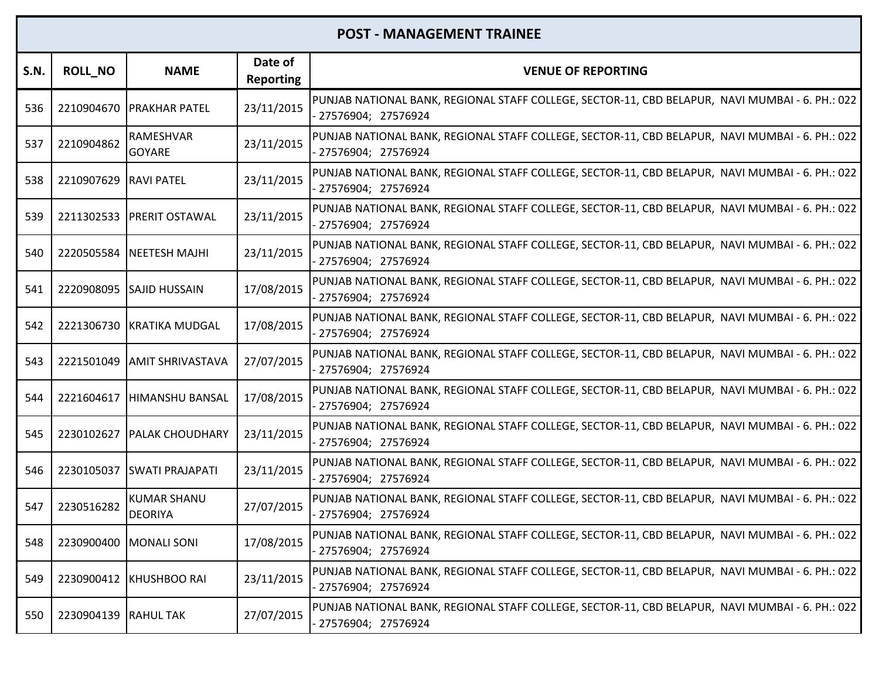| <b>S.N.</b> | <b>ROLL_NO</b>         | <b>NAME</b>                          | Date of<br><b>Reporting</b> | <b>VENUE OF REPORTING</b>                                                                                               |
|-------------|------------------------|--------------------------------------|-----------------------------|-------------------------------------------------------------------------------------------------------------------------|
| 536         |                        | 2210904670 PRAKHAR PATEL             | 23/11/2015                  | PUNJAB NATIONAL BANK, REGIONAL STAFF COLLEGE, SECTOR-11, CBD BELAPUR, NAVI MUMBAI - 6. PH.: 022<br>27576904; 27576924   |
| 537         | 2210904862             | RAMESHVAR<br><b>GOYARE</b>           | 23/11/2015                  | PUNJAB NATIONAL BANK, REGIONAL STAFF COLLEGE, SECTOR-11, CBD BELAPUR, NAVI MUMBAI - 6. PH.: 022<br>27576904; 27576924   |
| 538         | 2210907629 RAVI PATEL  |                                      | 23/11/2015                  | PUNJAB NATIONAL BANK, REGIONAL STAFF COLLEGE, SECTOR-11, CBD BELAPUR, NAVI MUMBAI - 6. PH.: 022<br>27576904; 27576924   |
| 539         |                        | 2211302533 PRERIT OSTAWAL            | 23/11/2015                  | PUNJAB NATIONAL BANK, REGIONAL STAFF COLLEGE, SECTOR-11, CBD BELAPUR, NAVI MUMBAI - 6. PH.: 022<br>- 27576904; 27576924 |
| 540         | 2220505584             | <b>NEETESH MAJHI</b>                 | 23/11/2015                  | PUNJAB NATIONAL BANK, REGIONAL STAFF COLLEGE, SECTOR-11, CBD BELAPUR, NAVI MUMBAI - 6. PH.: 022<br>- 27576904; 27576924 |
| 541         |                        | 2220908095 SAJID HUSSAIN             | 17/08/2015                  | PUNJAB NATIONAL BANK, REGIONAL STAFF COLLEGE, SECTOR-11, CBD BELAPUR, NAVI MUMBAI - 6. PH.: 022<br>27576904; 27576924   |
| 542         |                        | 2221306730 KRATIKA MUDGAL            | 17/08/2015                  | PUNJAB NATIONAL BANK, REGIONAL STAFF COLLEGE, SECTOR-11, CBD BELAPUR, NAVI MUMBAI - 6. PH.: 022<br>- 27576904; 27576924 |
| 543         |                        | 2221501049   AMIT SHRIVASTAVA        | 27/07/2015                  | PUNJAB NATIONAL BANK, REGIONAL STAFF COLLEGE, SECTOR-11, CBD BELAPUR, NAVI MUMBAI - 6. PH.: 022<br>- 27576904; 27576924 |
| 544         | 2221604617             | HIMANSHU BANSAL                      | 17/08/2015                  | PUNJAB NATIONAL BANK, REGIONAL STAFF COLLEGE, SECTOR-11, CBD BELAPUR, NAVI MUMBAI - 6. PH.: 022<br>27576904; 27576924   |
| 545         |                        | 2230102627   PALAK CHOUDHARY         | 23/11/2015                  | PUNJAB NATIONAL BANK, REGIONAL STAFF COLLEGE, SECTOR-11, CBD BELAPUR, NAVI MUMBAI - 6. PH.: 022<br>27576904; 27576924   |
| 546         |                        | 2230105037 SWATI PRAJAPATI           | 23/11/2015                  | PUNJAB NATIONAL BANK, REGIONAL STAFF COLLEGE, SECTOR-11, CBD BELAPUR, NAVI MUMBAI - 6. PH.: 022<br>- 27576904; 27576924 |
| 547         | 2230516282             | <b>KUMAR SHANU</b><br><b>DEORIYA</b> | 27/07/2015                  | PUNJAB NATIONAL BANK, REGIONAL STAFF COLLEGE, SECTOR-11, CBD BELAPUR, NAVI MUMBAI - 6. PH.: 022<br>- 27576904; 27576924 |
| 548         | 2230900400 MONALI SONI |                                      | 17/08/2015                  | PUNJAB NATIONAL BANK, REGIONAL STAFF COLLEGE, SECTOR-11, CBD BELAPUR, NAVI MUMBAI - 6. PH.: 022<br>27576904; 27576924   |
| 549         |                        | 2230900412 KHUSHBOO RAI              | 23/11/2015                  | PUNJAB NATIONAL BANK, REGIONAL STAFF COLLEGE, SECTOR-11, CBD BELAPUR, NAVI MUMBAI - 6. PH.: 022<br>- 27576904; 27576924 |
| 550         | 2230904139 RAHUL TAK   |                                      | 27/07/2015                  | PUNJAB NATIONAL BANK, REGIONAL STAFF COLLEGE, SECTOR-11, CBD BELAPUR, NAVI MUMBAI - 6. PH.: 022  <br>27576904; 27576924 |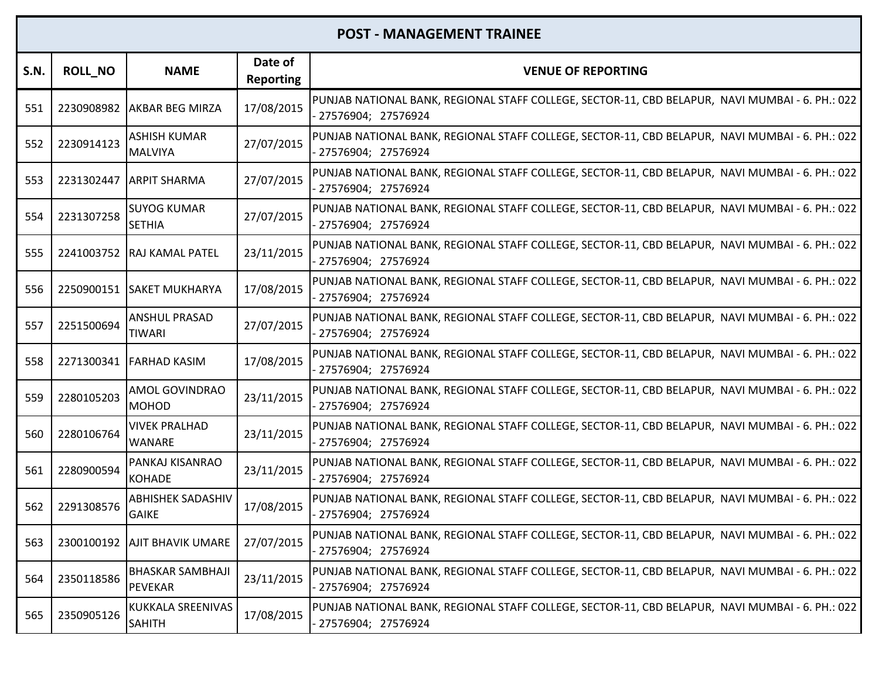| <b>S.N.</b> | <b>ROLL_NO</b> | <b>NAME</b>                               | Date of<br><b>Reporting</b> | <b>VENUE OF REPORTING</b>                                                                                               |
|-------------|----------------|-------------------------------------------|-----------------------------|-------------------------------------------------------------------------------------------------------------------------|
| 551         |                | 2230908982 AKBAR BEG MIRZA                | 17/08/2015                  | PUNJAB NATIONAL BANK, REGIONAL STAFF COLLEGE, SECTOR-11, CBD BELAPUR, NAVI MUMBAI - 6. PH.: 022<br>27576904; 27576924   |
| 552         | 2230914123     | <b>ASHISH KUMAR</b><br><b>MALVIYA</b>     | 27/07/2015                  | PUNJAB NATIONAL BANK, REGIONAL STAFF COLLEGE, SECTOR-11, CBD BELAPUR, NAVI MUMBAI - 6. PH.: 022<br>27576904; 27576924   |
| 553         |                | 2231302447 ARPIT SHARMA                   | 27/07/2015                  | PUNJAB NATIONAL BANK, REGIONAL STAFF COLLEGE, SECTOR-11, CBD BELAPUR, NAVI MUMBAI - 6. PH.: 022<br>27576904; 27576924   |
| 554         | 2231307258     | <b>SUYOG KUMAR</b><br><b>SETHIA</b>       | 27/07/2015                  | PUNJAB NATIONAL BANK, REGIONAL STAFF COLLEGE, SECTOR-11, CBD BELAPUR, NAVI MUMBAI - 6. PH.: 022<br>27576904; 27576924   |
| 555         |                | 2241003752 RAJ KAMAL PATEL                | 23/11/2015                  | PUNJAB NATIONAL BANK, REGIONAL STAFF COLLEGE, SECTOR-11, CBD BELAPUR, NAVI MUMBAI - 6. PH.: 022<br>- 27576904; 27576924 |
| 556         |                | 2250900151 SAKET MUKHARYA                 | 17/08/2015                  | PUNJAB NATIONAL BANK, REGIONAL STAFF COLLEGE, SECTOR-11, CBD BELAPUR, NAVI MUMBAI - 6. PH.: 022<br>27576904; 27576924   |
| 557         | 2251500694     | <b>ANSHUL PRASAD</b><br><b>TIWARI</b>     | 27/07/2015                  | PUNJAB NATIONAL BANK, REGIONAL STAFF COLLEGE, SECTOR-11, CBD BELAPUR, NAVI MUMBAI - 6. PH.: 022<br>- 27576904; 27576924 |
| 558         |                | 2271300341 FARHAD KASIM                   | 17/08/2015                  | PUNJAB NATIONAL BANK, REGIONAL STAFF COLLEGE, SECTOR-11, CBD BELAPUR, NAVI MUMBAI - 6. PH.: 022<br>- 27576904; 27576924 |
| 559         | 2280105203     | <b>AMOL GOVINDRAO</b><br><b>MOHOD</b>     | 23/11/2015                  | PUNJAB NATIONAL BANK, REGIONAL STAFF COLLEGE, SECTOR-11, CBD BELAPUR, NAVI MUMBAI - 6. PH.: 022<br>27576904; 27576924   |
| 560         | 2280106764     | <b>VIVEK PRALHAD</b><br><b>WANARE</b>     | 23/11/2015                  | PUNJAB NATIONAL BANK, REGIONAL STAFF COLLEGE, SECTOR-11, CBD BELAPUR, NAVI MUMBAI - 6. PH.: 022<br>27576904; 27576924   |
| 561         | 2280900594     | PANKAJ KISANRAO<br><b>KOHADE</b>          | 23/11/2015                  | PUNJAB NATIONAL BANK, REGIONAL STAFF COLLEGE, SECTOR-11, CBD BELAPUR, NAVI MUMBAI - 6. PH.: 022<br>27576904; 27576924   |
| 562         | 2291308576     | <b>ABHISHEK SADASHIV</b><br><b>GAIKE</b>  | 17/08/2015                  | PUNJAB NATIONAL BANK, REGIONAL STAFF COLLEGE, SECTOR-11, CBD BELAPUR, NAVI MUMBAI - 6. PH.: 022<br>27576904; 27576924   |
| 563         |                | 2300100192   AJIT BHAVIK UMARE            | 27/07/2015                  | PUNJAB NATIONAL BANK, REGIONAL STAFF COLLEGE, SECTOR-11, CBD BELAPUR, NAVI MUMBAI - 6. PH.: 022<br>27576904; 27576924   |
| 564         | 2350118586     | <b>BHASKAR SAMBHAJI</b><br><b>PEVEKAR</b> | 23/11/2015                  | PUNJAB NATIONAL BANK, REGIONAL STAFF COLLEGE, SECTOR-11, CBD BELAPUR, NAVI MUMBAI - 6. PH.: 022<br>- 27576904; 27576924 |
| 565         | 2350905126     | KUKKALA SREENIVAS<br><b>SAHITH</b>        | 17/08/2015                  | PUNJAB NATIONAL BANK, REGIONAL STAFF COLLEGE, SECTOR-11, CBD BELAPUR, NAVI MUMBAI - 6. PH.: 022<br>- 27576904; 27576924 |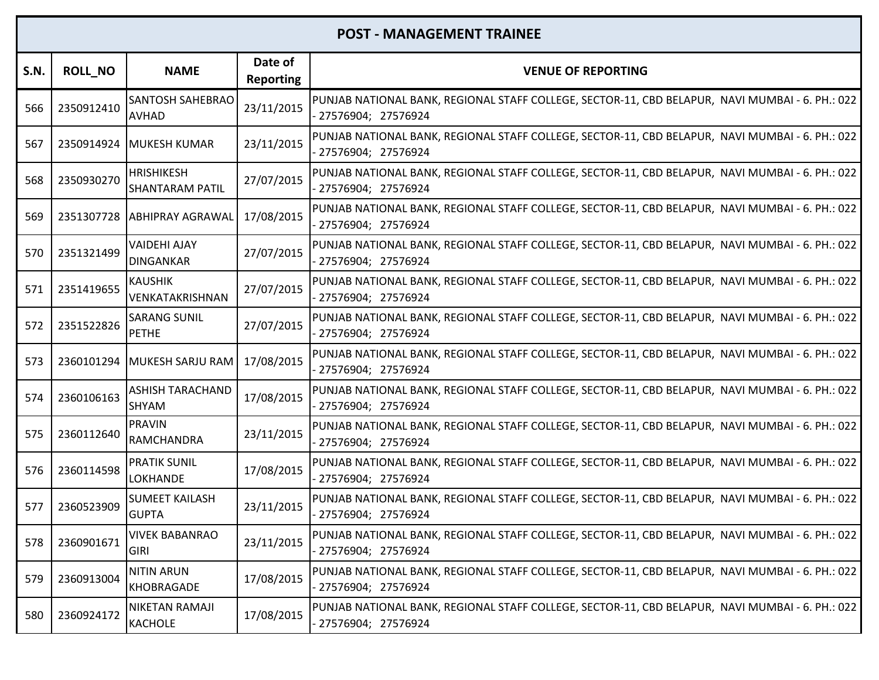| S.N. | <b>ROLL_NO</b> | <b>NAME</b>                                 | Date of<br><b>Reporting</b> | <b>VENUE OF REPORTING</b>                                                                                               |
|------|----------------|---------------------------------------------|-----------------------------|-------------------------------------------------------------------------------------------------------------------------|
| 566  | 2350912410     | <b>SANTOSH SAHEBRAO</b><br><b>AVHAD</b>     | 23/11/2015                  | PUNJAB NATIONAL BANK, REGIONAL STAFF COLLEGE, SECTOR-11, CBD BELAPUR, NAVI MUMBAI - 6. PH.: 022<br>27576904; 27576924   |
| 567  | 2350914924     | MUKESH KUMAR                                | 23/11/2015                  | PUNJAB NATIONAL BANK, REGIONAL STAFF COLLEGE, SECTOR-11, CBD BELAPUR, NAVI MUMBAI - 6. PH.: 022<br>27576904; 27576924   |
| 568  | 2350930270     | <b>HRISHIKESH</b><br><b>SHANTARAM PATIL</b> | 27/07/2015                  | PUNJAB NATIONAL BANK, REGIONAL STAFF COLLEGE, SECTOR-11, CBD BELAPUR, NAVI MUMBAI - 6. PH.: 022<br>27576904; 27576924   |
| 569  |                | 2351307728 ABHIPRAY AGRAWAL                 | 17/08/2015                  | PUNJAB NATIONAL BANK, REGIONAL STAFF COLLEGE, SECTOR-11, CBD BELAPUR, NAVI MUMBAI - 6. PH.: 022<br>27576904; 27576924   |
| 570  | 2351321499     | <b>VAIDEHI AJAY</b><br><b>DINGANKAR</b>     | 27/07/2015                  | PUNJAB NATIONAL BANK, REGIONAL STAFF COLLEGE, SECTOR-11, CBD BELAPUR, NAVI MUMBAI - 6. PH.: 022<br>- 27576904; 27576924 |
| 571  | 2351419655     | <b>KAUSHIK</b><br>VENKATAKRISHNAN           | 27/07/2015                  | PUNJAB NATIONAL BANK, REGIONAL STAFF COLLEGE, SECTOR-11, CBD BELAPUR, NAVI MUMBAI - 6. PH.: 022<br>27576904; 27576924   |
| 572  | 2351522826     | <b>SARANG SUNIL</b><br><b>PETHE</b>         | 27/07/2015                  | PUNJAB NATIONAL BANK, REGIONAL STAFF COLLEGE, SECTOR-11, CBD BELAPUR, NAVI MUMBAI - 6. PH.: 022<br>- 27576904; 27576924 |
| 573  |                | 2360101294 MUKESH SARJU RAM                 | 17/08/2015                  | PUNJAB NATIONAL BANK, REGIONAL STAFF COLLEGE, SECTOR-11, CBD BELAPUR, NAVI MUMBAI - 6. PH.: 022<br>- 27576904; 27576924 |
| 574  | 2360106163     | <b>ASHISH TARACHAND</b><br><b>SHYAM</b>     | 17/08/2015                  | PUNJAB NATIONAL BANK, REGIONAL STAFF COLLEGE, SECTOR-11, CBD BELAPUR, NAVI MUMBAI - 6. PH.: 022<br>27576904; 27576924   |
| 575  | 2360112640     | <b>PRAVIN</b><br><b>RAMCHANDRA</b>          | 23/11/2015                  | PUNJAB NATIONAL BANK, REGIONAL STAFF COLLEGE, SECTOR-11, CBD BELAPUR, NAVI MUMBAI - 6. PH.: 022<br>27576904; 27576924   |
| 576  | 2360114598     | <b>PRATIK SUNIL</b><br><b>LOKHANDE</b>      | 17/08/2015                  | PUNJAB NATIONAL BANK, REGIONAL STAFF COLLEGE, SECTOR-11, CBD BELAPUR, NAVI MUMBAI - 6. PH.: 022<br>27576904; 27576924   |
| 577  | 2360523909     | <b>SUMEET KAILASH</b><br><b>GUPTA</b>       | 23/11/2015                  | PUNJAB NATIONAL BANK, REGIONAL STAFF COLLEGE, SECTOR-11, CBD BELAPUR, NAVI MUMBAI - 6. PH.: 022<br>27576904; 27576924   |
|      | 578 2360901671 | <b>VIVEK BABANRAO</b><br><b>GIRI</b>        | 23/11/2015                  | PUNJAB NATIONAL BANK, REGIONAL STAFF COLLEGE, SECTOR-11, CBD BELAPUR, NAVI MUMBAI - 6. PH.: 022<br>27576904; 27576924   |
| 579  | 2360913004     | <b>NITIN ARUN</b><br><b>KHOBRAGADE</b>      | 17/08/2015                  | PUNJAB NATIONAL BANK, REGIONAL STAFF COLLEGE, SECTOR-11, CBD BELAPUR, NAVI MUMBAI - 6. PH.: 022<br>- 27576904; 27576924 |
| 580  | 2360924172     | NIKETAN RAMAJI<br><b>KACHOLE</b>            | 17/08/2015                  | PUNJAB NATIONAL BANK, REGIONAL STAFF COLLEGE, SECTOR-11, CBD BELAPUR, NAVI MUMBAI - 6. PH.: 022<br>- 27576904; 27576924 |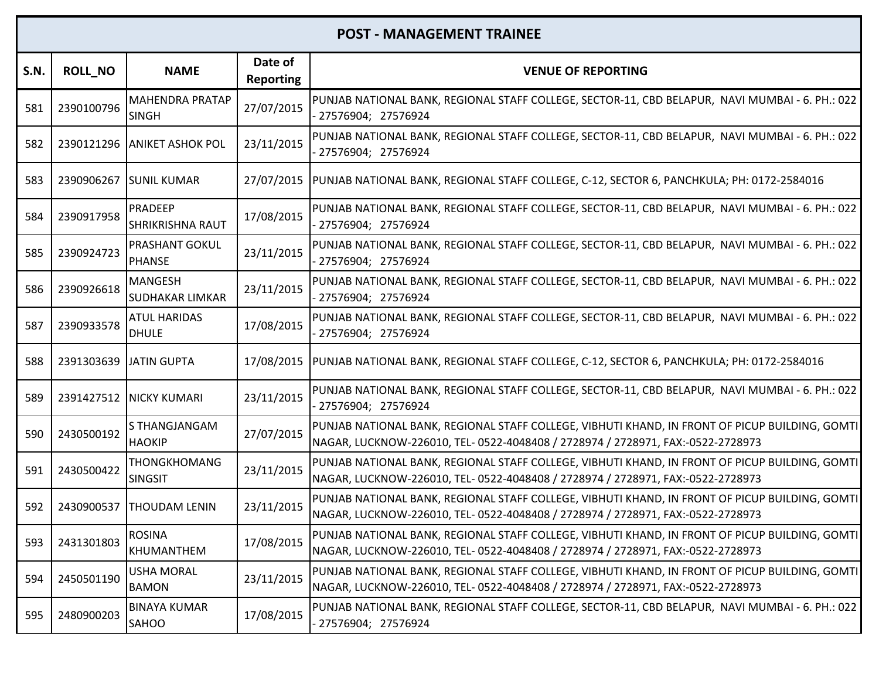| S.N. | <b>ROLL_NO</b>         | <b>NAME</b>                               | Date of<br><b>Reporting</b> | <b>VENUE OF REPORTING</b>                                                                                                                                                         |
|------|------------------------|-------------------------------------------|-----------------------------|-----------------------------------------------------------------------------------------------------------------------------------------------------------------------------------|
| 581  | 2390100796             | <b>MAHENDRA PRATAP</b><br><b>SINGH</b>    | 27/07/2015                  | PUNJAB NATIONAL BANK, REGIONAL STAFF COLLEGE, SECTOR-11, CBD BELAPUR, NAVI MUMBAI - 6. PH.: 022<br>27576904; 27576924                                                             |
| 582  |                        | 2390121296 ANIKET ASHOK POL               | 23/11/2015                  | PUNJAB NATIONAL BANK, REGIONAL STAFF COLLEGE, SECTOR-11, CBD BELAPUR, NAVI MUMBAI - 6. PH.: 022<br>27576904; 27576924                                                             |
| 583  |                        | 2390906267 SUNIL KUMAR                    |                             | 27/07/2015  PUNJAB NATIONAL BANK, REGIONAL STAFF COLLEGE, C-12, SECTOR 6, PANCHKULA; PH: 0172-2584016                                                                             |
| 584  | 2390917958             | <b>PRADEEP</b><br><b>SHRIKRISHNA RAUT</b> | 17/08/2015                  | PUNJAB NATIONAL BANK, REGIONAL STAFF COLLEGE, SECTOR-11, CBD BELAPUR, NAVI MUMBAI - 6. PH.: 022<br>27576904; 27576924                                                             |
| 585  | 2390924723             | PRASHANT GOKUL<br><b>PHANSE</b>           | 23/11/2015                  | PUNJAB NATIONAL BANK, REGIONAL STAFF COLLEGE, SECTOR-11, CBD BELAPUR, NAVI MUMBAI - 6. PH.: 022<br>27576904; 27576924                                                             |
| 586  | 2390926618             | <b>MANGESH</b><br><b>SUDHAKAR LIMKAR</b>  | 23/11/2015                  | PUNJAB NATIONAL BANK, REGIONAL STAFF COLLEGE, SECTOR-11, CBD BELAPUR, NAVI MUMBAI - 6. PH.: 022<br>27576904; 27576924                                                             |
| 587  | 2390933578             | <b>ATUL HARIDAS</b><br><b>DHULE</b>       | 17/08/2015                  | PUNJAB NATIONAL BANK, REGIONAL STAFF COLLEGE, SECTOR-11, CBD BELAPUR, NAVI MUMBAI - 6. PH.: 022<br>27576904; 27576924                                                             |
| 588  | 2391303639 JATIN GUPTA |                                           | 17/08/2015                  | PUNJAB NATIONAL BANK, REGIONAL STAFF COLLEGE, C-12, SECTOR 6, PANCHKULA; PH: 0172-2584016                                                                                         |
| 589  | 2391427512             | <b>NICKY KUMARI</b>                       | 23/11/2015                  | PUNJAB NATIONAL BANK, REGIONAL STAFF COLLEGE, SECTOR-11, CBD BELAPUR, NAVI MUMBAI - 6. PH.: 022<br>27576904; 27576924                                                             |
| 590  | 2430500192             | S THANGJANGAM<br><b>HAOKIP</b>            | 27/07/2015                  | PUNJAB NATIONAL BANK, REGIONAL STAFF COLLEGE, VIBHUTI KHAND, IN FRONT OF PICUP BUILDING, GOMTI<br>NAGAR, LUCKNOW-226010, TEL- 0522-4048408 / 2728974 / 2728971, FAX:-0522-2728973 |
| 591  | 2430500422             | <b>THONGKHOMANG</b><br><b>SINGSIT</b>     | 23/11/2015                  | PUNJAB NATIONAL BANK, REGIONAL STAFF COLLEGE, VIBHUTI KHAND, IN FRONT OF PICUP BUILDING, GOMTI<br>NAGAR, LUCKNOW-226010, TEL- 0522-4048408 / 2728974 / 2728971, FAX:-0522-2728973 |
| 592  | 2430900537             | <b>THOUDAM LENIN</b>                      | 23/11/2015                  | PUNJAB NATIONAL BANK, REGIONAL STAFF COLLEGE, VIBHUTI KHAND, IN FRONT OF PICUP BUILDING, GOMTI<br>NAGAR, LUCKNOW-226010, TEL- 0522-4048408 / 2728974 / 2728971, FAX:-0522-2728973 |
| 593  | 2431301803             | <b>ROSINA</b><br>KHUMANTHEM               | 17/08/2015                  | PUNJAB NATIONAL BANK, REGIONAL STAFF COLLEGE, VIBHUTI KHAND, IN FRONT OF PICUP BUILDING, GOMTI<br>NAGAR, LUCKNOW-226010, TEL- 0522-4048408 / 2728974 / 2728971, FAX:-0522-2728973 |
| 594  | 2450501190             | <b>USHA MORAL</b><br><b>BAMON</b>         | 23/11/2015                  | PUNJAB NATIONAL BANK, REGIONAL STAFF COLLEGE, VIBHUTI KHAND, IN FRONT OF PICUP BUILDING, GOMTI<br>NAGAR, LUCKNOW-226010, TEL- 0522-4048408 / 2728974 / 2728971, FAX:-0522-2728973 |
| 595  | 2480900203             | <b>BINAYA KUMAR</b><br><b>SAHOO</b>       | 17/08/2015                  | PUNJAB NATIONAL BANK, REGIONAL STAFF COLLEGE, SECTOR-11, CBD BELAPUR, NAVI MUMBAI - 6. PH.: 022<br>- 27576904; 27576924                                                           |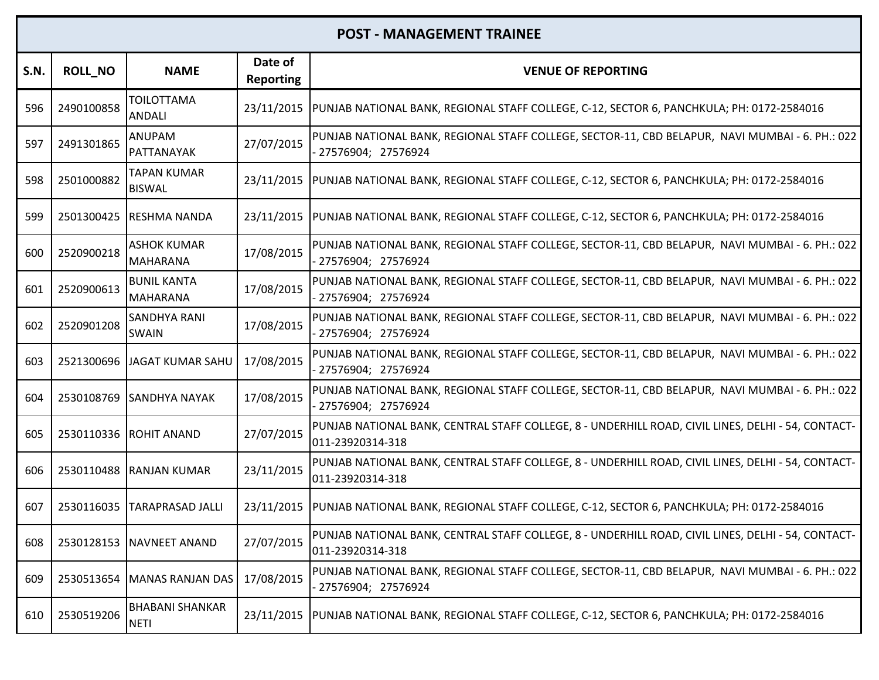| S.N. | <b>ROLL NO</b> | <b>NAME</b>                           | Date of<br><b>Reporting</b> | <b>VENUE OF REPORTING</b>                                                                                               |
|------|----------------|---------------------------------------|-----------------------------|-------------------------------------------------------------------------------------------------------------------------|
| 596  | 2490100858     | <b>TOILOTTAMA</b><br>ANDALI           |                             | 23/11/2015  PUNJAB NATIONAL BANK, REGIONAL STAFF COLLEGE, C-12, SECTOR 6, PANCHKULA; PH: 0172-2584016                   |
| 597  | 2491301865     | <b>ANUPAM</b><br>PATTANAYAK           | 27/07/2015                  | PUNJAB NATIONAL BANK, REGIONAL STAFF COLLEGE, SECTOR-11, CBD BELAPUR, NAVI MUMBAI - 6. PH.: 022<br>27576904; 27576924   |
| 598  | 2501000882     | TAPAN KUMAR<br><b>BISWAL</b>          |                             | 23/11/2015  PUNJAB NATIONAL BANK, REGIONAL STAFF COLLEGE, C-12, SECTOR 6, PANCHKULA; PH: 0172-2584016                   |
| 599  |                | 2501300425 RESHMA NANDA               |                             | 23/11/2015  PUNJAB NATIONAL BANK, REGIONAL STAFF COLLEGE, C-12, SECTOR 6, PANCHKULA; PH: 0172-2584016                   |
| 600  | 2520900218     | <b>ASHOK KUMAR</b><br><b>MAHARANA</b> | 17/08/2015                  | PUNJAB NATIONAL BANK, REGIONAL STAFF COLLEGE, SECTOR-11, CBD BELAPUR, NAVI MUMBAI - 6. PH.: 022<br>27576904; 27576924   |
| 601  | 2520900613     | <b>BUNIL KANTA</b><br><b>MAHARANA</b> | 17/08/2015                  | PUNJAB NATIONAL BANK, REGIONAL STAFF COLLEGE, SECTOR-11, CBD BELAPUR, NAVI MUMBAI - 6. PH.: 022<br>27576904; 27576924   |
| 602  | 2520901208     | <b>SANDHYA RANI</b><br><b>SWAIN</b>   | 17/08/2015                  | PUNJAB NATIONAL BANK, REGIONAL STAFF COLLEGE, SECTOR-11, CBD BELAPUR, NAVI MUMBAI - 6. PH.: 022<br>27576904; 27576924   |
| 603  |                | 2521300696 JAGAT KUMAR SAHU           | 17/08/2015                  | PUNJAB NATIONAL BANK, REGIONAL STAFF COLLEGE, SECTOR-11, CBD BELAPUR, NAVI MUMBAI - 6. PH.: 022<br>- 27576904; 27576924 |
| 604  |                | 2530108769 ISANDHYA NAYAK             | 17/08/2015                  | PUNJAB NATIONAL BANK, REGIONAL STAFF COLLEGE, SECTOR-11, CBD BELAPUR, NAVI MUMBAI - 6. PH.: 022<br>- 27576904; 27576924 |
| 605  |                | 2530110336 ROHIT ANAND                | 27/07/2015                  | PUNJAB NATIONAL BANK, CENTRAL STAFF COLLEGE, 8 - UNDERHILL ROAD, CIVIL LINES, DELHI - 54, CONTACT-<br>011-23920314-318  |
| 606  |                | 2530110488 RANJAN KUMAR               | 23/11/2015                  | PUNJAB NATIONAL BANK, CENTRAL STAFF COLLEGE, 8 - UNDERHILL ROAD, CIVIL LINES, DELHI - 54, CONTACT-<br>011-23920314-318  |
| 607  |                | 2530116035 TARAPRASAD JALLI           |                             | 23/11/2015  PUNJAB NATIONAL BANK, REGIONAL STAFF COLLEGE, C-12, SECTOR 6, PANCHKULA; PH: 0172-2584016                   |
| 608  |                | 2530128153 NAVNEET ANAND              | 27/07/2015                  | PUNJAB NATIONAL BANK, CENTRAL STAFF COLLEGE, 8 - UNDERHILL ROAD, CIVIL LINES, DELHI - 54, CONTACT-<br>011-23920314-318  |
| 609  |                | 2530513654 MANAS RANJAN DAS           | 17/08/2015                  | PUNJAB NATIONAL BANK, REGIONAL STAFF COLLEGE, SECTOR-11, CBD BELAPUR, NAVI MUMBAI - 6. PH.: 022<br>27576904; 27576924   |
| 610  | 2530519206     | <b>BHABANI SHANKAR</b><br><b>NETI</b> |                             | 23/11/2015  PUNJAB NATIONAL BANK, REGIONAL STAFF COLLEGE, C-12, SECTOR 6, PANCHKULA; PH: 0172-2584016                   |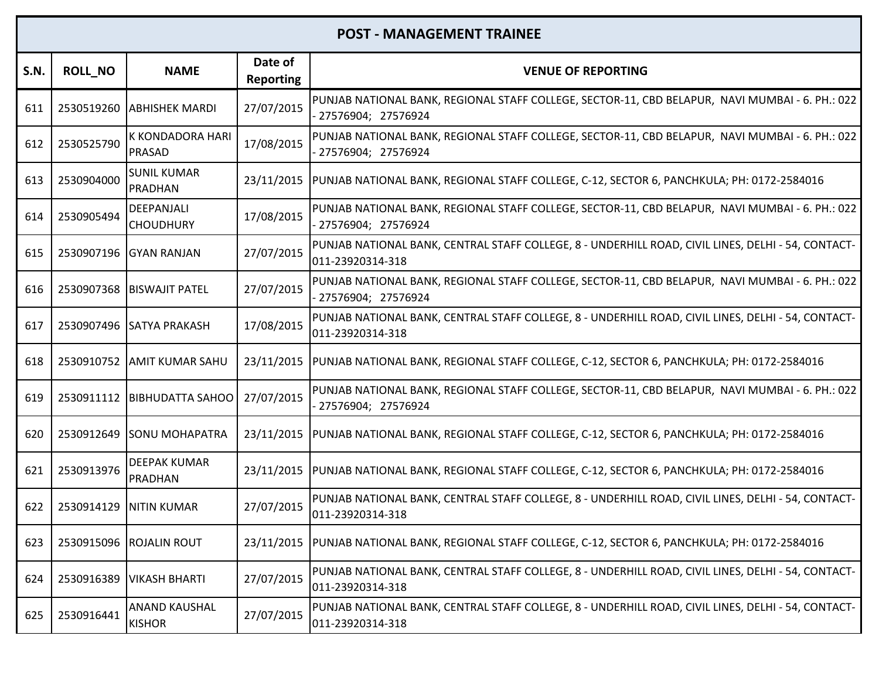| <b>S.N.</b> | <b>ROLL_NO</b> | <b>NAME</b>                           | Date of<br><b>Reporting</b> | <b>VENUE OF REPORTING</b>                                                                                               |
|-------------|----------------|---------------------------------------|-----------------------------|-------------------------------------------------------------------------------------------------------------------------|
| 611         |                | 2530519260 ABHISHEK MARDI             | 27/07/2015                  | PUNJAB NATIONAL BANK, REGIONAL STAFF COLLEGE, SECTOR-11, CBD BELAPUR, NAVI MUMBAI - 6. PH.: 022<br>27576904; 27576924   |
| 612         | 2530525790     | K KONDADORA HARI<br>PRASAD            | 17/08/2015                  | PUNJAB NATIONAL BANK, REGIONAL STAFF COLLEGE, SECTOR-11, CBD BELAPUR, NAVI MUMBAI - 6. PH.: 022<br>27576904; 27576924   |
| 613         | 2530904000     | <b>SUNIL KUMAR</b><br><b>PRADHAN</b>  |                             | 23/11/2015  PUNJAB NATIONAL BANK, REGIONAL STAFF COLLEGE, C-12, SECTOR 6, PANCHKULA; PH: 0172-2584016                   |
| 614         | 2530905494     | DEEPANJALI<br><b>CHOUDHURY</b>        | 17/08/2015                  | PUNJAB NATIONAL BANK, REGIONAL STAFF COLLEGE, SECTOR-11, CBD BELAPUR, NAVI MUMBAI - 6. PH.: 022<br>27576904; 27576924   |
| 615         | 2530907196     | <b>GYAN RANJAN</b>                    | 27/07/2015                  | PUNJAB NATIONAL BANK, CENTRAL STAFF COLLEGE, 8 - UNDERHILL ROAD, CIVIL LINES, DELHI - 54, CONTACT-<br>011-23920314-318  |
| 616         | 2530907368     | <b>BISWAJIT PATEL</b>                 | 27/07/2015                  | PUNJAB NATIONAL BANK, REGIONAL STAFF COLLEGE, SECTOR-11, CBD BELAPUR, NAVI MUMBAI - 6. PH.: 022<br>- 27576904; 27576924 |
| 617         |                | 2530907496 SATYA PRAKASH              | 17/08/2015                  | PUNJAB NATIONAL BANK, CENTRAL STAFF COLLEGE, 8 - UNDERHILL ROAD, CIVIL LINES, DELHI - 54, CONTACT-<br>011-23920314-318  |
| 618         |                | 2530910752 AMIT KUMAR SAHU            |                             | 23/11/2015  PUNJAB NATIONAL BANK, REGIONAL STAFF COLLEGE, C-12, SECTOR 6, PANCHKULA; PH: 0172-2584016                   |
| 619         | 2530911112     | <b>BIBHUDATTA SAHOO</b>               | 27/07/2015                  | PUNJAB NATIONAL BANK, REGIONAL STAFF COLLEGE, SECTOR-11, CBD BELAPUR, NAVI MUMBAI - 6. PH.: 022<br>27576904; 27576924   |
| 620         | 2530912649     | <b>SONU MOHAPATRA</b>                 | 23/11/2015                  | PUNJAB NATIONAL BANK, REGIONAL STAFF COLLEGE, C-12, SECTOR 6, PANCHKULA; PH: 0172-2584016                               |
| 621         | 2530913976     | <b>DEEPAK KUMAR</b><br>PRADHAN        | 23/11/2015                  | PUNJAB NATIONAL BANK, REGIONAL STAFF COLLEGE, C-12, SECTOR 6, PANCHKULA; PH: 0172-2584016                               |
| 622         | 2530914129     | <b>NITIN KUMAR</b>                    | 27/07/2015                  | PUNJAB NATIONAL BANK, CENTRAL STAFF COLLEGE, 8 - UNDERHILL ROAD, CIVIL LINES, DELHI - 54, CONTACT-<br>011-23920314-318  |
|             |                | 623   2530915096   ROJALIN ROUT       |                             | 23/11/2015  PUNJAB NATIONAL BANK, REGIONAL STAFF COLLEGE, C-12, SECTOR 6, PANCHKULA; PH: 0172-2584016                   |
| 624         | 2530916389     | <b>VIKASH BHARTI</b>                  | 27/07/2015                  | PUNJAB NATIONAL BANK, CENTRAL STAFF COLLEGE, 8 - UNDERHILL ROAD, CIVIL LINES, DELHI - 54, CONTACT-<br>011-23920314-318  |
| 625         | 2530916441     | <b>ANAND KAUSHAL</b><br><b>KISHOR</b> | 27/07/2015                  | PUNJAB NATIONAL BANK, CENTRAL STAFF COLLEGE, 8 - UNDERHILL ROAD, CIVIL LINES, DELHI - 54, CONTACT-<br>011-23920314-318  |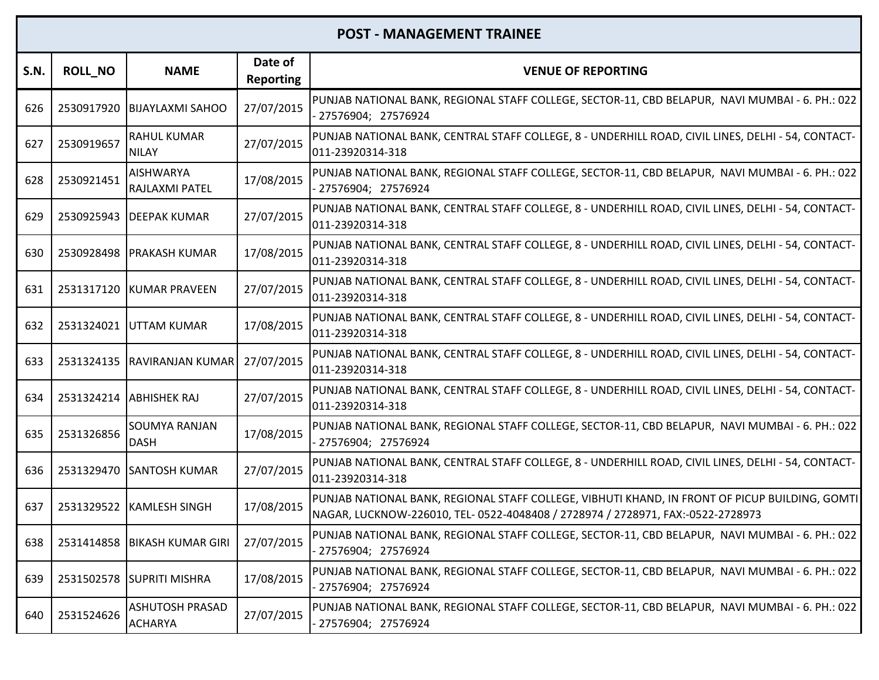| <b>S.N.</b> | <b>ROLL_NO</b> | <b>NAME</b>                               | Date of<br><b>Reporting</b> | <b>VENUE OF REPORTING</b>                                                                                                                                                         |
|-------------|----------------|-------------------------------------------|-----------------------------|-----------------------------------------------------------------------------------------------------------------------------------------------------------------------------------|
| 626         | 2530917920     | <b>BIJAYLAXMI SAHOO</b>                   | 27/07/2015                  | PUNJAB NATIONAL BANK, REGIONAL STAFF COLLEGE, SECTOR-11, CBD BELAPUR, NAVI MUMBAI - 6. PH.: 022<br>- 27576904; 27576924                                                           |
| 627         | 2530919657     | <b>RAHUL KUMAR</b><br><b>NILAY</b>        | 27/07/2015                  | PUNJAB NATIONAL BANK, CENTRAL STAFF COLLEGE, 8 - UNDERHILL ROAD, CIVIL LINES, DELHI - 54, CONTACT-<br>011-23920314-318                                                            |
| 628         | 2530921451     | <b>AISHWARYA</b><br><b>RAJLAXMI PATEL</b> | 17/08/2015                  | PUNJAB NATIONAL BANK, REGIONAL STAFF COLLEGE, SECTOR-11, CBD BELAPUR, NAVI MUMBAI - 6. PH.: 022<br>- 27576904; 27576924                                                           |
| 629         |                | 2530925943 DEEPAK KUMAR                   | 27/07/2015                  | PUNJAB NATIONAL BANK, CENTRAL STAFF COLLEGE, 8 - UNDERHILL ROAD, CIVIL LINES, DELHI - 54, CONTACT-<br>011-23920314-318                                                            |
| 630         | 2530928498     | <b>PRAKASH KUMAR</b>                      | 17/08/2015                  | PUNJAB NATIONAL BANK, CENTRAL STAFF COLLEGE, 8 - UNDERHILL ROAD, CIVIL LINES, DELHI - 54, CONTACT-<br>011-23920314-318                                                            |
| 631         |                | 2531317120 KUMAR PRAVEEN                  | 27/07/2015                  | PUNJAB NATIONAL BANK, CENTRAL STAFF COLLEGE, 8 - UNDERHILL ROAD, CIVIL LINES, DELHI - 54, CONTACT-<br>011-23920314-318                                                            |
| 632         | 2531324021     | <b>JUTTAM KUMAR</b>                       | 17/08/2015                  | PUNJAB NATIONAL BANK, CENTRAL STAFF COLLEGE, 8 - UNDERHILL ROAD, CIVIL LINES, DELHI - 54, CONTACT-<br>011-23920314-318                                                            |
| 633         |                | 2531324135 RAVIRANJAN KUMAR               | 27/07/2015                  | PUNJAB NATIONAL BANK, CENTRAL STAFF COLLEGE, 8 - UNDERHILL ROAD, CIVIL LINES, DELHI - 54, CONTACT-<br>011-23920314-318                                                            |
| 634         |                | 2531324214 ABHISHEK RAJ                   | 27/07/2015                  | PUNJAB NATIONAL BANK, CENTRAL STAFF COLLEGE, 8 - UNDERHILL ROAD, CIVIL LINES, DELHI - 54, CONTACT-<br>011-23920314-318                                                            |
| 635         | 2531326856     | <b>SOUMYA RANJAN</b><br><b>DASH</b>       | 17/08/2015                  | PUNJAB NATIONAL BANK, REGIONAL STAFF COLLEGE, SECTOR-11, CBD BELAPUR, NAVI MUMBAI - 6. PH.: 022<br>- 27576904; 27576924                                                           |
| 636         |                | 2531329470 SANTOSH KUMAR                  | 27/07/2015                  | PUNJAB NATIONAL BANK, CENTRAL STAFF COLLEGE, 8 - UNDERHILL ROAD, CIVIL LINES, DELHI - 54, CONTACT-<br>011-23920314-318                                                            |
| 637         | 2531329522     | <b>KAMLESH SINGH</b>                      | 17/08/2015                  | PUNJAB NATIONAL BANK, REGIONAL STAFF COLLEGE, VIBHUTI KHAND, IN FRONT OF PICUP BUILDING, GOMTI<br>NAGAR, LUCKNOW-226010, TEL- 0522-4048408 / 2728974 / 2728971, FAX:-0522-2728973 |
| 638         |                | 2531414858 BIKASH KUMAR GIRI              | 27/07/2015                  | PUNJAB NATIONAL BANK, REGIONAL STAFF COLLEGE, SECTOR-11, CBD BELAPUR, NAVI MUMBAI - 6. PH.: 022<br>27576904; 27576924                                                             |
| 639         | 2531502578     | <b>SUPRITI MISHRA</b>                     | 17/08/2015                  | PUNJAB NATIONAL BANK, REGIONAL STAFF COLLEGE, SECTOR-11, CBD BELAPUR, NAVI MUMBAI - 6. PH.: 022<br>- 27576904; 27576924                                                           |
| 640         | 2531524626     | <b>ASHUTOSH PRASAD</b><br><b>ACHARYA</b>  | 27/07/2015                  | PUNJAB NATIONAL BANK, REGIONAL STAFF COLLEGE, SECTOR-11, CBD BELAPUR, NAVI MUMBAI - 6. PH.: 022<br>- 27576904; 27576924                                                           |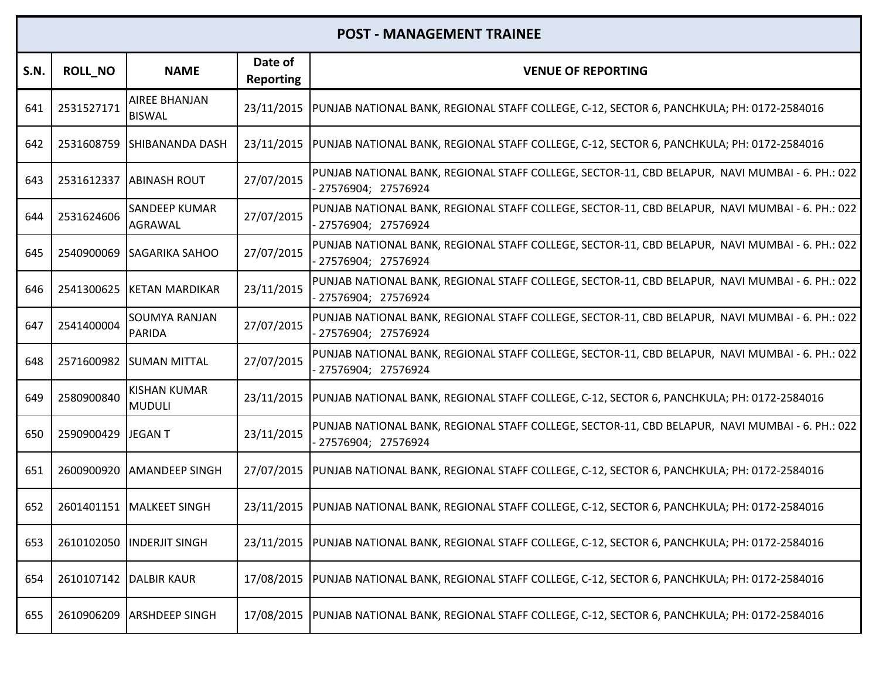| <b>S.N.</b> | <b>ROLL_NO</b> | <b>NAME</b>                           | Date of<br><b>Reporting</b> | <b>VENUE OF REPORTING</b>                                                                                               |
|-------------|----------------|---------------------------------------|-----------------------------|-------------------------------------------------------------------------------------------------------------------------|
| 641         | 2531527171     | <b>AIREE BHANJAN</b><br><b>BISWAL</b> | 23/11/2015                  | PUNJAB NATIONAL BANK, REGIONAL STAFF COLLEGE, C-12, SECTOR 6, PANCHKULA; PH: 0172-2584016                               |
| 642         | 2531608759     | <b>SHIBANANDA DASH</b>                |                             | 23/11/2015  PUNJAB NATIONAL BANK, REGIONAL STAFF COLLEGE, C-12, SECTOR 6, PANCHKULA; PH: 0172-2584016                   |
| 643         | 2531612337     | <b>ABINASH ROUT</b>                   | 27/07/2015                  | PUNJAB NATIONAL BANK, REGIONAL STAFF COLLEGE, SECTOR-11, CBD BELAPUR, NAVI MUMBAI - 6. PH.: 022<br>27576904; 27576924   |
| 644         | 2531624606     | <b>SANDEEP KUMAR</b><br>AGRAWAL       | 27/07/2015                  | PUNJAB NATIONAL BANK, REGIONAL STAFF COLLEGE, SECTOR-11, CBD BELAPUR, NAVI MUMBAI - 6. PH.: 022<br>27576904; 27576924   |
| 645         | 2540900069     | <b>SAGARIKA SAHOO</b>                 | 27/07/2015                  | PUNJAB NATIONAL BANK, REGIONAL STAFF COLLEGE, SECTOR-11, CBD BELAPUR, NAVI MUMBAI - 6. PH.: 022<br>- 27576904; 27576924 |
| 646         | 2541300625     | <b>KETAN MARDIKAR</b>                 | 23/11/2015                  | PUNJAB NATIONAL BANK, REGIONAL STAFF COLLEGE, SECTOR-11, CBD BELAPUR, NAVI MUMBAI - 6. PH.: 022<br>- 27576904; 27576924 |
| 647         | 2541400004     | <b>SOUMYA RANJAN</b><br><b>PARIDA</b> | 27/07/2015                  | PUNJAB NATIONAL BANK, REGIONAL STAFF COLLEGE, SECTOR-11, CBD BELAPUR, NAVI MUMBAI - 6. PH.: 022<br>- 27576904; 27576924 |
| 648         | 2571600982     | <b>SUMAN MITTAL</b>                   | 27/07/2015                  | PUNJAB NATIONAL BANK, REGIONAL STAFF COLLEGE, SECTOR-11, CBD BELAPUR, NAVI MUMBAI - 6. PH.: 022<br>27576904; 27576924   |
| 649         | 2580900840     | <b>KISHAN KUMAR</b><br><b>MUDULI</b>  | 23/11/2015                  | PUNJAB NATIONAL BANK, REGIONAL STAFF COLLEGE, C-12, SECTOR 6, PANCHKULA; PH: 0172-2584016                               |
| 650         | 2590900429     | JEGAN T                               | 23/11/2015                  | PUNJAB NATIONAL BANK, REGIONAL STAFF COLLEGE, SECTOR-11, CBD BELAPUR, NAVI MUMBAI - 6. PH.: 022<br>27576904; 27576924   |
| 651         | 2600900920     | <b>AMANDEEP SINGH</b>                 |                             | 27/07/2015  PUNJAB NATIONAL BANK, REGIONAL STAFF COLLEGE, C-12, SECTOR 6, PANCHKULA; PH: 0172-2584016                   |
| 652         |                | 2601401151 MALKEET SINGH              |                             | 23/11/2015  PUNJAB NATIONAL BANK, REGIONAL STAFF COLLEGE, C-12, SECTOR 6, PANCHKULA; PH: 0172-2584016                   |
| 653         |                | 2610102050 INDERJIT SINGH             |                             | 23/11/2015  PUNJAB NATIONAL BANK, REGIONAL STAFF COLLEGE, C-12, SECTOR 6, PANCHKULA; PH: 0172-2584016                   |
| 654         | 2610107142     | <b>DALBIR KAUR</b>                    | 17/08/2015                  | PUNJAB NATIONAL BANK, REGIONAL STAFF COLLEGE, C-12, SECTOR 6, PANCHKULA; PH: 0172-2584016                               |
| 655         | 2610906209     | <b>ARSHDEEP SINGH</b>                 | 17/08/2015                  | PUNJAB NATIONAL BANK, REGIONAL STAFF COLLEGE, C-12, SECTOR 6, PANCHKULA; PH: 0172-2584016                               |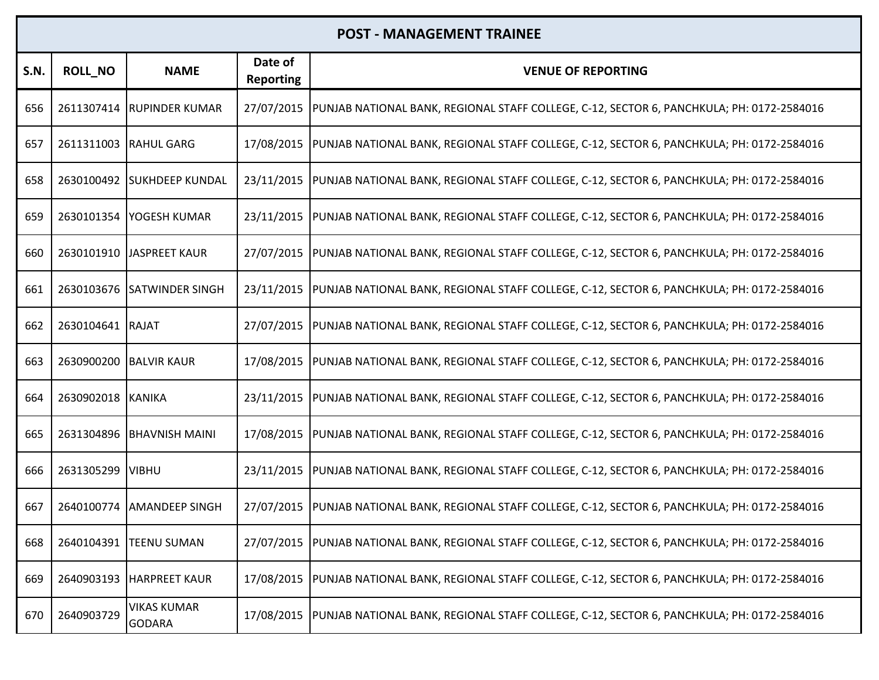| <b>S.N.</b> | <b>ROLL_NO</b>         | <b>NAME</b>                         | Date of<br><b>Reporting</b> | <b>VENUE OF REPORTING</b>                                                                             |
|-------------|------------------------|-------------------------------------|-----------------------------|-------------------------------------------------------------------------------------------------------|
| 656         |                        | 2611307414 RUPINDER KUMAR           | 27/07/2015                  | PUNJAB NATIONAL BANK, REGIONAL STAFF COLLEGE, C-12, SECTOR 6, PANCHKULA; PH: 0172-2584016             |
| 657         | 2611311003 RAHUL GARG  |                                     | 17/08/2015                  | PUNJAB NATIONAL BANK, REGIONAL STAFF COLLEGE, C-12, SECTOR 6, PANCHKULA; PH: 0172-2584016             |
| 658         |                        | 2630100492 SUKHDEEP KUNDAL          | 23/11/2015                  | PUNJAB NATIONAL BANK, REGIONAL STAFF COLLEGE, C-12, SECTOR 6, PANCHKULA; PH: 0172-2584016             |
| 659         | 2630101354             | <b>IYOGESH KUMAR</b>                | 23/11/2015                  | PUNJAB NATIONAL BANK, REGIONAL STAFF COLLEGE, C-12, SECTOR 6, PANCHKULA; PH: 0172-2584016             |
| 660         |                        | 2630101910 JASPREET KAUR            | 27/07/2015                  | PUNJAB NATIONAL BANK, REGIONAL STAFF COLLEGE, C-12, SECTOR 6, PANCHKULA; PH: 0172-2584016             |
| 661         |                        | 2630103676 SATWINDER SINGH          | 23/11/2015                  | PUNJAB NATIONAL BANK, REGIONAL STAFF COLLEGE, C-12, SECTOR 6, PANCHKULA; PH: 0172-2584016             |
| 662         | 2630104641 RAJAT       |                                     | 27/07/2015                  | PUNJAB NATIONAL BANK, REGIONAL STAFF COLLEGE, C-12, SECTOR 6, PANCHKULA; PH: 0172-2584016             |
| 663         | 2630900200 BALVIR KAUR |                                     | 17/08/2015                  | PUNJAB NATIONAL BANK, REGIONAL STAFF COLLEGE, C-12, SECTOR 6, PANCHKULA; PH: 0172-2584016             |
| 664         | 2630902018 KANIKA      |                                     | 23/11/2015                  | PUNJAB NATIONAL BANK, REGIONAL STAFF COLLEGE, C-12, SECTOR 6, PANCHKULA; PH: 0172-2584016             |
| 665         |                        | 2631304896 BHAVNISH MAINI           | 17/08/2015                  | PUNJAB NATIONAL BANK, REGIONAL STAFF COLLEGE, C-12, SECTOR 6, PANCHKULA; PH: 0172-2584016             |
| 666         | 2631305299             | <b>VIBHU</b>                        | 23/11/2015                  | PUNJAB NATIONAL BANK, REGIONAL STAFF COLLEGE, C-12, SECTOR 6, PANCHKULA; PH: 0172-2584016             |
| 667         | 2640100774             | <b>AMANDEEP SINGH</b>               | 27/07/2015                  | PUNJAB NATIONAL BANK, REGIONAL STAFF COLLEGE, C-12, SECTOR 6, PANCHKULA; PH: 0172-2584016             |
| 668         | 2640104391             | <b>ITEENU SUMAN</b>                 | 27/07/2015                  | PUNJAB NATIONAL BANK, REGIONAL STAFF COLLEGE, C-12, SECTOR 6, PANCHKULA; PH: 0172-2584016             |
| 669         |                        | 2640903193 HARPREET KAUR            | 17/08/2015                  | PUNJAB NATIONAL BANK, REGIONAL STAFF COLLEGE, C-12, SECTOR 6, PANCHKULA; PH: 0172-2584016             |
| 670         | 2640903729             | <b>VIKAS KUMAR</b><br><b>GODARA</b> |                             | 17/08/2015  PUNJAB NATIONAL BANK, REGIONAL STAFF COLLEGE, C-12, SECTOR 6, PANCHKULA; PH: 0172-2584016 |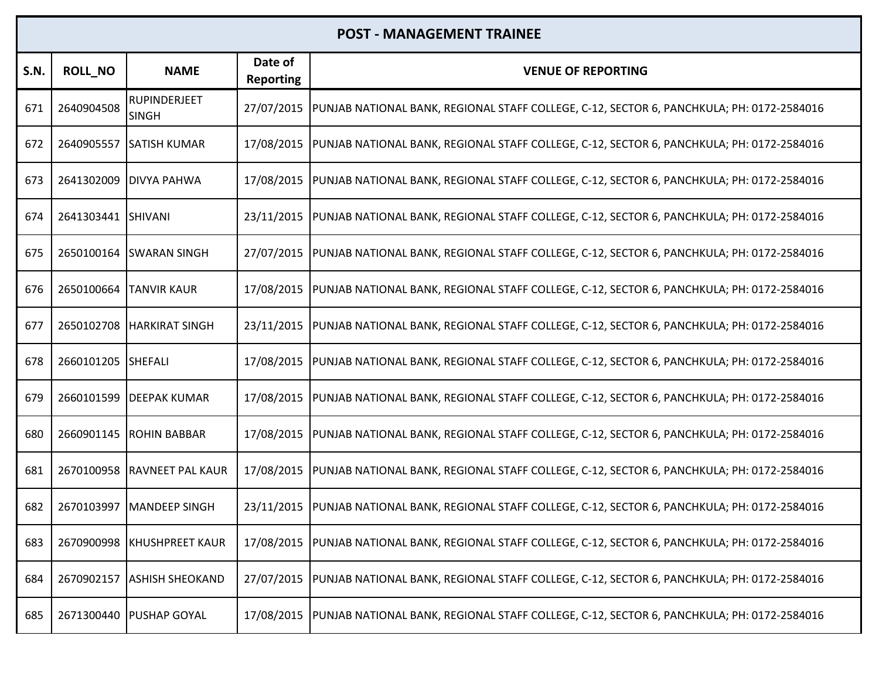| <b>S.N.</b> | <b>ROLL_NO</b>     | <b>NAME</b>                  | Date of<br><b>Reporting</b> | <b>VENUE OF REPORTING</b>                                                                             |
|-------------|--------------------|------------------------------|-----------------------------|-------------------------------------------------------------------------------------------------------|
| 671         | 2640904508         | RUPINDERJEET<br><b>SINGH</b> | 27/07/2015                  | PUNJAB NATIONAL BANK, REGIONAL STAFF COLLEGE, C-12, SECTOR 6, PANCHKULA; PH: 0172-2584016             |
| 672         | 2640905557         | <b>SATISH KUMAR</b>          | 17/08/2015                  | PUNJAB NATIONAL BANK, REGIONAL STAFF COLLEGE, C-12, SECTOR 6, PANCHKULA; PH: 0172-2584016             |
| 673         | 2641302009         | <b>DIVYA PAHWA</b>           | 17/08/2015                  | PUNJAB NATIONAL BANK, REGIONAL STAFF COLLEGE, C-12, SECTOR 6, PANCHKULA; PH: 0172-2584016             |
| 674         | 2641303441 SHIVANI |                              | 23/11/2015                  | PUNJAB NATIONAL BANK, REGIONAL STAFF COLLEGE, C-12, SECTOR 6, PANCHKULA; PH: 0172-2584016             |
| 675         |                    | 2650100164 SWARAN SINGH      | 27/07/2015                  | PUNJAB NATIONAL BANK, REGIONAL STAFF COLLEGE, C-12, SECTOR 6, PANCHKULA; PH: 0172-2584016             |
| 676         | 2650100664         | <b>TANVIR KAUR</b>           | 17/08/2015                  | PUNJAB NATIONAL BANK, REGIONAL STAFF COLLEGE, C-12, SECTOR 6, PANCHKULA; PH: 0172-2584016             |
| 677         | 2650102708         | <b>HARKIRAT SINGH</b>        | 23/11/2015                  | PUNJAB NATIONAL BANK, REGIONAL STAFF COLLEGE, C-12, SECTOR 6, PANCHKULA; PH: 0172-2584016             |
| 678         | 2660101205 SHEFALI |                              | 17/08/2015                  | PUNJAB NATIONAL BANK, REGIONAL STAFF COLLEGE, C-12, SECTOR 6, PANCHKULA; PH: 0172-2584016             |
| 679         | 2660101599         | <b>DEEPAK KUMAR</b>          | 17/08/2015                  | PUNJAB NATIONAL BANK, REGIONAL STAFF COLLEGE, C-12, SECTOR 6, PANCHKULA; PH: 0172-2584016             |
| 680         | 2660901145         | <b>ROHIN BABBAR</b>          | 17/08/2015                  | PUNJAB NATIONAL BANK, REGIONAL STAFF COLLEGE, C-12, SECTOR 6, PANCHKULA; PH: 0172-2584016             |
| 681         |                    | 2670100958 RAVNEET PAL KAUR  | 17/08/2015                  | PUNJAB NATIONAL BANK, REGIONAL STAFF COLLEGE, C-12, SECTOR 6, PANCHKULA; PH: 0172-2584016             |
| 682         | 2670103997         | <b>MANDEEP SINGH</b>         | 23/11/2015                  | PUNJAB NATIONAL BANK, REGIONAL STAFF COLLEGE, C-12, SECTOR 6, PANCHKULA; PH: 0172-2584016             |
| 683         | 2670900998         | <b>KHUSHPREET KAUR</b>       | 17/08/2015                  | PUNJAB NATIONAL BANK, REGIONAL STAFF COLLEGE, C-12, SECTOR 6, PANCHKULA; PH: 0172-2584016             |
| 684         | 2670902157         | <b>ASHISH SHEOKAND</b>       | 27/07/2015                  | PUNJAB NATIONAL BANK, REGIONAL STAFF COLLEGE, C-12, SECTOR 6, PANCHKULA; PH: 0172-2584016             |
| 685         |                    | 2671300440   PUSHAP GOYAL    |                             | 17/08/2015  PUNJAB NATIONAL BANK, REGIONAL STAFF COLLEGE, C-12, SECTOR 6, PANCHKULA; PH: 0172-2584016 |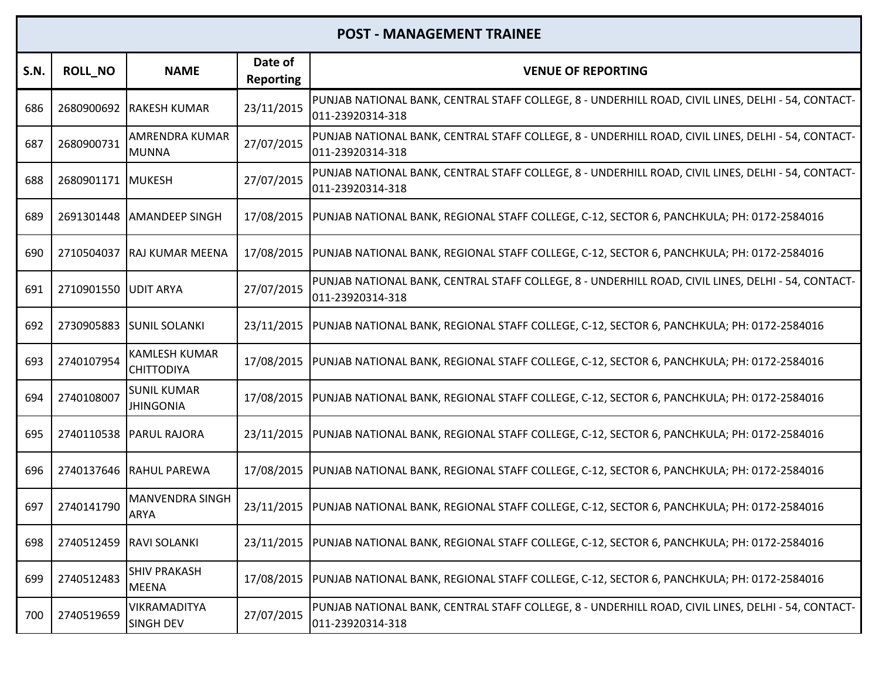| S.N. | <b>ROLL_NO</b>    | <b>NAME</b>                               | Date of<br><b>Reporting</b> | <b>VENUE OF REPORTING</b>                                                                                              |
|------|-------------------|-------------------------------------------|-----------------------------|------------------------------------------------------------------------------------------------------------------------|
| 686  |                   | 2680900692 RAKESH KUMAR                   | 23/11/2015                  | PUNJAB NATIONAL BANK, CENTRAL STAFF COLLEGE, 8 - UNDERHILL ROAD, CIVIL LINES, DELHI - 54, CONTACT-<br>011-23920314-318 |
| 687  | 2680900731        | <b>AMRENDRA KUMAR</b><br><b>MUNNA</b>     | 27/07/2015                  | PUNJAB NATIONAL BANK, CENTRAL STAFF COLLEGE, 8 - UNDERHILL ROAD, CIVIL LINES, DELHI - 54, CONTACT-<br>011-23920314-318 |
| 688  | 2680901171 MUKESH |                                           | 27/07/2015                  | PUNJAB NATIONAL BANK, CENTRAL STAFF COLLEGE, 8 - UNDERHILL ROAD, CIVIL LINES, DELHI - 54, CONTACT-<br>011-23920314-318 |
| 689  |                   | 2691301448 AMANDEEP SINGH                 |                             | 17/08/2015  PUNJAB NATIONAL BANK, REGIONAL STAFF COLLEGE, C-12, SECTOR 6, PANCHKULA; PH: 0172-2584016                  |
| 690  |                   | 2710504037 RAJ KUMAR MEENA                | 17/08/2015                  | PUNJAB NATIONAL BANK, REGIONAL STAFF COLLEGE, C-12, SECTOR 6, PANCHKULA; PH: 0172-2584016                              |
| 691  | 2710901550        | <b>JUDIT ARYA</b>                         | 27/07/2015                  | PUNJAB NATIONAL BANK, CENTRAL STAFF COLLEGE, 8 - UNDERHILL ROAD, CIVIL LINES, DELHI - 54, CONTACT-<br>011-23920314-318 |
| 692  |                   | 2730905883 SUNIL SOLANKI                  |                             | 23/11/2015  PUNJAB NATIONAL BANK, REGIONAL STAFF COLLEGE, C-12, SECTOR 6, PANCHKULA; PH: 0172-2584016                  |
| 693  | 2740107954        | <b>KAMLESH KUMAR</b><br><b>CHITTODIYA</b> | 17/08/2015                  | PUNJAB NATIONAL BANK, REGIONAL STAFF COLLEGE, C-12, SECTOR 6, PANCHKULA; PH: 0172-2584016                              |
| 694  | 2740108007        | <b>SUNIL KUMAR</b><br><b>JHINGONIA</b>    | 17/08/2015                  | PUNJAB NATIONAL BANK, REGIONAL STAFF COLLEGE, C-12, SECTOR 6, PANCHKULA; PH: 0172-2584016                              |
| 695  |                   | 2740110538 PARUL RAJORA                   | 23/11/2015                  | PUNJAB NATIONAL BANK, REGIONAL STAFF COLLEGE, C-12, SECTOR 6, PANCHKULA; PH: 0172-2584016                              |
| 696  |                   | 2740137646 RAHUL PAREWA                   |                             | 17/08/2015  PUNJAB NATIONAL BANK, REGIONAL STAFF COLLEGE, C-12, SECTOR 6, PANCHKULA; PH: 0172-2584016                  |
| 697  | 2740141790        | <b>MANVENDRA SINGH</b><br><b>ARYA</b>     | 23/11/2015                  | PUNJAB NATIONAL BANK, REGIONAL STAFF COLLEGE, C-12, SECTOR 6, PANCHKULA; PH: 0172-2584016                              |
| 698  |                   | 2740512459 RAVI SOLANKI                   |                             | 23/11/2015  PUNJAB NATIONAL BANK, REGIONAL STAFF COLLEGE, C-12, SECTOR 6, PANCHKULA; PH: 0172-2584016                  |
| 699  | 2740512483        | <b>SHIV PRAKASH</b><br><b>MEENA</b>       | 17/08/2015                  | PUNJAB NATIONAL BANK, REGIONAL STAFF COLLEGE, C-12, SECTOR 6, PANCHKULA; PH: 0172-2584016                              |
| 700  | 2740519659        | VIKRAMADITYA<br><b>SINGH DEV</b>          | 27/07/2015                  | PUNJAB NATIONAL BANK, CENTRAL STAFF COLLEGE, 8 - UNDERHILL ROAD, CIVIL LINES, DELHI - 54, CONTACT-<br>011-23920314-318 |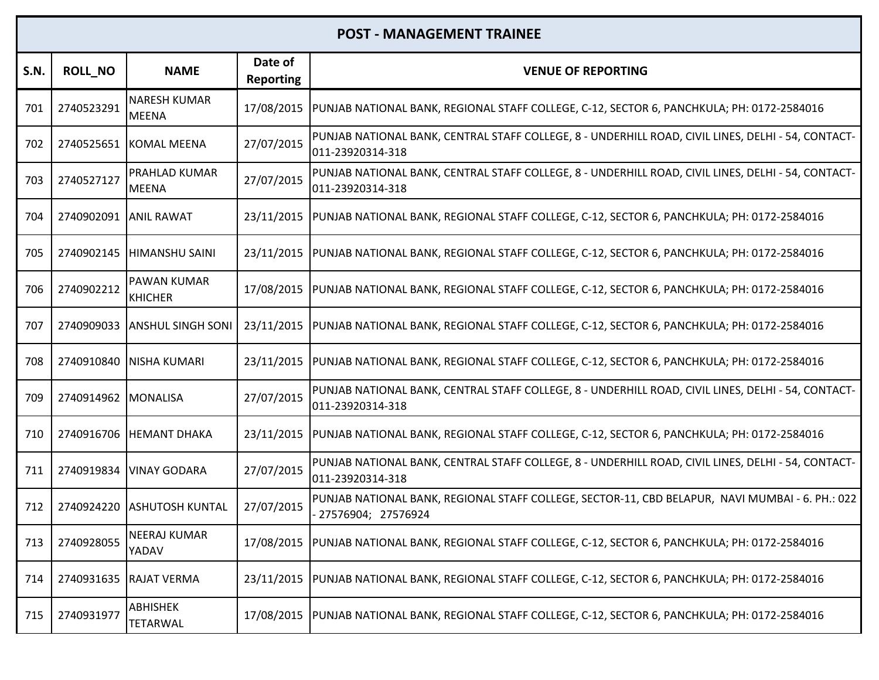| <b>S.N.</b> | <b>ROLL NO</b>        | <b>NAME</b>                          | Date of<br><b>Reporting</b> | <b>VENUE OF REPORTING</b>                                                                                              |
|-------------|-----------------------|--------------------------------------|-----------------------------|------------------------------------------------------------------------------------------------------------------------|
| 701         | 2740523291            | <b>NARESH KUMAR</b><br><b>MEENA</b>  | 17/08/2015                  | PUNJAB NATIONAL BANK, REGIONAL STAFF COLLEGE, C-12, SECTOR 6, PANCHKULA; PH: 0172-2584016                              |
| 702         |                       | 2740525651 KOMAL MEENA               | 27/07/2015                  | PUNJAB NATIONAL BANK, CENTRAL STAFF COLLEGE, 8 - UNDERHILL ROAD, CIVIL LINES, DELHI - 54, CONTACT-<br>011-23920314-318 |
| 703         | 2740527127            | PRAHLAD KUMAR<br><b>MEENA</b>        | 27/07/2015                  | PUNJAB NATIONAL BANK, CENTRAL STAFF COLLEGE, 8 - UNDERHILL ROAD, CIVIL LINES, DELHI - 54, CONTACT-<br>011-23920314-318 |
| 704         | 2740902091 ANIL RAWAT |                                      | 23/11/2015                  | PUNJAB NATIONAL BANK, REGIONAL STAFF COLLEGE, C-12, SECTOR 6, PANCHKULA; PH: 0172-2584016                              |
| 705         |                       | 2740902145  HIMANSHU SAINI           | 23/11/2015                  | PUNJAB NATIONAL BANK, REGIONAL STAFF COLLEGE, C-12, SECTOR 6, PANCHKULA; PH: 0172-2584016                              |
| 706         | 2740902212            | <b>PAWAN KUMAR</b><br><b>KHICHER</b> | 17/08/2015                  | PUNJAB NATIONAL BANK, REGIONAL STAFF COLLEGE, C-12, SECTOR 6, PANCHKULA; PH: 0172-2584016                              |
| 707         | 2740909033            | <b>ANSHUL SINGH SONI</b>             | 23/11/2015                  | PUNJAB NATIONAL BANK, REGIONAL STAFF COLLEGE, C-12, SECTOR 6, PANCHKULA; PH: 0172-2584016                              |
| 708         | 2740910840            | <b>NISHA KUMARI</b>                  |                             | 23/11/2015  PUNJAB NATIONAL BANK, REGIONAL STAFF COLLEGE, C-12, SECTOR 6, PANCHKULA; PH: 0172-2584016                  |
| 709         | 2740914962 MONALISA   |                                      | 27/07/2015                  | PUNJAB NATIONAL BANK, CENTRAL STAFF COLLEGE, 8 - UNDERHILL ROAD, CIVIL LINES, DELHI - 54, CONTACT-<br>011-23920314-318 |
| 710         | 2740916706            | <b>HEMANT DHAKA</b>                  | 23/11/2015                  | PUNJAB NATIONAL BANK, REGIONAL STAFF COLLEGE, C-12, SECTOR 6, PANCHKULA; PH: 0172-2584016                              |
| 711         | 2740919834            | <b>VINAY GODARA</b>                  | 27/07/2015                  | PUNJAB NATIONAL BANK, CENTRAL STAFF COLLEGE, 8 - UNDERHILL ROAD, CIVIL LINES, DELHI - 54, CONTACT-<br>011-23920314-318 |
| 712         | 2740924220            | <b>ASHUTOSH KUNTAL</b>               | 27/07/2015                  | PUNJAB NATIONAL BANK, REGIONAL STAFF COLLEGE, SECTOR-11, CBD BELAPUR, NAVI MUMBAI - 6. PH.: 022<br>27576904; 27576924  |
| 713         | 2740928055            | <b>NEERAJ KUMAR</b><br>YADAV         | 17/08/2015                  | PUNJAB NATIONAL BANK, REGIONAL STAFF COLLEGE, C-12, SECTOR 6, PANCHKULA; PH: 0172-2584016                              |
| 714         |                       | 2740931635 RAJAT VERMA               | 23/11/2015                  | PUNJAB NATIONAL BANK, REGIONAL STAFF COLLEGE, C-12, SECTOR 6, PANCHKULA; PH: 0172-2584016                              |
| 715         | 2740931977            | <b>ABHISHEK</b><br><b>TETARWAL</b>   |                             | 17/08/2015  PUNJAB NATIONAL BANK, REGIONAL STAFF COLLEGE, C-12, SECTOR 6, PANCHKULA; PH: 0172-2584016                  |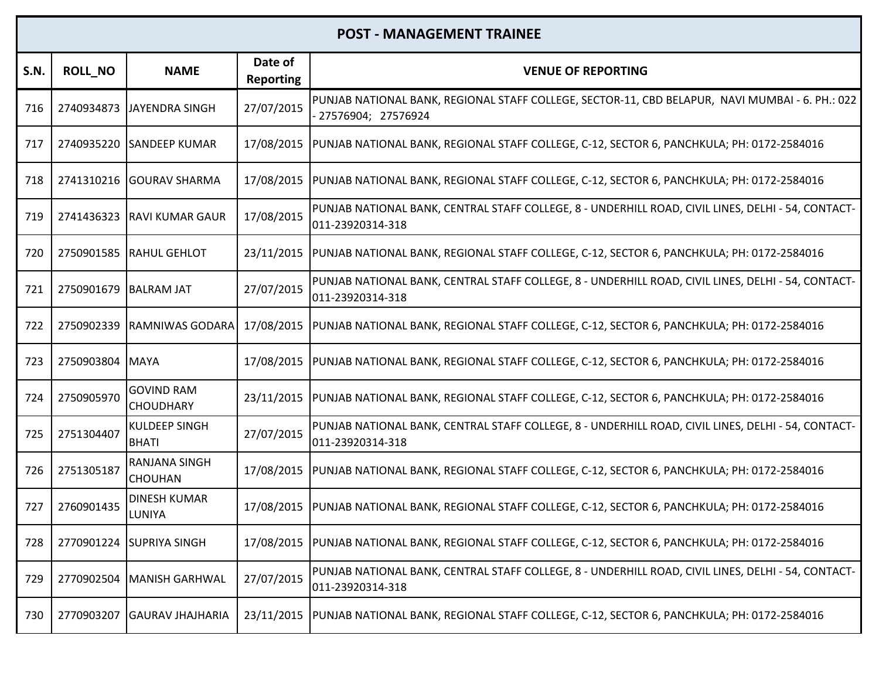| S.N. | <b>ROLL NO</b>        | <b>NAME</b>                           | Date of<br><b>Reporting</b> | <b>VENUE OF REPORTING</b>                                                                                              |
|------|-----------------------|---------------------------------------|-----------------------------|------------------------------------------------------------------------------------------------------------------------|
| 716  |                       | 2740934873 JAYENDRA SINGH             | 27/07/2015                  | PUNJAB NATIONAL BANK, REGIONAL STAFF COLLEGE, SECTOR-11, CBD BELAPUR, NAVI MUMBAI - 6. PH.: 022<br>27576904; 27576924  |
| 717  |                       | 2740935220 SANDEEP KUMAR              | 17/08/2015                  | PUNJAB NATIONAL BANK, REGIONAL STAFF COLLEGE, C-12, SECTOR 6, PANCHKULA; PH: 0172-2584016                              |
| 718  |                       | 2741310216 GOURAV SHARMA              |                             | 17/08/2015  PUNJAB NATIONAL BANK, REGIONAL STAFF COLLEGE, C-12, SECTOR 6, PANCHKULA; PH: 0172-2584016                  |
| 719  |                       | 2741436323 RAVI KUMAR GAUR            | 17/08/2015                  | PUNJAB NATIONAL BANK, CENTRAL STAFF COLLEGE, 8 - UNDERHILL ROAD, CIVIL LINES, DELHI - 54, CONTACT-<br>011-23920314-318 |
| 720  |                       | 2750901585 RAHUL GEHLOT               | 23/11/2015                  | PUNJAB NATIONAL BANK, REGIONAL STAFF COLLEGE, C-12, SECTOR 6, PANCHKULA; PH: 0172-2584016                              |
| 721  | 2750901679 BALRAM JAT |                                       | 27/07/2015                  | PUNJAB NATIONAL BANK, CENTRAL STAFF COLLEGE, 8 - UNDERHILL ROAD, CIVIL LINES, DELHI - 54, CONTACT-<br>011-23920314-318 |
| 722  | 2750902339            | <b>RAMNIWAS GODARA</b>                | 17/08/2015                  | PUNJAB NATIONAL BANK, REGIONAL STAFF COLLEGE, C-12, SECTOR 6, PANCHKULA; PH: 0172-2584016                              |
| 723  | 2750903804 MAYA       |                                       | 17/08/2015                  | PUNJAB NATIONAL BANK, REGIONAL STAFF COLLEGE, C-12, SECTOR 6, PANCHKULA; PH: 0172-2584016                              |
| 724  | 2750905970            | <b>GOVIND RAM</b><br><b>CHOUDHARY</b> |                             | 23/11/2015  PUNJAB NATIONAL BANK, REGIONAL STAFF COLLEGE, C-12, SECTOR 6, PANCHKULA; PH: 0172-2584016                  |
| 725  | 2751304407            | <b>KULDEEP SINGH</b><br><b>BHATI</b>  | 27/07/2015                  | PUNJAB NATIONAL BANK, CENTRAL STAFF COLLEGE, 8 - UNDERHILL ROAD, CIVIL LINES, DELHI - 54, CONTACT-<br>011-23920314-318 |
| 726  | 2751305187            | RANJANA SINGH<br><b>CHOUHAN</b>       |                             | 17/08/2015  PUNJAB NATIONAL BANK, REGIONAL STAFF COLLEGE, C-12, SECTOR 6, PANCHKULA; PH: 0172-2584016                  |
| 727  | 2760901435            | <b>DINESH KUMAR</b><br><b>LUNIYA</b>  |                             | 17/08/2015  PUNJAB NATIONAL BANK, REGIONAL STAFF COLLEGE, C-12, SECTOR 6, PANCHKULA; PH: 0172-2584016                  |
| 728  |                       | 2770901224 SUPRIYA SINGH              |                             | 17/08/2015  PUNJAB NATIONAL BANK, REGIONAL STAFF COLLEGE, C-12, SECTOR 6, PANCHKULA; PH: 0172-2584016                  |
| 729  | 2770902504            | MANISH GARHWAL                        | 27/07/2015                  | PUNJAB NATIONAL BANK, CENTRAL STAFF COLLEGE, 8 - UNDERHILL ROAD, CIVIL LINES, DELHI - 54, CONTACT-<br>011-23920314-318 |
| 730  | 2770903207            | <b>GAURAV JHAJHARIA</b>               | 23/11/2015                  | PUNJAB NATIONAL BANK, REGIONAL STAFF COLLEGE, C-12, SECTOR 6, PANCHKULA; PH: 0172-2584016                              |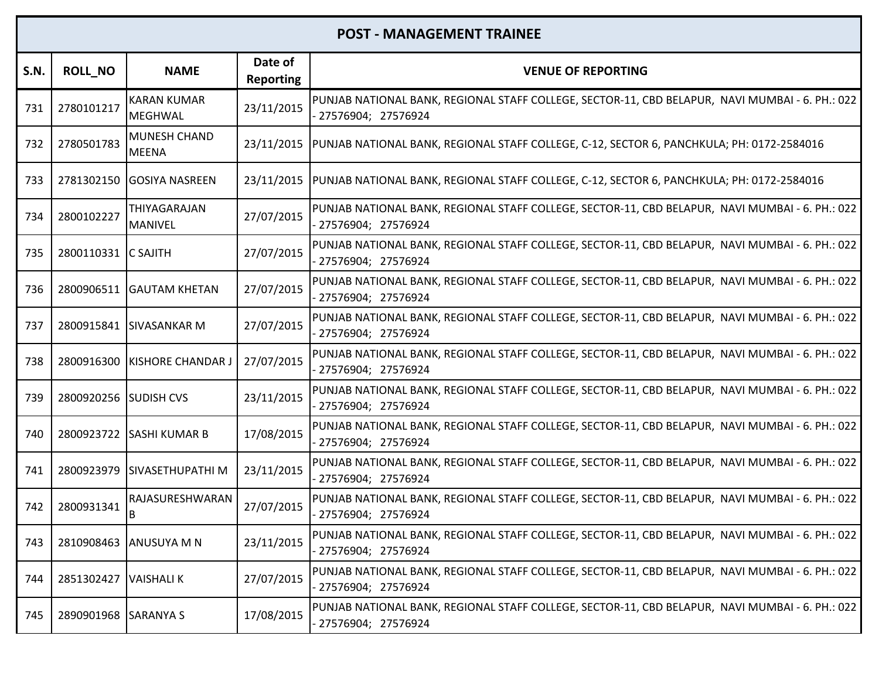| <b>S.N.</b> | <b>ROLL NO</b>        | <b>NAME</b>                          | Date of<br><b>Reporting</b> | <b>VENUE OF REPORTING</b>                                                                                               |
|-------------|-----------------------|--------------------------------------|-----------------------------|-------------------------------------------------------------------------------------------------------------------------|
| 731         | 2780101217            | <b>KARAN KUMAR</b><br><b>MEGHWAL</b> | 23/11/2015                  | PUNJAB NATIONAL BANK, REGIONAL STAFF COLLEGE, SECTOR-11, CBD BELAPUR, NAVI MUMBAI - 6. PH.: 022<br>27576904; 27576924   |
| 732         | 2780501783            | <b>MUNESH CHAND</b><br><b>MEENA</b>  |                             | 23/11/2015  PUNJAB NATIONAL BANK, REGIONAL STAFF COLLEGE, C-12, SECTOR 6, PANCHKULA; PH: 0172-2584016                   |
| 733         |                       | 2781302150 GOSIYA NASREEN            | 23/11/2015                  | PUNJAB NATIONAL BANK, REGIONAL STAFF COLLEGE, C-12, SECTOR 6, PANCHKULA; PH: 0172-2584016                               |
| 734         | 2800102227            | THIYAGARAJAN<br><b>MANIVEL</b>       | 27/07/2015                  | PUNJAB NATIONAL BANK, REGIONAL STAFF COLLEGE, SECTOR-11, CBD BELAPUR, NAVI MUMBAI - 6. PH.: 022<br>- 27576904; 27576924 |
| 735         | 2800110331 C SAJITH   |                                      | 27/07/2015                  | PUNJAB NATIONAL BANK, REGIONAL STAFF COLLEGE, SECTOR-11, CBD BELAPUR, NAVI MUMBAI - 6. PH.: 022<br>- 27576904; 27576924 |
| 736         |                       | 2800906511 GAUTAM KHETAN             | 27/07/2015                  | PUNJAB NATIONAL BANK, REGIONAL STAFF COLLEGE, SECTOR-11, CBD BELAPUR, NAVI MUMBAI - 6. PH.: 022<br>27576904; 27576924   |
| 737         |                       | 2800915841 SIVASANKAR M              | 27/07/2015                  | PUNJAB NATIONAL BANK, REGIONAL STAFF COLLEGE, SECTOR-11, CBD BELAPUR, NAVI MUMBAI - 6. PH.: 022<br>- 27576904; 27576924 |
| 738         | 2800916300            | KISHORE CHANDAR J                    | 27/07/2015                  | PUNJAB NATIONAL BANK, REGIONAL STAFF COLLEGE, SECTOR-11, CBD BELAPUR, NAVI MUMBAI - 6. PH.: 022<br>- 27576904; 27576924 |
| 739         | 2800920256 SUDISH CVS |                                      | 23/11/2015                  | PUNJAB NATIONAL BANK, REGIONAL STAFF COLLEGE, SECTOR-11, CBD BELAPUR, NAVI MUMBAI - 6. PH.: 022<br>27576904; 27576924   |
| 740         |                       | 2800923722 SASHI KUMAR B             | 17/08/2015                  | PUNJAB NATIONAL BANK, REGIONAL STAFF COLLEGE, SECTOR-11, CBD BELAPUR, NAVI MUMBAI - 6. PH.: 022<br>27576904; 27576924   |
| 741         |                       | 2800923979 SIVASETHUPATHI M          | 23/11/2015                  | PUNJAB NATIONAL BANK, REGIONAL STAFF COLLEGE, SECTOR-11, CBD BELAPUR, NAVI MUMBAI - 6. PH.: 022<br>- 27576904; 27576924 |
| 742         | 2800931341            | RAJASURESHWARAN<br>B                 | 27/07/2015                  | PUNJAB NATIONAL BANK, REGIONAL STAFF COLLEGE, SECTOR-11, CBD BELAPUR, NAVI MUMBAI - 6. PH.: 022<br>- 27576904; 27576924 |
| 743         |                       | 2810908463 ANUSUYA M N               | 23/11/2015                  | PUNJAB NATIONAL BANK, REGIONAL STAFF COLLEGE, SECTOR-11, CBD BELAPUR, NAVI MUMBAI - 6. PH.: 022<br>27576904; 27576924   |
| 744         | 2851302427            | <b>VAISHALIK</b>                     | 27/07/2015                  | PUNJAB NATIONAL BANK, REGIONAL STAFF COLLEGE, SECTOR-11, CBD BELAPUR, NAVI MUMBAI - 6. PH.: 022<br>27576904; 27576924   |
| 745         | 2890901968 SARANYA S  |                                      | 17/08/2015                  | PUNJAB NATIONAL BANK, REGIONAL STAFF COLLEGE, SECTOR-11, CBD BELAPUR, NAVI MUMBAI - 6. PH.: 022<br>27576904; 27576924   |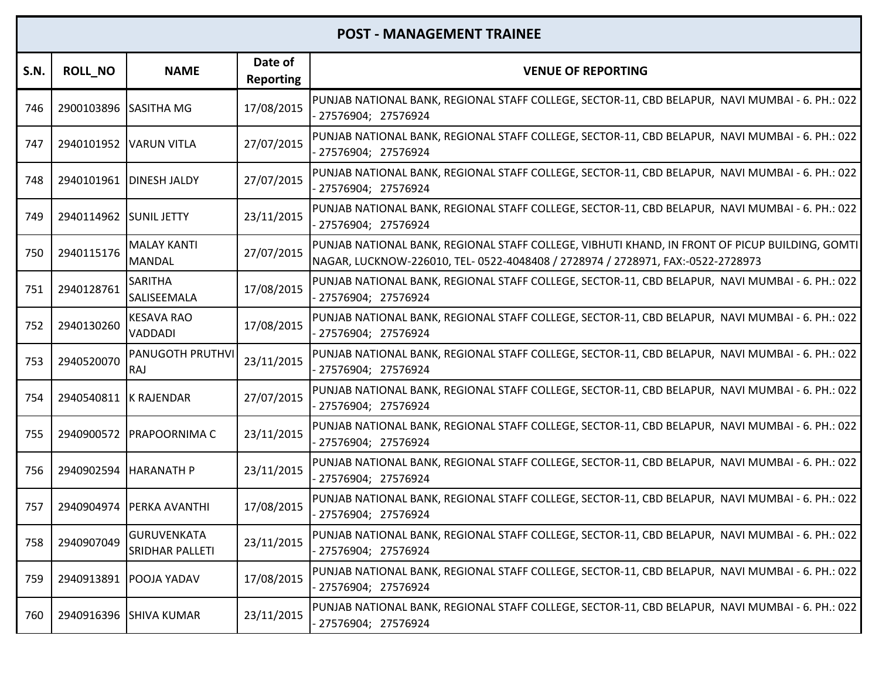| S.N. | <b>ROLL_NO</b>         | <b>NAME</b>                           | Date of<br><b>Reporting</b> | <b>VENUE OF REPORTING</b>                                                                                                                                                         |
|------|------------------------|---------------------------------------|-----------------------------|-----------------------------------------------------------------------------------------------------------------------------------------------------------------------------------|
| 746  | 2900103896 SASITHA MG  |                                       | 17/08/2015                  | PUNJAB NATIONAL BANK, REGIONAL STAFF COLLEGE, SECTOR-11, CBD BELAPUR,  NAVI MUMBAI - 6. PH.: 022  <br>27576904; 27576924                                                          |
| 747  | 2940101952 VARUN VITLA |                                       | 27/07/2015                  | PUNJAB NATIONAL BANK, REGIONAL STAFF COLLEGE, SECTOR-11, CBD BELAPUR, NAVI MUMBAI - 6. PH.: 022<br>- 27576904; 27576924                                                           |
| 748  |                        | 2940101961   DINESH JALDY             | 27/07/2015                  | PUNJAB NATIONAL BANK, REGIONAL STAFF COLLEGE, SECTOR-11, CBD BELAPUR, NAVI MUMBAI - 6. PH.: 022<br>27576904; 27576924                                                             |
| 749  | 2940114962 SUNIL JETTY |                                       | 23/11/2015                  | PUNJAB NATIONAL BANK, REGIONAL STAFF COLLEGE, SECTOR-11, CBD BELAPUR, NAVI MUMBAI - 6. PH.: 022<br>- 27576904; 27576924                                                           |
| 750  | 2940115176             | <b>MALAY KANTI</b><br><b>MANDAL</b>   | 27/07/2015                  | PUNJAB NATIONAL BANK, REGIONAL STAFF COLLEGE, VIBHUTI KHAND, IN FRONT OF PICUP BUILDING, GOMTI<br>NAGAR, LUCKNOW-226010, TEL- 0522-4048408 / 2728974 / 2728971, FAX:-0522-2728973 |
| 751  | 2940128761             | <b>SARITHA</b><br>SALISEEMALA         | 17/08/2015                  | PUNJAB NATIONAL BANK, REGIONAL STAFF COLLEGE, SECTOR-11, CBD BELAPUR, NAVI MUMBAI - 6. PH.: 022<br>- 27576904; 27576924                                                           |
| 752  | 2940130260             | <b>KESAVA RAO</b><br><b>VADDADI</b>   | 17/08/2015                  | PUNJAB NATIONAL BANK, REGIONAL STAFF COLLEGE, SECTOR-11, CBD BELAPUR, NAVI MUMBAI - 6. PH.: 022<br>- 27576904; 27576924                                                           |
| 753  | 2940520070             | <b>PANUGOTH PRUTHVI</b><br>RAJ        | 23/11/2015                  | PUNJAB NATIONAL BANK, REGIONAL STAFF COLLEGE, SECTOR-11, CBD BELAPUR, NAVI MUMBAI - 6. PH.: 022<br>- 27576904; 27576924                                                           |
| 754  | 2940540811             | K RAJENDAR                            | 27/07/2015                  | PUNJAB NATIONAL BANK, REGIONAL STAFF COLLEGE, SECTOR-11, CBD BELAPUR, NAVI MUMBAI - 6. PH.: 022<br>27576904; 27576924                                                             |
| 755  | 2940900572             | <b>PRAPOORNIMA C</b>                  | 23/11/2015                  | PUNJAB NATIONAL BANK, REGIONAL STAFF COLLEGE, SECTOR-11, CBD BELAPUR, NAVI MUMBAI - 6. PH.: 022<br>- 27576904; 27576924                                                           |
| 756  | 2940902594             | <b>HARANATH P</b>                     | 23/11/2015                  | PUNJAB NATIONAL BANK, REGIONAL STAFF COLLEGE, SECTOR-11, CBD BELAPUR, NAVI MUMBAI - 6. PH.: 022<br>27576904; 27576924                                                             |
| 757  | 2940904974             | <b>PERKA AVANTHI</b>                  | 17/08/2015                  | PUNJAB NATIONAL BANK, REGIONAL STAFF COLLEGE, SECTOR-11, CBD BELAPUR, NAVI MUMBAI - 6. PH.: 022<br>27576904; 27576924                                                             |
| 758  | 2940907049             | <b>GURUVENKATA</b><br>SRIDHAR PALLETI | 23/11/2015                  | PUNJAB NATIONAL BANK, REGIONAL STAFF COLLEGE, SECTOR-11, CBD BELAPUR, NAVI MUMBAI - 6. PH.: 022<br>27576904; 27576924                                                             |
| 759  | 2940913891             | <b>POOJA YADAV</b>                    | 17/08/2015                  | PUNJAB NATIONAL BANK, REGIONAL STAFF COLLEGE, SECTOR-11, CBD BELAPUR, NAVI MUMBAI - 6. PH.: 022<br>- 27576904; 27576924                                                           |
| 760  |                        | 2940916396 SHIVA KUMAR                | 23/11/2015                  | PUNJAB NATIONAL BANK, REGIONAL STAFF COLLEGE, SECTOR-11, CBD BELAPUR, NAVI MUMBAI - 6. PH.: 022<br>27576904; 27576924                                                             |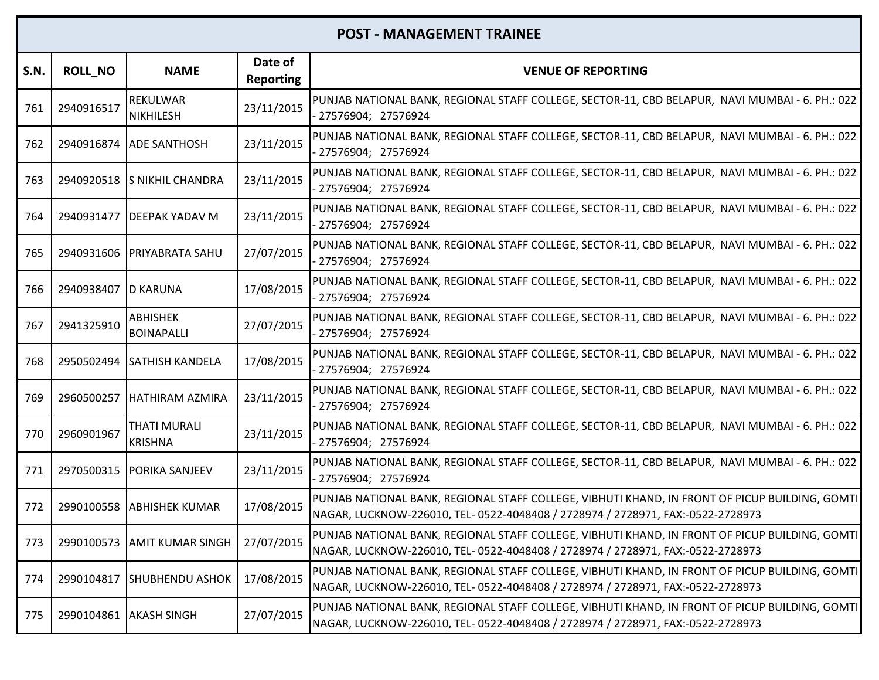| S.N. | <b>ROLL_NO</b>      | <b>NAME</b>                                      | Date of<br><b>Reporting</b> | <b>VENUE OF REPORTING</b>                                                                                                                                                         |
|------|---------------------|--------------------------------------------------|-----------------------------|-----------------------------------------------------------------------------------------------------------------------------------------------------------------------------------|
| 761  | 2940916517          | REKULWAR<br><b>NIKHILESH</b>                     | 23/11/2015                  | PUNJAB NATIONAL BANK, REGIONAL STAFF COLLEGE, SECTOR-11, CBD BELAPUR, NAVI MUMBAI - 6. PH.: 022  <br>27576904; 27576924                                                           |
| 762  |                     | 2940916874 ADE SANTHOSH                          | 23/11/2015                  | PUNJAB NATIONAL BANK, REGIONAL STAFF COLLEGE, SECTOR-11, CBD BELAPUR, NAVI MUMBAI - 6. PH.: 022<br>27576904; 27576924                                                             |
| 763  |                     | 2940920518 S NIKHIL CHANDRA                      | 23/11/2015                  | PUNJAB NATIONAL BANK, REGIONAL STAFF COLLEGE, SECTOR-11, CBD BELAPUR, NAVI MUMBAI - 6. PH.: 022<br>27576904; 27576924                                                             |
| 764  |                     | 2940931477   DEEPAK YADAV M                      | 23/11/2015                  | PUNJAB NATIONAL BANK, REGIONAL STAFF COLLEGE, SECTOR-11, CBD BELAPUR, NAVI MUMBAI - 6. PH.: 022<br>27576904; 27576924                                                             |
| 765  | 2940931606          | <b>PRIYABRATA SAHU</b>                           | 27/07/2015                  | PUNJAB NATIONAL BANK, REGIONAL STAFF COLLEGE, SECTOR-11, CBD BELAPUR, NAVI MUMBAI - 6. PH.: 022<br>27576904; 27576924                                                             |
| 766  | 2940938407 D KARUNA |                                                  | 17/08/2015                  | PUNJAB NATIONAL BANK, REGIONAL STAFF COLLEGE, SECTOR-11, CBD BELAPUR, NAVI MUMBAI - 6. PH.: 022<br>27576904; 27576924                                                             |
| 767  | 2941325910          | <b>ABHISHEK</b><br><b>BOINAPALLI</b>             | 27/07/2015                  | PUNJAB NATIONAL BANK, REGIONAL STAFF COLLEGE, SECTOR-11, CBD BELAPUR, NAVI MUMBAI - 6. PH.: 022<br>- 27576904; 27576924                                                           |
| 768  |                     | 2950502494 SATHISH KANDELA                       | 17/08/2015                  | PUNJAB NATIONAL BANK, REGIONAL STAFF COLLEGE, SECTOR-11, CBD BELAPUR, NAVI MUMBAI - 6. PH.: 022<br>- 27576904; 27576924                                                           |
| 769  | 2960500257          | <b>HATHIRAM AZMIRA</b>                           | 23/11/2015                  | PUNJAB NATIONAL BANK, REGIONAL STAFF COLLEGE, SECTOR-11, CBD BELAPUR, NAVI MUMBAI - 6. PH.: 022<br>27576904; 27576924                                                             |
| 770  | 2960901967          | THATI MURALI<br><b>KRISHNA</b>                   | 23/11/2015                  | PUNJAB NATIONAL BANK, REGIONAL STAFF COLLEGE, SECTOR-11, CBD BELAPUR, NAVI MUMBAI - 6. PH.: 022<br>27576904; 27576924                                                             |
| 771  |                     | 2970500315   PORIKA SANJEEV                      | 23/11/2015                  | PUNJAB NATIONAL BANK, REGIONAL STAFF COLLEGE, SECTOR-11, CBD BELAPUR, NAVI MUMBAI - 6. PH.: 022<br>- 27576904; 27576924                                                           |
| 772  |                     | 2990100558 ABHISHEK KUMAR                        | 17/08/2015                  | PUNJAB NATIONAL BANK, REGIONAL STAFF COLLEGE, VIBHUTI KHAND, IN FRONT OF PICUP BUILDING, GOMTI<br>NAGAR, LUCKNOW-226010, TEL- 0522-4048408 / 2728974 / 2728971, FAX:-0522-2728973 |
|      |                     | 773   2990100573   AMIT KUMAR SINGH   27/07/2015 |                             | PUNJAB NATIONAL BANK, REGIONAL STAFF COLLEGE, VIBHUTI KHAND, IN FRONT OF PICUP BUILDING, GOMTI<br>NAGAR, LUCKNOW-226010, TEL- 0522-4048408 / 2728974 / 2728971, FAX:-0522-2728973 |
| 774  |                     | 2990104817 SHUBHENDU ASHOK                       | 17/08/2015                  | PUNJAB NATIONAL BANK, REGIONAL STAFF COLLEGE, VIBHUTI KHAND, IN FRONT OF PICUP BUILDING, GOMTI<br>NAGAR, LUCKNOW-226010, TEL- 0522-4048408 / 2728974 / 2728971, FAX:-0522-2728973 |
| 775  |                     | 2990104861 AKASH SINGH                           | 27/07/2015                  | PUNJAB NATIONAL BANK, REGIONAL STAFF COLLEGE, VIBHUTI KHAND, IN FRONT OF PICUP BUILDING, GOMTI<br>NAGAR, LUCKNOW-226010, TEL- 0522-4048408 / 2728974 / 2728971, FAX:-0522-2728973 |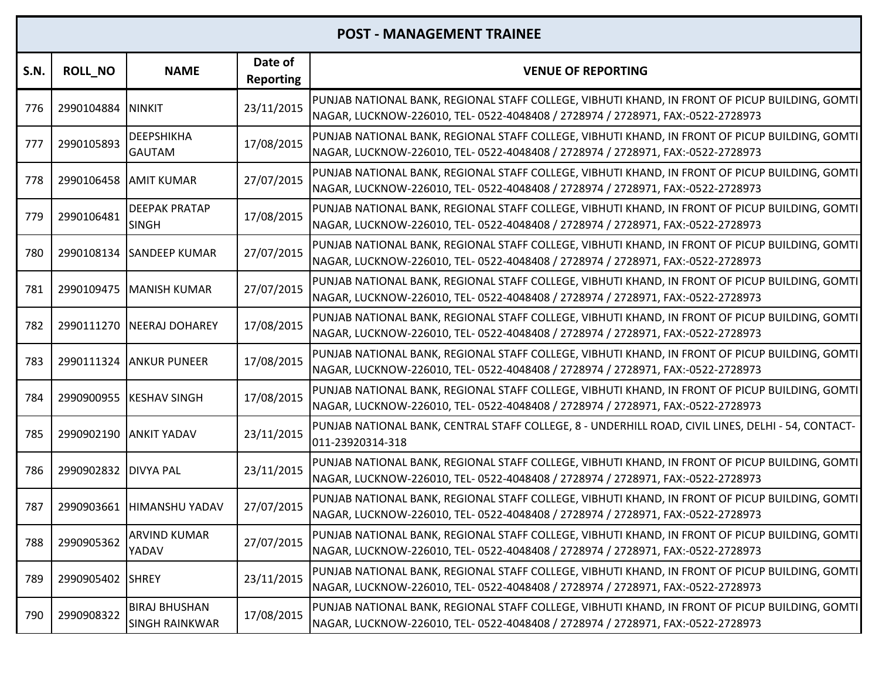| S.N. | <b>ROLL_NO</b> | <b>NAME</b>                                   | Date of<br><b>Reporting</b> | <b>VENUE OF REPORTING</b>                                                                                                                                                         |
|------|----------------|-----------------------------------------------|-----------------------------|-----------------------------------------------------------------------------------------------------------------------------------------------------------------------------------|
| 776  | 2990104884     | <b>ININKIT</b>                                | 23/11/2015                  | PUNJAB NATIONAL BANK, REGIONAL STAFF COLLEGE, VIBHUTI KHAND, IN FRONT OF PICUP BUILDING, GOMTI<br>NAGAR, LUCKNOW-226010, TEL- 0522-4048408 / 2728974 / 2728971, FAX:-0522-2728973 |
| 777  | 2990105893     | <b>DEEPSHIKHA</b><br><b>GAUTAM</b>            | 17/08/2015                  | PUNJAB NATIONAL BANK, REGIONAL STAFF COLLEGE, VIBHUTI KHAND, IN FRONT OF PICUP BUILDING, GOMTI<br>NAGAR, LUCKNOW-226010, TEL- 0522-4048408 / 2728974 / 2728971, FAX:-0522-2728973 |
| 778  | 2990106458     | <b>JAMIT KUMAR</b>                            | 27/07/2015                  | PUNJAB NATIONAL BANK, REGIONAL STAFF COLLEGE, VIBHUTI KHAND, IN FRONT OF PICUP BUILDING, GOMTI<br>NAGAR, LUCKNOW-226010, TEL- 0522-4048408 / 2728974 / 2728971, FAX:-0522-2728973 |
| 779  | 2990106481     | <b>DEEPAK PRATAP</b><br><b>SINGH</b>          | 17/08/2015                  | PUNJAB NATIONAL BANK, REGIONAL STAFF COLLEGE, VIBHUTI KHAND, IN FRONT OF PICUP BUILDING, GOMTI<br>NAGAR, LUCKNOW-226010, TEL- 0522-4048408 / 2728974 / 2728971, FAX:-0522-2728973 |
| 780  | 2990108134     | <b>SANDEEP KUMAR</b>                          | 27/07/2015                  | PUNJAB NATIONAL BANK, REGIONAL STAFF COLLEGE, VIBHUTI KHAND, IN FRONT OF PICUP BUILDING, GOMTI<br>NAGAR, LUCKNOW-226010, TEL- 0522-4048408 / 2728974 / 2728971, FAX:-0522-2728973 |
| 781  | 2990109475     | <b>MANISH KUMAR</b>                           | 27/07/2015                  | PUNJAB NATIONAL BANK, REGIONAL STAFF COLLEGE, VIBHUTI KHAND, IN FRONT OF PICUP BUILDING, GOMTI<br>NAGAR, LUCKNOW-226010, TEL- 0522-4048408 / 2728974 / 2728971, FAX:-0522-2728973 |
| 782  |                | 2990111270 NEERAJ DOHAREY                     | 17/08/2015                  | PUNJAB NATIONAL BANK, REGIONAL STAFF COLLEGE, VIBHUTI KHAND, IN FRONT OF PICUP BUILDING, GOMTI<br>NAGAR, LUCKNOW-226010, TEL- 0522-4048408 / 2728974 / 2728971, FAX:-0522-2728973 |
| 783  |                | 2990111324 ANKUR PUNEER                       | 17/08/2015                  | PUNJAB NATIONAL BANK, REGIONAL STAFF COLLEGE, VIBHUTI KHAND, IN FRONT OF PICUP BUILDING, GOMTI<br>NAGAR, LUCKNOW-226010, TEL- 0522-4048408 / 2728974 / 2728971, FAX:-0522-2728973 |
| 784  | 2990900955     | <b>KESHAV SINGH</b>                           | 17/08/2015                  | PUNJAB NATIONAL BANK, REGIONAL STAFF COLLEGE, VIBHUTI KHAND, IN FRONT OF PICUP BUILDING, GOMTI<br>NAGAR, LUCKNOW-226010, TEL- 0522-4048408 / 2728974 / 2728971, FAX:-0522-2728973 |
| 785  |                | 2990902190 ANKIT YADAV                        | 23/11/2015                  | PUNJAB NATIONAL BANK, CENTRAL STAFF COLLEGE, 8 - UNDERHILL ROAD, CIVIL LINES, DELHI - 54, CONTACT-<br>011-23920314-318                                                            |
| 786  | 2990902832     | <b>DIVYA PAL</b>                              | 23/11/2015                  | PUNJAB NATIONAL BANK, REGIONAL STAFF COLLEGE, VIBHUTI KHAND, IN FRONT OF PICUP BUILDING, GOMTI<br>NAGAR, LUCKNOW-226010, TEL- 0522-4048408 / 2728974 / 2728971, FAX:-0522-2728973 |
| 787  | 2990903661     | <b>HIMANSHU YADAV</b>                         | 27/07/2015                  | PUNJAB NATIONAL BANK, REGIONAL STAFF COLLEGE, VIBHUTI KHAND, IN FRONT OF PICUP BUILDING, GOMTI<br>NAGAR, LUCKNOW-226010, TEL- 0522-4048408 / 2728974 / 2728971, FAX:-0522-2728973 |
| 788  | 2990905362     | ARVIND KUMAR<br>YADAV                         | 27/07/2015                  | PUNJAB NATIONAL BANK, REGIONAL STAFF COLLEGE, VIBHUTI KHAND, IN FRONT OF PICUP BUILDING, GOMTI<br>NAGAR, LUCKNOW-226010, TEL- 0522-4048408 / 2728974 / 2728971, FAX:-0522-2728973 |
| 789  | 2990905402     | <b>SHREY</b>                                  | 23/11/2015                  | PUNJAB NATIONAL BANK, REGIONAL STAFF COLLEGE, VIBHUTI KHAND, IN FRONT OF PICUP BUILDING, GOMTI<br>NAGAR, LUCKNOW-226010, TEL- 0522-4048408 / 2728974 / 2728971, FAX:-0522-2728973 |
| 790  | 2990908322     | <b>BIRAJ BHUSHAN</b><br><b>SINGH RAINKWAR</b> | 17/08/2015                  | PUNJAB NATIONAL BANK, REGIONAL STAFF COLLEGE, VIBHUTI KHAND, IN FRONT OF PICUP BUILDING, GOMTI<br>NAGAR, LUCKNOW-226010, TEL- 0522-4048408 / 2728974 / 2728971, FAX:-0522-2728973 |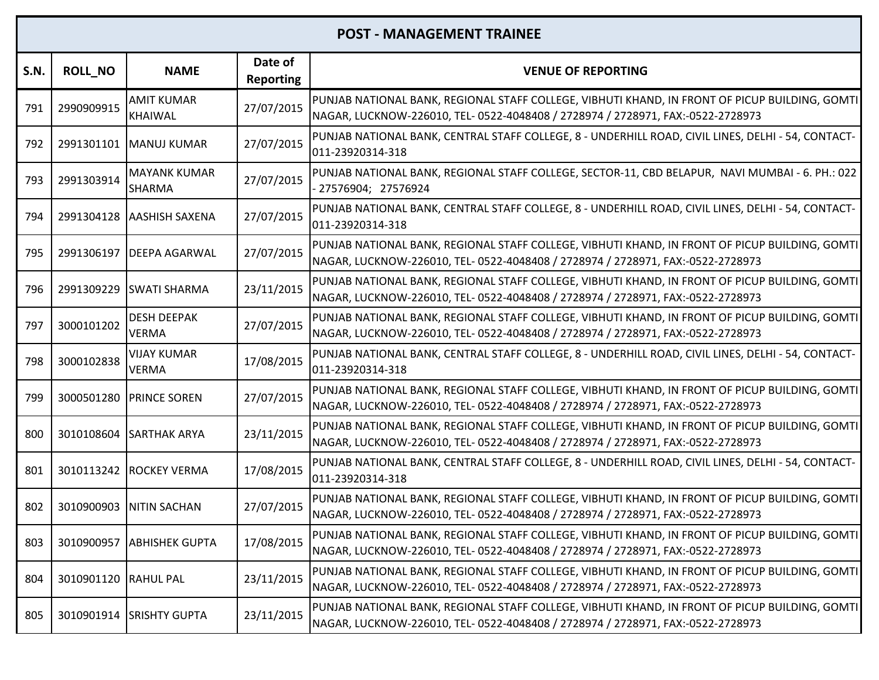| S.N. | <b>ROLL NO</b> | <b>NAME</b>                          | Date of<br><b>Reporting</b> | <b>VENUE OF REPORTING</b>                                                                                                                                                         |
|------|----------------|--------------------------------------|-----------------------------|-----------------------------------------------------------------------------------------------------------------------------------------------------------------------------------|
| 791  | 2990909915     | <b>AMIT KUMAR</b><br><b>KHAIWAL</b>  | 27/07/2015                  | PUNJAB NATIONAL BANK, REGIONAL STAFF COLLEGE, VIBHUTI KHAND, IN FRONT OF PICUP BUILDING, GOMTI<br>NAGAR, LUCKNOW-226010, TEL- 0522-4048408 / 2728974 / 2728971, FAX:-0522-2728973 |
| 792  |                | 2991301101   MANUJ KUMAR             | 27/07/2015                  | PUNJAB NATIONAL BANK, CENTRAL STAFF COLLEGE, 8 - UNDERHILL ROAD, CIVIL LINES, DELHI - 54, CONTACT-<br>011-23920314-318                                                            |
| 793  | 2991303914     | <b>MAYANK KUMAR</b><br><b>SHARMA</b> | 27/07/2015                  | PUNJAB NATIONAL BANK, REGIONAL STAFF COLLEGE, SECTOR-11, CBD BELAPUR, NAVI MUMBAI - 6. PH.: 022<br>- 27576904; 27576924                                                           |
| 794  | 2991304128     | <b>AASHISH SAXENA</b>                | 27/07/2015                  | PUNJAB NATIONAL BANK, CENTRAL STAFF COLLEGE, 8 - UNDERHILL ROAD, CIVIL LINES, DELHI - 54, CONTACT-<br>011-23920314-318                                                            |
| 795  | 2991306197     | <b>DEEPA AGARWAL</b>                 | 27/07/2015                  | PUNJAB NATIONAL BANK, REGIONAL STAFF COLLEGE, VIBHUTI KHAND, IN FRONT OF PICUP BUILDING, GOMTI<br>NAGAR, LUCKNOW-226010, TEL- 0522-4048408 / 2728974 / 2728971, FAX:-0522-2728973 |
| 796  | 2991309229     | <b>SWATI SHARMA</b>                  | 23/11/2015                  | PUNJAB NATIONAL BANK, REGIONAL STAFF COLLEGE, VIBHUTI KHAND, IN FRONT OF PICUP BUILDING, GOMTI<br>NAGAR, LUCKNOW-226010, TEL- 0522-4048408 / 2728974 / 2728971, FAX:-0522-2728973 |
| 797  | 3000101202     | <b>DESH DEEPAK</b><br><b>VERMA</b>   | 27/07/2015                  | PUNJAB NATIONAL BANK, REGIONAL STAFF COLLEGE, VIBHUTI KHAND, IN FRONT OF PICUP BUILDING, GOMTI<br>NAGAR, LUCKNOW-226010, TEL- 0522-4048408 / 2728974 / 2728971, FAX:-0522-2728973 |
| 798  | 3000102838     | <b>VIJAY KUMAR</b><br><b>VERMA</b>   | 17/08/2015                  | PUNJAB NATIONAL BANK, CENTRAL STAFF COLLEGE, 8 - UNDERHILL ROAD, CIVIL LINES, DELHI - 54, CONTACT-<br>011-23920314-318                                                            |
| 799  | 3000501280     | <b>PRINCE SOREN</b>                  | 27/07/2015                  | PUNJAB NATIONAL BANK, REGIONAL STAFF COLLEGE, VIBHUTI KHAND, IN FRONT OF PICUP BUILDING, GOMTI<br>NAGAR, LUCKNOW-226010, TEL- 0522-4048408 / 2728974 / 2728971, FAX:-0522-2728973 |
| 800  | 3010108604     | <b>SARTHAK ARYA</b>                  | 23/11/2015                  | PUNJAB NATIONAL BANK, REGIONAL STAFF COLLEGE, VIBHUTI KHAND, IN FRONT OF PICUP BUILDING, GOMTI<br>NAGAR, LUCKNOW-226010, TEL- 0522-4048408 / 2728974 / 2728971, FAX:-0522-2728973 |
| 801  |                | 3010113242 ROCKEY VERMA              | 17/08/2015                  | PUNJAB NATIONAL BANK, CENTRAL STAFF COLLEGE, 8 - UNDERHILL ROAD, CIVIL LINES, DELHI - 54, CONTACT-<br>011-23920314-318                                                            |
| 802  | 3010900903     | <b>NITIN SACHAN</b>                  | 27/07/2015                  | PUNJAB NATIONAL BANK, REGIONAL STAFF COLLEGE, VIBHUTI KHAND, IN FRONT OF PICUP BUILDING, GOMTI<br>NAGAR, LUCKNOW-226010, TEL- 0522-4048408 / 2728974 / 2728971, FAX:-0522-2728973 |
| 803  |                | 3010900957 ABHISHEK GUPTA            | 17/08/2015                  | PUNJAB NATIONAL BANK, REGIONAL STAFF COLLEGE, VIBHUTI KHAND, IN FRONT OF PICUP BUILDING, GOMTI<br>NAGAR, LUCKNOW-226010, TEL- 0522-4048408 / 2728974 / 2728971, FAX:-0522-2728973 |
| 804  | 3010901120     | <b>RAHUL PAL</b>                     | 23/11/2015                  | PUNJAB NATIONAL BANK, REGIONAL STAFF COLLEGE, VIBHUTI KHAND, IN FRONT OF PICUP BUILDING, GOMTI<br>NAGAR, LUCKNOW-226010, TEL- 0522-4048408 / 2728974 / 2728971, FAX:-0522-2728973 |
| 805  | 3010901914     | <b>SRISHTY GUPTA</b>                 | 23/11/2015                  | PUNJAB NATIONAL BANK, REGIONAL STAFF COLLEGE, VIBHUTI KHAND, IN FRONT OF PICUP BUILDING, GOMTI<br>NAGAR, LUCKNOW-226010, TEL- 0522-4048408 / 2728974 / 2728971, FAX:-0522-2728973 |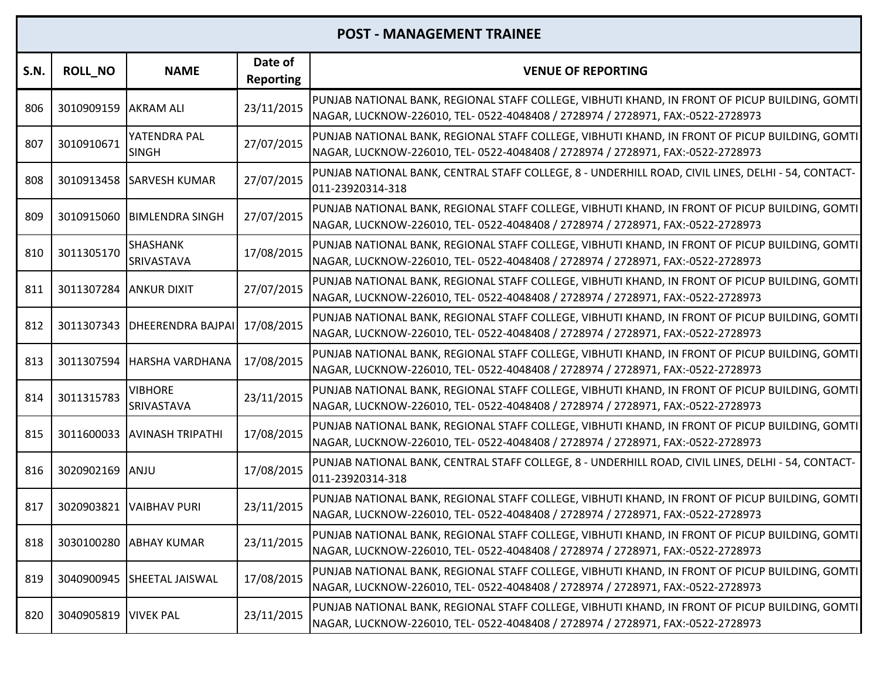| S.N. | <b>ROLL_NO</b> | <b>NAME</b>                   | Date of<br><b>Reporting</b> | <b>VENUE OF REPORTING</b>                                                                                                                                                         |
|------|----------------|-------------------------------|-----------------------------|-----------------------------------------------------------------------------------------------------------------------------------------------------------------------------------|
| 806  | 3010909159     | <b>AKRAM ALI</b>              | 23/11/2015                  | PUNJAB NATIONAL BANK, REGIONAL STAFF COLLEGE, VIBHUTI KHAND, IN FRONT OF PICUP BUILDING, GOMTI<br>NAGAR, LUCKNOW-226010, TEL- 0522-4048408 / 2728974 / 2728971, FAX:-0522-2728973 |
| 807  | 3010910671     | YATENDRA PAL<br><b>SINGH</b>  | 27/07/2015                  | PUNJAB NATIONAL BANK, REGIONAL STAFF COLLEGE, VIBHUTI KHAND, IN FRONT OF PICUP BUILDING, GOMTI<br>NAGAR, LUCKNOW-226010, TEL- 0522-4048408 / 2728974 / 2728971, FAX:-0522-2728973 |
| 808  | 3010913458     | <b>SARVESH KUMAR</b>          | 27/07/2015                  | PUNJAB NATIONAL BANK, CENTRAL STAFF COLLEGE, 8 - UNDERHILL ROAD, CIVIL LINES, DELHI - 54, CONTACT-<br>011-23920314-318                                                            |
| 809  | 3010915060     | <b>BIMLENDRA SINGH</b>        | 27/07/2015                  | PUNJAB NATIONAL BANK, REGIONAL STAFF COLLEGE, VIBHUTI KHAND, IN FRONT OF PICUP BUILDING, GOMTI<br>NAGAR, LUCKNOW-226010, TEL- 0522-4048408 / 2728974 / 2728971, FAX:-0522-2728973 |
| 810  | 3011305170     | SHASHANK<br><b>SRIVASTAVA</b> | 17/08/2015                  | PUNJAB NATIONAL BANK, REGIONAL STAFF COLLEGE, VIBHUTI KHAND, IN FRONT OF PICUP BUILDING, GOMTI<br>NAGAR, LUCKNOW-226010, TEL- 0522-4048408 / 2728974 / 2728971, FAX:-0522-2728973 |
| 811  | 3011307284     | <b>ANKUR DIXIT</b>            | 27/07/2015                  | PUNJAB NATIONAL BANK, REGIONAL STAFF COLLEGE, VIBHUTI KHAND, IN FRONT OF PICUP BUILDING, GOMTI<br>NAGAR, LUCKNOW-226010, TEL- 0522-4048408 / 2728974 / 2728971, FAX:-0522-2728973 |
| 812  | 3011307343     | <b>DHEERENDRA BAJPAI</b>      | 17/08/2015                  | PUNJAB NATIONAL BANK, REGIONAL STAFF COLLEGE, VIBHUTI KHAND, IN FRONT OF PICUP BUILDING, GOMTI<br>NAGAR, LUCKNOW-226010, TEL- 0522-4048408 / 2728974 / 2728971, FAX:-0522-2728973 |
| 813  | 3011307594     | <b>HARSHA VARDHANA</b>        | 17/08/2015                  | PUNJAB NATIONAL BANK, REGIONAL STAFF COLLEGE, VIBHUTI KHAND, IN FRONT OF PICUP BUILDING, GOMTI<br>NAGAR, LUCKNOW-226010, TEL- 0522-4048408 / 2728974 / 2728971, FAX:-0522-2728973 |
| 814  | 3011315783     | <b>VIBHORE</b><br>SRIVASTAVA  | 23/11/2015                  | PUNJAB NATIONAL BANK, REGIONAL STAFF COLLEGE, VIBHUTI KHAND, IN FRONT OF PICUP BUILDING, GOMTI<br>NAGAR, LUCKNOW-226010, TEL- 0522-4048408 / 2728974 / 2728971, FAX:-0522-2728973 |
| 815  | 3011600033     | <b>AVINASH TRIPATHI</b>       | 17/08/2015                  | PUNJAB NATIONAL BANK, REGIONAL STAFF COLLEGE, VIBHUTI KHAND, IN FRONT OF PICUP BUILDING, GOMTI<br>NAGAR, LUCKNOW-226010, TEL- 0522-4048408 / 2728974 / 2728971, FAX:-0522-2728973 |
| 816  | 3020902169     | <b>ANJU</b>                   | 17/08/2015                  | PUNJAB NATIONAL BANK, CENTRAL STAFF COLLEGE, 8 - UNDERHILL ROAD, CIVIL LINES, DELHI - 54, CONTACT-<br>011-23920314-318                                                            |
| 817  | 3020903821     | <b>VAIBHAV PURI</b>           | 23/11/2015                  | PUNJAB NATIONAL BANK, REGIONAL STAFF COLLEGE, VIBHUTI KHAND, IN FRONT OF PICUP BUILDING, GOMTI<br>NAGAR, LUCKNOW-226010, TEL- 0522-4048408 / 2728974 / 2728971, FAX:-0522-2728973 |
| 818  |                | 3030100280 ABHAY KUMAR        | 23/11/2015                  | PUNJAB NATIONAL BANK, REGIONAL STAFF COLLEGE, VIBHUTI KHAND, IN FRONT OF PICUP BUILDING, GOMTI<br>NAGAR, LUCKNOW-226010, TEL- 0522-4048408 / 2728974 / 2728971, FAX:-0522-2728973 |
| 819  | 3040900945     | <b>SHEETAL JAISWAL</b>        | 17/08/2015                  | PUNJAB NATIONAL BANK, REGIONAL STAFF COLLEGE, VIBHUTI KHAND, IN FRONT OF PICUP BUILDING, GOMTI<br>NAGAR, LUCKNOW-226010, TEL- 0522-4048408 / 2728974 / 2728971, FAX:-0522-2728973 |
| 820  | 3040905819     | <b>VIVEK PAL</b>              | 23/11/2015                  | PUNJAB NATIONAL BANK, REGIONAL STAFF COLLEGE, VIBHUTI KHAND, IN FRONT OF PICUP BUILDING, GOMTI<br>NAGAR, LUCKNOW-226010, TEL- 0522-4048408 / 2728974 / 2728971, FAX:-0522-2728973 |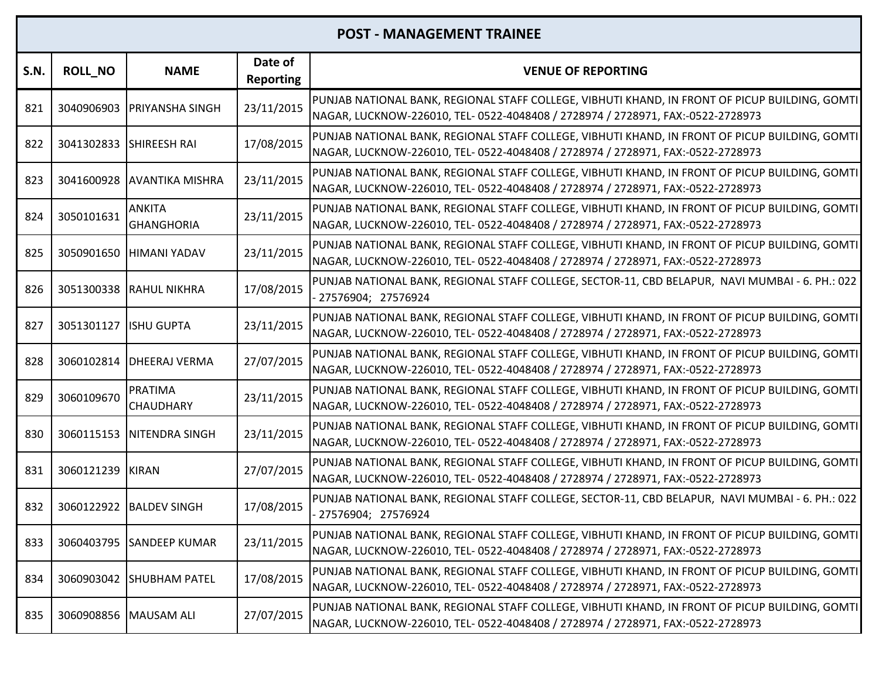| S.N. | <b>ROLL_NO</b>          | <b>NAME</b>                        | Date of<br><b>Reporting</b> | <b>VENUE OF REPORTING</b>                                                                                                                                                         |
|------|-------------------------|------------------------------------|-----------------------------|-----------------------------------------------------------------------------------------------------------------------------------------------------------------------------------|
| 821  | 3040906903              | <b>PRIYANSHA SINGH</b>             | 23/11/2015                  | PUNJAB NATIONAL BANK, REGIONAL STAFF COLLEGE, VIBHUTI KHAND, IN FRONT OF PICUP BUILDING, GOMTI<br>NAGAR, LUCKNOW-226010, TEL- 0522-4048408 / 2728974 / 2728971, FAX:-0522-2728973 |
| 822  | 3041302833 SHIREESH RAI |                                    | 17/08/2015                  | PUNJAB NATIONAL BANK, REGIONAL STAFF COLLEGE, VIBHUTI KHAND, IN FRONT OF PICUP BUILDING, GOMTI<br>NAGAR, LUCKNOW-226010, TEL- 0522-4048408 / 2728974 / 2728971, FAX:-0522-2728973 |
| 823  | 3041600928              | <b>AVANTIKA MISHRA</b>             | 23/11/2015                  | PUNJAB NATIONAL BANK, REGIONAL STAFF COLLEGE, VIBHUTI KHAND, IN FRONT OF PICUP BUILDING, GOMTI<br>NAGAR, LUCKNOW-226010, TEL- 0522-4048408 / 2728974 / 2728971, FAX:-0522-2728973 |
| 824  | 3050101631              | <b>ANKITA</b><br><b>GHANGHORIA</b> | 23/11/2015                  | PUNJAB NATIONAL BANK, REGIONAL STAFF COLLEGE, VIBHUTI KHAND, IN FRONT OF PICUP BUILDING, GOMTI<br>NAGAR, LUCKNOW-226010, TEL- 0522-4048408 / 2728974 / 2728971, FAX:-0522-2728973 |
| 825  | 3050901650              | <b>HIMANI YADAV</b>                | 23/11/2015                  | PUNJAB NATIONAL BANK, REGIONAL STAFF COLLEGE, VIBHUTI KHAND, IN FRONT OF PICUP BUILDING, GOMTI<br>NAGAR, LUCKNOW-226010, TEL- 0522-4048408 / 2728974 / 2728971, FAX:-0522-2728973 |
| 826  |                         | 3051300338 RAHUL NIKHRA            | 17/08/2015                  | PUNJAB NATIONAL BANK, REGIONAL STAFF COLLEGE, SECTOR-11, CBD BELAPUR, NAVI MUMBAI - 6. PH.: 022<br>27576904; 27576924                                                             |
| 827  | 3051301127              | <b>ISHU GUPTA</b>                  | 23/11/2015                  | PUNJAB NATIONAL BANK, REGIONAL STAFF COLLEGE, VIBHUTI KHAND, IN FRONT OF PICUP BUILDING, GOMTI<br>NAGAR, LUCKNOW-226010, TEL- 0522-4048408 / 2728974 / 2728971, FAX:-0522-2728973 |
| 828  | 3060102814              | <b>DHEERAJ VERMA</b>               | 27/07/2015                  | PUNJAB NATIONAL BANK, REGIONAL STAFF COLLEGE, VIBHUTI KHAND, IN FRONT OF PICUP BUILDING, GOMTI<br>NAGAR, LUCKNOW-226010, TEL- 0522-4048408 / 2728974 / 2728971, FAX:-0522-2728973 |
| 829  | 3060109670              | <b>PRATIMA</b><br><b>CHAUDHARY</b> | 23/11/2015                  | PUNJAB NATIONAL BANK, REGIONAL STAFF COLLEGE, VIBHUTI KHAND, IN FRONT OF PICUP BUILDING, GOMTI<br>NAGAR, LUCKNOW-226010, TEL- 0522-4048408 / 2728974 / 2728971, FAX:-0522-2728973 |
| 830  | 3060115153              | <b>NITENDRA SINGH</b>              | 23/11/2015                  | PUNJAB NATIONAL BANK, REGIONAL STAFF COLLEGE, VIBHUTI KHAND, IN FRONT OF PICUP BUILDING, GOMTI<br>NAGAR, LUCKNOW-226010, TEL- 0522-4048408 / 2728974 / 2728971, FAX:-0522-2728973 |
| 831  | 3060121239 KIRAN        |                                    | 27/07/2015                  | PUNJAB NATIONAL BANK, REGIONAL STAFF COLLEGE, VIBHUTI KHAND, IN FRONT OF PICUP BUILDING, GOMTI<br>NAGAR, LUCKNOW-226010, TEL- 0522-4048408 / 2728974 / 2728971, FAX:-0522-2728973 |
| 832  | 3060122922              | <b>BALDEV SINGH</b>                | 17/08/2015                  | PUNJAB NATIONAL BANK, REGIONAL STAFF COLLEGE, SECTOR-11, CBD BELAPUR, NAVI MUMBAI - 6. PH.: 022<br>27576904; 27576924                                                             |
| 833  |                         | 3060403795 SANDEEP KUMAR           | 23/11/2015                  | PUNJAB NATIONAL BANK, REGIONAL STAFF COLLEGE, VIBHUTI KHAND, IN FRONT OF PICUP BUILDING, GOMTI<br>NAGAR, LUCKNOW-226010, TEL- 0522-4048408 / 2728974 / 2728971, FAX:-0522-2728973 |
| 834  | 3060903042              | <b>SHUBHAM PATEL</b>               | 17/08/2015                  | PUNJAB NATIONAL BANK, REGIONAL STAFF COLLEGE, VIBHUTI KHAND, IN FRONT OF PICUP BUILDING, GOMTI<br>NAGAR, LUCKNOW-226010, TEL- 0522-4048408 / 2728974 / 2728971, FAX:-0522-2728973 |
| 835  | 3060908856              | <b>MAUSAM ALI</b>                  | 27/07/2015                  | PUNJAB NATIONAL BANK, REGIONAL STAFF COLLEGE, VIBHUTI KHAND, IN FRONT OF PICUP BUILDING, GOMTI<br>NAGAR, LUCKNOW-226010, TEL- 0522-4048408 / 2728974 / 2728971, FAX:-0522-2728973 |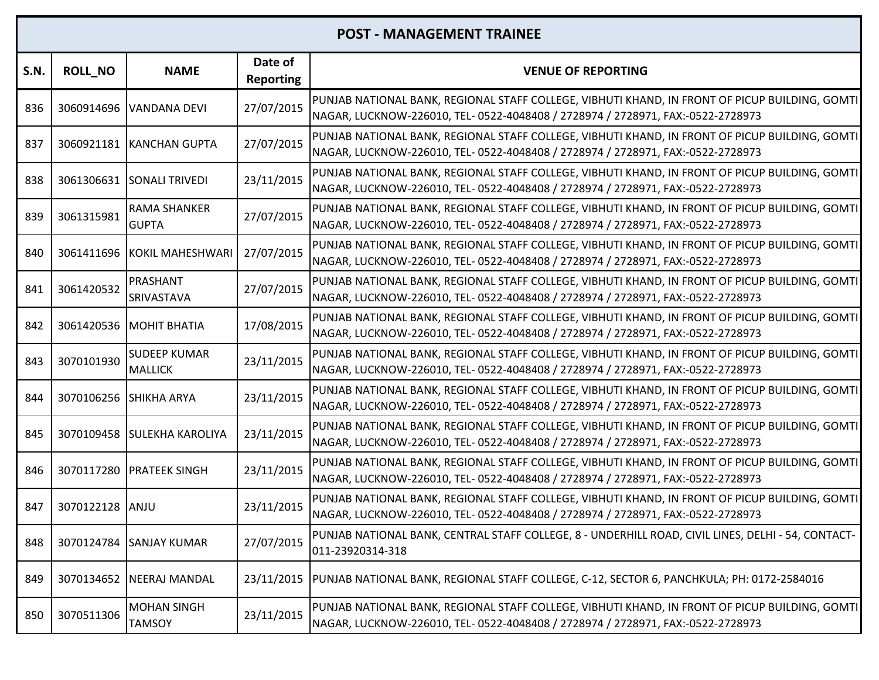| S.N. | <b>ROLL NO</b> | <b>NAME</b>                           | Date of<br><b>Reporting</b> | <b>VENUE OF REPORTING</b>                                                                                                                                                         |
|------|----------------|---------------------------------------|-----------------------------|-----------------------------------------------------------------------------------------------------------------------------------------------------------------------------------|
| 836  | 3060914696     | VANDANA DEVI                          | 27/07/2015                  | PUNJAB NATIONAL BANK, REGIONAL STAFF COLLEGE, VIBHUTI KHAND, IN FRONT OF PICUP BUILDING, GOMTI<br>NAGAR, LUCKNOW-226010, TEL- 0522-4048408 / 2728974 / 2728971, FAX:-0522-2728973 |
| 837  |                | 3060921181 KANCHAN GUPTA              | 27/07/2015                  | PUNJAB NATIONAL BANK, REGIONAL STAFF COLLEGE, VIBHUTI KHAND, IN FRONT OF PICUP BUILDING, GOMTI<br>NAGAR, LUCKNOW-226010, TEL- 0522-4048408 / 2728974 / 2728971, FAX:-0522-2728973 |
| 838  | 3061306631     | <b>SONALI TRIVEDI</b>                 | 23/11/2015                  | PUNJAB NATIONAL BANK, REGIONAL STAFF COLLEGE, VIBHUTI KHAND, IN FRONT OF PICUP BUILDING, GOMTI<br>NAGAR, LUCKNOW-226010, TEL- 0522-4048408 / 2728974 / 2728971, FAX:-0522-2728973 |
| 839  | 3061315981     | <b>RAMA SHANKER</b><br><b>GUPTA</b>   | 27/07/2015                  | PUNJAB NATIONAL BANK, REGIONAL STAFF COLLEGE, VIBHUTI KHAND, IN FRONT OF PICUP BUILDING, GOMTI<br>NAGAR, LUCKNOW-226010, TEL- 0522-4048408 / 2728974 / 2728971, FAX:-0522-2728973 |
| 840  |                | 3061411696 KOKIL MAHESHWARI           | 27/07/2015                  | PUNJAB NATIONAL BANK, REGIONAL STAFF COLLEGE, VIBHUTI KHAND, IN FRONT OF PICUP BUILDING, GOMTI<br>NAGAR, LUCKNOW-226010, TEL- 0522-4048408 / 2728974 / 2728971, FAX:-0522-2728973 |
| 841  | 3061420532     | PRASHANT<br>SRIVASTAVA                | 27/07/2015                  | PUNJAB NATIONAL BANK, REGIONAL STAFF COLLEGE, VIBHUTI KHAND, IN FRONT OF PICUP BUILDING, GOMTI<br>NAGAR, LUCKNOW-226010, TEL- 0522-4048408 / 2728974 / 2728971, FAX:-0522-2728973 |
| 842  |                | 3061420536 MOHIT BHATIA               | 17/08/2015                  | PUNJAB NATIONAL BANK, REGIONAL STAFF COLLEGE, VIBHUTI KHAND, IN FRONT OF PICUP BUILDING, GOMTI<br>NAGAR, LUCKNOW-226010, TEL- 0522-4048408 / 2728974 / 2728971, FAX:-0522-2728973 |
| 843  | 3070101930     | <b>SUDEEP KUMAR</b><br><b>MALLICK</b> | 23/11/2015                  | PUNJAB NATIONAL BANK, REGIONAL STAFF COLLEGE, VIBHUTI KHAND, IN FRONT OF PICUP BUILDING, GOMTI<br>NAGAR, LUCKNOW-226010, TEL- 0522-4048408 / 2728974 / 2728971, FAX:-0522-2728973 |
| 844  | 3070106256     | <b>SHIKHA ARYA</b>                    | 23/11/2015                  | PUNJAB NATIONAL BANK, REGIONAL STAFF COLLEGE, VIBHUTI KHAND, IN FRONT OF PICUP BUILDING, GOMTI<br>NAGAR, LUCKNOW-226010, TEL- 0522-4048408 / 2728974 / 2728971, FAX:-0522-2728973 |
| 845  |                | 3070109458 SULEKHA KAROLIYA           | 23/11/2015                  | PUNJAB NATIONAL BANK, REGIONAL STAFF COLLEGE, VIBHUTI KHAND, IN FRONT OF PICUP BUILDING, GOMTI<br>NAGAR, LUCKNOW-226010, TEL- 0522-4048408 / 2728974 / 2728971, FAX:-0522-2728973 |
| 846  |                | 3070117280 PRATEEK SINGH              | 23/11/2015                  | PUNJAB NATIONAL BANK, REGIONAL STAFF COLLEGE, VIBHUTI KHAND, IN FRONT OF PICUP BUILDING, GOMTI<br>NAGAR, LUCKNOW-226010, TEL- 0522-4048408 / 2728974 / 2728971, FAX:-0522-2728973 |
| 847  | 3070122128     | ANJU                                  | 23/11/2015                  | PUNJAB NATIONAL BANK, REGIONAL STAFF COLLEGE, VIBHUTI KHAND, IN FRONT OF PICUP BUILDING, GOMTI<br>NAGAR, LUCKNOW-226010, TEL- 0522-4048408 / 2728974 / 2728971, FAX:-0522-2728973 |
| 848  | 3070124784     | <b>SANJAY KUMAR</b>                   | 27/07/2015                  | PUNJAB NATIONAL BANK, CENTRAL STAFF COLLEGE, 8 - UNDERHILL ROAD, CIVIL LINES, DELHI - 54, CONTACT-<br>011-23920314-318                                                            |
| 849  |                | 3070134652   NEERAJ MANDAL            |                             | 23/11/2015  PUNJAB NATIONAL BANK, REGIONAL STAFF COLLEGE, C-12, SECTOR 6, PANCHKULA; PH: 0172-2584016                                                                             |
| 850  | 3070511306     | <b>MOHAN SINGH</b><br><b>TAMSOY</b>   | 23/11/2015                  | PUNJAB NATIONAL BANK, REGIONAL STAFF COLLEGE, VIBHUTI KHAND, IN FRONT OF PICUP BUILDING, GOMTI<br>NAGAR, LUCKNOW-226010, TEL- 0522-4048408 / 2728974 / 2728971, FAX:-0522-2728973 |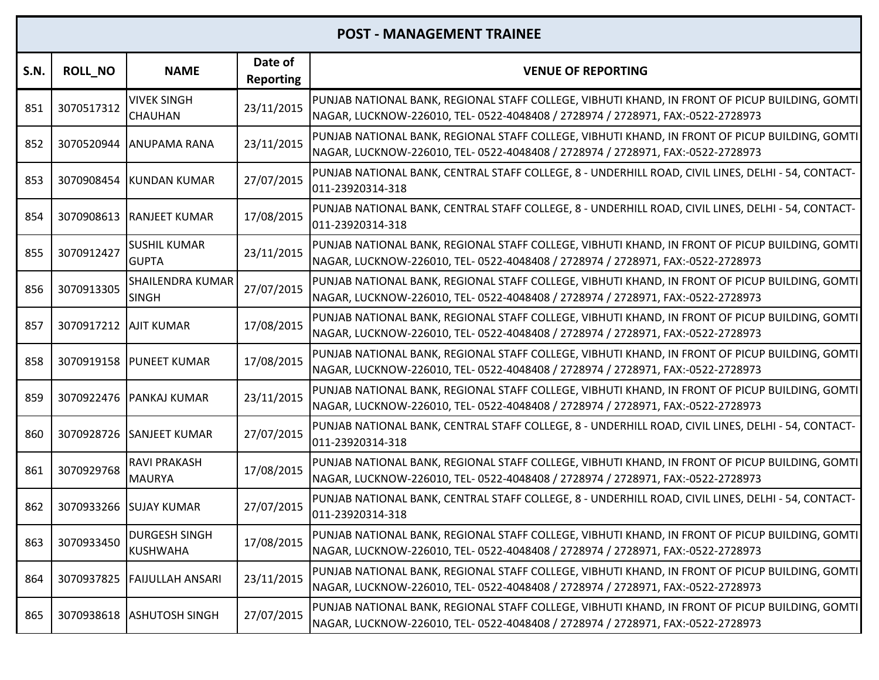| S.N. | <b>ROLL_NO</b>        | <b>NAME</b>                             | Date of<br><b>Reporting</b> | <b>VENUE OF REPORTING</b>                                                                                                                                                         |
|------|-----------------------|-----------------------------------------|-----------------------------|-----------------------------------------------------------------------------------------------------------------------------------------------------------------------------------|
| 851  | 3070517312            | <b>VIVEK SINGH</b><br><b>CHAUHAN</b>    | 23/11/2015                  | PUNJAB NATIONAL BANK, REGIONAL STAFF COLLEGE, VIBHUTI KHAND, IN FRONT OF PICUP BUILDING, GOMTI<br>NAGAR, LUCKNOW-226010, TEL- 0522-4048408 / 2728974 / 2728971, FAX:-0522-2728973 |
| 852  | 3070520944            | <b>ANUPAMA RANA</b>                     | 23/11/2015                  | PUNJAB NATIONAL BANK, REGIONAL STAFF COLLEGE, VIBHUTI KHAND, IN FRONT OF PICUP BUILDING, GOMTI<br>NAGAR, LUCKNOW-226010, TEL- 0522-4048408 / 2728974 / 2728971, FAX:-0522-2728973 |
| 853  |                       | 3070908454 KUNDAN KUMAR                 | 27/07/2015                  | PUNJAB NATIONAL BANK, CENTRAL STAFF COLLEGE, 8 - UNDERHILL ROAD, CIVIL LINES, DELHI - 54, CONTACT-<br>011-23920314-318                                                            |
| 854  |                       | 3070908613   RANJEET KUMAR              | 17/08/2015                  | PUNJAB NATIONAL BANK, CENTRAL STAFF COLLEGE, 8 - UNDERHILL ROAD, CIVIL LINES, DELHI - 54, CONTACT-<br>011-23920314-318                                                            |
| 855  | 3070912427            | <b>SUSHIL KUMAR</b><br><b>GUPTA</b>     | 23/11/2015                  | PUNJAB NATIONAL BANK, REGIONAL STAFF COLLEGE, VIBHUTI KHAND, IN FRONT OF PICUP BUILDING, GOMTI<br>NAGAR, LUCKNOW-226010, TEL- 0522-4048408 / 2728974 / 2728971, FAX:-0522-2728973 |
| 856  | 3070913305            | <b>SHAILENDRA KUMAR</b><br><b>SINGH</b> | 27/07/2015                  | PUNJAB NATIONAL BANK, REGIONAL STAFF COLLEGE, VIBHUTI KHAND, IN FRONT OF PICUP BUILDING, GOMTI<br>NAGAR, LUCKNOW-226010, TEL- 0522-4048408 / 2728974 / 2728971, FAX:-0522-2728973 |
| 857  | 3070917212 AJIT KUMAR |                                         | 17/08/2015                  | PUNJAB NATIONAL BANK, REGIONAL STAFF COLLEGE, VIBHUTI KHAND, IN FRONT OF PICUP BUILDING, GOMTI<br>NAGAR, LUCKNOW-226010, TEL- 0522-4048408 / 2728974 / 2728971, FAX:-0522-2728973 |
| 858  |                       | 3070919158 PUNEET KUMAR                 | 17/08/2015                  | PUNJAB NATIONAL BANK, REGIONAL STAFF COLLEGE, VIBHUTI KHAND, IN FRONT OF PICUP BUILDING, GOMTI<br>NAGAR, LUCKNOW-226010, TEL- 0522-4048408 / 2728974 / 2728971, FAX:-0522-2728973 |
| 859  |                       | 3070922476 PANKAJ KUMAR                 | 23/11/2015                  | PUNJAB NATIONAL BANK, REGIONAL STAFF COLLEGE, VIBHUTI KHAND, IN FRONT OF PICUP BUILDING, GOMTI<br>NAGAR, LUCKNOW-226010, TEL- 0522-4048408 / 2728974 / 2728971, FAX:-0522-2728973 |
| 860  |                       | 3070928726 SANJEET KUMAR                | 27/07/2015                  | PUNJAB NATIONAL BANK, CENTRAL STAFF COLLEGE, 8 - UNDERHILL ROAD, CIVIL LINES, DELHI - 54, CONTACT-<br>011-23920314-318                                                            |
| 861  | 3070929768            | <b>RAVI PRAKASH</b><br><b>MAURYA</b>    | 17/08/2015                  | PUNJAB NATIONAL BANK, REGIONAL STAFF COLLEGE, VIBHUTI KHAND, IN FRONT OF PICUP BUILDING, GOMTI<br>NAGAR, LUCKNOW-226010, TEL- 0522-4048408 / 2728974 / 2728971, FAX:-0522-2728973 |
| 862  |                       | 3070933266 SUJAY KUMAR                  | 27/07/2015                  | PUNJAB NATIONAL BANK, CENTRAL STAFF COLLEGE, 8 - UNDERHILL ROAD, CIVIL LINES, DELHI - 54, CONTACT-<br>011-23920314-318                                                            |
| 863  | 3070933450            | <b>DURGESH SINGH</b><br><b>KUSHWAHA</b> | 17/08/2015                  | PUNJAB NATIONAL BANK, REGIONAL STAFF COLLEGE, VIBHUTI KHAND, IN FRONT OF PICUP BUILDING, GOMTI<br>NAGAR, LUCKNOW-226010, TEL- 0522-4048408 / 2728974 / 2728971, FAX:-0522-2728973 |
| 864  | 3070937825            | <b>FAIJULLAH ANSARI</b>                 | 23/11/2015                  | PUNJAB NATIONAL BANK, REGIONAL STAFF COLLEGE, VIBHUTI KHAND, IN FRONT OF PICUP BUILDING, GOMTI<br>NAGAR, LUCKNOW-226010, TEL- 0522-4048408 / 2728974 / 2728971, FAX:-0522-2728973 |
| 865  | 3070938618            | <b>ASHUTOSH SINGH</b>                   | 27/07/2015                  | PUNJAB NATIONAL BANK, REGIONAL STAFF COLLEGE, VIBHUTI KHAND, IN FRONT OF PICUP BUILDING, GOMTI<br>NAGAR, LUCKNOW-226010, TEL- 0522-4048408 / 2728974 / 2728971, FAX:-0522-2728973 |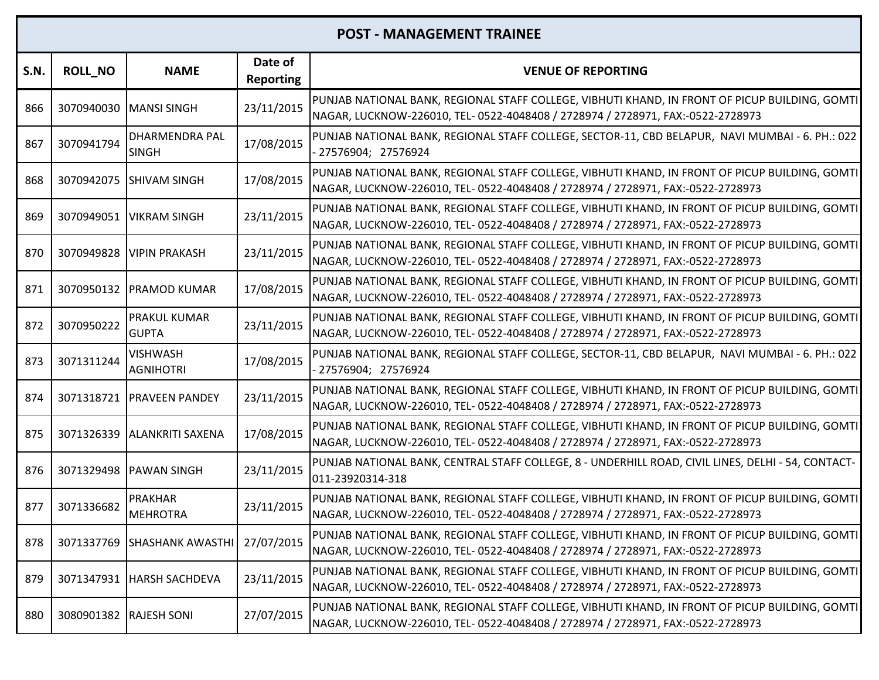| S.N. | <b>ROLL_NO</b>         | <b>NAME</b>                            | Date of<br><b>Reporting</b> | <b>VENUE OF REPORTING</b>                                                                                                                                                         |
|------|------------------------|----------------------------------------|-----------------------------|-----------------------------------------------------------------------------------------------------------------------------------------------------------------------------------|
| 866  | 3070940030             | MANSI SINGH                            | 23/11/2015                  | PUNJAB NATIONAL BANK, REGIONAL STAFF COLLEGE, VIBHUTI KHAND, IN FRONT OF PICUP BUILDING, GOMTI<br>NAGAR, LUCKNOW-226010, TEL- 0522-4048408 / 2728974 / 2728971, FAX:-0522-2728973 |
| 867  | 3070941794             | DHARMENDRA PAL<br><b>SINGH</b>         | 17/08/2015                  | PUNJAB NATIONAL BANK, REGIONAL STAFF COLLEGE, SECTOR-11, CBD BELAPUR, NAVI MUMBAI - 6. PH.: 022<br>27576904; 27576924                                                             |
| 868  |                        | 3070942075 SHIVAM SINGH                | 17/08/2015                  | PUNJAB NATIONAL BANK, REGIONAL STAFF COLLEGE, VIBHUTI KHAND, IN FRONT OF PICUP BUILDING, GOMTI<br>NAGAR, LUCKNOW-226010, TEL- 0522-4048408 / 2728974 / 2728971, FAX:-0522-2728973 |
| 869  | 3070949051             | <b>VIKRAM SINGH</b>                    | 23/11/2015                  | PUNJAB NATIONAL BANK, REGIONAL STAFF COLLEGE, VIBHUTI KHAND, IN FRONT OF PICUP BUILDING, GOMTI<br>NAGAR, LUCKNOW-226010, TEL- 0522-4048408 / 2728974 / 2728971, FAX:-0522-2728973 |
| 870  | 3070949828             | <b>VIPIN PRAKASH</b>                   | 23/11/2015                  | PUNJAB NATIONAL BANK, REGIONAL STAFF COLLEGE, VIBHUTI KHAND, IN FRONT OF PICUP BUILDING, GOMTI<br>NAGAR, LUCKNOW-226010, TEL- 0522-4048408 / 2728974 / 2728971, FAX:-0522-2728973 |
| 871  |                        | 3070950132 PRAMOD KUMAR                | 17/08/2015                  | PUNJAB NATIONAL BANK, REGIONAL STAFF COLLEGE, VIBHUTI KHAND, IN FRONT OF PICUP BUILDING, GOMTI<br>NAGAR, LUCKNOW-226010, TEL- 0522-4048408 / 2728974 / 2728971, FAX:-0522-2728973 |
| 872  | 3070950222             | PRAKUL KUMAR<br><b>GUPTA</b>           | 23/11/2015                  | PUNJAB NATIONAL BANK, REGIONAL STAFF COLLEGE, VIBHUTI KHAND, IN FRONT OF PICUP BUILDING, GOMTI<br>NAGAR, LUCKNOW-226010, TEL- 0522-4048408 / 2728974 / 2728971, FAX:-0522-2728973 |
| 873  | 3071311244             | <b>VISHWASH</b><br><b>AGNIHOTRI</b>    | 17/08/2015                  | PUNJAB NATIONAL BANK, REGIONAL STAFF COLLEGE, SECTOR-11, CBD BELAPUR, NAVI MUMBAI - 6. PH.: 022<br>- 27576904; 27576924                                                           |
| 874  | 3071318721             | <b>PRAVEEN PANDEY</b>                  | 23/11/2015                  | PUNJAB NATIONAL BANK, REGIONAL STAFF COLLEGE, VIBHUTI KHAND, IN FRONT OF PICUP BUILDING, GOMTI<br>NAGAR, LUCKNOW-226010, TEL- 0522-4048408 / 2728974 / 2728971, FAX:-0522-2728973 |
| 875  |                        | 3071326339 ALANKRITI SAXENA            | 17/08/2015                  | PUNJAB NATIONAL BANK, REGIONAL STAFF COLLEGE, VIBHUTI KHAND, IN FRONT OF PICUP BUILDING, GOMTI<br>NAGAR, LUCKNOW-226010, TEL- 0522-4048408 / 2728974 / 2728971, FAX:-0522-2728973 |
| 876  |                        | 3071329498 PAWAN SINGH                 | 23/11/2015                  | PUNJAB NATIONAL BANK, CENTRAL STAFF COLLEGE, 8 - UNDERHILL ROAD, CIVIL LINES, DELHI - 54, CONTACT-<br>011-23920314-318                                                            |
| 877  | 3071336682             | <b>PRAKHAR</b><br><b>MEHROTRA</b>      | 23/11/2015                  | PUNJAB NATIONAL BANK, REGIONAL STAFF COLLEGE, VIBHUTI KHAND, IN FRONT OF PICUP BUILDING, GOMTI<br>NAGAR, LUCKNOW-226010, TEL- 0522-4048408 / 2728974 / 2728971, FAX:-0522-2728973 |
| 878  |                        | 3071337769 SHASHANK AWASTHI 27/07/2015 |                             | PUNJAB NATIONAL BANK, REGIONAL STAFF COLLEGE, VIBHUTI KHAND, IN FRONT OF PICUP BUILDING, GOMTI<br>NAGAR, LUCKNOW-226010, TEL- 0522-4048408 / 2728974 / 2728971, FAX:-0522-2728973 |
| 879  | 3071347931             | <b>HARSH SACHDEVA</b>                  | 23/11/2015                  | PUNJAB NATIONAL BANK, REGIONAL STAFF COLLEGE, VIBHUTI KHAND, IN FRONT OF PICUP BUILDING, GOMTI<br>NAGAR, LUCKNOW-226010, TEL- 0522-4048408 / 2728974 / 2728971, FAX:-0522-2728973 |
| 880  | 3080901382 RAJESH SONI |                                        | 27/07/2015                  | PUNJAB NATIONAL BANK, REGIONAL STAFF COLLEGE, VIBHUTI KHAND, IN FRONT OF PICUP BUILDING, GOMTI<br>NAGAR, LUCKNOW-226010, TEL- 0522-4048408 / 2728974 / 2728971, FAX:-0522-2728973 |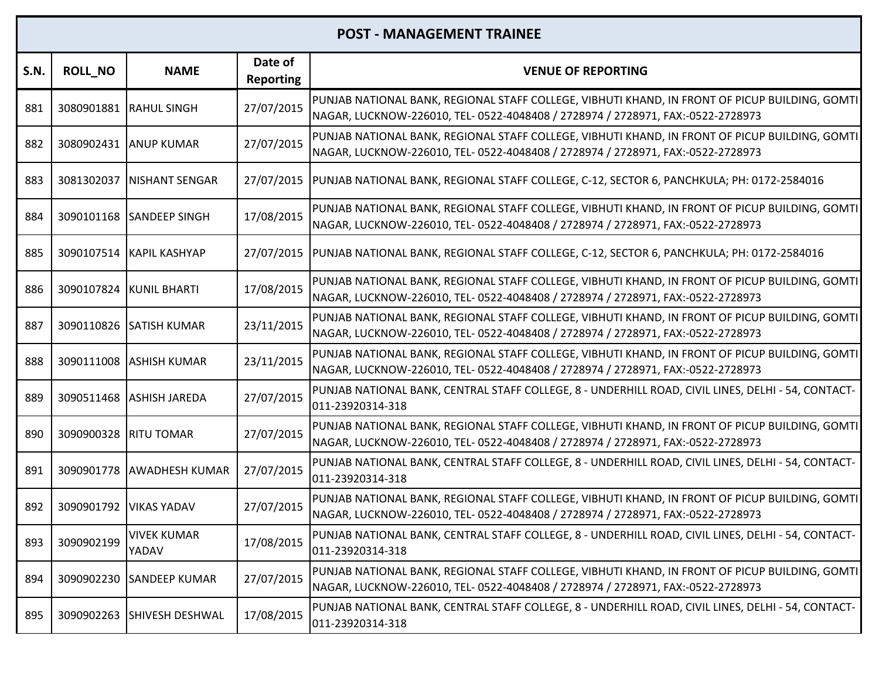| S.N. | <b>ROLL_NO</b> | <b>NAME</b>                 | Date of<br><b>Reporting</b> | <b>VENUE OF REPORTING</b>                                                                                                                                                         |
|------|----------------|-----------------------------|-----------------------------|-----------------------------------------------------------------------------------------------------------------------------------------------------------------------------------|
| 881  |                | 3080901881 RAHUL SINGH      | 27/07/2015                  | PUNJAB NATIONAL BANK, REGIONAL STAFF COLLEGE, VIBHUTI KHAND, IN FRONT OF PICUP BUILDING, GOMTI<br>NAGAR, LUCKNOW-226010, TEL- 0522-4048408 / 2728974 / 2728971, FAX:-0522-2728973 |
| 882  |                | 3080902431 ANUP KUMAR       | 27/07/2015                  | PUNJAB NATIONAL BANK, REGIONAL STAFF COLLEGE, VIBHUTI KHAND, IN FRONT OF PICUP BUILDING, GOMTI<br>NAGAR, LUCKNOW-226010, TEL- 0522-4048408 / 2728974 / 2728971, FAX:-0522-2728973 |
| 883  | 3081302037     | <b>INISHANT SENGAR</b>      | 27/07/2015                  | PUNJAB NATIONAL BANK, REGIONAL STAFF COLLEGE, C-12, SECTOR 6, PANCHKULA; PH: 0172-2584016                                                                                         |
| 884  |                | 3090101168 SANDEEP SINGH    | 17/08/2015                  | PUNJAB NATIONAL BANK, REGIONAL STAFF COLLEGE, VIBHUTI KHAND, IN FRONT OF PICUP BUILDING, GOMTI<br>NAGAR, LUCKNOW-226010, TEL- 0522-4048408 / 2728974 / 2728971, FAX:-0522-2728973 |
| 885  | 3090107514     | IKAPIL KASHYAP              | 27/07/2015                  | PUNJAB NATIONAL BANK, REGIONAL STAFF COLLEGE, C-12, SECTOR 6, PANCHKULA; PH: 0172-2584016                                                                                         |
| 886  |                | 3090107824 KUNIL BHARTI     | 17/08/2015                  | PUNJAB NATIONAL BANK, REGIONAL STAFF COLLEGE, VIBHUTI KHAND, IN FRONT OF PICUP BUILDING, GOMTI<br>NAGAR, LUCKNOW-226010, TEL- 0522-4048408 / 2728974 / 2728971, FAX:-0522-2728973 |
| 887  |                | 3090110826 SATISH KUMAR     | 23/11/2015                  | PUNJAB NATIONAL BANK, REGIONAL STAFF COLLEGE, VIBHUTI KHAND, IN FRONT OF PICUP BUILDING, GOMTI<br>NAGAR, LUCKNOW-226010, TEL- 0522-4048408 / 2728974 / 2728971, FAX:-0522-2728973 |
| 888  |                | 3090111008 ASHISH KUMAR     | 23/11/2015                  | PUNJAB NATIONAL BANK, REGIONAL STAFF COLLEGE, VIBHUTI KHAND, IN FRONT OF PICUP BUILDING, GOMTI<br>NAGAR, LUCKNOW-226010, TEL- 0522-4048408 / 2728974 / 2728971, FAX:-0522-2728973 |
| 889  |                | 3090511468 ASHISH JAREDA    | 27/07/2015                  | PUNJAB NATIONAL BANK, CENTRAL STAFF COLLEGE, 8 - UNDERHILL ROAD, CIVIL LINES, DELHI - 54, CONTACT-<br>011-23920314-318                                                            |
| 890  | 3090900328     | <b>RITU TOMAR</b>           | 27/07/2015                  | PUNJAB NATIONAL BANK, REGIONAL STAFF COLLEGE, VIBHUTI KHAND, IN FRONT OF PICUP BUILDING, GOMTI<br>NAGAR, LUCKNOW-226010, TEL- 0522-4048408 / 2728974 / 2728971, FAX:-0522-2728973 |
| 891  |                | 3090901778 AWADHESH KUMAR   | 27/07/2015                  | PUNJAB NATIONAL BANK, CENTRAL STAFF COLLEGE, 8 - UNDERHILL ROAD, CIVIL LINES, DELHI - 54, CONTACT-<br>011-23920314-318                                                            |
| 892  | 3090901792     | <b>VIKAS YADAV</b>          | 27/07/2015                  | PUNJAB NATIONAL BANK, REGIONAL STAFF COLLEGE, VIBHUTI KHAND, IN FRONT OF PICUP BUILDING, GOMTI<br>NAGAR, LUCKNOW-226010, TEL- 0522-4048408 / 2728974 / 2728971, FAX:-0522-2728973 |
| 893  | 3090902199     | <b>VIVEK KUMAR</b><br>YADAV | 17/08/2015                  | PUNJAB NATIONAL BANK, CENTRAL STAFF COLLEGE, 8 - UNDERHILL ROAD, CIVIL LINES, DELHI - 54, CONTACT-<br>011-23920314-318                                                            |
| 894  | 3090902230     | <b>SANDEEP KUMAR</b>        | 27/07/2015                  | PUNJAB NATIONAL BANK, REGIONAL STAFF COLLEGE, VIBHUTI KHAND, IN FRONT OF PICUP BUILDING, GOMTI<br>NAGAR, LUCKNOW-226010, TEL- 0522-4048408 / 2728974 / 2728971, FAX:-0522-2728973 |
| 895  | 3090902263     | <b>SHIVESH DESHWAL</b>      | 17/08/2015                  | PUNJAB NATIONAL BANK, CENTRAL STAFF COLLEGE, 8 - UNDERHILL ROAD, CIVIL LINES, DELHI - 54, CONTACT-<br>011-23920314-318                                                            |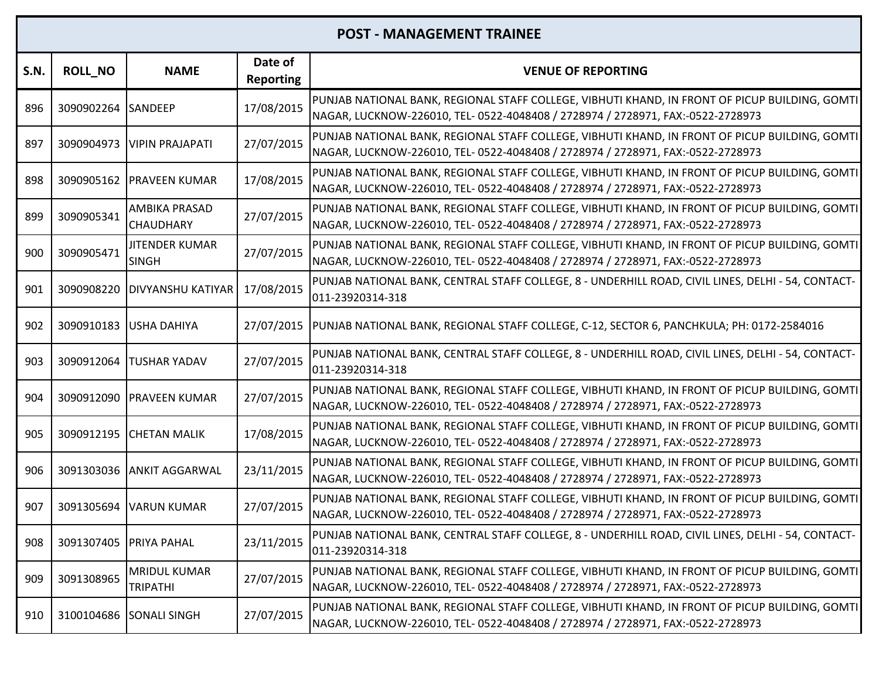| S.N. | <b>ROLL_NO</b>         | <b>NAME</b>                            | Date of<br><b>Reporting</b> | <b>VENUE OF REPORTING</b>                                                                                                                                                         |
|------|------------------------|----------------------------------------|-----------------------------|-----------------------------------------------------------------------------------------------------------------------------------------------------------------------------------|
| 896  | 3090902264 SANDEEP     |                                        | 17/08/2015                  | PUNJAB NATIONAL BANK, REGIONAL STAFF COLLEGE, VIBHUTI KHAND, IN FRONT OF PICUP BUILDING, GOMTI<br>NAGAR, LUCKNOW-226010, TEL- 0522-4048408 / 2728974 / 2728971, FAX:-0522-2728973 |
| 897  | 3090904973             | <b>VIPIN PRAJAPATI</b>                 | 27/07/2015                  | PUNJAB NATIONAL BANK, REGIONAL STAFF COLLEGE, VIBHUTI KHAND, IN FRONT OF PICUP BUILDING, GOMTI<br>NAGAR, LUCKNOW-226010, TEL- 0522-4048408 / 2728974 / 2728971, FAX:-0522-2728973 |
| 898  |                        | 3090905162 PRAVEEN KUMAR               | 17/08/2015                  | PUNJAB NATIONAL BANK, REGIONAL STAFF COLLEGE, VIBHUTI KHAND, IN FRONT OF PICUP BUILDING, GOMTI<br>NAGAR, LUCKNOW-226010, TEL- 0522-4048408 / 2728974 / 2728971, FAX:-0522-2728973 |
| 899  | 3090905341             | AMBIKA PRASAD<br><b>CHAUDHARY</b>      | 27/07/2015                  | PUNJAB NATIONAL BANK, REGIONAL STAFF COLLEGE, VIBHUTI KHAND, IN FRONT OF PICUP BUILDING, GOMTI<br>NAGAR, LUCKNOW-226010, TEL- 0522-4048408 / 2728974 / 2728971, FAX:-0522-2728973 |
| 900  | 3090905471             | <b>JITENDER KUMAR</b><br><b>SINGH</b>  | 27/07/2015                  | PUNJAB NATIONAL BANK, REGIONAL STAFF COLLEGE, VIBHUTI KHAND, IN FRONT OF PICUP BUILDING, GOMTI<br>NAGAR, LUCKNOW-226010, TEL- 0522-4048408 / 2728974 / 2728971, FAX:-0522-2728973 |
| 901  | 3090908220             | <b>DIVYANSHU KATIYAR</b>               | 17/08/2015                  | PUNJAB NATIONAL BANK, CENTRAL STAFF COLLEGE, 8 - UNDERHILL ROAD, CIVIL LINES, DELHI - 54, CONTACT-<br>011-23920314-318                                                            |
| 902  | 3090910183             | USHA DAHIYA                            | 27/07/2015                  | PUNJAB NATIONAL BANK, REGIONAL STAFF COLLEGE, C-12, SECTOR 6, PANCHKULA; PH: 0172-2584016                                                                                         |
| 903  | 3090912064             | <b>TUSHAR YADAV</b>                    | 27/07/2015                  | PUNJAB NATIONAL BANK, CENTRAL STAFF COLLEGE, 8 - UNDERHILL ROAD, CIVIL LINES, DELHI - 54, CONTACT-<br>011-23920314-318                                                            |
| 904  | 3090912090             | <b>PRAVEEN KUMAR</b>                   | 27/07/2015                  | PUNJAB NATIONAL BANK, REGIONAL STAFF COLLEGE, VIBHUTI KHAND, IN FRONT OF PICUP BUILDING, GOMTI<br>NAGAR, LUCKNOW-226010, TEL- 0522-4048408 / 2728974 / 2728971, FAX:-0522-2728973 |
| 905  | 3090912195             | <b>CHETAN MALIK</b>                    | 17/08/2015                  | PUNJAB NATIONAL BANK, REGIONAL STAFF COLLEGE, VIBHUTI KHAND, IN FRONT OF PICUP BUILDING, GOMTI<br>NAGAR, LUCKNOW-226010, TEL- 0522-4048408 / 2728974 / 2728971, FAX:-0522-2728973 |
| 906  |                        | 3091303036 ANKIT AGGARWAL              | 23/11/2015                  | PUNJAB NATIONAL BANK, REGIONAL STAFF COLLEGE, VIBHUTI KHAND, IN FRONT OF PICUP BUILDING, GOMTI<br>NAGAR, LUCKNOW-226010, TEL- 0522-4048408 / 2728974 / 2728971, FAX:-0522-2728973 |
| 907  | 3091305694             | <b>VARUN KUMAR</b>                     | 27/07/2015                  | PUNJAB NATIONAL BANK, REGIONAL STAFF COLLEGE, VIBHUTI KHAND, IN FRONT OF PICUP BUILDING, GOMTI<br>NAGAR, LUCKNOW-226010, TEL- 0522-4048408 / 2728974 / 2728971, FAX:-0522-2728973 |
| 908  | 3091307405 PRIYA PAHAL |                                        | 23/11/2015                  | PUNJAB NATIONAL BANK, CENTRAL STAFF COLLEGE, 8 - UNDERHILL ROAD, CIVIL LINES, DELHI - 54, CONTACT-<br>011-23920314-318                                                            |
| 909  | 3091308965             | <b>MRIDUL KUMAR</b><br><b>TRIPATHI</b> | 27/07/2015                  | PUNJAB NATIONAL BANK, REGIONAL STAFF COLLEGE, VIBHUTI KHAND, IN FRONT OF PICUP BUILDING, GOMTI<br>NAGAR, LUCKNOW-226010, TEL- 0522-4048408 / 2728974 / 2728971, FAX:-0522-2728973 |
| 910  | 3100104686             | <b>SONALI SINGH</b>                    | 27/07/2015                  | PUNJAB NATIONAL BANK, REGIONAL STAFF COLLEGE, VIBHUTI KHAND, IN FRONT OF PICUP BUILDING, GOMTI<br>NAGAR, LUCKNOW-226010, TEL- 0522-4048408 / 2728974 / 2728971, FAX:-0522-2728973 |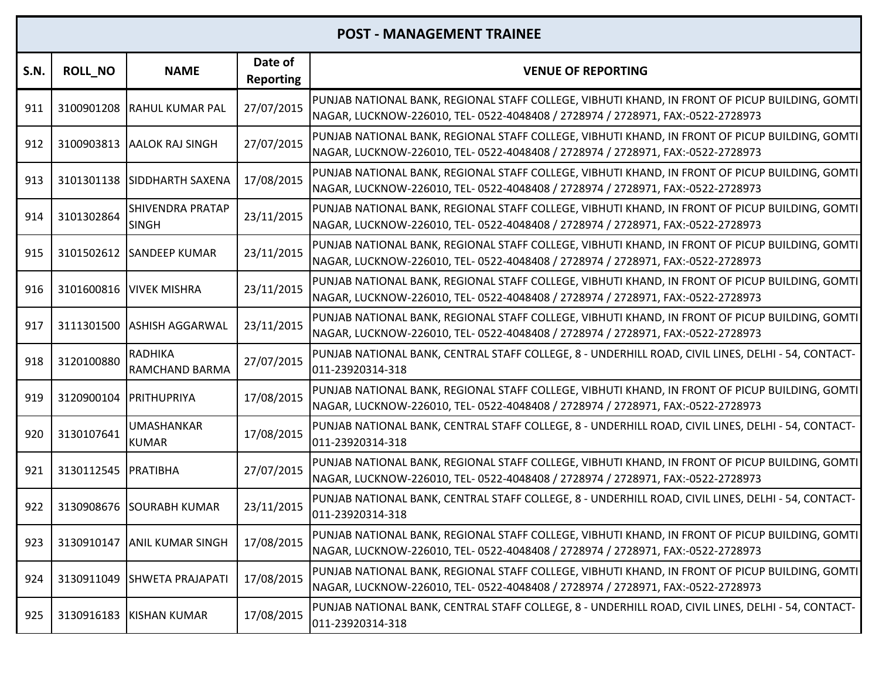| <b>S.N.</b> | <b>ROLL_NO</b>      | <b>NAME</b>                             | Date of<br><b>Reporting</b> | <b>VENUE OF REPORTING</b>                                                                                                                                                         |
|-------------|---------------------|-----------------------------------------|-----------------------------|-----------------------------------------------------------------------------------------------------------------------------------------------------------------------------------|
| 911         |                     | 3100901208 RAHUL KUMAR PAL              | 27/07/2015                  | PUNJAB NATIONAL BANK, REGIONAL STAFF COLLEGE, VIBHUTI KHAND, IN FRONT OF PICUP BUILDING, GOMTI<br>NAGAR, LUCKNOW-226010, TEL- 0522-4048408 / 2728974 / 2728971, FAX:-0522-2728973 |
| 912         |                     | 3100903813 AALOK RAJ SINGH              | 27/07/2015                  | PUNJAB NATIONAL BANK, REGIONAL STAFF COLLEGE, VIBHUTI KHAND, IN FRONT OF PICUP BUILDING, GOMTI<br>NAGAR, LUCKNOW-226010, TEL- 0522-4048408 / 2728974 / 2728971, FAX:-0522-2728973 |
| 913         |                     | 3101301138 SIDDHARTH SAXENA             | 17/08/2015                  | PUNJAB NATIONAL BANK, REGIONAL STAFF COLLEGE, VIBHUTI KHAND, IN FRONT OF PICUP BUILDING, GOMTI<br>NAGAR, LUCKNOW-226010, TEL- 0522-4048408 / 2728974 / 2728971, FAX:-0522-2728973 |
| 914         | 3101302864          | <b>SHIVENDRA PRATAP</b><br><b>SINGH</b> | 23/11/2015                  | PUNJAB NATIONAL BANK, REGIONAL STAFF COLLEGE, VIBHUTI KHAND, IN FRONT OF PICUP BUILDING, GOMTI<br>NAGAR, LUCKNOW-226010, TEL- 0522-4048408 / 2728974 / 2728971, FAX:-0522-2728973 |
| 915         |                     | 3101502612 SANDEEP KUMAR                | 23/11/2015                  | PUNJAB NATIONAL BANK, REGIONAL STAFF COLLEGE, VIBHUTI KHAND, IN FRONT OF PICUP BUILDING, GOMTI<br>NAGAR, LUCKNOW-226010, TEL- 0522-4048408 / 2728974 / 2728971, FAX:-0522-2728973 |
| 916         |                     | 3101600816 VIVEK MISHRA                 | 23/11/2015                  | PUNJAB NATIONAL BANK, REGIONAL STAFF COLLEGE, VIBHUTI KHAND, IN FRONT OF PICUP BUILDING, GOMTI<br>NAGAR, LUCKNOW-226010, TEL- 0522-4048408 / 2728974 / 2728971, FAX:-0522-2728973 |
| 917         |                     | 3111301500 ASHISH AGGARWAL              | 23/11/2015                  | PUNJAB NATIONAL BANK, REGIONAL STAFF COLLEGE, VIBHUTI KHAND, IN FRONT OF PICUP BUILDING, GOMTI<br>NAGAR, LUCKNOW-226010, TEL- 0522-4048408 / 2728974 / 2728971, FAX:-0522-2728973 |
| 918         | 3120100880          | <b>RADHIKA</b><br>RAMCHAND BARMA        | 27/07/2015                  | PUNJAB NATIONAL BANK, CENTRAL STAFF COLLEGE, 8 - UNDERHILL ROAD, CIVIL LINES, DELHI - 54, CONTACT-<br>011-23920314-318                                                            |
| 919         | 3120900104          | PRITHUPRIYA                             | 17/08/2015                  | PUNJAB NATIONAL BANK, REGIONAL STAFF COLLEGE, VIBHUTI KHAND, IN FRONT OF PICUP BUILDING, GOMTI<br>NAGAR, LUCKNOW-226010, TEL- 0522-4048408 / 2728974 / 2728971, FAX:-0522-2728973 |
| 920         | 3130107641          | UMASHANKAR<br><b>KUMAR</b>              | 17/08/2015                  | PUNJAB NATIONAL BANK, CENTRAL STAFF COLLEGE, 8 - UNDERHILL ROAD, CIVIL LINES, DELHI - 54, CONTACT-<br>011-23920314-318                                                            |
| 921         | 3130112545 PRATIBHA |                                         | 27/07/2015                  | PUNJAB NATIONAL BANK, REGIONAL STAFF COLLEGE, VIBHUTI KHAND, IN FRONT OF PICUP BUILDING, GOMTI<br>NAGAR, LUCKNOW-226010, TEL- 0522-4048408 / 2728974 / 2728971, FAX:-0522-2728973 |
| 922         | 3130908676          | <b>SOURABH KUMAR</b>                    | 23/11/2015                  | PUNJAB NATIONAL BANK, CENTRAL STAFF COLLEGE, 8 - UNDERHILL ROAD, CIVIL LINES, DELHI - 54, CONTACT-<br>011-23920314-318                                                            |
| 923         |                     | 3130910147 ANIL KUMAR SINGH             | 17/08/2015                  | PUNJAB NATIONAL BANK, REGIONAL STAFF COLLEGE, VIBHUTI KHAND, IN FRONT OF PICUP BUILDING, GOMTI<br>NAGAR, LUCKNOW-226010, TEL- 0522-4048408 / 2728974 / 2728971, FAX:-0522-2728973 |
| 924         | 3130911049          | <b>SHWETA PRAJAPATI</b>                 | 17/08/2015                  | PUNJAB NATIONAL BANK, REGIONAL STAFF COLLEGE, VIBHUTI KHAND, IN FRONT OF PICUP BUILDING, GOMTI<br>NAGAR, LUCKNOW-226010, TEL- 0522-4048408 / 2728974 / 2728971, FAX:-0522-2728973 |
| 925         |                     | 3130916183 KISHAN KUMAR                 | 17/08/2015                  | PUNJAB NATIONAL BANK, CENTRAL STAFF COLLEGE, 8 - UNDERHILL ROAD, CIVIL LINES, DELHI - 54, CONTACT-<br>011-23920314-318                                                            |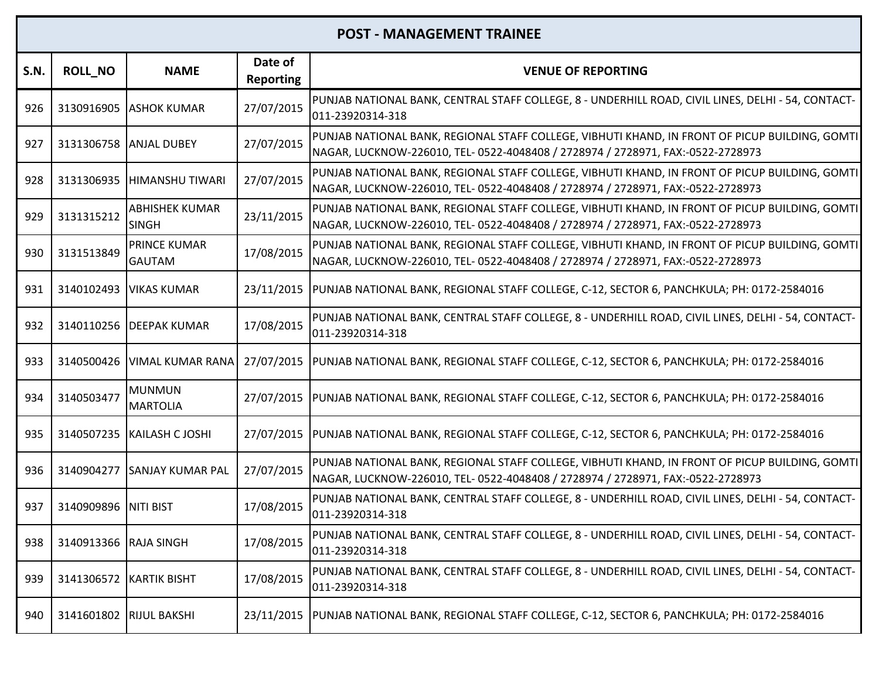| S.N. | <b>ROLL NO</b>          | <b>NAME</b>                           | Date of<br><b>Reporting</b> | <b>VENUE OF REPORTING</b>                                                                                                                                                         |
|------|-------------------------|---------------------------------------|-----------------------------|-----------------------------------------------------------------------------------------------------------------------------------------------------------------------------------|
| 926  |                         | 3130916905 ASHOK KUMAR                | 27/07/2015                  | PUNJAB NATIONAL BANK, CENTRAL STAFF COLLEGE, 8 - UNDERHILL ROAD, CIVIL LINES, DELHI - 54, CONTACT-<br>011-23920314-318                                                            |
| 927  |                         | 3131306758 ANJAL DUBEY                | 27/07/2015                  | PUNJAB NATIONAL BANK, REGIONAL STAFF COLLEGE, VIBHUTI KHAND, IN FRONT OF PICUP BUILDING, GOMTI<br>NAGAR, LUCKNOW-226010, TEL- 0522-4048408 / 2728974 / 2728971, FAX:-0522-2728973 |
| 928  |                         | 3131306935 HIMANSHU TIWARI            | 27/07/2015                  | PUNJAB NATIONAL BANK, REGIONAL STAFF COLLEGE, VIBHUTI KHAND, IN FRONT OF PICUP BUILDING, GOMTI<br>NAGAR, LUCKNOW-226010, TEL- 0522-4048408 / 2728974 / 2728971, FAX:-0522-2728973 |
| 929  | 3131315212              | <b>ABHISHEK KUMAR</b><br><b>SINGH</b> | 23/11/2015                  | PUNJAB NATIONAL BANK, REGIONAL STAFF COLLEGE, VIBHUTI KHAND, IN FRONT OF PICUP BUILDING, GOMTI<br>NAGAR, LUCKNOW-226010, TEL- 0522-4048408 / 2728974 / 2728971, FAX:-0522-2728973 |
| 930  | 3131513849              | PRINCE KUMAR<br><b>GAUTAM</b>         | 17/08/2015                  | PUNJAB NATIONAL BANK, REGIONAL STAFF COLLEGE, VIBHUTI KHAND, IN FRONT OF PICUP BUILDING, GOMTI<br>NAGAR, LUCKNOW-226010, TEL- 0522-4048408 / 2728974 / 2728971, FAX:-0522-2728973 |
| 931  |                         | 3140102493   VIKAS KUMAR              |                             | 23/11/2015  PUNJAB NATIONAL BANK, REGIONAL STAFF COLLEGE, C-12, SECTOR 6, PANCHKULA; PH: 0172-2584016                                                                             |
| 932  |                         | 3140110256 DEEPAK KUMAR               | 17/08/2015                  | PUNJAB NATIONAL BANK, CENTRAL STAFF COLLEGE, 8 - UNDERHILL ROAD, CIVIL LINES, DELHI - 54, CONTACT-<br>011-23920314-318                                                            |
| 933  | 3140500426              | <b>VIMAL KUMAR RANA</b>               | 27/07/2015                  | PUNJAB NATIONAL BANK, REGIONAL STAFF COLLEGE, C-12, SECTOR 6, PANCHKULA; PH: 0172-2584016                                                                                         |
| 934  | 3140503477              | <b>MUNMUN</b><br><b>MARTOLIA</b>      |                             | 27/07/2015  PUNJAB NATIONAL BANK, REGIONAL STAFF COLLEGE, C-12, SECTOR 6, PANCHKULA; PH: 0172-2584016                                                                             |
| 935  |                         | 3140507235   KAILASH C JOSHI          | 27/07/2015                  | PUNJAB NATIONAL BANK, REGIONAL STAFF COLLEGE, C-12, SECTOR 6, PANCHKULA; PH: 0172-2584016                                                                                         |
| 936  |                         | 3140904277 SANJAY KUMAR PAL           | 27/07/2015                  | PUNJAB NATIONAL BANK, REGIONAL STAFF COLLEGE, VIBHUTI KHAND, IN FRONT OF PICUP BUILDING, GOMTI<br>NAGAR, LUCKNOW-226010, TEL- 0522-4048408 / 2728974 / 2728971, FAX:-0522-2728973 |
| 937  | 3140909896 NITI BIST    |                                       | 17/08/2015                  | PUNJAB NATIONAL BANK, CENTRAL STAFF COLLEGE, 8 - UNDERHILL ROAD, CIVIL LINES, DELHI - 54, CONTACT-<br>011-23920314-318                                                            |
| 938  | 3140913366 RAJA SINGH   |                                       | 17/08/2015                  | PUNJAB NATIONAL BANK, CENTRAL STAFF COLLEGE, 8 - UNDERHILL ROAD, CIVIL LINES, DELHI - 54, CONTACT-<br>011-23920314-318                                                            |
| 939  | 3141306572              | <b>KARTIK BISHT</b>                   | 17/08/2015                  | PUNJAB NATIONAL BANK, CENTRAL STAFF COLLEGE, 8 - UNDERHILL ROAD, CIVIL LINES, DELHI - 54, CONTACT-<br>011-23920314-318                                                            |
| 940  | 3141601802 RIJUL BAKSHI |                                       |                             | 23/11/2015  PUNJAB NATIONAL BANK, REGIONAL STAFF COLLEGE, C-12, SECTOR 6, PANCHKULA; PH: 0172-2584016                                                                             |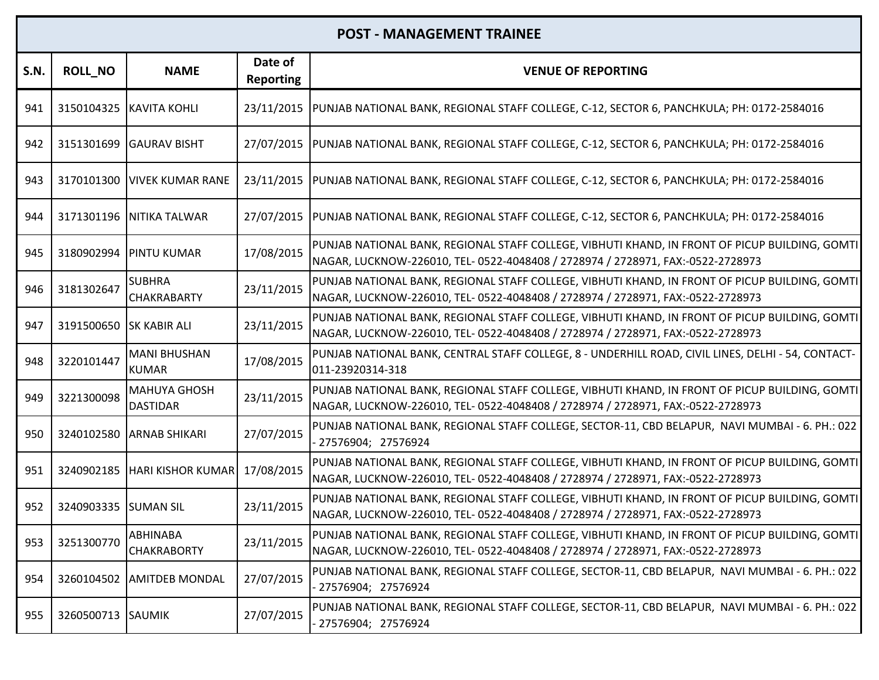| <b>S.N.</b> | <b>ROLL_NO</b>          | <b>NAME</b>                            | Date of<br><b>Reporting</b> | <b>VENUE OF REPORTING</b>                                                                                                                                                         |
|-------------|-------------------------|----------------------------------------|-----------------------------|-----------------------------------------------------------------------------------------------------------------------------------------------------------------------------------|
| 941         |                         | 3150104325 KAVITA KOHLI                | 23/11/2015                  | PUNJAB NATIONAL BANK, REGIONAL STAFF COLLEGE, C-12, SECTOR 6, PANCHKULA; PH: 0172-2584016                                                                                         |
| 942         | 3151301699              | <b>GAURAV BISHT</b>                    | 27/07/2015                  | PUNJAB NATIONAL BANK, REGIONAL STAFF COLLEGE, C-12, SECTOR 6, PANCHKULA; PH: 0172-2584016                                                                                         |
| 943         | 3170101300              | <b>VIVEK KUMAR RANE</b>                | 23/11/2015                  | PUNJAB NATIONAL BANK, REGIONAL STAFF COLLEGE, C-12, SECTOR 6, PANCHKULA; PH: 0172-2584016                                                                                         |
| 944         |                         | 3171301196 NITIKA TALWAR               | 27/07/2015                  | PUNJAB NATIONAL BANK, REGIONAL STAFF COLLEGE, C-12, SECTOR 6, PANCHKULA; PH: 0172-2584016                                                                                         |
| 945         | 3180902994              | <b>PINTU KUMAR</b>                     | 17/08/2015                  | PUNJAB NATIONAL BANK, REGIONAL STAFF COLLEGE, VIBHUTI KHAND, IN FRONT OF PICUP BUILDING, GOMTI<br>NAGAR, LUCKNOW-226010, TEL- 0522-4048408 / 2728974 / 2728971, FAX:-0522-2728973 |
| 946         | 3181302647              | <b>SUBHRA</b><br><b>CHAKRABARTY</b>    | 23/11/2015                  | PUNJAB NATIONAL BANK, REGIONAL STAFF COLLEGE, VIBHUTI KHAND, IN FRONT OF PICUP BUILDING, GOMTI<br>NAGAR, LUCKNOW-226010, TEL- 0522-4048408 / 2728974 / 2728971, FAX:-0522-2728973 |
| 947         | 3191500650 SK KABIR ALI |                                        | 23/11/2015                  | PUNJAB NATIONAL BANK, REGIONAL STAFF COLLEGE, VIBHUTI KHAND, IN FRONT OF PICUP BUILDING, GOMTI<br>NAGAR, LUCKNOW-226010, TEL- 0522-4048408 / 2728974 / 2728971, FAX:-0522-2728973 |
| 948         | 3220101447              | <b>MANI BHUSHAN</b><br><b>KUMAR</b>    | 17/08/2015                  | PUNJAB NATIONAL BANK, CENTRAL STAFF COLLEGE, 8 - UNDERHILL ROAD, CIVIL LINES, DELHI - 54, CONTACT-<br>011-23920314-318                                                            |
| 949         | 3221300098              | <b>MAHUYA GHOSH</b><br><b>DASTIDAR</b> | 23/11/2015                  | PUNJAB NATIONAL BANK, REGIONAL STAFF COLLEGE, VIBHUTI KHAND, IN FRONT OF PICUP BUILDING, GOMTI<br>NAGAR, LUCKNOW-226010, TEL- 0522-4048408 / 2728974 / 2728971, FAX:-0522-2728973 |
| 950         | 3240102580              | <b>ARNAB SHIKARI</b>                   | 27/07/2015                  | PUNJAB NATIONAL BANK, REGIONAL STAFF COLLEGE, SECTOR-11, CBD BELAPUR, NAVI MUMBAI - 6. PH.: 022<br>27576904; 27576924                                                             |
| 951         |                         | 3240902185   HARI KISHOR KUMAR         | 17/08/2015                  | PUNJAB NATIONAL BANK, REGIONAL STAFF COLLEGE, VIBHUTI KHAND, IN FRONT OF PICUP BUILDING, GOMTI<br>NAGAR, LUCKNOW-226010, TEL- 0522-4048408 / 2728974 / 2728971, FAX:-0522-2728973 |
| 952         | 3240903335 SUMAN SIL    |                                        | 23/11/2015                  | PUNJAB NATIONAL BANK, REGIONAL STAFF COLLEGE, VIBHUTI KHAND, IN FRONT OF PICUP BUILDING, GOMTI<br>NAGAR, LUCKNOW-226010, TEL- 0522-4048408 / 2728974 / 2728971, FAX:-0522-2728973 |
| 953         | 3251300770              | ABHINABA<br><b>CHAKRABORTY</b>         | 23/11/2015                  | PUNJAB NATIONAL BANK, REGIONAL STAFF COLLEGE, VIBHUTI KHAND, IN FRONT OF PICUP BUILDING, GOMTI<br>NAGAR, LUCKNOW-226010, TEL- 0522-4048408 / 2728974 / 2728971, FAX:-0522-2728973 |
| 954         | 3260104502              | <b>AMITDEB MONDAL</b>                  | 27/07/2015                  | PUNJAB NATIONAL BANK, REGIONAL STAFF COLLEGE, SECTOR-11, CBD BELAPUR, NAVI MUMBAI - 6. PH.: 022<br>- 27576904; 27576924                                                           |
| 955         | 3260500713 SAUMIK       |                                        | 27/07/2015                  | PUNJAB NATIONAL BANK, REGIONAL STAFF COLLEGE, SECTOR-11, CBD BELAPUR, NAVI MUMBAI - 6. PH.: 022<br>27576904; 27576924                                                             |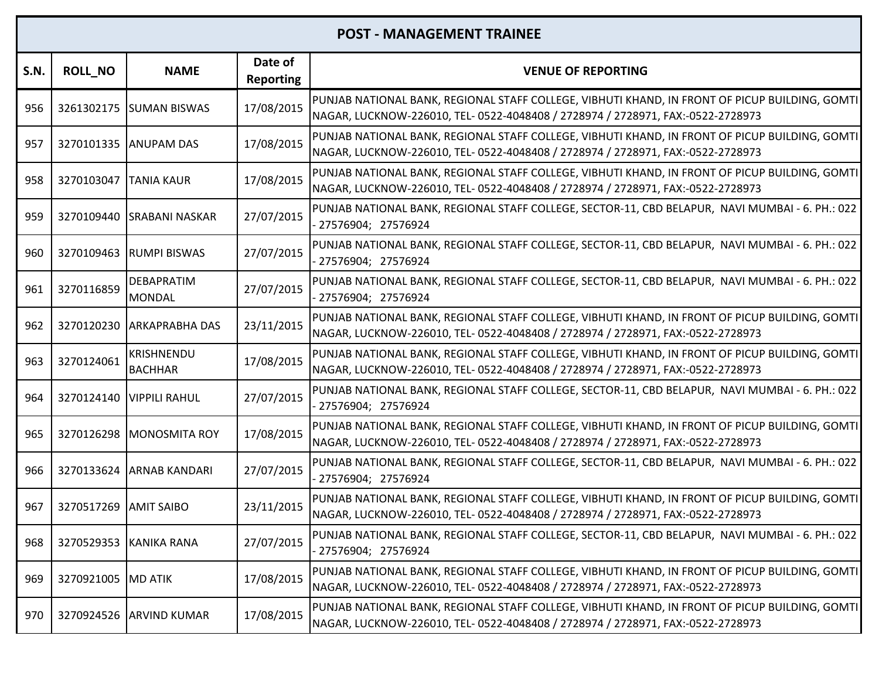| S.N. | <b>ROLL_NO</b> | <b>NAME</b>                         | Date of<br><b>Reporting</b> | <b>VENUE OF REPORTING</b>                                                                                                                                                         |
|------|----------------|-------------------------------------|-----------------------------|-----------------------------------------------------------------------------------------------------------------------------------------------------------------------------------|
| 956  |                | 3261302175 SUMAN BISWAS             | 17/08/2015                  | PUNJAB NATIONAL BANK, REGIONAL STAFF COLLEGE, VIBHUTI KHAND, IN FRONT OF PICUP BUILDING, GOMTI<br>NAGAR, LUCKNOW-226010, TEL- 0522-4048408 / 2728974 / 2728971, FAX:-0522-2728973 |
| 957  |                | 3270101335 ANUPAM DAS               | 17/08/2015                  | PUNJAB NATIONAL BANK, REGIONAL STAFF COLLEGE, VIBHUTI KHAND, IN FRONT OF PICUP BUILDING, GOMTI<br>NAGAR, LUCKNOW-226010, TEL- 0522-4048408 / 2728974 / 2728971, FAX:-0522-2728973 |
| 958  | 3270103047     | <b>TANIA KAUR</b>                   | 17/08/2015                  | PUNJAB NATIONAL BANK, REGIONAL STAFF COLLEGE, VIBHUTI KHAND, IN FRONT OF PICUP BUILDING, GOMTI<br>NAGAR, LUCKNOW-226010, TEL- 0522-4048408 / 2728974 / 2728971, FAX:-0522-2728973 |
| 959  | 3270109440     | <b>SRABANI NASKAR</b>               | 27/07/2015                  | PUNJAB NATIONAL BANK, REGIONAL STAFF COLLEGE, SECTOR-11, CBD BELAPUR, NAVI MUMBAI - 6. PH.: 022<br>- 27576904; 27576924                                                           |
| 960  | 3270109463     | <b>RUMPI BISWAS</b>                 | 27/07/2015                  | PUNJAB NATIONAL BANK, REGIONAL STAFF COLLEGE, SECTOR-11, CBD BELAPUR, NAVI MUMBAI - 6. PH.: 022<br>- 27576904; 27576924                                                           |
| 961  | 3270116859     | <b>DEBAPRATIM</b><br><b>MONDAL</b>  | 27/07/2015                  | PUNJAB NATIONAL BANK, REGIONAL STAFF COLLEGE, SECTOR-11, CBD BELAPUR, NAVI MUMBAI - 6. PH.: 022<br>27576904; 27576924                                                             |
| 962  | 3270120230     | <b>ARKAPRABHA DAS</b>               | 23/11/2015                  | PUNJAB NATIONAL BANK, REGIONAL STAFF COLLEGE, VIBHUTI KHAND, IN FRONT OF PICUP BUILDING, GOMTI<br>NAGAR, LUCKNOW-226010, TEL- 0522-4048408 / 2728974 / 2728971, FAX:-0522-2728973 |
| 963  | 3270124061     | <b>KRISHNENDU</b><br><b>BACHHAR</b> | 17/08/2015                  | PUNJAB NATIONAL BANK, REGIONAL STAFF COLLEGE, VIBHUTI KHAND, IN FRONT OF PICUP BUILDING, GOMTI<br>NAGAR, LUCKNOW-226010, TEL- 0522-4048408 / 2728974 / 2728971, FAX:-0522-2728973 |
| 964  | 3270124140     | <b>VIPPILI RAHUL</b>                | 27/07/2015                  | PUNJAB NATIONAL BANK, REGIONAL STAFF COLLEGE, SECTOR-11, CBD BELAPUR, NAVI MUMBAI - 6. PH.: 022<br>27576904; 27576924                                                             |
| 965  | 3270126298     | <b>MONOSMITA ROY</b>                | 17/08/2015                  | PUNJAB NATIONAL BANK, REGIONAL STAFF COLLEGE, VIBHUTI KHAND, IN FRONT OF PICUP BUILDING, GOMTI<br>NAGAR, LUCKNOW-226010, TEL- 0522-4048408 / 2728974 / 2728971, FAX:-0522-2728973 |
| 966  | 3270133624     | <b>ARNAB KANDARI</b>                | 27/07/2015                  | PUNJAB NATIONAL BANK, REGIONAL STAFF COLLEGE, SECTOR-11, CBD BELAPUR, NAVI MUMBAI - 6. PH.: 022<br>27576904; 27576924                                                             |
| 967  | 3270517269     | <b>AMIT SAIBO</b>                   | 23/11/2015                  | PUNJAB NATIONAL BANK, REGIONAL STAFF COLLEGE, VIBHUTI KHAND, IN FRONT OF PICUP BUILDING, GOMTI<br>NAGAR, LUCKNOW-226010, TEL- 0522-4048408 / 2728974 / 2728971, FAX:-0522-2728973 |
| 968  |                | 3270529353 KANIKA RANA              | 27/07/2015                  | PUNJAB NATIONAL BANK, REGIONAL STAFF COLLEGE, SECTOR-11, CBD BELAPUR, NAVI MUMBAI - 6. PH.: 022<br>27576904; 27576924                                                             |
| 969  | 3270921005     | <b>MD ATIK</b>                      | 17/08/2015                  | PUNJAB NATIONAL BANK, REGIONAL STAFF COLLEGE, VIBHUTI KHAND, IN FRONT OF PICUP BUILDING, GOMTI<br>NAGAR, LUCKNOW-226010, TEL- 0522-4048408 / 2728974 / 2728971, FAX:-0522-2728973 |
| 970  | 3270924526     | <b>ARVIND KUMAR</b>                 | 17/08/2015                  | PUNJAB NATIONAL BANK, REGIONAL STAFF COLLEGE, VIBHUTI KHAND, IN FRONT OF PICUP BUILDING, GOMTI<br>NAGAR, LUCKNOW-226010, TEL- 0522-4048408 / 2728974 / 2728971, FAX:-0522-2728973 |